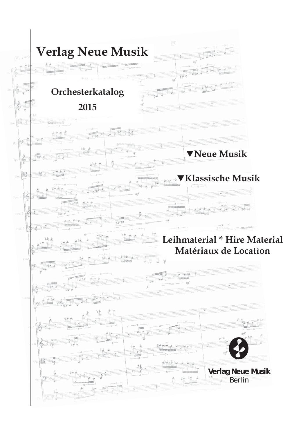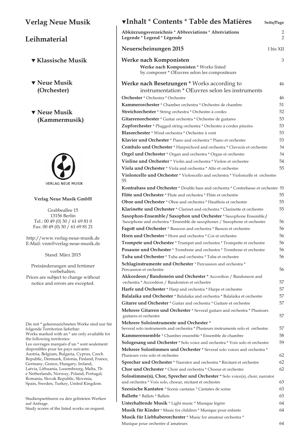## **Verlag Neue Musik**

## **Leihmaterial**

- T **Klassische Musik**
- $\blacktriangledown$  Neue Musik  **(Orchester)**
- T **Neue Musik (Kammermusik)**



### **Verlag Neue Musik GmbH**

Grabbeallee 15 13156 Berlin Tel.: 00 49 (0) 30 / 61 69 81 0 Fax: 00 49 (0) 30 / 61 69 81 21

http://www.verlag-neue-musik.de E-Mail: vnm@verlag-neue-musik.de

Stand: März 2015

Preisänderungen und Irrtümer vorbehalten. Prices are subject to change without notice and errors are excepted.

Die mit \* gekennzeichneten Werke sind nur für folgende Territorien lieferbar: Works marked with an \* are only available for the following territories: Les ouvrages marqués d'un \* sont seulement disponibles pour les pays suivants: Austria, Belgium, Bulgaria, Cyprus, Czech Republic, Denmark, Estonia, Finland, France, Germany, Greece, Hungary, Ireland, Latvia, Lithuania, Luxembourg, Malta, Th e Netherlands, Norway, Poland, Portugal, Romania, Slovak Republic, Slovenia, Spain, Sweden, Turkey, United Kingdom.

Studienpartituren zu den gelisteten Werken auf Anfrage.

Study scores of the listed works on request.

| ▼Inhalt * Contents * Table des Matières                                                                                                                 | Seite/Page |
|---------------------------------------------------------------------------------------------------------------------------------------------------------|------------|
| Abkürzungsverzeichnis * Abbreviations * Abréviations<br>Legende * Legend * Légende                                                                      | 2<br>2     |
| Neuerscheinungen 2015                                                                                                                                   | I bis XII  |
| Werke nach Komponisten<br>Werke nach Komponisten * Works listed<br>by composer * OEuvres selon les compositeurs                                         | 3          |
| <b>Werke nach Besetzungen</b> * Works according to<br>instrumentation * OEuvres selon les instruments                                                   | 46         |
| <b>Orchester</b> * Orchestra * Orchestre                                                                                                                | 46         |
| Kammerorchester * Chamber orchestra * Orchestre de chambre                                                                                              | 51         |
| Streichorchester * String orchestra * Orchestre à cordes                                                                                                | 52         |
| Gitarrenorchester * Guitar orchestra * Orchestre de guitares                                                                                            | 53         |
| Zupforchester * Plugged string orchestra * Orchestre à cordes pincées                                                                                   | 53.        |
| <b>Blasorchester</b> * Wind orchestra * Orchestre à vent                                                                                                | 53.        |
| <b>Klavier und Orchester</b> * Piano and orchestra * Piano et orchestre                                                                                 | 53         |
| Cembalo und Orchester * Harpsichord and orchestra * Clavecin et orchestre                                                                               | 54         |
| Orgel und Orchester * Organ and orchestra * Orgue et orchestre                                                                                          | 54         |
| Violine und Orchester * Violin and orchestra * Violon et orchestre                                                                                      | 54         |
| Viola und Orchester * Viola and orchestra * Alto et orchestre                                                                                           | 55         |
| Violoncello und Orchester * Violoncello and orchestra * Violoncelle et orchestre<br>55                                                                  |            |
| <b>Kontrabass und Orchester</b> * Double bass and orchestra * Contrebasse et orchestre 55                                                               |            |
| Flöte und Orchester * Flute and orchestra * Flûte et orchestre                                                                                          | 55         |
| <b>Oboe und Orchester</b> * Oboe and orchestra * Hautbois et orchestre                                                                                  | 55         |
| Klarinette und Orchester * Clarinet and orchestra * Clarinette et orchestre                                                                             | 55         |
| Saxophon-Ensemble / Saxophon und Orchester * Saxophone Ensemble /<br>Saxophone and orchestra * Ensemble de saxophones / Saxophone et orchestre          | 56         |
| Fagott und Orchester * Bassoon and orchestra * Basson et orchestre                                                                                      | 56         |
| Horn und Orchester * Horn and orchestra * Cor et orchestre                                                                                              | 56         |
| Trompete und Orchester * Trumpet and orchestra * Trompette et orchestre                                                                                 | 56         |
| Posaune und Orchester * Trombone and orchestra * Trombone et orchestre                                                                                  | 56         |
| Tuba und Orchester * Tuba and orchestra * Tuba et orchestre                                                                                             | 56         |
| Schlaginstrumente und Orchester * Percussion and orchestra *<br>Percussion et orchestre                                                                 | 56         |
| Akkordeon / Bandoneón und Orchester * Accordion / Bandoneon and                                                                                         |            |
| orchestra * Accordéon / Bandonéon et orchestre                                                                                                          | 57         |
| Harfe und Orchester * Harp and orchestra * Harpe et orchestre                                                                                           | 57         |
| Balalaika und Orchester * Balalaika and orchestra * Balalaika et orchestre                                                                              | 57         |
| Gitarre und Orchester * Guitar and orchestra * Guitare et orchestre                                                                                     | 57         |
| <b>Mehrere Gitarren und Orchester</b> * Several guitars and orchestra * Plusieurs<br>guitares et orchestre                                              | 57         |
| Mehrere Soloinstrumente und Orchester*<br>Several solo instruments and orchestra * Plusieurs instruments solo et orchestre                              | 57         |
| Kammerensemble * Chamber ensemble * Ensemble de chambre                                                                                                 | 58.        |
|                                                                                                                                                         |            |
| Sologesang und Orchester * Solo voice and orchestra * Voix solo et orchestre<br>Mehrere Solostimmen und Orchester * Several solo voices and orchestra * | 59         |
| Plusieurs voix solo et orchestre                                                                                                                        | 62         |
| Sprecher und Orchester * Narrator and orchestra * Récitant et orchestre                                                                                 | 62         |
| Chor und Orchester * Choir and orchestra * Choeur et orchestre                                                                                          | 62         |
| <b>Solostimme(n), Chor, Sprecher und Orchester</b> * Solo voice(s), choir, narrator                                                                     |            |
| and orchestra * Voix solo, choeur, récitant et orchestre                                                                                                | 63         |

**Szenische Kantaten** *\** Scenic cantatas *\** Cantates de scène 63 **Ballette** \* Ballets \* Ballets 63 **Unterhaltende Musik** \* Light music \* Musique légère 64 **Musik für Kinder** \* Music for children \* Musique pour enfants 64 **Musik für Liebhaberorchester** \* Music for amateur orchestra \* Musique pour orchestre d´amateurs 64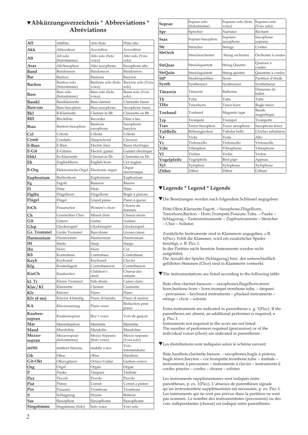## T**Abkürzungsverzeichnis** \* **Abbreviations** \* **Abréviations**

| Afl                | Altflöte                             | Alto flute                  | Flûte alto                |
|--------------------|--------------------------------------|-----------------------------|---------------------------|
| Akk                | Akkordeon                            | Accordion                   | Accordéon                 |
| Alt                | Alt solo                             | Alto solo (Solo             | Alto solo (Voix           |
|                    | (Solostimme)                         | voice)                      | solo)                     |
| Asax               | Alt-Saxophon                         | Alto saxophone<br>Bandoneon | Saxophone alto            |
| Band<br>Bar        | Bandoneon<br>Bariton                 | Baritone                    | Bandonéon<br>Baryton      |
|                    | Bariton solo                         | Baritone solo (Solo         | Baryton solo (Voix        |
| Bariton            | (Solostimme)                         | voice)                      | solo)                     |
| Bass               | Bass solo<br>(Solostimme)            | Bass solo (Solo<br>voice)   | Basse solo (Voix<br>solo) |
| <b>Basskl</b>      | Bassklarinette                       | <b>Bass</b> clarinet        | Clarinette basse          |
| Bass-sax           | Bass-Saxophon                        | Bass saxophone              | Saxophone basse           |
| Bkl                | <b>B-Klarinette</b>                  | Clarinet in Bb              | Clarinette en Bb          |
| Blfl               | Blockflöte                           | Recorder                    | Flûte à bec               |
| Bsax               | Bariton-Saxophon                     | Baritone                    | Saxophone                 |
| Cel                | Celesta                              | saxophone<br>Celesta        | baryton<br>Célesta        |
| Cemb               | Cembalo                              | Harpsichord                 | Clavecin                  |
| E-Bass             | E-Bass                               | Electric bass               | Basse électrique          |
| E-Git              | E-Gitarre                            | Electric guitar             | Guitare électrique        |
| Ebkl               | Es-Klarinette                        | Clarinet in Eb              | Clarinette en Eb          |
| Eh                 | Englischhorn                         | English horn                | Cor anglais               |
| E-Org              | Elektronische Orgel Electronic organ |                             | Orgue                     |
| Euphonium          | Baritonhorn                          | Euphonium                   | électronique<br>Euphonium |
| Fg                 | Fagott                               | Bassoon                     | Basson                    |
| Fl                 | Flöte                                | Flute                       | Flûte                     |
| FlgHn              | Flügelhorn                           | Flugelhorn                  | Bugle à pistons           |
| Flügel             | Flügel                               | Grand piano                 | Piano à queue             |
| FrCh               | Frauenchor                           | Women's choir               | Choeur de                 |
| Ch                 | Gemischter Chor                      | Mixed choir                 | femmes<br>Choeur mixte    |
| Git                | Gitarre                              | Guitar                      | Guitare                   |
| Glsp               | Glockenspiel                         | Glockenspiel                | Glockenspiel              |
| <b>Gr.</b> Trommel | Große Trommel                        | Bass drum                   | Grosse caisse             |
| Harmonium          | Harmonium                            | Harmonium                   | Harmonium                 |
| Hf                 | Harfe                                | Harp                        | Harpe                     |
| Hn                 | Horn                                 | Horn                        | Cor                       |
| Kb<br>Keyb         | Kontrabass<br>Keyboard               | Contrabass<br>Keyboard      | Contrebasse<br>Clavier    |
| Kfg                | Kontrafagott                         | Contrabassoon               | Contrebasson              |
|                    |                                      | Children's                  | Choeur des                |
| KinCh              | Kinderchor                           | choir                       | enfants                   |
| kl. Tr             | Kleine Trommel                       | Side drum                   | Caisse claire             |
| Klar / Kl          | Klarinette<br>Klavier                | Clarinet                    | Clarinette                |
| Klv<br>Klv(4ms)    | Klavier 4-händig                     | Piano<br>Piano (4 hands)    | Piano<br>Piano (4 mains)  |
|                    |                                      |                             | Réduction pour            |
| КA                 | Klavierauszug                        | Piano score                 | piano                     |
| Knaben-            | Knabensopran                         | Boy's voice                 | Voix de garçon            |
| sopran<br>Mar      | Marimbaphon                          | Marimba                     | Marimba                   |
| Mand               | Mandoline                            | Mandolin                    | Mandoline                 |
| Mezzo-             | Mezzosopran                          | Mezzo Soprano               | Mezzo-soprano             |
| sopran             | (Solostimme)                         | (Solo voice)                | (Voix solo)               |
| miSti              | mittlere Stimme                      | middle voice                | Voix                      |
| Ob                 | Oboe                                 | Oboe                        | intermédiaire<br>Hautbois |
| Git-Okt            | Oktavgitarre                         | Octave Guitar               | Guitare-octave            |
| <b>Org</b>         | Orgel                                | Organ                       | Orgue                     |
| P                  | Pauke                                | Timpani                     | Timbale                   |
| Picc               | Piccolo                              | Piccolo                     | Piccolo                   |
| Pist               | Piston                               | Cornet                      | Cornet à piston           |
| Pos                | Posaune                              | Trombone                    | Trombone                  |
| S                  | Schlagzeug                           | Drums                       | Batterie                  |
| Sax<br>Singstimme  | Saxophon<br>Singstimme (Solo)        | Saxophone<br>Solo voice     | Saxophone<br>Voix solo    |
|                    |                                      |                             |                           |

| Sopran          | Sopran solo<br>(Solostimme) | Soprano solo (Solo<br>voice) | Soprano solo<br>(Voix solo) |
|-----------------|-----------------------------|------------------------------|-----------------------------|
| Spr             | Sprecher                    | Narrator                     | Récitant                    |
| Ssax            | Sopran-Saxophon             | Soprano<br>saxophone         | Saxophone<br>soprano        |
| Str             | Streicher                   | <b>Strings</b>               | Cordes                      |
| <b>StrOrch</b>  | Streichorchester            | String orchestra             | Orchestre à cordes          |
| <b>StrOuar</b>  | Streichquartett             | <b>String Quartet</b>        | Ouatuor à<br>cordes         |
| StrQuin         | Streichquintett             | String quintet               | Quintette à cordes          |
| <b>StP</b>      | Studienpartitur             | Score                        | Partition d'étude           |
| Synth           | Synthesizer                 | Synthesizer                  | Synthétiseur                |
| Tänzerin        | Tänzerin                    | Ballerina                    | Danseuse de<br>ballet       |
| Tb              | Tuba                        | Tuba                         | Tuba                        |
| THn             | Tenorhorn                   | Tenor horn                   | Bugle ténor                 |
| Tonband         | Tonband                     | Magnetic tape                | Bande<br>magnétique         |
| Trp             | Trompete                    | Trumpet                      | Trompette                   |
| <b>Tsax</b>     | Tenor-Saxophon              | Tenor saxophone              | Saxophone ténor             |
| <b>TubBells</b> | Röhrenglocken               | Tubular bells                | Cloches tubulaires          |
| Va              | Viola                       | Viola                        | Alto                        |
| Vc              | Violoncello                 | Violoncello                  | Violoncelle                 |
| Vibr            | Vibraphon                   | Vibraphone                   | Vibraphone                  |
| Vl              | Violine                     | Violin                       | Violon                      |
| Vogelpfeife     | Vogelpfeife                 | Bird pipe                    | Appeau                      |
| Xyl             | Xylophon                    | Xylophone                    | Xylophone                   |
| <b>Zither</b>   | Zither                      | Zither                       | Cithare                     |

### T**Legende \* Legend \* Légende**

TDie Besetzungen werden nach folgendem Schlüssel angegeben:

Flöte.Oboe.Klarinette.Fagott. – Saxophone,Flügelhorn, Tenorhorn,Bariton – Horn.Trompete.Posaune.Tuba. – Pauke – Schlagzeug – Tasteninstrumente – Zupfinstrumente – Streicher – Chor – Solisten

Zusätzliche Instrumente sind in Klammern angegeben, z.B. 1(Picc). Fehlt die Klammer, wird ein zusätzlicher Spieler benötigt, z. B. Picc.1.

In der Partitur nicht besetzte Instrumente werden nicht aufgeführt.

Die Anzahl der Spieler (Schlagzeug) bzw. der unterschiedlich geführten Stimmen (Chor) sind in Klammern vermerkt.

TThe instrumentations are listed according to the following table:

flute.oboe.clarinet.bassoon. – saxophones,flugelhorn,tenor horn,baritone horn – horn.trumpet.trombone.tuba. – timpani – percussion – keyboard instruments – plucked instruments – strings – choir – soloists

Extra instruments are indicated in parentheses e. g. 1(Picc). If the parentheses are absent, an additional performer is required, e. g. Picc.1.

Instruments not required in the score are not listed. The number of performers required (percussion) or of the individual voices (choir) are indicated in parentheses.

TLes distributions sont indiquées selon le schéma suivant:

flûte.hautbois.clarinette.basson. – saxophones,bugle à pistons, bugle ténor,baryton – cor.trompette.trombone.tuba. – timbale – instruments à percussion – instruments à clavier – instruments à cordes pincées – cordes – choeur – solistes

Les instruments supplémentaires sont indiqués entre parenthèses, p. ex. 1(Picc). L'absence de parenthèses signale qu'un instrumentiste supplémentaire est nécessaire, p. ex. Picc.1. Les instruments qui ne sont pas prévus dans la partition ne sont pas nommés. Le nombre des instrumentistes (percussion) ou des voix indépendantes (choeur) est indiqué entre parenthèses.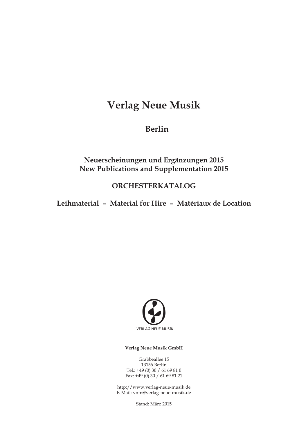# **Verlag Neue Musik**

**Berlin**

## **Neuerscheinungen und Ergänzungen 2015 New Publications and Supplementation 2015**

## **ORCHESTERKATALOG**

**Leihmaterial – Material for Hire – Matériaux de Location**



### **Verlag Neue Musik GmbH**

Grabbeallee 15 13156 Berlin Tel.: +49 (0) 30 / 61 69 81 0 Fax:  $+49(0)30/61698121$ 

http://www.verlag-neue-musik.de E-Mail: vnm@verlag-neue-musik.de

Stand: März 2015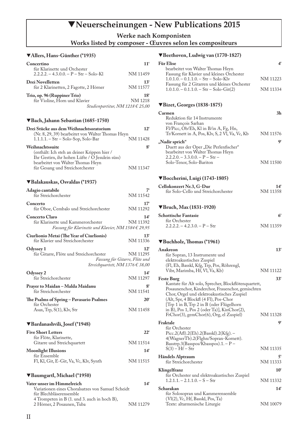## T**Neuerscheinungen - New Publications 2015**

**Werke nach Komponisten** 

### **Works listed by composer - Œuvres selon les compositeurs**

### T**Allers, Hans-Günther (\*1935)**

| Concertino                                                              | 11'                                  |
|-------------------------------------------------------------------------|--------------------------------------|
| für Klarinette und Orchester<br>$2.2.2.2 - 4.3.0.0 - P - Str - Solo-K1$ | NM 11459                             |
| Drei Novelletten<br>für 2 Klarinetten, 2 Fagotte, 2 Hörner              | $13^{\circ}$<br>NM 11577             |
| Trio, op. 96 (Ruppiner Trio)                                            | 18 <sup>′</sup>                      |
| für Violine, Horn und Klavier                                           | NM 1218                              |
|                                                                         | Studienpartitur, NM 1218 $\in$ 25,00 |

### T**Bach, Jahann Sebastian (1685-1750)**

| Drei Stücke aus dem Weihnachtsoratorium           | $12^{\circ}$ |
|---------------------------------------------------|--------------|
| (Nr. 8, 29, 39) bearbeitet von Walter Thomas Heyn |              |
| $1.1.1.1 - Str - Solo-Sop, Solo-Bar$              | NM 11428     |
| Weihnachtssuite                                   |              |
| (enthält: Ich steh an deiner Krippen hier /       |              |
| Ihr Gestirn, ihr hohen Lüfte / O Jesulein süss)   |              |
| bearbeitet von Walter Thomas Heyn                 |              |
| für Gesang und Streichorchester                   | NM 11347     |

### T**Balakauskas, Osvaldas (\*1937)**

| Adagio cantabile<br>für Streichorchester                                                                               | 7'<br>NM 11542                                             |
|------------------------------------------------------------------------------------------------------------------------|------------------------------------------------------------|
| Concerto<br>für Oboe, Cembalo und Streichorchester                                                                     | $17^{\circ}$<br>NM 11292                                   |
| <b>Concerto Claro</b><br>für Klarinette und Kammerorchester<br>Fassung für Klarinette und Klavier, NM 1584 $\in$ 29,95 | 14 <sup>′</sup><br>NM 11392                                |
| Ciurlionio Metai (The Year of Ciurlionis)<br>für Klavier und Streichorchester                                          | 13 <sup>′</sup><br>NM 11336                                |
| Odyssey 1<br>für Gitarre, Flöte und Streichorchester<br>Streichquartett, NM 1376 € 38,00                               | $12^{\circ}$<br>NM 11295<br>Fassung für Gitarre, Flöte und |
| Odyssey 2<br>für Streichorchester                                                                                      | 14 <sup>′</sup><br>NM 11297                                |
| Prayer to Maidan – Malda Maidanu<br>für Streichorchester                                                               | 8'<br>NM 11541                                             |
| The Psalms of Spring - Pavasario Psalmes<br>für Orchester<br>Asax, Trp, S(1), Klv, Str                                 | $20^{\circ}$<br>NM 11458                                   |
| ▼Bardanashvili, Josef (*1948)                                                                                          |                                                            |
| <b>Five Short Letters</b><br>für Flöte, Klarinette,<br>Gitarre und Streichquartett                                     | $22^{\circ}$<br>NM 11514                                   |
| Moonlight Illusions<br>für Ensemble                                                                                    | 14 <sup>′</sup>                                            |
| Fl, Kl, Git, E-Git, Va, Vc, Klv, Synth                                                                                 | NM 11515                                                   |
| Baumgartl, Michael (*1950)                                                                                             |                                                            |
| Vater unser im Himmelreich<br>Variationen eines Choralsatzes von Samuel Scheidt<br>für Blechbläserensemble             | 14 <sup>′</sup>                                            |

4 Trompeten in B (1. und 3. auch in hoch B),

2 Hörner, 2 Posaunen, Tuba NM 11279

### T**Beethoven, Ludwig van (1770-1827)**

| <b>Für Elise</b>                                                                        |          |
|-----------------------------------------------------------------------------------------|----------|
| bearbeitet von Walter Thomas Heyn                                                       |          |
| Fassung für Klavier und kleines Orchester                                               |          |
| $1.0.1.0 - 0.1.1.0 - Str - Solo-Klv$                                                    | NM 11223 |
| Fassung für 2 Gitarren und kleines Orchester<br>$1.0.1.0 - 0.1.1.0 - Str - Solo-Git(2)$ | NM 11334 |
|                                                                                         |          |

### T**Bizet, Georges (1838-1875)**

| Carmen                                         |          |
|------------------------------------------------|----------|
| Reduktion für 14 Instrumente                   |          |
| von François Sarhan                            |          |
| Fl/Picc, Ob/Eh, Kl in B/in A, Fg, Hn,          |          |
| Tr/Kornett in A, Pos, Klv, S, 2 VI, Va, Vc, Kb | NM 11576 |
| "Nadir sprich"                                 | q,       |
| Duett aus der Oper "Die Perlenfischer"         |          |
| bearbeitet von Walter Thomas Heyn              |          |
| $2.2.2.0 - 3.3.0.0 - P - Str -$                |          |
| Solo-Tenor, Solo-Bariton                       | NM 11500 |
|                                                |          |

#### T**Boccherini, Luigi (1743-1805)**

| Cellokonzert Nr.3, G-Dur            | 14 <sup>6</sup> |
|-------------------------------------|-----------------|
| für Solo-Cello und Streichorchester | NM 11358        |

### T**Bruch, Max (1831-1920)**

| <b>Schottische Fantasie</b>   |          |
|-------------------------------|----------|
| für Orchester                 |          |
| $2.2.2.2 - 4.2.3.0 - P - Str$ | NM 11359 |

### $\blacktriangledown$  Buchholz, Thomas (\*1961)

| Anakreon                                                                                                                                                                                                                                                                                                                              | $13^{\circ}$    |
|---------------------------------------------------------------------------------------------------------------------------------------------------------------------------------------------------------------------------------------------------------------------------------------------------------------------------------------|-----------------|
| für Sopran, 13 Instrumente und                                                                                                                                                                                                                                                                                                        |                 |
| elektroakustisches Zuspiel                                                                                                                                                                                                                                                                                                            |                 |
| (Fl, Eh, Basskl, Kfg, Trp, Pos, Röhrengl,<br>Vibr, Marimba, Hf, Vl, Va, Kb)                                                                                                                                                                                                                                                           | NM 11122        |
| <b>Feste Burg</b>                                                                                                                                                                                                                                                                                                                     | $33^{\circ}$    |
| Kantate für Alt solo, Sprecher, Blockflötenquartett,<br>Posaunenchor, Kinderchor, Frauenchor, gemischten<br>Chor, Orgel und elektroakustisches Zuspiel<br>(Alt, Spr, 4 Blockfl (4 Fl), Pos-Chor<br>[Trp 1 in B, Trp 2 in B (oder Flügelhorn<br>in B), Pos 1, Pos 2 (oder Ta)], KinChor(2),<br>FrChor(3), gemChor(6), Org, el Zuspiel) | NM 11328        |
| Fraktale                                                                                                                                                                                                                                                                                                                              | gʻ              |
| für Orchester<br>Picc.2(Afl).2(Eh).2(Basskl).2(Kfg). $-$<br>4(WagnerTb).2(Flghn/Sopran-Kornett).<br>Basstrp.3(Basspos/Kbasspos).1. - P -<br>$S(3) - Hf - Str$                                                                                                                                                                         | NM 11335        |
| Händels Alptraum                                                                                                                                                                                                                                                                                                                      | 5'              |
| für Streichorchester                                                                                                                                                                                                                                                                                                                  | NM 11333        |
| Klingelfranz<br>für Orchester und elektroakustisches Zuspiel                                                                                                                                                                                                                                                                          | $10^{\circ}$    |
| $1.2.1.1 - 2.1.1.0 - S - S$ tr                                                                                                                                                                                                                                                                                                        | NM 11332        |
| Scharakan                                                                                                                                                                                                                                                                                                                             | 14 <sup>′</sup> |
| für Solosopran und Kammerensemble                                                                                                                                                                                                                                                                                                     |                 |
| (VI(2), Vc, Hf, Basskl, Pos, Ta)                                                                                                                                                                                                                                                                                                      | NM 10079        |
| Texte: altarmenische Liturgie                                                                                                                                                                                                                                                                                                         |                 |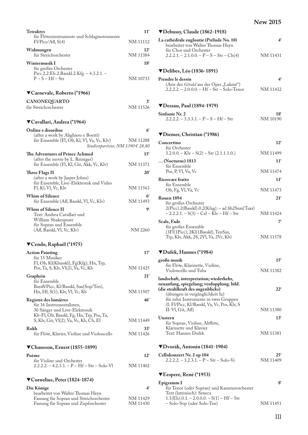| <b>Tetraktys</b>                                                                                                       | $11^{\circ}$               |
|------------------------------------------------------------------------------------------------------------------------|----------------------------|
| für Flöteninstrumente und Schlaginstrumente<br>$F1/P_{\text{icc}}/Afl, S(4)$                                           | NM 11112                   |
| Widmungen<br>für Streichorchester                                                                                      | $12^{\circ}$<br>NM 11384   |
| <b>Wintermusik I</b>                                                                                                   | 18 <sup>6</sup>            |
| für großes Orchester<br>Picc.2.2.Eh.2.Basskl.2.Kfg. - 4.3.2.1. -                                                       |                            |
| $P-S-Hf-Str$                                                                                                           | NM 10733                   |
| ▼Carnevale, Roberto (*1966)                                                                                            |                            |
| CANONEQUARTO                                                                                                           | 3'                         |
| für Streichorchester                                                                                                   | NM 11526                   |
| ▼Cavallari, Andrea (*1964)                                                                                             |                            |
| Ordine e disordine                                                                                                     | 6 <sup>′</sup>             |
| (after a work by Alighiero e Boetti)<br>für Ensemble (Fl, Ob, Kl, Vl, Va, Vc, Klv)<br>Studienpartitur, NM 1390 € 28,80 | NM 11288                   |
| The Adventures of Prince Achmed                                                                                        | $15^{\circ}$               |
| (after the movie by L. Reiniger)                                                                                       |                            |
| für Ensemble (Fl, Kl, Git, Akk, Vc, Klv)                                                                               | NM 11371                   |
| Three Flags II<br>(after a work by Jasper Johns)                                                                       | $20^{\circ}$               |
| für Ensemble, Live-Elektronik und Video                                                                                |                            |
| Fl, Kl, Vl, Vc, Klv                                                                                                    | NM 11563                   |
| <b>Whim of Silence</b><br>für Ensemble (Afl, Basskl, Vl, Vc, Klv)                                                      | 6 <sup>′</sup><br>NM 11493 |
| <b>Whim of Silence II</b>                                                                                              | gʻ                         |
| Text: Andrea Cavallari und<br>William Shakespeare                                                                      |                            |
| für Sopran und Ensemble                                                                                                |                            |
| (Afl, Basskl, Vl, Vc, Klv)                                                                                             | NM 2260                    |
| ▼Cendo, Raphaël (*1975)                                                                                                |                            |
| <b>Action Painting</b><br>für 15 Musiker                                                                               | 17'                        |
| Fl, Ob, Kl(Kbasskl), Fg(Kfg), Hn, Trp,                                                                                 |                            |
| Pos, Ta, S, Klv, Vl(2), Va, Vc, Kb                                                                                     | NM 11425                   |
| Graphein                                                                                                               | 21'                        |
| für Ensemble<br>Bassfl/Picc, Kl/Basskl, Sax(Sop/Ten),                                                                  |                            |
| Hn, Hf, S(1), Klv, Vl, Vc, Kb                                                                                          | NM 11507                   |
| Registre des lumières                                                                                                  | 46 <sup>′</sup>            |
| für 16 Instrumentalisten,<br>30 Sänger und Live-Elektronik                                                             |                            |
| Kb-Fl, Ob, Basskl, Fg, Hn, Trp, Pos, Ta,                                                                               |                            |
| S, Klv, Git, Vl(2), Va, Vc, Kb, Ch, El                                                                                 | NM 11449                   |
| Rokh<br>für Flöte, Klavier, Violine und Violoncello                                                                    | 33'<br>NM 11426            |
| ▼Chausson, Ernest (1855-1899)                                                                                          |                            |
| Poème                                                                                                                  | $12^{\circ}$               |
| für Violine und Orchester<br>$2.2.2.2 - 4.2.3.1 - P - Hf - Str - Solo-Vl$                                              | NM 11402                   |
| ▼Cornelius, Peter (1824-1874)                                                                                          |                            |
| Die Könige                                                                                                             | 4'                         |
| bearbeitet von Walter Thomas Heyn<br>Fassung für Sopran und Streichorchester                                           | NM 11429                   |
| Fassung für Sopran und Zupforchester                                                                                   | NM 11430                   |

| ▼Debussy, Claude (1862-1918)                                                                                         |                        |
|----------------------------------------------------------------------------------------------------------------------|------------------------|
| La cathédrale engloutie (Prélude No. 10)<br>bearbeitet von Walter Thomas Heyn                                        | 4 <sup>°</sup>         |
| für Chor und Orchester<br>$2.2.2.1 - 2.1.0.0 - P - S - Str - Ch(4)$                                                  | NM 11431               |
| $\nabla$ Delibes, Léo (1836-1891)                                                                                    |                        |
| Prendre le dessin                                                                                                    | 4 <sup>6</sup>         |
| (Arie des Gérald aus der Oper "Lakmé")<br>$2.2.2.2 - 2.0.0.0 - Hf - Str - Solo-Tenor$                                | NM 11432               |
| ▼Dessau, Paul (1894-1979)                                                                                            |                        |
| Sinfonie Nr. 2<br>$2.2.2.2 - 3.3.3.1 - P - S - Hf - Str$                                                             | 18'<br>NM 10190        |
| ▼Diemer, Christian (*1986)                                                                                           |                        |
| Concertino                                                                                                           | 12'                    |
| für Orchester<br>$3.2.0.0 - Klv - S(2) - Str (2.1.1.1.0.)$                                                           | NM 11499               |
| (Nocturne) 1813<br>für Ensemble                                                                                      | $11^{\circ}$           |
| Pos, P, V1, Va, Vc                                                                                                   | NM 11474               |
| Ricercare fratto                                                                                                     | $11^{\circ}$           |
| für Ensemble<br>Ob, Fg, Vl, Va, Vc                                                                                   | NM 11473               |
| Rouen 1894                                                                                                           | $21^{\circ}$           |
| für großes Orchester<br>2(Picc).2(Basskl).0.2(Kfag). - ad lib2Ssax(Tsax)<br>– 2.2.2.1. – S(3) – Cel – Klv – Hf – Str | NM 11424               |
| Scale, Fade                                                                                                          | 7'                     |
| für großes Ensemble<br>(3Fl(1Picc), 2Kl(1Basskl), TenSax,<br>Trp, Klv, Akk, 2S, 2Vl, Va, 2Vc, Kb)                    | NM 11578               |
| ▼Dufek, Hannes (*1984)                                                                                               |                        |
| große musik                                                                                                          | 15 <sup>°</sup>        |
| für Flöte, Klarinette, Violine,<br>Violoncello und Tuba                                                              | NM 11382               |
| landschaft, interpretation; wiederkehr,<br>neuanfang, spiegelung; verdopplung. bild.                                 | $22^{\circ}$           |
| (die strahlkraft des augenblicks)<br>(übungen in vergänglichkeit Ia)                                                 |                        |
| für zehn Instrumente in zwei Gruppen<br>(I: Fl/Picc, Kl/Basskl, Va, Vc, Pos, Klv, S                                  |                        |
| II: VI, Git, AH)                                                                                                     | NM 11380               |
| Unstern<br>für Sopran, Violine, Altflöte,                                                                            | 13'                    |
| Klarinette und Klavier<br>Text: Hannes Dufek                                                                         |                        |
|                                                                                                                      | NM 11381               |
| ▼Dvorák, Antonín (1841-1904)                                                                                         |                        |
| Cellokonzert Nr. 2 op 104<br>$2.2.2.2. - 3.2.3.1. - P - Str - Solo-Vc$                                               | $25^\circ$<br>NM 11409 |
| ▼Eespere, René (*1953)                                                                                               |                        |
| Epigramm I<br>für Tenor (oder Sopran) und Kammerorchester                                                            | 8 <sup>6</sup>         |
| Text (lateinisch): Seneca<br>$1.1(Eh) \cdot 0.1 - 2 \cdot 0 \cdot 0 \cdot 0 - S(1) - Hf - Str$                       |                        |
| - Solo-Sop (oder Solo-Ten)                                                                                           | NM 11451               |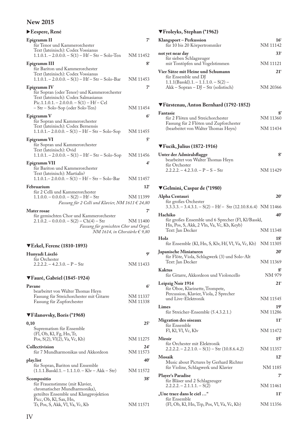| Eespere, René                                                                                                                                                                         |                            |
|---------------------------------------------------------------------------------------------------------------------------------------------------------------------------------------|----------------------------|
| Epigramm II<br>für Tenor und Kammerorchester<br>Text (lateinisch): Codex Vossianus                                                                                                    | 7'                         |
| $1.1.0.1 - 2.0.0.0 - S(1) - Hf - Str - Solo-Ten$                                                                                                                                      | NM 11452                   |
| Epigramm III<br>für Bariton und Kammerorchester<br>Text (lateinisch): Codex Vossianus<br>$1.1.0.1 - 2.0.0.0 - S(1) - Hf - Str - Solo-Bar$                                             | 8 <sup>′</sup><br>NM 11453 |
| Epigramm IV<br>für Sopran (oder Tenor) und Kammerorchester<br>Text (lateinisch): Codex Salmasianus<br>$Pic.1.1.0.1. - 2.0.0.0. - S(1) - Hf - Cel$<br>- Str - Solo-Sop (oder Solo-Ten) | 7'<br>NM 11454             |
| Epigramm V<br>für Sopran und Kammerorchester<br>Text (lateinisch): Codex Bernensis<br>$1.1.0.1 - 2.0.0.0 - S(1) - Hf - Str - Solo-Sop$                                                | 6 <sup>′</sup><br>NM 11455 |
| Epigramm <sub>VI</sub><br>für Sopran und Kammerorchester<br>Text (lateinisch): Ovid<br>$1.1.0.1 - 2.0.0.0 - S(1) - Hf - Str - Solo-Sop$                                               | 5 <sup>′</sup><br>NM 11456 |
| Epigramm VII<br>für Bariton und Kammerorchester<br>Text (lateinisch): Martialis?<br>$1.1.0.1 - 2.0.0.0 - S(1) - Hf - Str - Solo-Bar$                                                  | 4'<br>NM 11457             |
| Februarium                                                                                                                                                                            | $12^{\circ}$               |
| für 2 Celli und Kammerorchester<br>$1.1.0.0 - 0.0.0.0 - S(2) - Hf - Str$<br>Fassung für 2 Celli und Klavier, NM 1611 $\in$ 24,80                                                      | NM 11399                   |
| <b>Mater rosae</b>                                                                                                                                                                    | 7 <sup>′</sup>             |
| für gemischten Chor und Kammerorchester<br>$2.1.0.2 - 0.0.0.0 - S(2) - Ch(4) - Str$<br>Fassung für gemischten Chor und Orgel,<br>NM 1614, in Chorstärke $\in$ 9,80                    | NM 11400                   |
| <b>▼Erkel, Ferenc (1810-1893)</b>                                                                                                                                                     |                            |
| Hunyadi László<br>für Orchester                                                                                                                                                       | ۹ŕ                         |
| $2.2.2.2 - 4.2.3.0 - P - Str$                                                                                                                                                         | NM 11433                   |
| ▼Fauré, Gabriel (1845-1924)                                                                                                                                                           |                            |
| Pavane                                                                                                                                                                                | 6 <sup>′</sup>             |
| bearbeitet von Walter Thomas Heyn<br>Fassung für Streichorchester mit Gitarre<br>Fassung für Zupforchester                                                                            | NM 11337<br>NM 11338       |
| ▼Filanovsky, Boris (*1968)                                                                                                                                                            |                            |
| 0,10<br>Suprematism für Ensemble                                                                                                                                                      | $25^{\circ}$               |
| (Fl, Ob, Kl, Fg, Hn, Tr,<br>Pos, S(2), Vl(2), Va, Vc, Kb)                                                                                                                             | NM 11275                   |
| Collectivision<br>für 7 Mundharmonikas und Akkordeon                                                                                                                                  | 24'<br>NM 11573            |
| play.list                                                                                                                                                                             | $40^\circ$                 |

| für Sopran, Bariton und Ensemble<br>$(1.1.1.Basskl.1. - 1.1.1.0. - Klv - Akk - Str)$ | NM 11572        |
|--------------------------------------------------------------------------------------|-----------------|
| Scompositio                                                                          | 38 <sup>°</sup> |
| für Frauenstimme (mit Klavier,                                                       |                 |
| chromatischer Mundharmonika),                                                        |                 |
| geteiltes Ensemble und Klangprojektion                                               |                 |
| Picc, Ob, Kl, Sax, Hn,                                                               |                 |

Tr, Pos, S, Akk, Vl, Va, Vc, Kb NM 11571

### T**Froleyks, Stephan (\*1962)**

| Klangsport-Perkussion<br>für 10 bis 20 Körpertrommler                                                | 16 <sup>′</sup><br>NM 11142 |
|------------------------------------------------------------------------------------------------------|-----------------------------|
| not yet near day<br>für sieben Schlagzeuger                                                          | $33^{\circ}$                |
| mit Tontöpfen und Vogelstimmen                                                                       | NM 11121                    |
| Vier Sätze mit Heine und Schumann<br>für Ensemble und DJ<br>$1.1.1(Basskl)$ .1. $- 1.1.1.0 - S(2)$ – | 21 <sup>1</sup>             |
| $Akk - Sopran - DJ - Str (solistisch)$                                                               | NM 20366                    |

### T**Fürstenau, Anton Bernhard (1792-1852)**

| Fantasie                               |          |
|----------------------------------------|----------|
| für 2 Flöten und Streichorchester      | NM 11360 |
| Fassung für 2 Flöten und Zupforchester |          |
| (bearbeitet von Walter Thomas Heyn)    | NM 11434 |

### T**Fucik, Julius (1872-1916)**

| Unter der Admiralsflagge           |          |
|------------------------------------|----------|
| bearbeitet von Walter Thomas Heyn  |          |
| für Orchester                      |          |
| $2.2.2.2 - 4.2.3.0 - P - S - S$ tr | NM 11429 |

# T**Gelmini, Caspar de (\*1980)**

| Alpha Centauri                                                                                                        | $20^{\circ}$                |
|-----------------------------------------------------------------------------------------------------------------------|-----------------------------|
| für großes Orchester<br>$3.3.\overline{3}.3. - 3.4.3.1. - S(2) - Hf - Str(12.10.8.6.4)$ NM 11466                      |                             |
| Hachiko<br>für großes Ensemble und 6 Sprecher (Fl, Kl/Basskl,<br>Hn, Pos, S, Akk, 2 Vln, Va, Vc, Kb, Keyb)            | 40 <sup>6</sup>             |
| Text: Jan Decker                                                                                                      | NM 11348                    |
| Holz<br>für Ensemble (Kl, Hn, S, Klv, Hf, Vl, Va, Vc, Kb)                                                             | 18'<br>NM 11305             |
| Japanische Miniaturen<br>für Flöte, Viola, Schlagwerk (3) und Solo-Alt<br>Text: Jan Decker                            | $20^{\circ}$<br>NM 11369    |
| <b>Kaktus</b><br>für Gitarre, Akkordeon und Violoncello                                                               | $8^{\circ}$<br>NM 979       |
| Leipzig Noir 1914<br>für Oboe, Klarinette, Trompete,<br>Percussion, Klavier, Viola, 2 Sprecher<br>und Live-Elektronik | $21^{\circ}$<br>NM 11545    |
| Limes<br>für Streicher-Ensemble (5.4.3.2.1.)                                                                          | 19'<br>NM 11286             |
| Migration des oiseaux<br>für Ensemble<br>Fl, Kl, Vl, Vc, Klv                                                          | $11^{\circ}$<br>NM 11472    |
| <b>Miroir</b><br>für Orchester mit Elektronik<br>$2.2.2.2 - 2.2.1.0 - S(1) - Str(10.8.6.4.2)$                         | $15^{\circ}$<br>NM 11357    |
| <b>Mosaik</b><br>Music about Pictures by Gerhard Richter<br>für Violine, Schlagwerk und Klavier                       | $12^{\circ}$<br>NM 1185     |
| <b>Player's Paradise</b><br>für Bläser und 2 Schlagzeuger<br>$2.2.2.2. - 2.1.1.1 - S(2)$                              | 7 <sup>′</sup><br>NM 11461  |
| "Une trace dans le ciel "<br>für Ensemble<br>(Fl, Ob, Kl, Hn, Trp, Pos, Vl, Va, Vc, Kb)                               | 11 <sup>′</sup><br>NM 11356 |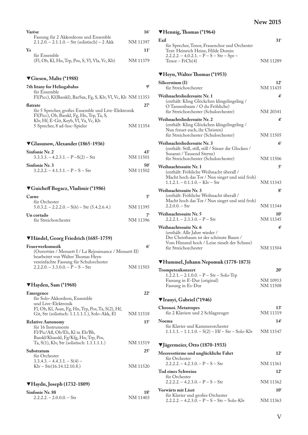| Varèse                                                                                  | $16^{\circ}$ |
|-----------------------------------------------------------------------------------------|--------------|
| Fassung für 2 Akkordeons und Ensemble<br>$2.1.2.0 - 2.1.1.0 - Str$ (solistisch) – 2 Akk | NM 11397     |
| Ys                                                                                      | $11^{\circ}$ |
| für Ensemble<br>(Fl, Ob, Kl, Hn, Trp, Pos, S, Vl, Vla, Vc, Kb)                          | NM 11379     |

### T**Giesen, Malte (\*1988)**

| 7th litany for Heliogabalus                                   | Q'           |
|---------------------------------------------------------------|--------------|
| für Ensemble                                                  |              |
| F1(Picc), K1(Basskl), BarSax, Fg, S, Klv, Vl, Vc, Kb NM 11353 |              |
| flatrate                                                      | $27^{\circ}$ |
| für 5 Sprecher, großes Ensemble und Live-Elektronik           |              |
| Fl(Picc), Ob, Basskl, Fg, Hn, Trp, Ta, S,                     |              |
| Klv, Hf, E-Git, Keyb, Vl, Va, Vc, Kb                          |              |
| 5 Sprecher, 8 ad-hoc-Spieler                                  | NM 11354     |
|                                                               |              |

### T**Glasunow, Alexander (1865-1936)**

| Sinfonie Nr. 2                                    | 434             |
|---------------------------------------------------|-----------------|
| $3.3.3.3 - 4.2.3.1 - P - S(2) - S$ tr             | NM 11501        |
| Sinfonie Nr. 3<br>$3.2.2.2 - 4.1.3.1 - P - S - S$ | 5Λ'<br>NM 11502 |
|                                                   |                 |

### T**Guicheff Bogacz, Vladimir (\*1986)**

| Carne                                                          |          |
|----------------------------------------------------------------|----------|
| für Orchester<br>$5.0.3.2 - 2.2.2.0 - S(6) - Str (5.4.2.6.4.)$ | NM 11395 |
| Un cortado<br>für Streichorchester                             | NM 11396 |

### T**Händel, Georg Friedrich (1685-1759)**

| Feuerwerksmusik                                        | 6'       |
|--------------------------------------------------------|----------|
| (Ouvertüre / Menuett I / La Rejouissance / Menuett II) |          |
| bearbeitet von Walter Thomas Heyn                      |          |
| vereinfachte Fassung für Schulorchester                |          |
| $2.2.2.0 - 3.3.0.0 - P - S - S$                        | NM 11503 |
|                                                        |          |

### T**Hayden, Sam (\*1968)**

| Emergence                                         | $22^{\circ}$ |
|---------------------------------------------------|--------------|
| für Solo-Akkordeon, Ensemble                      |              |
| und Live-Elektronik                               |              |
| Fl, Ob, Kl, Asax, Fg, Hn, Trp, Pos, Ta, S(2), Hf, |              |
| Git, Str (solistisch: 1.1.1.1.1.), Solo-Akk, El   | NM 11518     |
| <b>Relative Autonomy</b>                          | 15'          |
| für 16 Instrumente                                |              |
| Fl/Pic/Afl, Ob/Eh, Kl in Eb/Bb,                   |              |
| Basskl/Kbasskl, Fg/Kfg, Hn, Trp, Pos,             |              |
| Ta, S(1), Klv, Str (solistisch: 1.1.1.1.1.)       | NM 11519     |
| Substratum                                        | $25^{\circ}$ |
| für Orchester                                     |              |
| $3.3.4.3 - 4.4.3.1 - S(4) -$                      |              |
| $Kly - Str(16.14.12.10.8.)$                       | NM 11520     |
|                                                   |              |

## T**Haydn, Joseph (1732-1809)**

**Sinfonie Nr. 88 18'**<br>2.2.2.2. – 2.0.0.0. – Str NM 11403  $2.2.2.2. - 2.0.0.0. - Str$ 

| ▼Hennig, Thomas (*1964)                                                                                                                                                 |                            |
|-------------------------------------------------------------------------------------------------------------------------------------------------------------------------|----------------------------|
| Exil                                                                                                                                                                    | 31 <sup>′</sup>            |
| für Sprecher, Tenor, Frauenchor und Orchester<br>Text: Heinrich Heine, Hilde Domin<br>$2.2.2.2 - 4.0.2.1 - P - S - Str - Spr -$<br>$Tenor - FrCh(4)$                    | NM 11289                   |
| ▼Heyn, Walter Thomas (*1953)                                                                                                                                            |                            |
| Silicernium (I)<br>für Streichorchester                                                                                                                                 | $12^{\circ}$<br>NM 11435   |
| Weihnachtsliedersuite Nr. 1<br>(enthält: Kling Glöckchen klingelingeling /<br>O Tannenbaum / O du Fröhliche)<br>für Streichorchester (Schulorchester)                   | 4 <sup>6</sup><br>NM 20341 |
| Weihnachtsliedersuite Nr. 2<br>(enthält: Kling Glöckchen klingelingeling /<br>Nun freuet euch, ihr Christen)<br>für Streichorchester (Schulorchester)                   | 4'<br>NM 11505             |
| Weihnachtsliedersuite Nr. 3<br>(enthält: Still, still, still / Süsser die Glocken /<br>Susanni / Tausend Sterne)<br>für Streichorchester (Schulorchester)               | 6 <sup>′</sup><br>NM 11506 |
| Weihnachtssuite Nr. 1<br>(enthält: Fröhliche Weihnacht überall /<br>Macht hoch das Tor / Nun singet und seid froh)<br>$1.1.2.1 - 0.1.1.0 - K/v - Str$                   | 5 <sup>6</sup><br>NM 11343 |
| Weihnachtssuite Nr. 3<br>(enthält: Fröhliche Weihnacht überall /<br>Macht hoch das Tor / Nun singet und seid froh)<br>$2.2.0.0 - Str$                                   | 8 <sup>′</sup><br>NM 11344 |
| Weihnachtssuite Nr. 5<br>$2.2.2.1 - 2.3.3.0 - P - Str$                                                                                                                  | $10^{\circ}$<br>NM 11345   |
| Weihnachtssuite Nr. 6<br>(enthält: Alle Jahre wieder /<br>Der Christbaum ist der schönste Baum /<br>Vom Himmel hoch / Leise rieselt der Schnee)<br>für Streichorchester | 4 <sup>6</sup><br>NM 11504 |

### T**Hummel, Johann Nepomuk (1778-1873)**

| Trompetenkonzert                         | $20^{\circ}$ |
|------------------------------------------|--------------|
| $1.2.2.1 - 2.1.0.0 - P - Str - Solo-Trp$ |              |
| Fassung in E-Dur (original)              | NM 10913     |
| Fassung in Es-Dur                        | NM 11508     |

### T**Iranyi, Gabriel (\*1946)**

| Chronoi. Metatropes                              | $13^{\circ}$ |
|--------------------------------------------------|--------------|
| für 2 Klaviere und 2 Schlagzeuger                | NM 11319     |
| <b>Noema</b>                                     | $14^{\circ}$ |
| für Klavier und Kammerorchester                  |              |
| $1.1.1.1 - 1.1.1.0 - S(2) - Hf - Str - Solo-Klv$ | NM 11547     |

### T**Jägermeier, Otto (1870-1933)**

| Meeresstürme und unglückliche Fahrt<br>für Orchester                             | $12^t$       |
|----------------------------------------------------------------------------------|--------------|
| $2.2.2.2 - 4.2.3.0 - P - S - S$ tr                                               | NM 11361     |
| Tod eines Schweins<br>für Orchester                                              | $12^{\circ}$ |
| $2.2.2.2 - 4.2.3.0 - P - S - S$ tr                                               | NM 11362     |
| <b>Vorwärts mit Liszt</b>                                                        | $10^{\circ}$ |
| für Klavier und großes Orchester<br>$2.2.2.2 - 4.2.3.0 - P - S - Str - Solo-Kly$ | NM 11363     |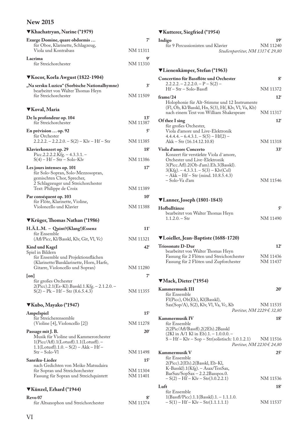| ▼Khachatryan, Narine (*1979)                                                                                                                         |                          |
|------------------------------------------------------------------------------------------------------------------------------------------------------|--------------------------|
| Exurge Domine, quare obdormis                                                                                                                        | 7'                       |
| für Oboe, Klarinette, Schlagzeug,<br>Viola und Kontrabass                                                                                            | NM 11311                 |
| Lacrima<br>für Streichorchester                                                                                                                      | g,<br>NM 11310           |
| ▼Kocor, Korla Awgust (1822-1904)                                                                                                                     |                          |
| "Na sersku Luzicu" (Sorbische Nationalhymne)<br>bearbeitet von Walter Thomas Heyn<br>für Streichorchester                                            | $3^{\circ}$<br>NM 11509  |
|                                                                                                                                                      |                          |
| ▼Koval, Maria                                                                                                                                        |                          |
| De la profondeur op. 104<br>für Streichorchester                                                                                                     | 13'<br>NM 11387          |
| En prévision  op. 92<br>für Orchester<br>$2.2.2.2 - 2.2.2.0 - S(2) - Klv - Hf - Str$                                                                 | 5'<br>NM 11385           |
| Klavierkonzert op. 29<br>Picc.2.2.2.2.Kfg. - $4.3.3.1.$ -                                                                                            | 18                       |
| $S(4) - Hf - Str - Solo-Klv$<br>Les jours intenses op. 101<br>für Solo-Sopran, Solo-Mezzosopran,<br>gemischten Chor, Sprecher,                       | NM 11386<br>$17^{\circ}$ |
| 2 Schlagzeuger und Streichorchester<br>Text: Philippe de Croix                                                                                       | NM 11389                 |
| Par conséquent op. 103<br>für Flöte, Klarinette, Violine,<br>Violoncello und Klavier                                                                 | $10^{\circ}$<br>NM 11388 |
| ▼Krüger, Thomas Nathan (*1986)                                                                                                                       |                          |
| H.Ä.L.M. – Quint?(Klang!)Essenz                                                                                                                      | $11^{\circ}$             |
| für Ensemble<br>(Afl/Picc, Kl/Basskl, Klv, Git, Vl, Vc)                                                                                              | NM 11321                 |
| Kind und Kagel<br>Spiel in Bildern<br>für Ensemble und Projektionsflächen<br>(Klarinette/Bassklarinette, Horn, Harfe,                                | 42                       |
| Gitarre, Violoncello und Sopran)<br>[on]                                                                                                             | NM 11280<br>7            |
| für großes Orchester<br>2(Picc).2.1(Es-Kl).Basskl.1.Kfg. - 2.1.2.0. -<br>$S(2) - Pk - Hf - Str(8.6.5.4.3)$                                           | NM 11355                 |
| ▼Kubo, Mayako (*1947)                                                                                                                                |                          |
| Ampelspiel                                                                                                                                           | $15^{\circ}$             |
| für Streicherensemble<br>(Violine [4], Violoncello [2])                                                                                              | NM 11278                 |
| Passage mit J. B.<br>Musik für Violine und Kammerorchester<br>$1(Picc/Aff).1(Lotusfl).1.1(Lotusfl). –$<br>$1.1$ (Lotusfl). $1.0 - S(2) - Akk - Hf -$ | $20^{\circ}$             |
| $Str - Solo-Vl$                                                                                                                                      | NM 11498<br>$15^\circ$   |
| Sanriku-Lieder<br>nach Gedichten von Meiko Matsudaira<br>für Sopran und Streichorchester<br>Fassung für Sopran und Streichquintett                   | NM 11304<br>NM 11401     |
| ▼Künzel, Erhard (*1944)                                                                                                                              |                          |
| Revo <sub>07</sub>                                                                                                                                   | 8'                       |
| für Altsaxophon und Streichorchester                                                                                                                 | NM 11374                 |

### T**Kutterer, Siegfried (\*1954)**

| Indigo                            | 19 <sup>6</sup>                      |
|-----------------------------------|--------------------------------------|
| für 9 Percussionisten und Klavier | NM 11240                             |
|                                   | Studienpartitur, NM 1317 $\in$ 29,80 |

### T**Lienenkämper, Stefan (\*1963) Concertino für Bassflöte und Orchester 8'**  $2.2.2.2 - 2.2.2.0 - P - S(2) Hf - Str - Solo-Bassf1$  NM 11372 **frame/24 12'** Holophonie für Alt-Stimme und 12 Instrumente (Fl, Ob, Kl/Basskl, Hn, S(3), Hf, Klv, Vl, Va, Kb) nach einem Text von William Shakespeare NM 11317 **Of thee I sing 12'** für großes Orchester, Viola d'amore und Live-Elektronik  $4.4.4.4 - 6.4.3.1 - S(5) - Hf(2) -$ Akk – Str (16.14.12.10.8) NM 11318 **Viola d'amore Concerto 33'** Konzert für verstärkte Viola d´amore, Orchester und Live-Elektronik 3(Picc.Afl ).2(Ob d'am).Eh.3(Basskl).  $3(Kfg) - 4.3.3.1 - S(3) - Klv(Cel)$  – Akk – Hf – Str (mind. 10.8.5.4.3)  $-$  Solo-Va d'am  $\overline{\text{NM}}$  11546

### T**Lanner, Joseph (1801-1843)**

| Hofballtänze                      | 54       |
|-----------------------------------|----------|
| bearbeitet von Walter Thomas Heyn |          |
| $1.1.2.0 - Str$                   | NM 11490 |

### T**Loiellet, Jean-Baptiste (1688-1720)**

| <b>Triosonate D-Dur</b>                   | $12^{\circ}$ |
|-------------------------------------------|--------------|
| bearbeitet von Walter Thomas Heyn         |              |
| Fassung für 2 Flöten und Streichorchester | NM 11436     |
| Fassung für 2 Flöten und Zupforchester    | NM 11437     |

#### T**Mack, Dieter (\*1954)**

| Kammermusik III                                   | $20^{\circ}$                     |
|---------------------------------------------------|----------------------------------|
| für Ensemble                                      |                                  |
| F1(Picc), Ob(Eh), K1(Basskl),                     |                                  |
| Sax(Sop/A), S(2), Klv, Vl, Va, Vc, Kb             | NM 11535                         |
|                                                   | Partitur, NM 2229 € 32,80        |
| Kammermusik IV                                    | 18'                              |
| für Ensemble                                      |                                  |
| 2(2Pic/Afl/Bassfl).2(2Eh).2Basskl                 |                                  |
| (2Kl in A/1 Kl in Eb).1. – 1.0.0.0. –             |                                  |
| $S - Hf - Klv - Sop - Str(solistisch: 1.0.1.2.1)$ | NM 11516                         |
|                                                   | <i>Partitur, NM 2230</i> € 24,80 |
| Kammermusik V                                     | $25^{\circ}$                     |
| für Ensemble                                      |                                  |
| $2(Picc).2(Eh).2(Basskl, Eb-Kl,$                  |                                  |
| K-Basskl).1(Kfg). - Asax/TenSax,                  |                                  |
| $BarSax/SopSax - 2.2.2Basspos.0.$                 |                                  |
| $-S(2) - Hf - Kly - Str(3.0.2.2.1)$               | NM 11536                         |
| Luft                                              | $18^{\circ}$                     |
| für Ensemble                                      |                                  |
| $1(Bassf/Pic).1.1(Bassk1).1. - 1.1.1.0.$          |                                  |
| $-S(1) - Hf - Klv - Str(1.1.1.1.1)$               | NM 11537                         |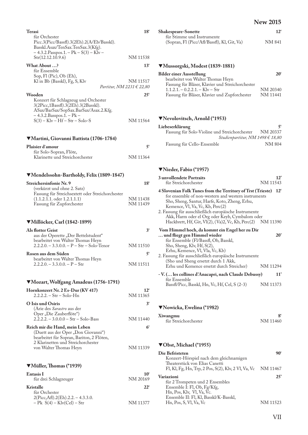| Terasi                                                                                         | $18^{\circ}$             |
|------------------------------------------------------------------------------------------------|--------------------------|
| für Orchester<br>Picc.3(Picc/Bassfl).3(2Eh).2(A/Eb/Basskl).                                    |                          |
| Basskl.Asax/TenSax.TenSax.3(Kfg).                                                              |                          |
| $-4.3.2.Passpos.1. - Pk - S(3) - Klv -$<br>Str(12.12.10.9.6)                                   | NM 11538                 |
| What About ?                                                                                   |                          |
| für Ensemble                                                                                   | $13^{\circ}$             |
| Sop, F1 (Pic), Ob (Eh),                                                                        |                          |
| Kl in Bb (Basskl), Fg, S, Klv<br>Partitur, NM 2231 € 22,80                                     | NM 11517                 |
|                                                                                                |                          |
| Wooden<br>Konzert für Schlagzeug und Orchester                                                 | $25^{\circ}$             |
| 3(2Picc,1Bassfl).3(2Eh).3(2Basskl).                                                            |                          |
| ASax/BarSax/SopSax.BarSax/Asax.2.Kfg.<br>– 4.3.2.Basspos.1. – Pk –                             |                          |
| $S(3) - Klv - Hf - Str - Solo-S$                                                               | NM 11564                 |
|                                                                                                |                          |
|                                                                                                |                          |
| ▼Martini, Giovanni Battista (1706-1784)                                                        |                          |
| Plaisier d'amour<br>für Solo-Sopran, Flöte,                                                    | 5 <sup>′</sup>           |
| Klarinette und Streichorchester                                                                | NM 11364                 |
|                                                                                                |                          |
|                                                                                                |                          |
| ▼Mendelssohn-Bartholdy, Felix (1809-1847)                                                      |                          |
| Streichersinfonie Nr. 9<br>(verkürzt und ohne 2. Satz)                                         | 18'                      |
| Fassung für Streichsextett oder Streichorchester                                               |                          |
| $(1.1.2.1.1.$ oder $1.2.1.1.1)$                                                                | NM 11438<br>NM 11439     |
| Fassung für Zupforchester                                                                      |                          |
|                                                                                                |                          |
| ▼Millöcker, Carl (1842-1899)                                                                   |                          |
| <b>Als flotter Geist</b>                                                                       | 3 <sup>′</sup>           |
| aus der Operette "Der Bettelstudent"<br>bearbeitet von Walter Thomas Heyn                      |                          |
| $2.2.2.0. - 3.3.0.0. - P - Str - Solo-Tenor$                                                   | NM 11510                 |
| Rosen aus dem Süden                                                                            | 5'                       |
| bearbeitet von Walter Thomas Heyn                                                              |                          |
| $2.2.2.0 - 3.3.0.0 - P - Str$                                                                  | NM 11511                 |
|                                                                                                |                          |
| ▼Mozart, Wolfgang Amadeus (1756-1791)                                                          |                          |
| Hornkonzert Nr. 2 Es-Dur (KV 417)                                                              | $12^{\circ}$             |
| $2.2.2.2 - Str - Solo-Hn$                                                                      | NM 11365                 |
| O Isis und Osiris                                                                              | 3 <sup>′</sup>           |
| (Arie des Sarastro aus der<br>Oper "Die Zauberflöte")                                          |                          |
| $2.\overline{2}.\overline{2}.\overline{2}.\overline{-3.0.0.0} - \text{Str} - \text{Solo-Bass}$ | NM 11440                 |
| Reich mir die Hand, mein Leben                                                                 | 6'                       |
| (Duett aus der Oper "Don Giovanni")                                                            |                          |
| bearbeitet für Sopran, Bariton, 2 Flöten,<br>2 Klarinetten und Streichorchester                |                          |
|                                                                                                |                          |
| von Walter Thomas Heyn                                                                         | NM 11339                 |
|                                                                                                |                          |
|                                                                                                |                          |
| ▼Müller, Thomas (*1939)                                                                        |                          |
| <b>Entasis</b> I                                                                               | $10^{\circ}$<br>NM 20169 |
| für drei Schlagzeuger<br>Kristalle                                                             | $22^{\circ}$             |
| für Orchester                                                                                  |                          |
| 2(Picc, Afl).2(Eh).2.2. - 4.3.3.0.<br>$-$ Pk $S(4) - Klv(Cel) - Str$                           | NM 11377                 |

| <b>New 2015</b> |  |
|-----------------|--|
|-----------------|--|

| <b>Shakespeare-Sonette</b>                  | $12^{\circ}$ |
|---------------------------------------------|--------------|
| für Stimme und Instrumente                  |              |
| (Sopran, F1 (Picc/Afl/Bassfl), K1, Git, Va) | NM 841       |

### T**Mussorgski, Modest (1839-1881)**

| 20       |
|----------|
|          |
|          |
| NM 20340 |
| NM 11441 |
|          |

## T**Nevolovitsch, Arnold (\*1953)**

| Liebeserklärung                               |          |
|-----------------------------------------------|----------|
| Fassung für Solo-Violine und Streichorchester | NM 20337 |
| Studienpartitur, NM 1498 € 18,80              |          |
| Fassung für Cello-Ensemble                    | NM 804   |

## T**Nieder, Fabio (\*1957)**

| 12<br>NM 11543                                                                                                                                                                                                                                |  |
|-----------------------------------------------------------------------------------------------------------------------------------------------------------------------------------------------------------------------------------------------|--|
|                                                                                                                                                                                                                                               |  |
| 4 Slovenian Folk Tunes from the Territory of Trst (Trieste)<br>$12^{\circ}$<br>for ensemble of non-western and western instruments<br>2. Fassung für ausschließlich europäische Instrumente<br>Akk, Harm oder el Org oder Keyb, Cymbalom oder |  |
| Hackbrett, Hf, Git, Vl(2), (Va)2, Vc, Kb, Perc(2) NM 11390                                                                                                                                                                                    |  |
| Vom Himmel hoch, da kommt ein Engel her zu Dir                                                                                                                                                                                                |  |
| $20^{\circ}$<br>2. Fassung für ausschließlich europäische Instrumente                                                                                                                                                                         |  |
| NM 11294                                                                                                                                                                                                                                      |  |
|                                                                                                                                                                                                                                               |  |
| 11'<br>- V. ( les collines d'Anacapri, nach Claude Debussy)<br>NM 11373                                                                                                                                                                       |  |
|                                                                                                                                                                                                                                               |  |

### T**Nowicka, Ewelina (\*1982)**

| Xiwangmu             | O <sub>6</sub> |
|----------------------|----------------|
| für Streichorchester | NM 11460       |

## T**Obst, Michael (\*1955)**

| Die Befristeten                                              |          |
|--------------------------------------------------------------|----------|
| Konzert-Hörspiel nach dem gleichnamigen                      |          |
| Theaterstück von Elias Canetti                               |          |
| Fl, Kl, Fg, Hn, Trp, 2 Pos, S(2), Klv, 2 Vl, Va, Vc NM 11467 |          |
| Variazioni                                                   | 25'      |
| für 2 Trompeten und 2 Ensembles                              |          |
| Ensemble I: Fl, Ob, Fg/Kfg,                                  |          |
| Hn, Pos, Klv, Vl, Va, Vc.                                    |          |
| Ensemble II: Fl, Kl, Basskl/K-Basskl,                        |          |
| Hn, Pos, S, Vl, Va, Vc                                       | NM 11523 |
|                                                              |          |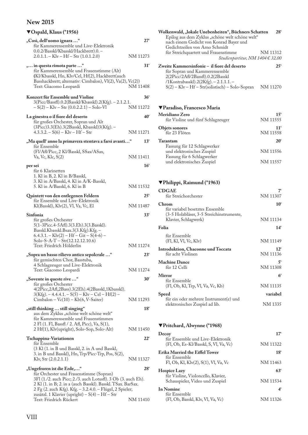## T**Ospald, Klaus (\*1956)**

| "Così, dell'uomo ignara "<br>für Kammerensemble und Live-Elektronik                                                                                                                                                                                                                   | $27^{\circ}$                |
|---------------------------------------------------------------------------------------------------------------------------------------------------------------------------------------------------------------------------------------------------------------------------------------|-----------------------------|
| 0.0.2/Basskl/Kbasskl/Hackbrett).0. -<br>$2.0.1.1 - Klv - Hf - Str(1.0.1.2.0)$                                                                                                                                                                                                         | NM 11273                    |
| " in questa rimota parte "<br>für Kammerensemble und Frauenstimme (Alt)<br>(Kl/Kbasskl, Hn, Klv/Cel, Hf(2), Hackbrett(auch<br>Basshackbrett; alternativ: Cimbalon), Vl(2), Va(2), Vc(2))<br>Text: Giacomo Leopardi                                                                    | 31'<br>NM 11408             |
| Konzert für Ensemble und Violine<br>3(Picc/Bassfl).0.2(Basskl/Kbasskl).2(Kfg). - 2.1.2.1.                                                                                                                                                                                             | 36 <sup>°</sup>             |
| $-S(2) - Klv - Str (0.0.2.2.1) - Solo-Vl$                                                                                                                                                                                                                                             | NM 11272                    |
| La ginestra o il fiore del deserto<br>für großes Orchester, Sopran und Alt<br>(3Picc)3.3(Eh).3(2Basskl, Kbasskl)3(Kfg). -<br>$4.3.3.2 - S(6) - Klv - Hf - Str$                                                                                                                        | 40 <sup>°</sup><br>NM 11271 |
| "Ma quell'anno la primavera stentava a farsi avanti"                                                                                                                                                                                                                                  | $13^{\circ}$                |
| für Ensemble<br>(Fl/Afl/Picc, 2 Kl/Basskl, SSax/ASax,<br>Va, Vc, Klc, S(2)                                                                                                                                                                                                            | NM 11411                    |
| per sei<br>für 6 Klarinetten                                                                                                                                                                                                                                                          | <b>16°</b>                  |
| 1. Kl in B, 2. Kl in B/Basskl,<br>3. Kl in A/Basskl, 4. Kl in A/K-Basskl,<br>5. Kl in A/Basskl, 6. Kl in B                                                                                                                                                                            | NM 11532                    |
| Quintett von den entlegenen Feldern<br>für Ensemble und Live-Elektronik                                                                                                                                                                                                               | 25'                         |
| Kl(Basskl), Klv(2), Vl, Va, Vc, El                                                                                                                                                                                                                                                    | NM 11487                    |
| Sinfonia<br>für großes Orchester<br>5(1-3Picc.4-5Afl).3(3.Eh).3(3.Basskl).<br>Basskl.Kbasskl.Bsax.3(3.Kfg).Kfg.-<br>$6.4.3.1 - Klv(2) - Hf - Git - S(4-6) -$<br>Solo-S-A-T $-$ Str(12.12.12.10.6)<br>Text: Friedrich Hölderlin                                                        | <b>33°</b><br>NM 11274      |
| "Sopra un basso rilievo antico sepolcrale "<br>für gemischten Chor, Basstuba,<br>4 Schlagzeuger und Live-Elektronik                                                                                                                                                                   | $23^{\circ}$                |
| Text: Giacomo Leopardi                                                                                                                                                                                                                                                                | NM 11274                    |
| "Sovente in queste rive "<br>für großes Orchester<br>4(2Picc,2Afl,2Bass).3(2Eh).4(2Basskl,1Kbasskl).<br>$3(Kfg) - 4.4.4.1 - S(5) - Klv - Cel - Hf(2) -$<br>$Cimbalon - Vc(10) - Kb(6, V-Saiter)$                                                                                      | $30^{\circ}$<br>NM 11293    |
| "still thinking  still singing"                                                                                                                                                                                                                                                       | 18'                         |
| aus dem Zyklus "schöne welt schöne welt"<br>für Kammerensemble und Frauenstimmen<br>2 F1 (1. F1, Bassfl / 2. Afl, Picc), Va, S(1),<br>2 Hf(1), Klv(upright), Solo-Sop, Solo-Alt)                                                                                                      | NM 11450                    |
| Tschappina-Variationen                                                                                                                                                                                                                                                                | 22'                         |
| für Ensemble<br>(3 Kl (1. in B und Basskl, 2. in A und Basskl,<br>3. in B und Basskl), Hn, Trp/Picc-Trp, Pos, S(2),<br>Klv, Str $(2.0.2.1.1)$                                                                                                                                         | NM 11327                    |
| "Ungefroren ist die Erde,"                                                                                                                                                                                                                                                            | $28^{\circ}$                |
| für Orchester und Frauenstimme (Sopran)<br>3F1 (1./2. auch Picc; 2./3. auch Lotusfl). 3 Ob (3. auch Eh).<br>2 Kl (1. in B; 2. in a (auch Basskl). Basskl. TSax. BarSax.<br>2 Fg (2. auch Kfg). Kfg. - 3.2.4.0. - Flügel, 2 Spieler;<br>zusätzl. 1 Klavier (upright) - S(4) - Hf - Str |                             |

Text: Friedrich Rückert NM 11410

| Wolkenwald, "lokale Unebenheiten", Büchners Schatten<br>Epilog aus dem Zyklus "schöne welt schöne welt"<br>nach einem Gedicht von Konrad Bayer und          | $28^{\circ}$ |
|-------------------------------------------------------------------------------------------------------------------------------------------------------------|--------------|
| Gedichtzeilen von Arno Schmidt<br>für Streichquartett und Frauenstimme<br>Studienpartitur, NM 1404 € 32,00                                                  | NM 11312     |
| Zweite Kammersinfonie – il fiore del deserto<br>für Sopran und Kammerensemble<br>2(2Picc/2Afl/2Bassfl).0.2(2Basskl<br>/1Kontrabasskl).2(2Kfg). - 2.1.1.1. - | $25^{\circ}$ |
| $S(2) - Klv - Hf - Str(solistisch) - Solo-Sopran$                                                                                                           | NM 11270     |

### T**Paradiso, Francesco Maria**

| Meridiano Zero                    | 15'             |
|-----------------------------------|-----------------|
| für Violine und fünf Schlagzeuger | NM 11555        |
| <b>Objets sonores</b>             | 11 <sup>′</sup> |
| für 23 Flöten                     | NM 11558        |
| Tarantam                          | $20^{\circ}$    |
| Fassung für 12 Schlagwerker       |                 |
| und elektronisches Zuspiel        | NM 11556        |
| Fassung für 6 Schlagwerker        |                 |
| und elektronisches Zuspiel        | NM 11557        |
|                                   |                 |

## T**Philippi, Raimund (\*1963)**

| <b>CDGAE</b>                                                                                                        | 7                          |
|---------------------------------------------------------------------------------------------------------------------|----------------------------|
| für Streichorchester                                                                                                | NM 11307                   |
| <b>Chrom</b><br>für variabel besetztes Ensemble<br>(3-5 Holzbläser, 3-5 Streichinstrumente,<br>Klavier, Schlagwerk) | $10^{\circ}$<br>NM 11134   |
| Folia                                                                                                               | $14^{\circ}$               |
| für Ensemble<br>(F1, K1, V1, Vc, K1v)                                                                               | NM 11149                   |
| Introduktion, Chaconne und Toccata<br>für acht Violinen                                                             | $12^{\circ}$<br>NM 11136   |
| <b>Machine Dance</b><br>für 12 Celli                                                                                | 5 <sup>′</sup><br>NM 11308 |
| Mirror                                                                                                              | 6 <sup>′</sup>             |
| für Ensemble<br>(F1, Ob, K1, Trp, V1, Va, Vc, Kb)                                                                   | NM 11135                   |
| <b>Speed</b>                                                                                                        | variabel                   |
| für ein oder mehrere Instrument(e) und<br>elektronisches Zuspiel ad lib.                                            | NM 1335                    |

### T**Pritchard, Alwynne (\*1968)**

| Decoy                                                                     | 17'             |
|---------------------------------------------------------------------------|-----------------|
| für Ensemble und Live-Elektronik<br>(Fl, Ob, Es-Kl/Basskl, S, Vl, Va, Vc) | NM 11322        |
| Erika Married the Eiffel Tower                                            | 18 <sup>′</sup> |
| für Ensemble<br>Fl, Ob, Kl, Klv(2), S(1), Vl, Va, Vc                      | NM 11463        |
| <b>Hospice Lazy</b>                                                       | 63°             |
| für Violine, Violoncello, Klavier,<br>Schauspieler, Video und Zuspiel     | NM 11534        |
| In Nomine                                                                 | 4'              |
| für Ensemble<br>(Fl, Ob, Basskl, Klv, Vl, Va, Vc)                         | NM 11326        |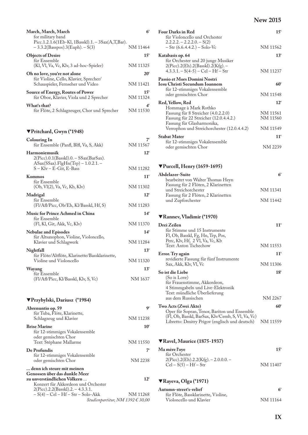| March, March, March<br>for military band                                                                    | 6 <sup>′</sup>              |
|-------------------------------------------------------------------------------------------------------------|-----------------------------|
| Picc.1.2.1.6(1Eb-Kl, 1Basskl).1. - 3Sax(A,T,Bar).<br>$-3.3.2(Basspos).3(Euph) - S(3)$                       | NM 11464                    |
| <b>Objects of Desire</b><br>für Ensemble<br>(Kl, Vl, Va, Vc, Klv, 3 ad-hoc-Spieler)                         | $15^{\circ}$<br>NM 11325    |
| Oh no love, you're not alone<br>für Violine, Cello, Klavier, Sprecher/<br>Schauspieler, Fernseher und Video | $20^{\circ}$<br>NM 11421    |
| <b>Source of Energy, Routes of Power</b>                                                                    | $15^{\circ}$                |
| für Oboe, Klavier, Viola und 2 Sprecher                                                                     | NM 11324                    |
| What's that?<br>für Flöte, 2 Schlagzeuger, Chor und Sprecher                                                | 4'<br>NM 11530              |
| ▼Pritchard, Gwyn (*1948)                                                                                    |                             |
| <b>Colouring In</b><br>für Ensemble (Panfl, Blfl, Va, S, Akk)                                               | NM 11567                    |
| <b>Harmoniemusik</b><br>2(Picc).0.1(Basskl).0. - SSax(BarSax).                                              | $12^{\circ}$                |
| $ASax(SSax).$ FlgHn(Trp) – 1.0.2.1. –<br>S – Klv – E-Git, E-Bass                                            | NM 11282                    |
| Kommos<br>für Ensemble                                                                                      | $11^{\circ}$                |
| (Ob, Vl(2), Va, Vc, Kb, Klv)                                                                                | NM 11302                    |
| Madrigal<br>für Ensemble                                                                                    | $12^{\circ}$                |
| (Fl/Afi/Picc, Ob/Eh, Kl/Basskl, Hf, S)                                                                      | NM 11283                    |
| <b>Music for Prince Achmed in China</b><br>für Ensemble<br>(Fl, Kl, Git, Akk, Vc, Klv)                      | 14 <sup>′</sup><br>NM 11370 |
| <b>Nebulae and Episodes</b>                                                                                 | 14 <sup>′</sup>             |
| für Altsaxophon, Violine, Violoncello,<br>Klavier und Schlagwerk                                            | NM 11284                    |
| Nightfall<br>für Flöte/Altflöte, Klarinette/Bassklarinette,                                                 | $13^{\circ}$                |
| Violine und Violoncello                                                                                     | NM 11320                    |
| Wayang<br>für Ensemble                                                                                      | $13^{\circ}$                |
| (Fl/Afl/Picc, Kl/Basskl, Klv, S, Vc)                                                                        | NM 1637                     |
| ▼Przybylski, Dariusz (*1984)                                                                                |                             |
| Abrenuntio op. 59<br>für Tuba, Flöte, Klarinette,                                                           | ۹ŕ                          |
| Schlagzeug und Klavier                                                                                      | NM 11238                    |
| <b>Brise Marine</b><br>für 12-stimmiges Vokalensemble<br>oder gemischten Chor                               | 10 <sup>°</sup>             |
| Text: Stéphane Mallarme                                                                                     | NM 11550                    |
| De Profundis<br>für 12-stimmiges Vokalensemble                                                              | 7'                          |
| oder gemischten Chor<br>denn ich steure mit meinen                                                          | NM 2238                     |
| Genossen über das dunkle Meer<br>zu unverständlichen Völkern<br>Konzert für Akkordeon und Orchester         | 12'                         |
| $2(Picc).2.2(Basskl).2. - 4.3.3.1.$                                                                         |                             |
| – S(4) – Cel – Hf – Str – Solo-Akk<br>Studienpartitur, NM 1392 € 30,00                                      | NM 11268                    |

|                                                                                                                                                          | New 2015                             |
|----------------------------------------------------------------------------------------------------------------------------------------------------------|--------------------------------------|
| <b>Four Darks in Red</b><br>für Violoncello und Orchester<br>$2.2.2.2 - 2.2.2.0 - S(2)$                                                                  | $15^{\circ}$                         |
| - Str (6.6.4.4.2.) - Solo-Vc                                                                                                                             | NM 11562                             |
| Katabasis op. 64<br>für Orchester und 20 junge Musiker<br>2(Picc).2(Eh).2(Basskl).2(Kfg).-                                                               | $13^{\circ}$                         |
| $4.3.3.1 - S(4-5) - Cel - Hf - Str$                                                                                                                      | NM 11237                             |
| Passio et Mors Domini Nostri<br>Iesu Christi Secundum Ioannem<br>für 12-stimmiges Vokalensemble                                                          | 60°                                  |
| oder gemischten Chor                                                                                                                                     | NM 11548                             |
| Red, Yellow, Red<br>Hommage à Mark Rothko<br>Fassung für 8 Streicher (4.0.2.2.0)<br>Fassung für 22 Streicher (12.0.4.4.2.)<br>Fassung für Glasharmonika, | $12^{\circ}$<br>NM 11561<br>NM 11560 |
| Verrophon und Streichorchester (12.0.4.4.2)                                                                                                              | NM 11549                             |
| Stabat Mater                                                                                                                                             | $11^{\circ}$                         |
| für 12-stimmiges Vokalensemble<br>oder gemischten Chor                                                                                                   | NM 2239                              |
| $\Psi$ Purcell, Henry (1659-1695)                                                                                                                        |                                      |
| Abdelazer-Suite<br>bearbeitet von Walter Thomas Heyn<br>Fassung für 2 Flöten, 2 Klarinetten                                                              | 6 <sup>′</sup>                       |
| und Streichorchester                                                                                                                                     | NM 11341                             |
| Fassung für 2 Flöten, 2 Klarinetten<br>und Zupforchester                                                                                                 | NM 11442                             |
| ▼Rannev, Vladimir (*1970)                                                                                                                                |                                      |
| Drei Zeilen<br>für Stimme und 15 Instrumente<br>Fl, Ob, Basskl, Fg, Hn, Trp, Pos,<br>Perc, Klv, Hf, 2 Vl, Va, Vc, Kb                                     | 11 <sup>′</sup>                      |
| Text: Anton Tschechow                                                                                                                                    | NM 11553                             |
| Error. Try again<br>revidierte Fassung für fünf Instrumente                                                                                              | $11^{\circ}$                         |
| Sax, Akk, Klv, Vl, Vc                                                                                                                                    | NM 11306                             |
| So ist die Liebe<br>(So is Love)<br>für Frauenstimme, Akkordeon,<br>4 Stimmgabeln und Live-Elektronik<br>Text: mündliche Überlieferung                   | $18^{\circ}$                         |
| aus dem Russischen                                                                                                                                       | NM 2267                              |
| Two Acts (Zwei Akte)<br>Oper für Sopran, Tenor, Bariton und Ensemble<br>(Fl, Ob, Basskl, BarSax, Klv/Cemb, S, Vl, Va, Vc)                                | 60'                                  |
| Libretto: Dmitry Prigov (englisch und deutsch)                                                                                                           | NM 11559                             |
| <b>▼Ravel, Maurice (1875-1937)</b>                                                                                                                       |                                      |
| Ma mère l'oye<br>für Orchester                                                                                                                           | $15^{\circ}$                         |
| 2(Picc).2(Eh).2.2(Kfg). – 2.0.0.0. –<br>$Cel-S(5) - Hf - Str$                                                                                            | NM 11407                             |
| ▼Rayeva, Olga (*1971)                                                                                                                                    |                                      |
|                                                                                                                                                          |                                      |

#### **Autumn-street's-relief 6'** für Flöte, Bassklarinette, Violine, Violoncello und Klavier NM 11164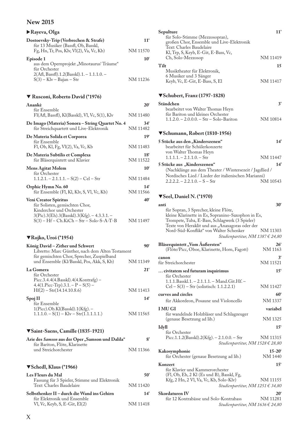### X**Rayeva, Olga**

| Dostoevsky-Trip (Verbrechen & Strafe)<br>für 13 Musiker (Bassfl, Ob, Basskl, | 11 <sup>′</sup> |
|------------------------------------------------------------------------------|-----------------|
| Fg, Hn, Tr, Pos, Klv, Vl(2), Va, Vc, Kb)                                     | NM 11570        |
| Episode 1<br>aus dem Opernprojekt "Minotaurus' Träume"<br>für Orchester      | $10^{\circ}$    |
| $2(Af1, Bassf1).1.2(Basskl).1. - 1.1.1.0. -$<br>$S(3) - Klv - Bajan - Str$   | NM 11236        |

### T **Rusconi, Roberto David (\*1976)**

| Anankè<br>für Ensemble                                                                                                                    | $20^{\circ}$                |
|-------------------------------------------------------------------------------------------------------------------------------------------|-----------------------------|
| Fl(Afl, Bassfl), Kl(Basskl), Vl, Vc, S(1), Klv                                                                                            | NM 11480                    |
| De Imago (Materia) Sonora – String Quartet No. 4<br>für Streichquartett und Live-Elektronik                                               | $34^{\circ}$<br>NM 11482    |
| De Materia Solida et Corporea<br>für Ensemble                                                                                             | 19 <sup>6</sup>             |
| Fl, Ob, Kl, Fg, Vl(2), Va, Vc, Kb                                                                                                         | NM 11483                    |
| De Materia Subtilis et Complexa<br>für Bläserquintett und Klavier                                                                         | 18 <sup>′</sup><br>NM 11522 |
| <b>Mens Agitat Molem</b><br>für Orchester                                                                                                 | $10^{\circ}$                |
| $1.1.2.1 - 2.1.1.1 - S(2) - Cel - Str$                                                                                                    | NM 11484                    |
| Orphic Hymn No. 60<br>für Ensemble (Fl, Kl, Klv, S, Vl, Vc, Kb)                                                                           | $14^{\circ}$<br>NM 11566    |
| <b>Veni Creator Spiritus</b><br>für Solisten, gemischten Chor,<br>Kinderchor und Orchester<br>3(Pic).3(Eh).3(Basskl).3(Kfg). - 4.3.3.1. - | $40^{\circ}$                |
| S(3) – Hf – Ch.KiCh – Str – Solo-S-A-T-B                                                                                                  | NM 11497                    |

#### T**Rojko, Uroš (\*1954)**

| 90                                               |
|--------------------------------------------------|
| Libretto: Marc Günther, nach dem Alten Testament |
|                                                  |
| NM 11349                                         |
| 21'                                              |
|                                                  |
|                                                  |
|                                                  |
| NM 11413                                         |
| 14 <sup>°</sup>                                  |
|                                                  |
|                                                  |
| NM 11565                                         |
|                                                  |
|                                                  |

### T**Saint-Saens, Camille (1835-1921)**

| Arie des Samson aus der Oper "Samson und Dalila" |          |
|--------------------------------------------------|----------|
| für Bariton, Flöte, Klarinette                   |          |
| und Streichorchester                             | NM 11366 |

### T**Schedl, Klaus (\*1966)**

| Les Fleurs du Mal                                                        | 50'      |
|--------------------------------------------------------------------------|----------|
| Fassung für 3 Spieler, Stimme und Elektronik<br>Text: Charles Baudelaire | NM 11420 |
| Selbsthenker II – durch die Wand ins Gehirn                              | 14'      |
| für Elektronik und Ensemble<br>Vl, Vc, Keyb, S, E-Git, $El(2)$           | NM 11418 |

### **Sepulture 11'** für Solo-Stimme (Mezzosopran), großen Chor, Ensemble und Live-Elektronik Text: Charles Baudelaire Kl, Trp, S, Keyb, E-Git, E-Bass, Vc, Ch, Solo-Mezzosop NM 11419 Tilt 15 Musiktheater für Elektronik, 6 Musiker und 3 Sänger Keyb, Vc, E-Git, E-Bass, S, El NM 11417 T**Schubert, Franz (1797-1828) Ständchen 3'** bearbeitet von Walter Thomas Heyn für Bariton und kleines Orchester 1.1.2.0. – 2.0.0.0. – Str – Solo-Bariton NM 10814 T**Schumann, Robert (1810-1956) 5 Stücke aus den "Kinderszenen" 14'** bearbeitet für Schülerkonzerte von Walter Thomas Heyn  $1.1.1.1 - 2.1.1.0 - Str$  NM 11447 **5 Stücke aus "Kinderszenen" 14'** (Nachklänge aus dem Theater / Wintersezeit / Jagdlied / Nordisches Lied / Lieder der italienischen Marianni)<br>2.2.2.2. – 2.2.1.0. – S – Str  $2.2.2.2. - 2.2.1.0. - S - S$ tr

#### T**Seel, Daniel N. (\*1970)**

| anti                                                                                        | $30^{\circ}$      |
|---------------------------------------------------------------------------------------------|-------------------|
| für Sopran, 3 Sprecher, kleine Flöte,<br>kleine Klarinette in Es, Sopranino-Saxophon in Es, |                   |
| Trompete, Tuba, E-Bass, Schlagwerk (3 Spieler)                                              |                   |
| Texte von Heraklit und aus "Anaxagoras oder der                                             |                   |
| Nord-Süd-Konflikt" von Walter Schenker<br>Studienpartitur, NM 1387 € 24,80                  | NM 11303          |
| Bläserquintett "Vom Äußersten"                                                              | $26^{\circ}$      |
| (Flöte/Picc, Oboe, Klarinette, Horn, Fagott)                                                | NM 1163           |
| canon                                                                                       | 3 <sup>6</sup>    |
| für Streichorchester                                                                        | NM 11521          |
| civitatem sed futuram inquirimus<br>für Orchester                                           | 15 <sup>6</sup>   |
| 1.1.1.Basskl.1. - 2.1.1.1. - Mand.Git.Hf. -                                                 |                   |
| $Cel - S(3) - Str$ (solistisch: 1.1.2.2.1)                                                  | NM 11427          |
| curves and circles                                                                          | $60^{\circ}$      |
| für Akkordeon, Posaune und Violoncello                                                      | NM 1337           |
| <b>I MUGI</b>                                                                               | variabel          |
| für wandelnde Holzbläser und Schlagzeuger                                                   |                   |
| (genaue Besetzung ad lib.)                                                                  | NM 1325           |
| Idyll                                                                                       | 15 <sup>6</sup>   |
| für Orchester<br>Picc.1.1.2(Basskl).2(Kfg). - 2.1.0.0. - Str                                | NM 11315          |
| Studienpartitur, NM 1528 € 28,80                                                            |                   |
| Kakosymphonie                                                                               | $15 - 20^{\circ}$ |
| für Orchester (genaue Besetzung ad lib.)                                                    | <b>NM 1440</b>    |
| Konzert                                                                                     | 15 <sup>6</sup>   |
| für Klavier und Kammerorchester                                                             |                   |
| (Fl, Ob, Eh, 2 Kl (Es und B), Basskl, Fg,                                                   |                   |
| Kfg, 2 Hn, 2 Vl, Va, Vc, Kb, Solo-Klv)                                                      | NM 11155          |
| Studienpartitur, NM 1251 $\in$ 34,80                                                        |                   |
| Skordaturen IV                                                                              | $20^{\circ}$      |
| für 12 Kontrabässe und Solo-Kontrabass                                                      | NM 11281          |
| Studienpartitur, NM 1636 € 24,80                                                            |                   |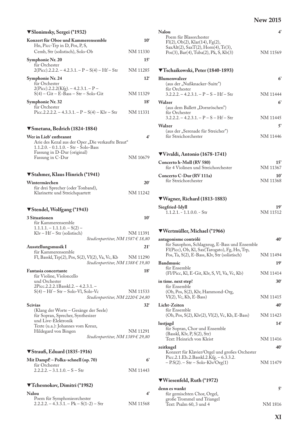| ▼Slonimsky, Sergei (*1932)                                                                                                                            |                          |
|-------------------------------------------------------------------------------------------------------------------------------------------------------|--------------------------|
| Konzert für Oboe und Kammerensemble                                                                                                                   | $10^{\circ}$             |
| Hn, Picc-Trp in D, Pos, P, S,                                                                                                                         |                          |
| Cemb, Str (solistisch), Solo-Ob                                                                                                                       | NM 11330                 |
| Symphonie Nr. 20<br>für Orchester<br>$2(Pice)$ .2.2.2. – 4.2.3.1. – P – S(4) – Hf – Str                                                               | $15^{\circ}$<br>NM 11285 |
| Symphonie Nr. 24                                                                                                                                      | $12^{\circ}$             |
| für Orchester<br>$2(Picc).2.2.2(Kfg). - 4.2.3.1. - P -$<br>$S(4) - Git - E-Bass - Str - Solo-Git$                                                     | NM 11329                 |
| Symphonie Nr. 32                                                                                                                                      | 18 <sup>′</sup>          |
| für Orchester<br>Picc.2.2.2.2. - 4.3.3.1. - P - $S(4)$ - Klv - Str                                                                                    | NM 11331                 |
| ▼Smetana, Bedrich (1824-1884)                                                                                                                         |                          |
| Wer in Lieb' entbrannt<br>Arie des Kezal aus der Oper "Die verkaufte Braut"<br>$1.1.2.0. - 0.1.1.0. - Str - Solo-Bass$<br>Fassung in D-Dur (original) | 4 <sup>′</sup>           |
| Fassung in C-Dur                                                                                                                                      | NM 10679                 |
| ▼Stahmer, Klaus Hinrich (*1941)                                                                                                                       |                          |
| Wintermärchen                                                                                                                                         | $20^{\circ}$             |
| für drei Sprecher (oder Tonband),<br>Klarinette und Streichquartett                                                                                   | NM 11242                 |
|                                                                                                                                                       |                          |
| ▼Stendel, Wolfgang (*1943)                                                                                                                            |                          |
| <b>3 Situationen</b>                                                                                                                                  | $10^{\circ}$             |
| für Kammerensemble<br>$1.1.1.1 - 1.1.1.0 - S(2) -$<br>$Klv - Hf - Str$ (solistisch)                                                                   | NM 11391                 |
| Studienpartitur, NM 1587 € 18,80                                                                                                                      |                          |
| Ausstellungsmusik I<br>für Kammerensemble<br>Fl, Basskl, Trp(2), Pos, S(2), Vl(2), Va, Vc, Kb                                                         | 21'<br>NM 11290          |
| Studienpartitur, NM 1388 € 19,80<br><b>Fantasia concertante</b>                                                                                       | 18 <sup>′</sup>          |
| für Violine, Violoncello<br>und Orchester                                                                                                             |                          |
| 2Picc.2.2.2.1Basskl.2. - 4.2.3.1. -<br>$S(4) - Hf - Str - Solo-Vl, Solo-Vc$                                                                           | NM 11533                 |
| <i>Studienpartitur, NM 2220 € 24,80</i><br><b>Scivias</b>                                                                                             | $32^{\circ}$             |
| (Klang der Worte – Gesänge der Seele)<br>für Sopran, Sprecher, Synthesizer                                                                            |                          |
| und Live-Elektronik<br>Texte (u.a.): Johannes vom Kreuz,                                                                                              |                          |
| Hildegard von Bingen<br><i>Studienpartitur, NM 1389</i> € 29,80                                                                                       | NM 11291                 |
| $\blacktriangledown$ Strauß, Eduard (1835-1916)                                                                                                       |                          |
| Mit Dampf! – Polka-schnell (op. 70)                                                                                                                   | 6'                       |
| für Orchester<br>$2.2.2.2 - 3.1.1.0 - S - S$ tr                                                                                                       | NM 11443                 |
| ▼Tchesnokov, Dimitri (*1982)                                                                                                                          |                          |

| NM 11568 |
|----------|
|          |

| Nalou<br>Poem für Blasorchester                                                                                | $\boldsymbol{4}^{\prime}$ |
|----------------------------------------------------------------------------------------------------------------|---------------------------|
| F1(2), Ob(2), Klar(14), Fg(2),<br>SaxAlt(2), SaxT(2), Horn(4), Tr(3),<br>Pos(3), Bar(4), Tuba(2), Pk, S, Kb(3) | NM 11569                  |
| ▼Tschaikowski, Peter (1840-1893)                                                                               |                           |
| <b>Blumenwalzer</b><br>(aus der "Nußknacker-Suite")<br>für Orchester                                           | $6^{\circ}$               |
| $3.2.2.2 - 4.2.3.1 - P - S - Hf - Str$                                                                         | NM 11444                  |
| Walzer<br>(aus dem Ballett "Dornröschen")<br>für Orchester                                                     | 6'                        |
| $3.2.2.2 - 4.2.3.1 - P - S - Hf - Str$                                                                         | NM 11445                  |
| Walzer                                                                                                         | 5'                        |
| (aus der "Serenade für Streicher")<br>für Streichorchester                                                     | NM 11446                  |
| ▼Vivaldi, Antonio (1678-1741)                                                                                  |                           |
| Concerto h-Moll (RV 580)<br>für 4 Violinen und Streichorchester                                                | 15<br>NM 11367            |
| Concerto C-Dur (RV 111a)<br>für Streichorchester                                                               | 10<br>NM 11368            |
| $\nabla$ Wagner, Richard (1813-1883)                                                                           |                           |
| Siegfried-Idyll<br>$1.1.2.1 - 1.1.0.0 - Str$                                                                   | 19<br>NM 11512            |

### T**Wertmüller, Michael (\*1966)**

| antagonisme contrôlé                                                                                                                           | 40 <sup>c</sup> |
|------------------------------------------------------------------------------------------------------------------------------------------------|-----------------|
| für Saxophon, Schlagzeug, E-Bass und Ensemble<br>Fl(Picc), Ob, Kl, Sax(Tarogato), Fg, Hn, Trp,<br>Pos, Ta, S(2), E-Bass, Klv, Str (solistisch) | NM 11494        |
| <b>Bandmusic</b>                                                                                                                               | 19 <sup>6</sup> |
| für Ensemble                                                                                                                                   |                 |
| (Fl/Picc, Kl, E-Git, Klv, S, Vl, Va, Vc, Kb)                                                                                                   | NM 11414        |
| in time. next step!                                                                                                                            | $30^{\circ}$    |
| für Ensemble                                                                                                                                   |                 |
| (Ob, Pos, S(2), Klv, Hammond-Org,                                                                                                              |                 |
| $V1(2)$ , Vc, Kb, E-Bass)                                                                                                                      | NM 11415        |
| Licht-Zeiten                                                                                                                                   | 40 <sup>°</sup> |
| für Ensemble                                                                                                                                   |                 |
| $(Ob, Pos, S(2), Klv(2), Vl(2), Vc, Kb, E-Bass)$                                                                                               | NM 11423        |
| lustjagd                                                                                                                                       | 14 <sup>′</sup> |
| für Sopran, Chor und Ensemble                                                                                                                  |                 |
| (Basskl, Kly, P, S(2), Str)                                                                                                                    |                 |
| Text: Heinrich von Kleist                                                                                                                      | NM 11416        |
| zeitkugel                                                                                                                                      | 40 <sup>°</sup> |
| Konzert für Klavier/Orgel und großes Orchester                                                                                                 |                 |
| Picc.2.1.Eh.2.Basskl.2.Kfg. - 6.3.3.2.                                                                                                         |                 |
| $-$ P.S(2). $-$ Str $-$ Solo-Klv/Org(1)                                                                                                        | NM 11479        |

## T**Wiesenfeld, Ruth (\*1972)**

| denn es wankt               |         |
|-----------------------------|---------|
| für gemischten Chor, Orgel, |         |
| große Trommel und Triangel  |         |
| Text: Psalm 60, 3 und 4     | NM 1816 |
|                             |         |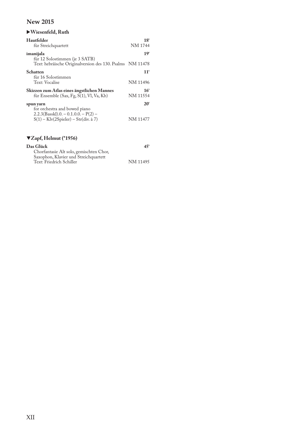| $\blacktriangleright$ Wiesenfeld, Ruth                                                                               |                             |
|----------------------------------------------------------------------------------------------------------------------|-----------------------------|
| Hautfelder<br>für Streichquartett                                                                                    | 18'<br>NM 1744              |
| imanijala<br>für 12 Solostimmen (je 3 SATB)                                                                          | 19 <sup>6</sup>             |
| Text: hebräische Originalversion des 130. Psalms NM 11478                                                            |                             |
| <b>Schatten</b><br>für 16 Solostimmen                                                                                | 11 <sup>′</sup>             |
| Text: Vocalise                                                                                                       | NM 11496                    |
| Skizzen zum Atlas eines ängstlichen Mannes<br>für Ensemble (Sax, Fg, S(1), Vl, Va, Kb)                               | 16 <sup>′</sup><br>NM 11554 |
| spun yarn                                                                                                            | $20^{\circ}$                |
| for orchestra and bowed piano<br>$2.2.3$ (Basskl).0. - 0.1.0.0. - P(2) -<br>$S(1) - Klv(2Spieler) - Str(div. \na 7)$ | NM 11477                    |

### T**Zapf, Helmut (\*1956)**

| Das Glück                               | $45^{\circ}$ |
|-----------------------------------------|--------------|
| Chorfantasie Alt solo, gemischten Chor, |              |
| Saxophon, Klavier und Streichquartett   |              |
| Text: Friedrich Schiller                | NM 11495     |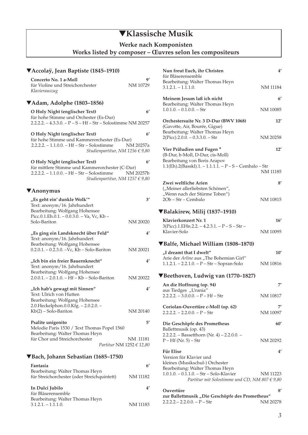## ▼**Klassische Musik**

**Werke nach Komponisten** 

### **Works listed by composer – Œuvres selon les compositeurs**

### ▼**Accolaÿ, Jean Baptiste (1845–1910) Concerto No. 1 a-Moll 9'** für Violine und Streichorchester *Klavierauszug*  ▼**Adam, Adolphe (1803–1856) O Holy Night (englischer Text) 6'**  für hohe Stimme und Orchester (Es-Dur) 2.2.2.2. – 4.3.3.0. – P – S – Hf – Str – Solostimme NM 20257 **O Holy Night (englischer Text) 6'**  für hohe Stimme und Kammerorchester (Es-Dur) 2.2.2.2. – 1.1.0.0. – Hf – Str – Solostimme NM 20257a *Studienpartitur, NM 1256 € 9,80*  **O Holy Night (englischer Text) 6'**  für mittlere Stimme und Kammerorchester (C-Dur) 2.2.2.2. – 1.1.0.0. – Hf – Str – Solostimme NM 20257b *Studienpartitur, NM 1257 € 9,80*  ▼**Anonymus "Es geht ein' dunkle Wolk'" 3'**  Text: anonym/16. Jahrhundert Bearbeitung: Wolfgang Hohensee Picc.0.1.Eh.0.1. – 0.0.3.0. – Va, Vc, Kb – Solo-Bariton NM 20020 **"Es ging ein Landsknecht über Feld" 4'**  Text: anonym/16. Jahrhundert Bearbeitung: Wolfgang Hohensee  $0.2.0.1. - 0.2.3.0. - Vc$ , Kb – Solo-Bariton NM 20021 **"Ich bin ein freier Bauernknecht" 4'**  Text: anonym/16. Jahrhundert Bearbeitung: Wolfgang Hohensee 2.0.0.1. – 2.0.1.0. – Hf – Kb – Solo-Bariton NM 20022 **"Ich hab's gewagt mit Sinnen" 4'**  Text: Ulrich von Hutten Bearbeitung: Wolfgang Hohensee 2.0.Heckelphon.0.0.Kfg. – 2.0.2.0. –  $Kb(2) - Solo-Bariton$  NM 20140 Psalite unigenito 5<sup>'</sup> Melodie Paris 1530 / Text Thomas Popel 1560 Bearbeitung: Walter Thomas Heyn für Chor und Streichorchester NM .11181 *Partitur* NM 1252 *€ 12,80* ▼**Bach, Johann Sebastian (1685–1750) Fantasia 6'**  Bearbeitung: Walter Thomas Heyn für Streichorchester (oder Streichquintett) NM 11182 **In Dulci Jubilo 4'**

| für Bläserensemble              |          |
|---------------------------------|----------|
|                                 |          |
| Bearbeitung: Walter Thomas Heyn |          |
| $3.1.2.1 - 1.1.1.0.$            | NM 11183 |

| Nun freut Euch, ihr Christen<br>für Bläserensemble                                                                               | 4'           |
|----------------------------------------------------------------------------------------------------------------------------------|--------------|
| Bearbeitung: Walter Thomas Heyn<br>$3.1.2.1 - 1.1.1.0.$                                                                          | NM 11184     |
| Meinem Jesum laß ich nicht                                                                                                       | $6^{\prime}$ |
| Bearbeitung: Walter Thomas Heyn<br>$1.0.1.0. - 0.1.0.0. - Str$                                                                   | NM 10085     |
| Orchestersuite Nr. 3 D-Dur (BWV 1068)<br>(Gavotte, Air, Bourée, Gigue)<br>Bearbeitung: Walter Thomas Heyn                        | 12'          |
| $2(Pice).2.0.0. - 0.3.3.0. - Str$                                                                                                | NM 20258     |
| Vier Präludien und Fugen*<br>(B-Dur, b-Moll, D-Dur, cis-Moll)<br>Bearbeitung von Boris Arapov                                    | 12'          |
| 1.1(Eh).2(Basskl).1. - 1.1.1.1. - P - S - Cembalo - Str                                                                          | NM 11185     |
| Zwei weltliche Arien<br>("Meiner allerliebsten Schönen",                                                                         | $8^{\prime}$ |
| "Wenn nach der Stürme Toben")<br>2Ob - Str - Cembalo                                                                             | NM 10815     |
| ▼Balakirew, Milij (1837-1910)                                                                                                    |              |
| Klavierkonzert Nr. 1                                                                                                             | 16'          |
| 3(Picc).1.EHn.2.2. – 4.2.3.1. – P – S – Str –<br>Klavier-Solo                                                                    | NM 10095     |
| ▼Balfe, Michael William (1808–1870)                                                                                              |              |
| "I dreamt that I dwelt"                                                                                                          | 10'          |
| Arie der Arline aus "The Bohemian Girl"<br>$1.1.2.1. - 2.2.1.0. - P - Str - Sopran-Solo$                                         | NM 10816     |
| ▼Beethoven, Ludwig van (1770–1827)                                                                                               |              |
| An die Hoffnung (op. 94)                                                                                                         | 7′           |
| aus Tiedges "Urania"<br>$2.2.2.2. - 3.0.0.0. - P - Hf - Str$                                                                     | NM 10817     |
| Coriolan-Ouvertüre c-Moll (op. 62)<br>$2.2.2.2. - 2.2.0.0. - P - Str$                                                            | NM 10097     |
| Die Geschöpfe des Prometheus<br>Ballettmusik (op. 43)                                                                            | 60'          |
| 2.2.2.2. - Bassetthorn (Nr. 4) - 2.2.0.0. -<br>$P - Hf$ (Nr. 5) – Str                                                            | NM 20292     |
| <b>Für Elise</b><br>Version für Klavier und<br>kleines (Musikschul-) Orchester                                                   | 4′           |
| Bearbeitung: Walter Thomas Heyn<br>1.0.1.0. - 0.1.1.0. - Str - Solo-Klavier<br>Partitur mit Solostimme und CD, NM 807 $\in$ 9,80 | NM 11223     |
| Ouvertüre<br>zur Ballettmusik "Die Geschöpfe des Prometheus"                                                                     | 8'           |

**zur Ballettmusik "Die Geschöpfe des Prometheus"**  2.2.2.2.– 2.2.0.0. – P – Str NM 20278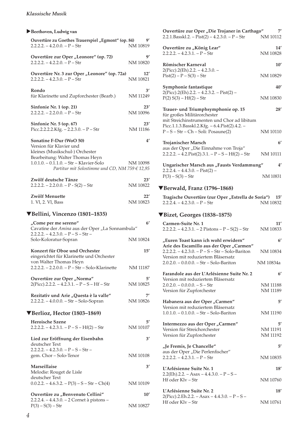### *Klassische Musik*

### X**Beethoven, Ludwig van**

| Ouvertüre zu Goethes Trauerspiel "Egmont" (op. 84)<br>$2.2.2.2. - 4.2.0.0. - P - Str$                                                                                | 9′<br>NM 10819  |
|----------------------------------------------------------------------------------------------------------------------------------------------------------------------|-----------------|
| Ouvertüre zur Oper "Leonore" (op. 72)<br>$2.2.2.2. - 4.2.2.0. - P - Str$                                                                                             | 9′<br>NM 10820  |
| Ouvertüre Nr. 3 zur Oper "Leonore" (op. 72a)<br>$2.2.2.2. - 4.2.3.0. - P - Str$                                                                                      | 12'<br>NM 10821 |
| Rondo<br>für Klarinette und Zupforchester (Bearb.)                                                                                                                   | 3'<br>NM 11249  |
| Sinfonie Nr. 1 (op. 21)<br>$2.2.2.2. - 2.2.0.0. - P - Str$                                                                                                           | 23′<br>NM 10096 |
| Sinfonie Nr. 5 (op. 67)<br>Picc.2.2.2.2.Kfg. $- 2.2.3.0 - P - Str$                                                                                                   | 23'<br>NM 11186 |
| Sonatine F-Dur (WoO 50)<br>Version für Klavier und                                                                                                                   | $4^{\prime}$    |
| kleines (Musikschul-) Orchester<br>Bearbeitung: Walter Thomas Heyn<br>1.0.1.0. - 0.1.1.0. - Str - Klavier-Solo<br>Partitur mit Solostimme und CD, NM 759 $\in$ 12,95 | NM 10098        |
| Zwölf deutsche Tänze<br>$2.2.2.2. - 2.2.0.0. - P - S(2) - Str$                                                                                                       | 23'<br>NM 10822 |
| Zwölf Menuette<br>1. Vl, 2. Vl, Bass                                                                                                                                 | 22'<br>NM 10823 |
| ▼Bellini, Vincenzo (1801–1835)                                                                                                                                       |                 |
| "Come per me sereno"                                                                                                                                                 | $6^{\prime}$    |
| Cavatine der Amina aus der Oper "La Sonnambula"                                                                                                                      |                 |
| $2.2.2.2. - 4.2.3.0. - P - S - Str -$<br>Solo-Koloratur-Sopran                                                                                                       | NM 10824        |
| Konzert für Oboe und Orchester<br>eingerichtet für Klarinette und Orchester                                                                                          | 15'             |
| von Walter Thomas Heyn<br>2.2.2.2. - 2.2.0.0. - P - Str - Solo-Klarinette                                                                                            | NM 11187        |
| Ouvertüre zur Oper "Norma"<br>$2(Pice)$ .2.2.2. - 4.2.3.1. - P - S - Hf - Str                                                                                        | 5′<br>NM 10825  |
| Rezitativ und Arie "Questa è la valle"<br>2.2.2.2. - 4.0.0.0. - Str - Solo-Sopran                                                                                    | 7'<br>NM 10826  |
| ▼Berlioz, Hector (1803–1869)                                                                                                                                         |                 |
| <b>Heroische Szene</b><br>$2.2.2.2. - 4.2.3.1. - P - S - Hf(2) - Str$                                                                                                | 5′<br>NM 10107  |
| Lied zur Eröffnung der Eisenbahn<br>deutscher Text                                                                                                                   | 3'              |
| $2.2.2.2. - 4.2.3.0. - P - S - Str -$<br>gem. Chor - Solo-Tenor                                                                                                      | NM 10108        |
| Marseillaise<br>Melodie: Rouget de Lisle                                                                                                                             | 3'              |
| deutscher Text<br>$0.0.2.2. - 4.6.3.2. - P(3) - S - Str - Ch(4)$                                                                                                     | NM 10109        |
| Ouvertüre zu "Benvenuto Cellini"<br>2.2.2.4. - 4.4.3.0. - 2 Cornet à pistons -                                                                                       | 10'             |

| Ouvertüre zur Oper "Die Trojaner in Carthago"<br>$2.2.1$ .Basskl. $2. -$ Pist $(2) - 4.2.3.0$ . - P - Str         | 7′<br>NM 10112       |
|-------------------------------------------------------------------------------------------------------------------|----------------------|
| Ouvertüre zu "König Lear"<br>$2.2.2.2. - 4.2.3.1. - P - Str$                                                      | 14′<br>NM 10828      |
| Römischer Karneval                                                                                                | 10'                  |
| 2(Picc).2(Eh).2.2. - 4.2.3.0. -<br>$Pist(2) - P - S(3) - Str$                                                     | NM 10829             |
| Symphonie fantastique                                                                                             | 40'                  |
| $2(Picc).2(Eh).2.2. - 4.2.3.2. - Pist(2) -$<br>$P(2) S(3) - Hf(2) - Str$                                          | NM 10830             |
| Trauer- und Triumphsymphonie op. 15<br>für großes Militärorchester<br>mit Streichinstrumenten und Chor ad libitum | 28'                  |
| Picc.1.1.3.Basskl.2.Kfg. - 6.4.Pist(2).4.2. -<br>$P-S - Str - Ch - Soli: Posaune(2)$                              | NM 10110             |
| Trojanischer Marsch                                                                                               | 6'                   |
| aus der Oper "Die Einnahme von Troja"<br>$2.2.2.2 - 4.2.Pist(2).3.1 - P - S - Hf(2) - Str$                        | NM 10111             |
| Ungarischer Marsch aus "Fausts Verdammung"                                                                        | 4′                   |
| $2.2.2.4. - 4.4.3.0. - Pist(2) -$<br>$P(3) - S(3) - Str$                                                          | NM 10831             |
| ▼Berwald, Franz (1796–1868)                                                                                       |                      |
| Tragische Ouvertüre (zur Oper "Estrella de Soria")<br>$2.2.2.4. - 4.2.3.0. - P - Str$                             | 15'<br>NM 10832      |
| VBizet, Georges (1838-1875)                                                                                       |                      |
| Carmen-Suite Nr. 1<br>$2.2.2.2. - 4.2.3.1. - 2$ Pistons $-P - S(2) - Str$                                         | 11′<br>NM 10833      |
| "Euren Toast kann ich wohl erwidern"                                                                              |                      |
|                                                                                                                   | 6'                   |
| Arie des Escamillo aus der Oper "Carmen"<br>2.2.2.2. - 4.2.3.0. - P - S - Str - Solo-Bariton                      | NM 10834             |
| Version mit reduziertem Bläsersatz<br>2.0.2.0. - 0.0.0.0. - Str - Solo-Bariton                                    | NM 10834a            |
| Farandole aus der L'Arlésienne Suite Nr. 2                                                                        | 6'                   |
| Version mit reduziertem Bläsersatz                                                                                |                      |
| $2.0.2.0. - 0.0.0.0. - S - Str$<br>Version für Zupforchester                                                      | NM 11188<br>NM 11189 |
| Habanera aus der Oper "Carmen"                                                                                    | 5′                   |
| Version mit reduziertem Bläsersatz<br>$1.0.1.0. - 0.1.0.0. - Str - Solo-Bariton$                                  | NM 11190             |
| Intermezzo aus der Oper "Carmen"                                                                                  | 5′                   |
| Version für Streichorchester<br>Version für Zupforchester                                                         | NM 11191<br>NM 11192 |
| "Je Fremis, Je Chancelle"                                                                                         | 5'                   |
| aus der Oper "Die Perlenfischer"<br>$2.2.2.2. - 4.2.3.1. - P - Str$                                               | NM 10835             |

2.2(Eh).2.2. – Asax – 4.4.3.0. – P – S – Hf oder Klv – Str NM 10760

**L'Arlésienne Suite Nr. 2 18'**  2(Picc).2.Eh.2.2. – Asax – 4.4.3.0. – P – S – Hf oder Klv – Str NM 10761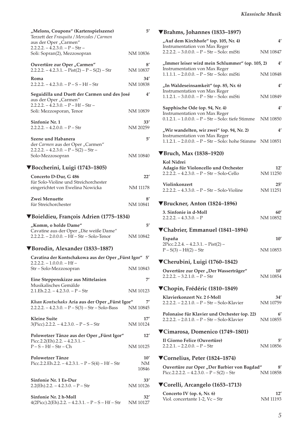| "Melons, Coupons" (Kartenspielszene)<br>Terzett der Frasquita / Mercedes / Carmen<br>aus der Oper "Carmen"      | $5^{\prime}$                        |
|-----------------------------------------------------------------------------------------------------------------|-------------------------------------|
| $2.2.2.2. - 4.2.3.0. - P - Str -$<br>Soli: Sopran(2), Mezzosopran                                               | NM 10836                            |
| Ouvertüre zur Oper "Carmen"<br>$2.2.2.2. - 4.2.3.1. -$ Pist(2) – P – S(2) – Str                                 | 8′<br>NM 10837                      |
| Roma<br>$2.2.2.2 - 4.2.3.0 - P - S - Hf - Str$                                                                  | 34′<br>NM 10838                     |
| Seguidilla und Duett der Carmen und des José<br>aus der Oper "Carmen"                                           | $4^{\prime}$                        |
| $2.2.2.2. - 4.2.3.0. - P - Hf - Str -$<br>Soli: Mezzosporan, Tenor                                              | NM 10839                            |
| Sinfonie Nr. 1<br>$2.2.2.2. - 4.2.0.0. - P - Str$                                                               | 33'<br>NM 20259                     |
| Szene und Habanera<br>der Carmen aus der Oper "Carmen"<br>$2.2.2.2. - 4.2.3.0. - P - S(2) - Str -$              | 5'                                  |
| Solo-Mezzosopran                                                                                                | NM 10840                            |
| ▼Boccherini, Luigi (1743–1805)                                                                                  |                                     |
| Concerto D-Dur, G 486<br>für Solo-Violine und Streichorchester<br>eingerichtet von Ewelina Nowicka              | 22′<br>NM 11178                     |
| Zwei Menuette<br>für Streichorchester                                                                           | 8′<br>NM 10841                      |
| ▼Boieldieu, François Adrien (1775–1834)                                                                         |                                     |
| "Komm, o holde Dame"<br>Cavatine aus der Oper "Die weiße Dame"<br>$2.2.2.2. - 2.0.0.0. - Hf - Str - Solo-Tenor$ | $5^{\prime}$<br>NM 10842            |
|                                                                                                                 |                                     |
| ▼Borodin, Alexander (1833–1887)                                                                                 |                                     |
| Cavatina der Kontschakowa aus der Oper "Fürst Igor" 5'<br>$2.2.2.2. - 1.0.0.0. - Hf -$                          |                                     |
| Str - Solo-Mezzosopran                                                                                          | NM 10843                            |
| Eine Steppenskizze aus Mittelasien<br>Musikalisches Gemälde                                                     | 71                                  |
| $2.1.Eh.2.2. - 4.2.3.0. - P - Str$<br>Khan Kontschaks Aria aus der Oper "Fürst Igor"                            | NM 10123                            |
| $2.2.2.2. - 4.2.3.0. - P - S(3) - Str - Solo-Bass$<br><b>Kleine Suite</b>                                       | NM 10845<br>17'                     |
| $3(Pice).2.2.2. - 4.2.3.0. - P - S - Str$                                                                       | NM 10124                            |
| Polowetzer Tänze aus der Oper "Fürst Igor"<br>Picc.2.2(Eh).2.2. $-4.2.3.1.$ –<br>$P-S-Hf-Str-Ch$                | $12^{\prime}$<br>NM 10125           |
| Polowetzer Tänze<br>Picc.2.2.Eh.2.2. - 4.2.3.1. - P - $S(4)$ - Hf - Str                                         | $10^{\prime}$<br><b>NM</b><br>10846 |
| Sinfonie Nr. 1 Es-Dur<br>$2.2(Eh)$ .2.2. - 4.2.3.0. - P - Str                                                   | 33′<br>NM 10126                     |

### *Klassische Musik*

## ▼**Brahms, Johannes (1833–1897)**

| "Auf dem Kirchhofe" (op. 105, Nr. 4)                                                                    | 4′                        |
|---------------------------------------------------------------------------------------------------------|---------------------------|
| <b>Instrumentation von Max Reger</b><br>2.2.2.2. - 3.0.0.0. - P - Str - Solo: miSti                     | NM 10847                  |
| "Immer leiser wird mein Schlummer" (op. 105, 2)                                                         | $4^{\prime}$              |
| <b>Instrumentation von Max Reger</b><br>1.1.1.1. - 2.0.0.0. - P - Str - Solo: miSti                     | NM 10848                  |
| "In Waldeseinsamkeit" (op. 85, Nr. 6)<br><b>Instrumentation von Max Reger</b>                           | 4′                        |
| $1.1.2.1. - 3.0.0.0. - P - Str - Solo: misti$                                                           | NM 10849                  |
| Sapphische Ode (op. 94, Nr. 4)<br>Instrumentation von Max Reger                                         | 4'                        |
| 0.1.2.1. - 1.0.0.0. - P - Str - Solo: tiefe Stimme                                                      | NM 10850                  |
| "Wir wandelten, wir zwei" (op. 94, Nr. 2)<br>Instrumentation von Max Reger                              | 4′                        |
| 1.1.2.1. - 2.0.0.0. - P - Str - Solo: hohe Stimme NM 10851                                              |                           |
| ▼Bruch, Max (1838–1920)                                                                                 |                           |
| Kol Nidrei                                                                                              |                           |
| Adagio für Violoncello und Orchester<br>2.2.2.2. - 4.2.3.0. - P - Str - Solo-Cello                      | 12'<br>NM 11250           |
| Violinkonzert<br>$2.2.2.2. - 4.3.3.0. - P - Str - Solo-Violine$                                         | 25'<br>NM 11251           |
| ▼Bruckner, Anton (1824–1896)                                                                            |                           |
| 3. Sinfonie in d-Moll<br>$2.2.2.2. - 4.3.3.0. - P$                                                      | 60′<br>NM 10852           |
|                                                                                                         |                           |
|                                                                                                         |                           |
| ▼Chabrier, Emmanuel (1841-1894)                                                                         |                           |
| España<br>$2Picc.2.2.4. - 4.2.3.1. - Pist(2) -$<br>$P - S(3) - Hf(2) - Str$                             | 10'<br>NM 10853           |
|                                                                                                         |                           |
| ▼Cherubini, Luigi (1760–1842)<br>Ouvertüre zur Oper "Der Wasserträger"<br>2.2.2.2. – 3.2.1.0. – P – Str | $10^{\prime}$<br>NM 10854 |
|                                                                                                         |                           |
| ▼Chopin, Frédéric (1810–1849)                                                                           |                           |
| Klavierkonzert Nr. 2 f-Moll<br>$2.2.2.2. - 2.2.1.0. - P - Str - Solo-Klavier$                           | 34'<br>NM 10759           |
| Polonaise für Klavier und Orchester (op. 22)<br>$2.2.2.2. - 2.0.1.0. - P - Str - Solo-Klavier$          | 6′<br>NM 10855            |
| ▼Cimarosa, Domenico (1749-1801)                                                                         |                           |
| Il Giorno Felice (Ouvertüre)<br>$2.2.2.1. - 2.2.0.0. - P - Str$                                         | 5′<br>NM 10856            |
| ▼Cornelius, Peter (1824–1874)                                                                           |                           |
| Ouvertüre zur Oper "Der Barbier von Bagdad"<br>Picc.2.2.2.2. $- 4.2.3.0. - P - S(2) - Str$              | 8′<br>NM 10858            |
| ▼Corelli, Arcangelo (1653–1713)                                                                         |                           |
| Concerto IV (op. 6, Nr. 6)                                                                              | 12'                       |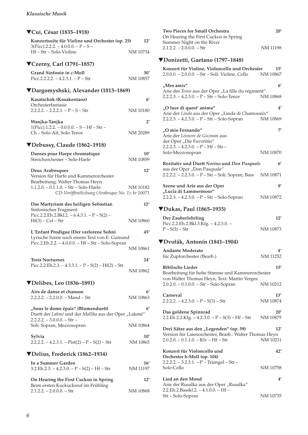## ▼**Cui, César (1835–1918) Konzertsuite für Violine und Orchester (op. 25) 12'**   $3(Pice).2.2.2. - 4.0.0.0. - P - S -$ Hf – Str – Solo-Violine NM 10734 ▼**Czerny, Carl (1791–1857) Grand Sinfonie in c-Moll 30'** Picc.2.2.2.2. – 4.2.3.1. –  $P - Str$  NM 10857 ▼**Dargomyshski, Alexander (1813–1869) Kasatschok (Kosakentanz) 6'**  Orchesterfantasie  $2.2.2.2 - 2.2.2.1 - P - S - Str$  NM 10180 **Wanjka-Tanjka 2'**  1(Picc).1.2.2. – 0.0.0.0. – S – Hf – Str – Ch – Solo-Alt, Solo-Tenor NM 20289 ▼**Debussy, Claude (1862–1918) Danses pour Harpe chromatique 10'** Streichorchester – Solo-Harfe NM 10859 **Deux Arabesques 12'**  Version für Harfe und Kammerorchester Bearbeitung: Walter Thomas Heyn 1.1.2.0. – 0.1.1.0. – Str – Solo-Harfe NM 10182 *CD-Veröffentlichung (Arabesque No. 1): kr 10071*  **Das Martyrium des heiligen Sebastian 12'** Sinfonisches Fragment Picc.2.2.Eh.2.Bkl.2. –  $6.4.3.1. - P - S(2)$  – Hf(3) – Cel – Str NM 10860 **L´Enfant Prodigue (Der verlorene Sohn) 45'** Lyrische Szene nach einem Text von E. Guinand Picc.2.Eh.2.2. – 4.0.0.0. – Hf – Str – Solo-Sopran NM 10861 **Trois Nocturnes 24'** Picc.2.2.Eh.2.3. – 4.3.3.1. –  $P - S(2) - Hf(2) - Str$ NM 10862 ▼**Delibes, Leo (1836–1891) Airs de danse et chanson 6'** 2.2.2.2. – 2.2.0.0. – Mand – Str NM 10863 **"Sous le dome épais" (Blumenduett) 6'** Duett der *Lakmé* und der *Mallika* aus der Oper "Lakmé"  $2.2.2.2. - 3.0.0.0. - Str -$ Soli: Sopran, Mezzosopran NM 10864 **Sylvia 10'**  $2.2.2.2 - 4.2.3.1 - \text{Dist}(2) - P - S(2) - \text{Str}$  NM 10865 ▼**Delius, Frederick (1862–1934) In a Summer Garden 16'**  $3.2.Eh.2.3. - 4.2.3.0. - P - S(2) - Hf - Str$  NM 11197 **On Hearing the First Cuckoo in Spring 12'** Beim ersten Kuckucksruf im Frühling 2.1.2.2. – 2.0.0.0. – Str NM 10868

| <b>Two Pieces for Small Orchestra</b><br>On Hearing the First Cuckoo in Spring                                                               | 20'                       |
|----------------------------------------------------------------------------------------------------------------------------------------------|---------------------------|
| Summer Night on the River<br>$2.1.2.2. - 2.0.0.0. - Str$                                                                                     | NM 11198                  |
| ▼Donizetti, Gaetano (1797–1848)                                                                                                              |                           |
| Konzert für Violine, Violoncello und Orchester<br>2.0.0.0. - 2.0.0.0. - Str - Soli: Violine, Cello                                           | $15^{\prime}$<br>NM 10867 |
| "Mes amis"<br>Arie des Tonio aus der Oper "La fille du régiment"<br>$2.2.2.3. - 4.2.3.0. - P - Str - Solo-Tenor$                             | $6^{\prime}$<br>NM 10868  |
| "O luce di quest' anima"<br>Arie der Linda aus der Oper "Linda di Chamounix"<br>2.2.2.3. – 4.2.3.0. – P – Str – Solo-Sopran                  | 4'<br>NM 10869            |
| "O mio Fernando"<br>Arie der Léonore de Guzman aus<br>der Oper "Die Favoritin"<br>$2.2.2.3. - 4.2.3.0. - P - Hf - Str -$<br>Solo-Mezzosopran | 7'<br>NM 10870            |
| Rezitativ und Duett Norina und Don Pasquale                                                                                                  | $6^{\prime}$              |
| aus der Oper "Don Pasquale"<br>2.2.2.2. – 2.2.3.0. – P – Str – Soli: Sopran, Bass                                                            | NM 10871                  |
| Szene und Arie aus der Oper<br>"Lucia di Lammermoor"<br>2.2.2.3. - 4.2.3.0. - P - Str - Solo-Sopran                                          | 8'<br>NM 10872            |
| ▼Dukas, Paul (1865–1935)                                                                                                                     |                           |
| Der Zauberlehrling<br>Picc.2.2.Eh.2.Bkl.3.Kfg. - 4.2.3.0. -<br>$P - S(3) - Str$                                                              | 12'<br>NM 10873           |
| ▼Dvořák, Antonín (1841–1904)                                                                                                                 |                           |
| <b>Andante Moderato</b><br>für Zupforchester (Bearb.)                                                                                        | 4'<br>NM 11252            |
| <b>Biblische Lieder</b><br>Bearbeitung für hohe Stimme und Kammerorchester                                                                   | 15'                       |
| von Walter Thomas Heyn, Text: Martin Verges<br>$2.0.2.0. - 0.1.0.0. - Str - Solo-Sopran$                                                     | NM 10212                  |
| Carneval<br>$2.2.2.2 - 4.2.3.0 - P - S(3) - Str$                                                                                             | 13'<br>NM 10874           |
| Das goldene Spinnrad<br>2.2.Eh.2.2.Kfg. - 4.2.3.0. - P - S(3) - Hf - Str                                                                     | 20'<br>NM 10875           |
| Drei Sätze aus den "Legenden" (op. 59)<br>Version für Laienorchester, Bearb.: Walter Thomas Heyn<br>$2.0.2.0 - 0.1.1.0 - Klv - Hf - Str$     | 12'<br>NM 10211           |
| Konzert für Violoncello und<br>Orchester h-Moll (op. 104)<br>$2.2.2.2. - 3.2.3.1. - P - Triangel - Str -$                                    | 42'                       |
| Solo-Cello                                                                                                                                   | NM 10758                  |
| Lied an den Mond<br>Arie der Rusalka aus der Oper "Rusalka"                                                                                  | 4′                        |
| 2.2.Eh.2.Basskl.2. - 4.1.0.0. - Hf -<br>Str – Solo-Sopran                                                                                    | NM 10735                  |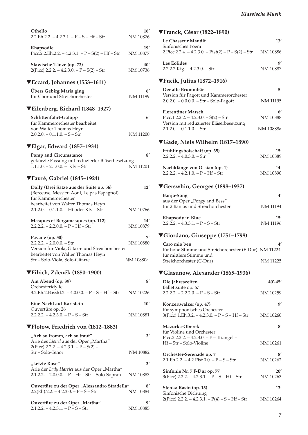| Othello<br>2.2.Eh.2.2. – 4.2.3.1. – P – S – Hf – Str                                                                   | 16'<br>NM 10876          |
|------------------------------------------------------------------------------------------------------------------------|--------------------------|
| Rhapsodie<br>Picc.2.2.Eh.2.2. - 4.2.3.1. - P - S(2) - Hf - Str                                                         | 19'<br>NM 10877          |
| Slawische Tänze (op. 72)<br>$2(Picc).2.2.2. - 4.2.3.0. - P-S(2) - Str$                                                 | 40'<br>NM 10736          |
| $\blacktriangledown$ Eccard, Johannes (1553–1611)                                                                      |                          |
| Übers Gebirg Maria ging<br>für Chor und Streichorchester                                                               | 6'<br>NM 11199           |
| ▼Eilenberg, Richard (1848–1927)                                                                                        |                          |
| Schlittenfahrt-Galopp<br>für Kammerorchester bearbeitet<br>von Walter Thomas Heyn<br>$2.0.2.0. - 0.1.1.0. - S - Str$   | $6^{\prime}$<br>NM 11200 |
| $\blacktriangledown$ Elgar, Edward (1857–1934)                                                                         |                          |
| <b>Pomp and Circumstance</b>                                                                                           | 8'                       |
| gekürzte Fassung mit reduzierter Bläserbesetzung<br>$1.1.1.0 - 2.1.0.0 -$ Klv - Str                                    | NM 11201                 |
| <b>▼Fauré, Gabriel (1845–1924)</b>                                                                                     |                          |
| Dolly (Drei Sätze aus der Suite op. 56)<br>(Berceuse, Messieu Aoul, Le pas Espagnol)<br>für Kammerorchester            | 12'                      |
| bearbeitet von Walter Thomas Heyn<br>2.1.2.0. - 0.1.1.0. - Hf oder Klv - Str                                           | NM 10766                 |
| Masques et Bergamasques (op. 112)<br>$2.2.2.2. - 2.2.0.0. - P - Hf - Str$                                              | 14'<br>NM 10879          |
| Pavane (op. 50)<br>$2.2.2.2. - 2.0.0.0. - Str$                                                                         | 7′<br>NM 10880           |
| Version für Viola, Gitarre und Streichorchester<br>bearbeitet von Walter Thomas Heyn<br>Str – Solo-Viola, Solo-Gitarre | NM 10880a                |
| ▼Fibich, Zdeněk (1850–1900)                                                                                            |                          |
| Am Abend (op. 39)                                                                                                      | 8′                       |
| Orchesteridylle<br>3.2.Eh.2.Basskl.2. - 4.0.0.0. - P - S - Hf - Str                                                    | NM 10226                 |
| Eine Nacht auf Karlstein                                                                                               | 10'                      |
| Ouvertüre op. 26<br>$2.2.2.2. - 4.2.3.0. - P - S - Str$                                                                | NM 10881                 |
| ▼Flotow, Friedrich von (1812–1883)                                                                                     |                          |
| "Ach so fromm, ach so traut"<br>Arie des Lionel aus der Oper "Martha"<br>$2(Picc).2.2.2. - 4.2.3.1. - P - S(2) -$      | 3'                       |
| Str – Solo-Tenor                                                                                                       | NM 10882                 |
| "Letzte Rose"                                                                                                          | $3^{\prime}$             |
| Arie der Lady Harriet aus der Oper "Martha"<br>2.1.2.2. - 2.0.0.0. - P - Hf - Str - Solo-Sopran                        | NM 10883                 |
| Ouvertüre zu der Oper "Alessandro Stradella"<br>$2.2(Eh)$ .2.2. – 4.2.3.0. – P – S – Str                               | $8^{\prime}$<br>NM 10884 |
| Ouvertüre zu der Oper "Martha"<br>$2.1.2.2. - 4.2.3.1. - P - S - Str$                                                  | g,<br>NM 10885           |

| <b>▼Franck, César (1822–1890)</b>                                                   |                        |
|-------------------------------------------------------------------------------------|------------------------|
| Le Chasseur Maudit                                                                  | 13'                    |
| Sinfonisches Poem<br>2. Picc. 2.2.4. $-4.2.3.0.$ $-$ Pist(2) $-$ P $-$ S(2) $-$ Str | NM 10886               |
| Les Éolides<br>2.2.2.2.Kfg. - 4.2.3.0. - Str                                        | g,<br>NM 10887         |
| $\Pi$ Fucik, Julius (1872–1916)                                                     |                        |
| Der alte Brummbär                                                                   | 5'                     |
| Version für Fagott und Kammerorchester<br>$2.0.2.0. - 0.0.0.0. - Str - Solo-Fagott$ | <b>NM 11195</b>        |
| <b>Florentiner Marsch</b><br>Picc.1.2.2.2. $- 4.2.3.0. - S(2) - Str$                | 6'<br>NM 10888         |
| Version mit reduzierter Bläserbesetzung                                             |                        |
| $2.1.2.0 - 0.1.1.0 - Str$                                                           | NM 10888a              |
| ▼Gade, Niels Wilhelm (1817–1890)                                                    |                        |
| Frühlingsbotschaft (op. 35)                                                         | 15'                    |
| $2.2.2.2 - 4.0.3.0 - Str$                                                           | NM 10889               |
| Nachklänge von Ossian (op. 1)<br>$2.2.2.2. - 4.2.1.0. - P - Hf - Str$               | 14'<br>NM 10890        |
| ▼Gerswhin, Georges (1898–1937)                                                      |                        |
| <b>Banjo-Song</b>                                                                   | 4'                     |
| aus der Oper "Porgy and Bess"<br>für 2 Banjos und Streichorchester                  | NM 11194               |
| <b>Rhapsody in Blue</b><br>$2.2.2.2. - 4.3.3.1. - P - S - Str$                      | 15'<br><b>NM 11196</b> |
| ▼Giordano, Giuseppe (1751-1798)                                                     |                        |
| Caro mio ben                                                                        | 4′                     |
| für hohe Stimme und Streichorchester (F-Dur) NM 11224<br>für mittlere Stimme und    |                        |
| Streichorchester (C-Dur)                                                            | NM 11225               |
| ▼Glasunow, Alexander (1865–1936)                                                    |                        |
| Die Jahreszeiten<br>Ballettsuite op. 67                                             | $40' - 45'$            |
| $2.2.2.2. - 2.2.2.0. - P - S - Str$                                                 | NM 10259               |
| Konzertwalzer (op. 47)                                                              | g'                     |
| für symphonisches Orchester<br>$3(Picc).1.Eh.3.2. - 4.2.3.0. - P - S - Hf - Str$    | NM 10260               |
| Mazurka-Oberek<br>für Violine und Orchester                                         | $8^{\prime}$           |
| Picc.2.2.2.2. - 4.2.3.0. - P - Triangel -<br>Hf – Str – Solo-Violine                |                        |
|                                                                                     | NM 10261               |
| Orchester-Serenade op. 7<br>2.1.Eh.2.2. $-$ 4.2.Pist.0.0. $-$ P $-$ S $-$ Str       | 8′<br>NM 10262         |
| Sinfonie Nr. 7 F-Dur op. 77                                                         | 20'                    |
| $3(Picc).2.2.2. - 4.2.3.1. - P - S - Hf - Str$                                      | NM 10263               |
| Stenka Rasin (op. 13)                                                               | 13'                    |
| Sinfonische Dichtung<br>$2(Picc).2.2.2. - 4.2.3.1. - P(4) - S - Hf - Str$           | NM 10264               |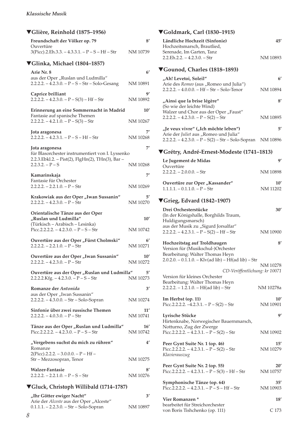| ▼Glière, Reinhold (1875–1956)                                                                         |                 |
|-------------------------------------------------------------------------------------------------------|-----------------|
| Freundschaft der Völker op. 79<br>Ouvertüre                                                           | 8′              |
| $3(Picc).2.Eh.3.3. - 4.3.3.1. - P - S - Hf - Str$                                                     | NM 10739        |
| ▼Glinka, Michael (1804–1857)                                                                          |                 |
| <b>Arie Nr. 8</b>                                                                                     | 6 <sup>′</sup>  |
| aus der Oper "Ruslan und Ludmilla"<br>$2.2.2.2. - 4.2.3.0. - P - S - Str - Solo-Gesang$               | NM 10891        |
| Caprice brilliant<br>$2.2.2.2. - 4.2.3.0. - P - S(3) - Hf - Str$                                      | gʻ<br>NM 10892  |
| Erinnerung an eine Sommernacht in Madrid                                                              | 10'             |
| Fantasie auf spanische Themen<br>$2.2.2.2. - 4.2.1.0. - P - S(3) - Str$                               | NM 10267        |
| Jota aragonesa                                                                                        | 7′              |
| $2.2.2.2. - 4.2.3.1. - P - S - Hf - Str$                                                              | NM 10268        |
| Jota aragonesa                                                                                        | 7′              |
| für Blasorchester instrumentiert von I. Lyssenko<br>2.2.3. Ebkl.2. - Pist(2), FlgHn(2), THn(3), Bar - |                 |
| $2.2.3.2. - P - S$                                                                                    | NM 10268        |
| Kamarinskaja                                                                                          | 7′              |
| Fantasie für Orchester                                                                                |                 |
| $2.2.2.2. - 2.2.1.0. - P - Str$                                                                       | NM 10269        |
| Krakowiak aus der Oper "Iwan Sussanin"<br>$2.2.2.2 - 4.2.3.0 - P - Str$                               | 5′<br>NM 10270  |
|                                                                                                       |                 |
| Orientalische Tänze aus der Oper                                                                      |                 |
| "Ruslan und Ludmilla"                                                                                 | $10^{\prime}$   |
| (Türkisch - Arabisch - Lesinka)<br>Picc.2.2.2.2. $- 4.2.3.0. - P - S - Str$                           | NM 10742        |
|                                                                                                       | 6'              |
| Ouvertüre aus der Oper "Fürst Cholmski"<br>$2.2.2.2. - 2.2.1.0. - P - Str$                            | NM 10271        |
| Ouvertüre aus der Oper "Iwan Sussanin"                                                                | $10'$           |
| $2.2.2.2. - 4.2.3.0. - P - Str$                                                                       | NM 10272        |
| Ouvertüre aus der Oper "Ruslan und Ludmilla"<br>$2.2.2.2.Kfg. -4.2.3.0. - P-S-Str$                    | 5′<br>NM 10273  |
| Romanze der Antonida                                                                                  | 3'              |
| aus der Oper "Iwan Sussanin"                                                                          |                 |
| 2.2.2.2. - 4.3.0.0. - Str - Solo-Sopran                                                               | NM 10274        |
| Sinfonie über zwei russische Themen<br>$2.2.2.2. - 4.0.3.0. - P - Str$                                | 11'<br>NM 10741 |
| Tänze aus der Oper "Ruslan und Ludmilla"<br>Picc.2.2.2.2. $- 4.2.3.0. - P - S - S$ tr                 | 16'<br>NM 10742 |
| "Vergebens suchst du mich zu rühren"                                                                  | 4'              |
| Romanze                                                                                               |                 |
| 2(Picc).2.2.2. – 3.0.0.0. – P – Hf –<br>Str - Mezzosopran, Tenor                                      | NM 10275        |
|                                                                                                       | 8′              |
| <b>Walzer-Fantasie</b><br>$2.2.2.2. - 2.2.1.0. - P - S - Str$                                         | NM 10276        |

| "Ihr Götter ewiger Nacht"                 | 3'       |
|-------------------------------------------|----------|
| Arie der Alceste aus der Oper "Alceste"   |          |
| $0.1.1.1. - 2.2.3.0. - Str - Solo-Sopran$ | NM 10897 |

## ▼**Goldmark, Carl (1830–1915)**

| Ländliche Hochzeit (Sinfonie)<br>Hochzeitsmarsch, Brautlied,                                                                                                  | 45'                       |
|---------------------------------------------------------------------------------------------------------------------------------------------------------------|---------------------------|
| Serenade, Im Garten, Tanz<br>$2.2.Eh.2.2. - 4.2.3.0. - Str$                                                                                                   | NM 10893                  |
| ▼Gounod, Charles (1818–1893)                                                                                                                                  |                           |
| "Ah! Levetoi, Soleil"                                                                                                                                         | $6^{\prime}$              |
| Arie des Romeo (aus "Romeo und Julia")<br>$2.2.2.2. - 4.0.0.0. - Hf - Str - Solo-Tenor$                                                                       | NM 10894                  |
| "Ainsi que la brise légère"                                                                                                                                   | 8'                        |
| (So wie der leichte Wind)<br>Walzer und Chor aus der Oper "Faust"<br>$2.2.2.2. - 4.2.3.0. - P - S(2) - Str$                                                   | NM 10895                  |
| "Je veux vivre" ("Ich möchte leben")                                                                                                                          | 5'                        |
| Arie der Juliet aus "Romeo und Julia"<br>$2.2.2.2 - 4.2.3.0 - P - S(2) - Str - Solo-Sopran$                                                                   | NM 10896                  |
| ▼Grétry, André-Ernest-Modeste (1741–1813)                                                                                                                     |                           |
| Le Jugement de Midas                                                                                                                                          | g'                        |
| Ouvertüre<br>$2.2.2.2 - 2.0.0.0 - Str$                                                                                                                        | NM 10898                  |
| Ouvertüre zur Oper "Kassander"<br>$1.1.1.1 - 0.1.1.0 - P - Str$                                                                                               | $10^{\prime}$<br>NM 11202 |
| ▼Grieg, Edvard (1842–1907)                                                                                                                                    |                           |
| Drei Orchesterstücke<br>(In der Königshalle, Borghilds Traum,<br>Huldigungsmarsch)                                                                            | 30'                       |
| aus der Musik zu "Sigurd Jorsalfar"<br>$2.2.2.2. - 4.2.3.1. - P - S(2) - Hf - Str$                                                                            | NM 10900                  |
| Hochzeitstag auf Troldhaugen<br>Version für (Musikschul-)Orchester<br>Bearbeitung: Walter Thomas Heyn<br>2.0.2.0. - 0.1.1.0. - Klv(ad lib) - Hf(ad lib) - Str | 8′                        |
|                                                                                                                                                               | NM 10278                  |
| CD-Veröffentlichung: kr 10071<br>Version für kleines Orchester                                                                                                |                           |
| Bearbeitung: Walter Thomas Heyn<br>$2.2.2.2. - 1.2.1.0. - Hf(ad lib) - Str$                                                                                   | NM 10278a                 |
| Im Herbst (op. 11)<br>Picc.2.2.2.2. $-4.2.3.1. - P - S(2) - Str$                                                                                              | $10^{\prime}$<br>NM 10901 |
| Lyrische Stücke<br>Hirtenknabe, Norwegischer Bauernmarsch,                                                                                                    | 9′                        |
| Notturno, Zug der Zwerge<br>Picc.2.2.2.2. $- 4.2.3.1. - P - S(2) - Str$                                                                                       | NM 10902                  |
| Peer Gynt Suite Nr. 1 (op. 46)<br>Picc.2.2.2.2. $- 4.2.3.1. - P - S(2) - Str$<br>Klavierauszug                                                                | $15^{\prime}$<br>NM 10279 |
| Peer Gynt Suite Nr. 2 (op. 55)<br>Picc.2.2.2.2. $- 4.2.3.1. - P - S(3) - Hf - Str$                                                                            | 20'<br>NM 10757           |
| Symphonische Tänze (op. 64)<br>Picc.2.2.2.2. $- 4.2.3.1. - P - S - Hf - Str$                                                                                  | 35'<br>NM 10903           |
| Vier Romanzen *                                                                                                                                               | 18′                       |
| bearbeitet für Streichorchester<br>von Boris Tishchenko (op. 111)                                                                                             | C 173                     |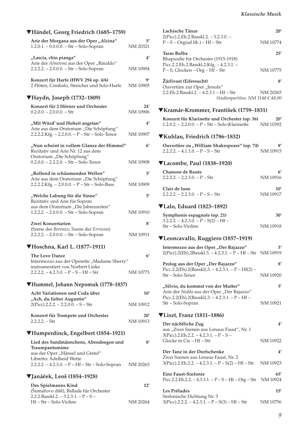### ▼**Händel, Georg Friedrich (1685–1759)**

| Arie der Morgana aus der Oper "Alcina"<br>1.2.0.1. - 0.0.0.0. - Str - Solo-Sopran                                           | 5′<br>NM 20321           |
|-----------------------------------------------------------------------------------------------------------------------------|--------------------------|
| "Lascia, chio pianga"<br>Arie der Almirena aus der Oper "Rinaldo"<br>2.2.2.2. - 2.0.0.0. - Str - Solo-Sopran                | $4^{\prime}$<br>NM 10904 |
| Konzert für Harfe (HWV 294 op. 4/6)<br>2 Flöten, Cembalo, Streicher und Solo-Harfe                                          | gʻ<br>NM 10905           |
| ▼Haydn, Joseph (1732–1809)                                                                                                  |                          |
| Konzert für 2 Hörner und Orchester<br>$0.2.0.0. - 2.0.0.0. - Str$                                                           | 24'<br>NM 10906          |
| "Mit Würd' und Hoheit angetan"<br>Arie aus dem Oratorium "Die Schöpfung"<br>2.2.2.2. Kfg. - 2.2.0.0. - P - Str - Solo-Tenor | $4^{\prime}$<br>NM 10907 |
| "Nun scheint in vollem Glanze der Himmel"<br>Rezitativ und Arie Nr. 12 aus dem                                              | 6'                       |
| Oratorium "Die Schöpfung"<br>$0.2.0.0. - 2.2.2.0. - Str - Solo-Tenor$                                                       | NM 10908                 |
| "Rollend in schäumenden Wellen"                                                                                             | 5′                       |
| Arie aus dem Oratorium "Die Schöpfung"<br>2.2.2.2. Kfg. - 2.0.0.0. - P - Str - Solo-Bass                                    | NM 10909                 |
| "Welche Labung für die Sinne"                                                                                               | $5^{\prime}$             |
| Rezitativ und Arie für Sopran<br>aus dem Oratorium "Die Jahreszeiten"<br>1.2.2.2. - 2.0.0.0. - Str - Solo-Sopran            | NM 10910                 |
| Zwei Konzertarien                                                                                                           | 8'                       |
| (Szene der Berenice, Szene der Errisena)<br>2.2.2.2. - 2.0.0.0. - Str - Solo-Sopran                                         | NM 10911                 |
| ▼Hoschna, Karl L. (1877-1911)                                                                                               |                          |
| The Love Dance<br>Intermezzo aus der Operette "Madame Sherry"<br>instrumentiert von Norbert Linke                           | 6 <sup>′</sup>           |
| $2.2.2.2. - 4.2.3.0. - P - S - Hf - Str$                                                                                    | NM 10773                 |
| ▼Hummel, Johann Nepomuk (1778–1837)                                                                                         |                          |
| Acht Variationen und Coda über                                                                                              | $10^{\prime}$            |
| "Ach, du lieber Augustin"<br>$2(Picc).2.2.2. - 2.2.0.0. - S - Str$                                                          | NM 10912                 |
| Konzert für Trompete und Orchester<br>2.2.2.2. – Str                                                                        | 20′<br>NM 10913          |
| ▼Humperdinck, Engelbert (1854–1921)                                                                                         |                          |
| Lied des Sandmännchens, Abendsegen und<br>Traumpantomime<br>aus der Oper "Hänsel und Gretel"<br>Libretto: Adelheid Wette    | 8′                       |
| 2.2.2.2. - 4.2.3.0. - P - Hf - Str - Solo-Sopran                                                                            | NM 20263                 |
| <b>▼Janáček, Leoš (1854–1928)</b>                                                                                           |                          |
| Des Spielmanns Kind<br>(Šumařovo dítě), Ballade für Orchester<br>$2.2.2.Basskl.2. - 3.2.3.1. - P - S -$                     | 12'                      |

Hf – Str – Solo-Violine NM 20264

| Lachische Tänze                                                              | 20'      |
|------------------------------------------------------------------------------|----------|
| $2(Picc).2.Eh.2.Basskl.2. - 3.2.3.0. -$<br>$P-S-Org(ad lib.) – Hf – Str$     | NM 10774 |
| Taras Bulba<br>Rhapsodie für Orchester (1915-1918)                           | 25'      |
| Picc.2.2.Eh.2.Basskl.2.Kfg. - 4.2.3.1. -<br>$P-S$ , Glocken – Org – Hf – Str | NM 10775 |
| Zárlivost (Eifersucht)                                                       | 81       |
| Ouvertüre zur Oper "Jenufa"                                                  |          |
| 2.2.Eh.2.Basskl.2. $-4.2.3.1 - Hf - Str$                                     | NM 20265 |
| Studienpartitur, NM 1148 € 48,00                                             |          |
| ▼Kramár-Krommer, František (1759–1831)                                       |          |
| Konzert für Klarinette und Orchester (op. 36)                                | 20'      |

## 1.2.0.2. – 2.2.0.0. – P – Str – Solo-Klarinette NM 10392

### ▼**Kuhlau, Friedrich (1786–1832)**

| Ouvertüre zu "William Shakespeare" (op. 74) | 8'       |
|---------------------------------------------|----------|
| $2.2.2.2 - 4.1.1.0 - P - S - Str$           | NM 10915 |

### ▼**Lacombe, Paul (1838–1920)**

| Chanson de Route              |          |
|-------------------------------|----------|
| $2.2.2.2 - 2.2.3.0 - P - Str$ | NM 10916 |
| Clair de lune                 | 10'      |

| - Clair de lune                     | 10       |
|-------------------------------------|----------|
| $2.2.2.2. - 2.2.3.0. - P - S - Str$ | NM 10917 |

### ▼**Lalo, Eduard (1823–1892)**

| Symphonie espagnole (op. 21)            | 30'      |
|-----------------------------------------|----------|
| $3.2.2.2. - 4.2.3.0. - P - S(2) - Hf -$ |          |
| Str – Solo-Violine                      | NM 10918 |

## ▼**Leoncavallo, Ruggiero (1857–1919)**

| Intermezzo aus der Oper "Der Bajazzo"<br>2(Picc).2(Eh).2Basskl.3. - 4.2.3.1. - P - Hf - Str NM 10919        | 3'              |
|-------------------------------------------------------------------------------------------------------------|-----------------|
| Prolog aus der Oper "Der Bajazzo"                                                                           | 8'              |
| Picc.2.2(Eh).2(Basskl).3. $-4.2.3.1. - P - Hf(2) -$<br>Str – Solo-Tenor                                     | NM 10920        |
| "Silvio, du kommst von der Mutter"<br>Arie der Nedda aus der Oper "Der Bajazzo"                             | 5'              |
| Picc.2.2(Eh).2(Basskl).3. $-4.2.3.1. - P - Hf -$<br>Str – Solo-Sopran                                       | NM 10921        |
| $\blacktriangledown$ Liszt, Franz (1811–1886)                                                               |                 |
| Der nächtliche Zug<br>aus "Zwei Szenen aus Lenaus Faust", Nr. 1<br>$3(Pice).2.Eh.2.2. - 4.2.3.1. - P - S -$ | 4'              |
| Glocke in Cis – Hf – Str                                                                                    | NM 10922        |
| Der Tanz in der Dorfschenke<br>Zwei Szenen aus Lenaus Faust, Nr. 2                                          | 4'              |
| $3(Picc).2.Eh.2.2. - 4.2.3.1. - P - S(2) - Hf - Str$                                                        | NM 10923        |
| <b>Eine Faust-Sinfonie</b><br>Picc.2.2.Eh.2.2. $-4.3.3.1. - P - S - Hf - Org - Str$                         | 65'<br>NM 10924 |
| Les Préludes                                                                                                | 15'             |
| Sinfonische Dichtung Nr. 3<br>$3(Picc).2.2.2. - 4.2.3.1. - P - S(3) - Hf - Str$                             | NM 10756        |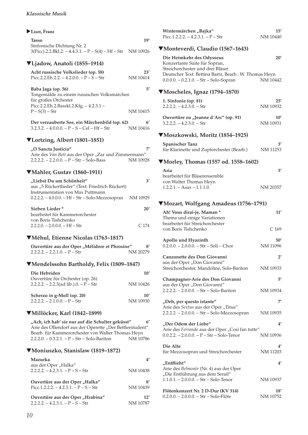### X**Liszt, Franz**

| <b>Tasso</b>                                                   | 19' |
|----------------------------------------------------------------|-----|
| Sinfonische Dichtung Nr. 2                                     |     |
| $3(Picc).2.2.Bk1.2. - 4.4.3.1. - P - S(4) - Hf - Str$ NM 10926 |     |

### ▼**Ljadow, Anatoli (1855–1914)**

| Acht russische Volkslieder (op. 58)<br>Picc.2.2.Eh.2.2. $-4.2.0.0 - P - S - Str$          | 23'<br>NM 10414 |
|-------------------------------------------------------------------------------------------|-----------------|
| Baba Jaga (op. 56)<br>Tongemälde zu einem russischen Volksmärchen<br>für großes Orchester | 51              |
| Picc.2.2.Eh.2.Basskl.2.Kfg. - 4.2.3.1 -<br>$P-S(3) - Str$                                 | NM 10415        |

| Der verzauberte See, ein Märchenbild (op. 62)  | $6^{\prime}$ |
|------------------------------------------------|--------------|
| $3.2.3.2. - 4.0.0.0. - P - S - Cel - Hf - Str$ | NM 10416     |

## ▼**Lortzing, Albert (1801–1851)**

| "O Sancta Justicia"                                 |          |
|-----------------------------------------------------|----------|
| Arie des Van Bett aus der Oper "Zar und Zimmermann" |          |
| $2.2.2.2 - 2.2.0.0 - P - Str - Solo-Bass$           | NM 10928 |

### ▼**Mahler, Gustav (1860–1911)**

| "Liebst Du um Schönheit"                          |          |
|---------------------------------------------------|----------|
| aus "5 Rückertlieder" (Text: Friedrich Rückert)   |          |
| Instrumentation von Max Puttmann                  |          |
| 0.2.2.2. - 4.0.0.0. - Hf - Str - Solo-Mezzosopran | NM 10929 |
|                                                   |          |
| Sieben Lieder*                                    | 20'      |
| bearbeitet für Kammerorchester                    |          |
| von Boris Tishchenko                              |          |
| $2.2.2.0. - 2.0.0.0. - Hf - Str$                  | C174     |
|                                                   |          |

### ▼**Méhul, Etienne Nicolas (1763–1817)**

| Ouvertüre aus der Oper "Mélidore et Phrosine" | 8'       |
|-----------------------------------------------|----------|
| $2.2.2.2. - 2.2.1.0. - P - Str$               | NM 20279 |

### ▼**Mendelssohn Bartholdy, Felix (1809–1847)**

| Die Hebriden<br>Ouvertüre für Orchester (op. 26)            | 10'             |
|-------------------------------------------------------------|-----------------|
| 2.2.2.2. $-$ 2.2.3(ad lib.).0. $-$ P $-$ Str                | NM 10426        |
| Scherzo in g-Moll (op. 20)<br>$2.2.2.2 - 2.1.0.0 - P - Str$ | 10'<br>NM 10930 |

### ▼**Millöcker, Karl (1842–1899)**

| "Ach, ich hab' sie nur auf die Schulter geküsst"           | 6' |
|------------------------------------------------------------|----|
| Arie des Ollendorf aus der Operette "Der Bettlerstudent"   |    |
| Bearb. für Kammerorchester von Walter Thomas Heyn          |    |
| NM 10786<br>$2.2.2.0. - 0.3.2.1. - P - Str - Solo-Bariton$ |    |

### ▼**Moniuszko, Stanislaw (1819–1872)**

| Mazurka                                                   |          |
|-----------------------------------------------------------|----------|
| aus der Oper "Halka"<br>$2.2.2.2 - 4.2.3.1 - P - S - Str$ | NM 10438 |
| Ouvertüre aus der Oper "Halka"                            | 8′       |
| Picc.1.2.2.2. $-4.2.3.1. - P - S - Str$                   | NM 10439 |
| Ouvertüre aus der Oper "Hrabina"                          | 12'      |
| $2.2.2.2 - 4.2.3.1 - P - S - Str$                         | NM 10787 |

| NM 10440                  | Picc.1.2.2.2. $-4.2.3.1. - P - Str$                                                                                                                                                                |
|---------------------------|----------------------------------------------------------------------------------------------------------------------------------------------------------------------------------------------------|
|                           | ▼Monteverdi, Claudio (1567–1643)                                                                                                                                                                   |
| 20'<br>NM 10442           | Die Heimkehr des Odysseus<br>Konzertante Suite für Sopran,<br>Streichorchester und drei Bläser<br>Deutscher Text: Bettina Bartz, Bearb.: W. Thomas Heyn<br>$0.0.0.0 - 0.2.1.0 - Str - Solo-Sopran$ |
|                           | $\nabla\text{Moscheles}$ , Ignaz (1794–1870)                                                                                                                                                       |
| 25'<br>NM 10932           | 1. Sinfonie (op. 81)<br>$2.2.2.2. - 4.2.3.0. - Str$                                                                                                                                                |
| $10^{\prime}$<br>NM 10931 | Ouvertüre zu "Jeanne d'Arc" (op. 91)<br>$3.2.2.2 - 4.2.3.0 - Str$                                                                                                                                  |
|                           | ▼Moszkowski, Moritz (1854–1925)                                                                                                                                                                    |
| 3′<br>NM 11253            | <b>Spanischer Tanz</b><br>für Klarinette und Zupforchester (Bearb.)                                                                                                                                |
|                           | ▼Morley, Thomas (1557 od. 1558–1602)                                                                                                                                                               |
| 3'                        | Aria<br>bearbeitet für Bläserensemble                                                                                                                                                              |
| NM 20357                  | von Walter Thomas Heyn<br>$1.2.2.1. - Asax - 1.1.1.0.$                                                                                                                                             |
|                           | ▼Mozart, Wolfgang Amadeus (1756–1791)                                                                                                                                                              |
| 11'                       | Ah! Vous dirai-je, Maman *<br>Thema und einige Variationen<br>bearbeitet für Streichorchester                                                                                                      |
| C <sub>169</sub>          | von Boris Tishchenko                                                                                                                                                                               |
| 50'<br>NM 11096           | Apollo und Hyazinth<br>$0.2.0.0. - 2.0.0.0. - Str - Soli - Chor$                                                                                                                                   |
| $2^{\prime}$              | Canzonette des Don Giovanni                                                                                                                                                                        |
| NM 10933                  | aus der Oper "Don Giovanni"<br>Streichorchester, Mandoline, Solo-Bariton                                                                                                                           |
| 5′                        | Champagner-Arie des Don Giovanni                                                                                                                                                                   |
| NM 10934                  | aus der Oper "Don Giovanni"<br>2.2.2.2. - 2.0.0.0. - Str - Solo-Bariton                                                                                                                            |
| 7′                        | "Deh, per questo istante"                                                                                                                                                                          |
| NM 10935                  | Arie des Sextus aus der Oper "Titus"<br>2.2.2.2. - 2.0.0.0. - Str - Solo-Mezzosopran                                                                                                               |
| 4'                        | "Der Odem der Liebe"                                                                                                                                                                               |
| NM 10936                  | Arie des Ferrando aus der Oper "Cosi fan tutte"<br>$0.0.2.2. - 2.0.0.0. - P - Str - Solo-Tenor$                                                                                                    |
| 4′<br>NM 11203            | Die Alte<br>für Mezzosopran und Streichorchester                                                                                                                                                   |
| 4′                        | "Entflieht"                                                                                                                                                                                        |
| NM 10937                  | Arie des Belmonte (Nr. 4) aus der Oper<br>"Die Entführung aus dem Serail"<br>$1.1.0.1. - 2.0.0.0. - Str - Solo-Tenor$                                                                              |
| 18′<br>NM 10752           | Flötenkonzert Nr. 2 D-Dur (KV 314)<br>0.2.0.0. - 2.0.0.0. - Str - Solo-Flöte                                                                                                                       |

Wintermärchen "Bajka" **15'**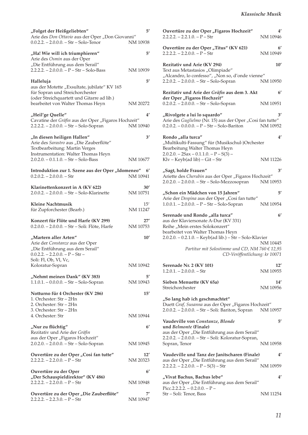| "Folget der Heißgeliebten"<br>Arie des Don Ottavio aus der Oper "Don Giovanni"                                   | $5^{\prime}$           |
|------------------------------------------------------------------------------------------------------------------|------------------------|
| $0.0.2.2. - 2.0.0.0. - Str - Solo-Tenor$                                                                         | NM 10938               |
| "Ha! Wie will ich triumphieren"<br>Arie des Osmin aus der Oper<br>"Die Entführung aus dem Serail"                | 5′                     |
| $2.2.2.2. - 2.0.0.0. - P - Str - Solo-Bass$                                                                      | NM 10939               |
| Halleluja                                                                                                        | 5′                     |
| aus der Motette "Exsultate, jubilate" KV 165<br>für Sopran und Streichorchester                                  |                        |
| (oder Streichquartett und Gitarre ad lib.)<br>bearbeitet von Walter Thomas Heyn                                  | NM 20272               |
| "Heil'ge Quelle"                                                                                                 | 4′                     |
| Cavatine der Gräfin aus der Oper "Figaros Hochzeit"<br>2.2.2.2. - 2.0.0.0. - Str - Solo-Sopran                   | NM 10940               |
| "In diesen heiligen Hallen"<br>Arie des Sarastro aus "Die Zauberflöte"                                           | 3'                     |
| Textbearbeitung: Martin Verges<br>Instrumentation: Walter Thomas Heyn<br>$2.0.2.0. - 0.1.1.0. - Str - Solo-Bass$ | NM 10677               |
| Introduktion zur 1. Szene aus der Oper "Idomeneo"                                                                | 6'                     |
| $0.2.0.2. - 2.0.0.0. - Str$                                                                                      | NM 10941               |
| Klarinettenkonzert in A (KV 622)<br>2.0.0.2. - 2.0.0.0. - Str - Solo-Klarinette                                  | 30'<br>NM 10751        |
| Kleine Nachtmusik<br>für Zupforchester (Bearb.)                                                                  | 15'<br><b>NM 11247</b> |
| Konzert für Flöte und Harfe (KV 299)<br>0.2.0.0. - 2.0.0.0. - Str - Soli: Flöte, Harfe                           | 27′<br>NM 10753        |
| "Martern aller Arten"                                                                                            | 10'                    |
| Arie der Constanze aus der Oper<br>"Die Entführung aus dem Serail"<br>$0.0.2.2. - 2.2.0.0. - P - Str -$          |                        |
| Soli: Fl, Ob, Vl, Vc,<br>Koloratur-Sopran                                                                        | NM 10942               |
|                                                                                                                  |                        |
| "Nehmt meinen Dank" (KV 383)<br>$1.1.0.1. - 0.0.0.0. - Str - Solo-Sopran$                                        | 5′<br>NM 10943         |
| Notturno für 4 Orchester (KV 286)<br>1. Orchester: Str - 2Hn                                                     | 15'                    |
| 2. Orchester: Str - 2Hn<br>3. Orchester: Str - 2Hn<br>4. Orchester: Str                                          | NM 10944               |
|                                                                                                                  |                        |
| "Nur zu flüchtig"<br>Rezitativ und Arie der Gräfin                                                               | $6^{\prime}$           |
| aus der Oper "Figaros Hochzeit"<br>2.0.2.0. - 2.0.0.0. - Str - Solo-Sopran                                       | NM 10945               |
| Ouvertüre zu der Oper "Cosi fan tutte"                                                                           | $12^{\prime}$          |
| $2.2.2.2. - 2.2.0.0. - P - Str$                                                                                  | NM 20323               |
| Ouvertüre zu der Oper<br>"Der Schauspieldirektor" (KV 486)                                                       | $6^{\prime}$           |
| $2.2.2.2. - 2.2.0.0. - P - Str$                                                                                  | NM 10948               |
| Ouvertüre zu der Oper "Die Zauberflöte"<br>$2.2.2.2. - 2.2.3.0. - P - Str$                                       | NM 10947               |

| Ouvertüre zu der Oper "Figaros Hochzeit"<br>$2.2.2.2. - 2.2.1.0. - P - Str$                                                                                                                                 | 4′<br>NM 10946  |
|-------------------------------------------------------------------------------------------------------------------------------------------------------------------------------------------------------------|-----------------|
| Ouvertüre zu der Oper "Titus" (KV 621)<br>$2.2.2.2. - 2.2.0.0. - P - Str$                                                                                                                                   | 6'<br>NM 10949  |
| Rezitativ und Arie (KV 294)<br>Text aus Metastasios "Olimpiade"<br>"Alcandro, lo confesso", "Non so, d'onde vienne"                                                                                         | 10'             |
| 2.2.0.2. - 2.0.0.0. - Str - Solo-Sopran                                                                                                                                                                     | NM 10950        |
| Rezitativ und Arie der Gräfin aus dem 3. Akt<br>der Oper "Figaros Hochzeit"                                                                                                                                 | $6^{\prime}$    |
| $0.2.0.2. - 2.0.0.0. - Str - Solo-Sopran$                                                                                                                                                                   | NM 10951        |
| "Rivolgete a lui lo squardo"<br>Arie des Guglielmo (Nr. 15) aus der Oper "Cosi fan tutte"<br>$0.2.0.2. - 0.0.0.0. - P - Str - Solo-Bariton$                                                                 | 3′<br>NM 10952  |
| Rondo "alla turca"<br>"Multikulti-Fassung" für (Musikschul-)Orchester<br>Bearbeitung Walter Thomas Heyn                                                                                                     | $4^{\prime}$    |
| $2.0.2.0. - 2Sax - 0.1.1.0. - P - S(3) -$<br>$Klv - Keyb(ad lib) - Git - Str$                                                                                                                               | NM 11226        |
| "Sagt, holde Frauen"                                                                                                                                                                                        | 3'              |
| Ariette des Cherubin aus der Oper "Figaros Hochzeit"<br>2.0.2.0. - 2.0.0.0. - Str - Solo-Mezzosopran                                                                                                        | NM 10953        |
| "Schon ein Mädchen von 15 Jahren"<br>Arie der Despina aus der Oper "Cosi fan tutte"                                                                                                                         | 5'              |
| 1.0.0.1. - 2.0.0.0. - P - Str - Solo-Sopran                                                                                                                                                                 | NM 10954        |
| Serenade und Rondo "alla turca"<br>aus der Klaviersonate A-Dur (KV 331)<br>Reihe "Mein erstes Solokonzert"<br>bearbeitet von Walter Thomas Heyn<br>2.0.2.0. - 0.2.1.0. - Keyb(ad lib.) - Str - Solo-Klavier | 6 <sup>'</sup>  |
| Partitur mit Solostimme und CD, NM 760 $\in$ 12,95<br>CD-Veröffentlichung: kr 10071                                                                                                                         | NM 10445        |
| Serenade Nr. 2 (KV 101)<br>$1.2.0.1 - 2.0.0.0 - Str$                                                                                                                                                        | 12′<br>NM 10955 |
| Sieben Menuette (KV 65a)<br>Streichorchester                                                                                                                                                                | 14′<br>NM 10956 |
| "So lang hab ich geschmachtet"<br>Duett Graf, Susanna aus der Oper "Figaros Hochzeit"<br>2.0.0.2. - 2.0.0.0. - Str - Soli: Bariton, Sopran                                                                  | NM 10957        |
| Vaudeville von Constanze, Blonde<br>und Belmonte (Finale)                                                                                                                                                   | 5′              |
| aus der Oper "Die Entführung aus dem Serail"<br>2.2.0.2. - 2.0.0.0. - Str - Soli: Koloratur-Sopran,<br>Sopran, Tenor                                                                                        | NM 10958        |
| Vaudeville und Tanz der Janitscharen (Finale)                                                                                                                                                               | 4'              |
| aus der Oper "Die Entführung aus dem Serail"<br>$2.2.2.2. - 2.2.0.0. - P - S(3) - Str$                                                                                                                      | NM 10959        |
| "Vivat Bachus, Bachus lebe"                                                                                                                                                                                 | 4′              |
| aus der Oper "Die Entführung aus dem Serail"<br>Picc.2.2.2.2. $- 0.2.0.0 - P -$                                                                                                                             |                 |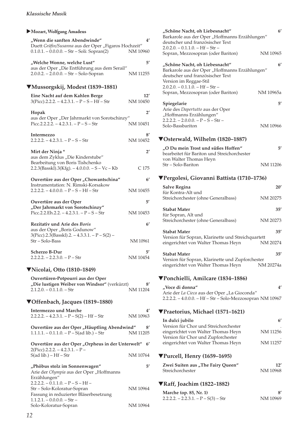### X**Mozart, Wolfgang Amadeus**

| "Wenn die sanften Abendwinde"<br>Duett Gräfin/Susanna aus der Oper "Figaros Hochzeit"<br>$0.1.0.1. - 0.0.0.0. - Str - Soli$ : Sopran(2) | 4'<br>NM 10960           |
|-----------------------------------------------------------------------------------------------------------------------------------------|--------------------------|
|                                                                                                                                         |                          |
| "Welche Wonne, welche Lust"<br>aus der Oper "Die Entführung aus dem Serail"<br>2.0.0.2. - 2.0.0.0. - Str - Solo-Sopran                  | $5^{\prime}$<br>NM 11255 |
| ▼Mussorgskij, Modest (1839–1881)                                                                                                        |                          |
| Eine Nacht auf dem Kahlen Berge                                                                                                         | 12'                      |
| $3(Picc).2.2.2. - 4.2.3.1. - P - S - Hf - Str$                                                                                          | NM 10450                 |
| Hopak                                                                                                                                   | $2^{\prime}$             |
| aus der Oper "Der Jahrmarkt von Sorotschinzy"                                                                                           |                          |
| Picc.2.2.2.2. $- 4.2.3.1. - P - S - Str$                                                                                                | NM 10451                 |
| Intermezzo                                                                                                                              | 8′                       |
| $2.2.2.2. - 4.2.3.1. - P - S - Str$                                                                                                     | NM 10452                 |
| Mirt der Ninja*                                                                                                                         | $2^{\prime}$             |
| aus dem Zyklus "Die Kinderstube"                                                                                                        |                          |
| Bearbeitung von Boris Tishchenko<br>$2.2.3(Basskl).3(Kfg) - 4.0.0.0 - S - Vc - Kb$                                                      | C 175                    |
|                                                                                                                                         |                          |
| Ouvertüre aus der Oper "Chowantschina"                                                                                                  | 6'                       |
| Instrumentation: N. Rimski-Korsakow<br>$2.2.2.2. - 4.0.0.0. - P - S - Hf - Str$                                                         | NM 10455                 |
|                                                                                                                                         |                          |
| Ouvertüre aus der Oper                                                                                                                  | 5′                       |
| "Der Jahrmarkt von Sorotschinzy"<br>Picc.2.2.Eh.2.2. $-4.2.3.1. - P - S - Str$                                                          | NM 10453                 |
|                                                                                                                                         |                          |
| Rezitativ und Arie des Boris<br>aus der Oper "Boris Godunow"                                                                            | $6^{\prime}$             |
| $3(Picc).2.3(Basskl).2. - 4.3.3.1. - P-S(2) -$                                                                                          |                          |
| Str - Solo-Bass                                                                                                                         | NM 10961                 |
| <b>Scherzo B-Dur</b>                                                                                                                    | 5′                       |
| $2.2.2.2. - 2.2.3.0. - P - Str$                                                                                                         | NM 10454                 |
| <b>▼Nicolai, Otto (1810-1849)</b>                                                                                                       |                          |
| Ouvertüren-Potpourri aus der Oper                                                                                                       |                          |
| "Die lustigen Weiber von Windsor" (verkürzt)                                                                                            | 8′                       |
| $2.1.2.0. - 0.1.1.0. - Str$                                                                                                             | NM 11204                 |
| ▼Offenbach, Jacques (1819–1880)                                                                                                         |                          |
| <b>Intermezzo und Marche</b>                                                                                                            | 4′                       |
| $2.2.2.2. - 4.2.3.1. - P - S(2) - Hf - Str$                                                                                             | NM 10963                 |
| Ouvertüre aus der Oper "Häuptling Abendwind"                                                                                            | 8'                       |
| $1.1.1.1. - 0.1.1.0. - P - S(ad lib.) - Str$                                                                                            | NM 11205                 |

| Ouvertüre aus der Oper "Orpheus in der Unterwelt" |          | $6^{\prime}$ |
|---------------------------------------------------|----------|--------------|
| $2(P_{\text{ICC}}).2.2.2. - 4.2.3.1. - P -$       |          |              |
| $S(ad lib.) - Hf - Str$                           | NM 10764 |              |

| "Phöbus stolz im Sonnenwagen"            | 51       |
|------------------------------------------|----------|
| Arie der Olympia aus der Oper "Hoffmanns |          |
| Erzählungen"                             |          |
| $2.2.2.2. - 0.1.1.0. - P - S - Hf -$     |          |
| Str – Solo-Koloratur-Sopran              | NM 10964 |
| Fassung in reduzierter Bläserbesetzung   |          |
| $1.1.2.1 - 0.0.0.0 - Str -$              |          |
| Solo-Koloratur-Sopran                    | NM 10964 |

| "Schöne Nacht, oh Liebesnacht"<br>Barkarole aus der Oper "Hoffmanns Erzählungen"<br>deutscher und französischer Text                                                                                                       | 6 <sup>′</sup>            |
|----------------------------------------------------------------------------------------------------------------------------------------------------------------------------------------------------------------------------|---------------------------|
| $2.0.2.0 - 0.1.1.0 - Hf - Str -$<br>Sopran, Mezzosopran (oder Bariton)                                                                                                                                                     | NM 10965                  |
| "Schöne Nacht, oh Liebesnacht"<br>Barkarole aus der Oper "Hoffmanns Erzählungen"<br>deutscher und französischer Text<br>Version im Reggae-Stil<br>$2.0.2.0. - 0.1.1.0. - Hf - Str -$<br>Sopran, Mezzosopran (oder Bariton) | $6^{\prime}$<br>NM 10965a |
| Spiegelarie                                                                                                                                                                                                                | 5'                        |
| Arie des Dapertutto aus der Oper<br>"Hoffmanns Erzählungen"<br>$2.2.2.2. - 2.0.0.0. - P - S - Str -$<br>Solo-Bassbariton                                                                                                   | NM 10966                  |
| ▼Osterwald, Wilhelm (1820–1887)                                                                                                                                                                                            |                           |
| "O Du mein Trost und süßes Hoffen"<br>bearbeitet für Bariton und Streichorchester<br>von Walter Thomas Heyn                                                                                                                | 5′<br>NM 11206            |
| Str – Solo-Bariton                                                                                                                                                                                                         |                           |
| ▼Pergolesi, Giovanni Battista (1710–1736)                                                                                                                                                                                  |                           |
| <b>Salve Regina</b><br>für Kontra-Alt und<br>Streichorchester (ohne Generalbass)                                                                                                                                           | 20'<br>NM 20275           |
|                                                                                                                                                                                                                            | 35'                       |
| Stabat Mater<br>für Sopran, Alt und<br>Streichorchester (ohne Generalbass)                                                                                                                                                 | NM 20273                  |
| <b>Stabat Mater</b><br>Version für Sopran, Klarinette und Streichquartett<br>eingerichtet von Walter Thomas Heyn                                                                                                           | 35'<br>NM 20274           |
| Stabat Mater                                                                                                                                                                                                               | 35'                       |
| Version für Sopran, Klarinette und Zupforchester<br>eingerichtet von Walter Thomas Heyn                                                                                                                                    | NM 20274a                 |
| ▼Ponchielli, Amilcare (1834–1886)                                                                                                                                                                                          |                           |
| "Voce di donna"<br>Arie der La Cieca aus der Oper "La Gioconda"<br>2.2.2.2. - 4.0.0.0. - Hf - Str - Solo-Mezzosopran NM 10967                                                                                              | 4'                        |
| ▼Praetorius, Michael (1571–1621)                                                                                                                                                                                           |                           |
| In dulci jubilo<br>Version für Chor und Streichorchester                                                                                                                                                                   | $6^{\prime}$              |
| eingerichtet von Walter Thomas Heyn<br>Version für Chor und Zupforchester                                                                                                                                                  | NM 11256                  |
| eingerichtet von Walter Thomas Heyn                                                                                                                                                                                        | NM 11257                  |
| $\P$ Purcell, Henry (1659–1695)                                                                                                                                                                                            |                           |
| Zwei Suiten aus "The Fairy Queen"<br>Streichorchester                                                                                                                                                                      | 12'<br>NM 10968           |
| <b>▼Raff, Joachim (1822–1882)</b>                                                                                                                                                                                          |                           |

| Marche (op. 85, Nr. 1)                 |          |
|----------------------------------------|----------|
| $2.2.2.2. - 2.2.3.1. - P - S(3) - Str$ | NM 10969 |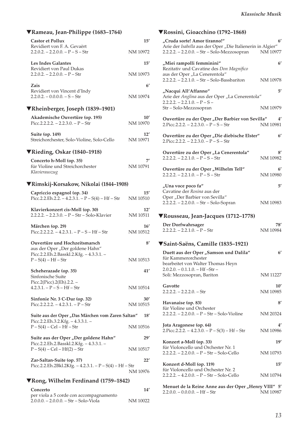| <b>▼Rameau, Jean-Philippe (1683–1764)</b>                                            |                           |
|--------------------------------------------------------------------------------------|---------------------------|
| <b>Castor et Pollux</b>                                                              | 15'                       |
| Revidiert von F. A. Gevaërt<br>$2.2.0.2. - 2.2.0.0. - P - S - Str$                   | NM 10972                  |
| <b>Les Indes Galantes</b>                                                            | 15'                       |
| Revidiert von Paul Dukas<br>$2.2.0.2. - 2.2.0.0. - P - Str$                          | NM 10973                  |
| Zais<br>Revidiert von Vincent d'Indy                                                 | $6^{\prime}$              |
| $2.2.0.2. - 0.0.0.0. - S - Str$                                                      | NM 10974                  |
| <b>▼Rheinberger, Joseph (1839–1901)</b>                                              |                           |
| Akademische Ouvertüre (op. 195)<br>Picc.2.2.2.2. $- 2.2.3.0. - P - Str$              | $10^{\prime}$<br>NM 10970 |
| <b>Suite (op. 149)</b><br>Streichorchester, Solo-Violine, Solo-Cello                 | 12'<br>NM 10971           |
| $\nabla$ Rieding, Oskar (1840–1918)                                                  |                           |
| Concerto h-Moll (op. 35)<br>für Violine und Streichorchester<br>Klavierauszug        | 7′<br>NM 10791            |
| ▼Rimskij-Korsakow, Nikolai (1844–1908)                                               |                           |
| Capriccio espagnol (op. 34)<br>Picc.2.2.Eh.2.2. $-4.2.3.1. - P - S(4) - Hf - Str$    | $15^{\prime}$<br>NM 10510 |
| Klavierkonzert cis-Moll (op. 30)<br>2.2.2.2. - 2.2.3.0. - P - Str - Solo-Klavier     | 12'<br>NM 10511           |
| Märchen (op. 29)<br>Picc.2.2.2.2. - 4.2.3.1. - $P - S - Hf - Str$                    | 16'<br>NM 10512           |
| Ouvertüre und Hochzeitsmarsch<br>aus der Oper "Der goldene Hahn"                     | 8'                        |
| Picc.2.2.Eh.2.Basskl.2.Kfg. - 4.3.3.1. -<br>$P-S(4) - Hf - Str$                      | NM 10513                  |
| Scheherazade (op. 35)<br>Sinfonische Suite                                           | 41'                       |
| Picc.2(Picc).2(Eh).2.2. –<br>$4.2.3.1. - P - S - Hf - Str$                           | NM 10514                  |
| Sinfonie Nr. 3 C-Dur (op. 32)<br>Picc.2.2.2.2. $-4.2.3.1. - P - Str$                 | 30′<br>NM 10515           |
| Suite aus der Oper "Das Märchen vom Zaren Saltan"                                    | 18'                       |
| Picc.2.2.Eh.3.2.Kfg. - 4.3.3.1. -<br>$P-S(4) - Cel - Hf - Str$                       | NM 10516                  |
| Suite aus der Oper "Der goldene Hahn"<br>Picc.2.2.Eh.2.Basskl.2.Kfg. - 4.3.3.1. -    | 29′                       |
| $P-S(4) - Cel - Hf(2) - Str$                                                         | NM 10517                  |
| Zar-Saltan-Suite (op. 57)<br>Picc.2.2.Eh.2Bkl.2Kfg. - 4.2.3.1. - P - S(4) - Hf - Str | 22'<br>NM 10976           |
| ▼Rong, Wilhelm Ferdinand (1759–1842)                                                 |                           |
| Concerto<br>per viola a 5 corde con accompagnamento                                  | 14′                       |

2.0.0.0. – 2.0.0.0. – Str – Solo-Viola NM 10022

## ▼**Rossini, Gioacchino (1792–1868)**

| "Cruda sorte! Amor tiranno!"<br>Arie der Isabella aus der Oper "Die Italienerin in Algier"<br>2.2.2.2. - 2.2.0.0. - Str - Solo-Mezzosopran | $6^{\prime}$<br>NM 10977  |
|--------------------------------------------------------------------------------------------------------------------------------------------|---------------------------|
| "Miei rampolli femminini"<br>Rezitativ und Cavatine des Don Magnifico<br>aus der Oper "La Cenerentola"                                     | $6^{\prime}$              |
| 2.2.2.2. - 2.2.1.0. - Str - Solo-Bassbariton                                                                                               | NM 10978                  |
| "Nacqui All'Affanno"<br>Arie der Anglina aus der Oper "La Cenerentola"<br>$2.2.2.2. - 2.2.1.0. - P - S -$                                  | 5′                        |
| Str - Solo-Mezzosopran                                                                                                                     | NM 10979                  |
| Ouvertüre zu der Oper "Der Barbier von Sevilla"<br>$2.P_{1}$ icc.2.2.2. – 2.2.3.0. – P – S – Str                                           | 4′<br>NM 10981            |
| Ouvertüre zu der Oper "Die diebische Elster"<br>$2.P_{1}$ icc.2.2.2. – 2.2.3.0. – P – S – Str                                              | $6^{\prime}$              |
| Ouvertüre zu der Oper "La Cenerentola"<br>$2.2.2.2. - 2.2.1.0. - P - S - Str$                                                              | 8′<br>NM 10982            |
| Ouvertüre zu der Oper "Wilhelm Tell"<br>$2.2.2.2. - 2.2.1.0. - P - S - Str$                                                                | 6'<br>NM 10980            |
| "Una voce poco fa"<br>Cavatine der Rosina aus der                                                                                          | 5'                        |
| Oper "Der Barbier von Sevilla"<br>2.2.2.2. - 2.2.0.0. - Str - Solo-Sopran                                                                  | NM 10983                  |
|                                                                                                                                            |                           |
| ▼Rousseau, Jean-Jacques (1712–1778)                                                                                                        |                           |
| Der Dorfwahrsager<br>$2.2.2.2. - 2.2.1.0. - P - Str$                                                                                       | 78′<br>NM 10984           |
| ▼Saint-Saëns, Camille (1835–1921)                                                                                                          |                           |
| Duett aus der Oper "Samson und Dalila"<br>für Kammerorchester                                                                              | 6 <sup>'</sup>            |
| bearbeitet von Walter Thomas Heyn<br>$2.0.2.0. - 0.1.1.0. - Hf - Str -$<br>Soli: Mezzosopran, Bariton                                      | NM 11227                  |
| Gavotte<br>$2.2.2.2. - 2.2.2.0. - Str$                                                                                                     | $10^{\prime}$<br>NM 10985 |
| Havanaise (op. 83)                                                                                                                         | $8^{\prime}$              |
| für Violine und Orchester<br>$2.2.2.2. - 2.2.0.0. - P - Str - Solo-Violine$                                                                | NM 20324                  |
| Jota Aragonese (op. 64)<br>2. Picc. 2.2.2. $- 4.2.3.0. - P - S(3) - Hf - Str$                                                              | 4′<br>NM 10986            |
| Konzert a-Moll (op. 33)                                                                                                                    | 19′                       |
| für Violoncello und Orchester Nr. 1<br>$2.2.2.2. - 2.2.0.0. - P - Str - Solo-Cello$                                                        | NM 10793                  |
| Konzert d-Moll (op. 119)<br>für Violoncello und Orchester Nr. 2                                                                            | 15'                       |

**Menuet de la Reine Anne aus der Oper "Henry VIII" 5'** 2.2.0.0. – 0.0.0.0. – Hf – Str NM 10987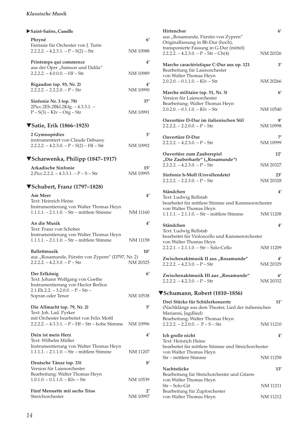### *Klassische Musik*

| Saint-Saëns, Camille                                                                                                                   |                                 |
|----------------------------------------------------------------------------------------------------------------------------------------|---------------------------------|
| Phryné<br>Fantasie für Orchester von J. Turin                                                                                          | $6^{\prime}$                    |
| $2.2.2.2. - 4.2.3.1. - P - S(2) - Str$                                                                                                 | NM 10988                        |
| Printemps qui commence<br>aus der Oper "Samson und Dalila"<br>$2.2.2.2. - 4.0.0.0. - Hf - Str$                                         | 4'<br>NM 10989                  |
| Rigaudon (op. 93, Nr. 2)<br>$2.2.2.2 - 2.2.2.0 - P - Str$                                                                              | 4′<br>NM 10990                  |
| Sinfonie Nr. 3 (op. 78)<br>2Picc.2Eh.2Bkl.2Kfg. - 4.3.3.1. -<br>$P-S(3) - Klv - Org - Str$                                             | 37'<br>NM 10991                 |
|                                                                                                                                        |                                 |
| ▼Satie, Erik (1866–1925)<br>2 Gymnopédies                                                                                              | 3'                              |
| instrumentiert von Claude Debussy<br>$2.2.2.2. - 4.2.3.0. - P - S(2) - Hf - Str$                                                       | NM 10992                        |
| ▼Scharwenka, Philipp (1847–1917)                                                                                                       |                                 |
| <b>Arkadische Sinfonie</b><br>2. Picc. 2.2.2. $-4.3.3.1. - P - S - Str$                                                                | 15'<br>NM 10995                 |
| ▼Schubert, Franz (1797–1828)                                                                                                           |                                 |
| Am Meer<br>Text: Heinrich Heine<br>Instrumentierung von Walter Thomas Heyn<br>$1.1.1.1. - 2.1.1.0. - Str - mittlere Stimme$            | 4'<br>NM 11160                  |
|                                                                                                                                        |                                 |
| An die Musik<br>Text: Franz von Schober<br>Instrumentierung von Walter Thomas Heyn<br>$1.1.1.1. - 2.1.1.0. - Str - mittlere Stimme$    | $4^{\prime}$<br><b>NM 11158</b> |
| Ballettmusik                                                                                                                           | 10'                             |
| aus "Rosamunde, Fürstin von Zypern" (D797, Nr. 2)<br>$2.2.2.2. - 4.2.3.0. - P - Str$                                                   | NM 20325                        |
| Der Erlkönig<br>Text: Johann Wolfgang von Goethe<br>Instrumentierung von Hector Berlioz<br>$2.1.Eh.2.2. - 3.2.0.0. - P - Str -$        | 6'                              |
| Sopran oder Tenor                                                                                                                      | NM 10538                        |
| Die Allmacht (op. 79, Nr. 2)<br>Text: Joh. Lad. Pyrker                                                                                 | 5′                              |
| mit Orchester bearbeitet von Felix Mottl<br>$2.2.2.2. - 4.3.3.1. - P - Hf - Str - hohe Stimme$                                         | NM 10996                        |
| Dein ist mein Herz<br>Text: Wilhelm Müller<br>Instrumentierung von Walter Thomas Heyn<br>$1.1.1.1. - 2.1.1.0. - Str - mittlere Stimme$ | 4'<br>NM 11207                  |
|                                                                                                                                        |                                 |
| Deutsche Tänze (op. 33)<br>Version für Laienorchester                                                                                  | 8′                              |
| Bearbeitung: Walter Thomas Heyn<br>$1.0.1.0. - 0.1.1.0. -$ Klv $-$ Str                                                                 | NM 10539                        |
| Fünf Menuette mit sechs Trios<br>Streichorchester                                                                                      | 2′<br>NM 10997                  |

| Hirtenchor<br>aus "Rosamunde, Fürstin von Zypern"<br>Originalfassung in Bb-Dur (hoch),                | $6^{\prime}$    |
|-------------------------------------------------------------------------------------------------------|-----------------|
| transponierte Fassung in G-Dur (mittel)<br>$2.2.2.2. - 4.2.3.0. - P - Str - Ch(4)$                    | NM 20326        |
| Marche caractéristique C-Dur aus op. 121<br>Bearbeitung für Laienorchester                            | 3′              |
| von Walter Thomas Heyn<br>$2.0.2.0 - 0.1.1.0 - Klv - Str$                                             | NM 20266        |
| Marche militaire (op. 51, Nr. 3)<br>Version für Laienorchester                                        | $6^{\prime}$    |
| Bearbeitung: Walter Thomas Heyn<br>$2.0.2.0 - 0.1.1.0 - Klv - Str$                                    | NM 10540        |
|                                                                                                       |                 |
| Ouvertüre D-Dur im italienischen Stil<br>$2.2.2.2 - 2.2.0.0 - P - Str$                                | 8′<br>NM 10998  |
| <b>Ouvertüre D-Dur</b><br>$2.2.2.2. - 4.2.3.0. - P - Str$                                             | 7′<br>NM 10999  |
| Ouvertüre zum Zauberspiel                                                                             | 12'             |
| "Die Zauberharfe" ("Rosamunde")<br>$2.2.2.2. - 4.2.3.0. - P - Str$                                    | NM 20327        |
| Sinfonie h-Moll (Unvollendete)<br>$2.2.2.2. - 2.2.3.0. - P - Str$                                     | 23′<br>NM 20328 |
| Ständchen                                                                                             | 4'              |
| Text: Ludwig Rellstab<br>bearbeitet für mittlere Stimme und Kammerorchester<br>von Walter Thomas Heyn |                 |
| $1.1.1.1. - 2.1.1.0. - Str - mittlere Stimme$                                                         | NM 11208        |
| Ständchen<br>Text: Ludwig Rellstab<br>bearbeitet für Violoncello und Kammerorchester                  | 4′              |
| von Walter Thomas Heyn<br>$2.2.2.1. - 2.1.1.0. - Str - Solo-Cello$                                    | <b>NM 11209</b> |
| Zwischenaktmusik II aus "Rosamunde"<br>$2.2.2.2. - 4.2.3.0. - P - Str$                                | 4'<br>NM 20329  |
| Zwischenaktmusik III aus "Rosamunde"<br>$2.2.2.2 - 4.2.3.0 - P - Str$                                 | 61<br>NM 20332  |
| ▼Schumann, Robert (1810–1856)                                                                         |                 |
| Drei Stücke für Schülerkonzerte<br>(Nachklänge aus dem Theater, Lied der italienischen                | 11'             |
| Marianni, Jagdlied)<br>Bearbeitung: Walter Thomas Heyn<br>$2.2.2.2 - 2.2.0.0 - P - S - Str$           | NM 11210        |
| Ich grolle nicht                                                                                      | $4^{\prime}$    |
| Text: Heinrich Heine<br>bearbeitet für mittlere Stimme und Streichorchester                           |                 |
| von Walter Thomas Heyn<br>Str – mittlere Stimme                                                       | NM 11258        |
| Nachtstücke                                                                                           | 13'             |
| Bearbeitung für Streichorchester und Gitarre<br>von Walter Thomas Heyn                                |                 |
| Str - Solo-Git<br>Bearbeitung für Zupforchester                                                       | NM 11211        |

von Walter Thomas Heyn NM 11212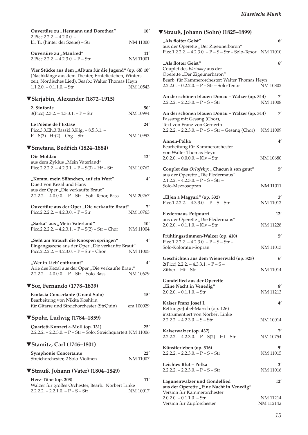| Ouvertüre zu "Hermann und Dorothea"<br>$2.P$ icc.2.2.2. $-4.2.0.0.$ $-$                                                                                                                              | 10'             |
|------------------------------------------------------------------------------------------------------------------------------------------------------------------------------------------------------|-----------------|
| kl. Tr. (hinter der Szene) - Str                                                                                                                                                                     | NM 11000        |
| Ouvertüre zu "Manfred"<br>2. Picc. $2.2.2. - 4.2.3.0. - P - Str$                                                                                                                                     | 11'<br>NM 11001 |
| Vier Stücke aus dem "Album für die Jugend" (op. 68) 10'<br>(Nachklänge aus dem Theater, Ernteliedchen, Winters-<br>zeit, Nordisches Lied), Bearb.: Walter Thomas Heyn<br>$1.1.2.0. - 0.1.1.0. - Str$ | NM 10543        |
| ▼Skrjabin, Alexander (1872–1915)                                                                                                                                                                     |                 |
| 2. Sinfonie<br>$3(Pice).2.3.2. - 4.3.3.1. - P - Str$                                                                                                                                                 | 50'<br>NM 10994 |
| Le Poème de l'Extase                                                                                                                                                                                 | 24′             |
| Picc.3.3.Eh.3.Basskl.3.Kfg. - 8.5.3.1. -<br>$P-S(3) - Hf(2) - Org - Str$                                                                                                                             | NM 10993        |
| ▼Smetana, Bedřich (1824–1884)                                                                                                                                                                        |                 |
| Die Moldau                                                                                                                                                                                           | 12'             |
| aus dem Zyklus "Mein Vaterland"<br>Picc.2.2.2.2. $- 4.2.3.1. - P - S(3) - Hf - Str$                                                                                                                  | NM 10762        |
| "Komm, mein Söhnchen, auf ein Wort"<br>Duett von Kezal und Hans                                                                                                                                      | $4^{\prime}$    |
| aus der Oper "Die verkaufte Braut"<br>2.2.2.2. - 4.0.0.0. - P - Str - Soli: Tenor, Bass                                                                                                              | NM 20267        |
| Ouvertüre aus der Oper "Die verkaufte Braut"                                                                                                                                                         | 7'              |
| Picc.2.2.2.2. $-4.2.3.0. - P - Str$                                                                                                                                                                  | NM 10763        |
| "Sarka" aus "Mein Vaterland"<br>Picc.2.2.2.2. $- 4.2.3.1. - P - S(2) - Str - Chor$                                                                                                                   | 10'<br>NM 11004 |
| "Seht am Strauch die Knospen springen"                                                                                                                                                               | $4^{\prime}$    |
| Eingangsszene aus der Oper "Die verkaufte Braut"<br>Picc.2.2.2.2. $- 4.2.3.0. - P - Str - Chor$                                                                                                      | NM 11005        |
| "Wer in Lieb′ entbrannt"                                                                                                                                                                             | $4^{\prime}$    |
| Arie des Kezal aus der Oper "Die verkaufte Braut"<br>$2.2.2.2. - 4.0.0.0. - P - Str - Solo-Bass$                                                                                                     | NM 10679        |
| $\nabla$ Sor, Fernando (1778–1839)                                                                                                                                                                   |                 |
| Fantasia Concertante (Grand Solo)<br>Bearbeitung von Nikita Koshkin                                                                                                                                  | 15'             |
| für Gitarre und Streichorchester (StrQuin)                                                                                                                                                           | em 100029       |
| ▼Spohr, Ludwig (1784–1859)                                                                                                                                                                           |                 |
| Quartett-Konzert a-Moll (op. 131)<br>2.2.2.2. - 2.2.3.0. - P - Str - Solo: Streichquartett NM 11006                                                                                                  | 25'             |
| <b>▼Stamitz, Carl (1746–1801)</b>                                                                                                                                                                    |                 |
| <b>Symphonie Concertante</b><br>Streichorchester, 2 Solo-Violinen                                                                                                                                    | 22'<br>NM 11007 |
| ▼Strauß, Johann (Vater) (1804–1849)                                                                                                                                                                  |                 |
| Herz-Töne (op. 203)                                                                                                                                                                                  | 11'             |
| Walzer für großes Orchester, Bearb.: Norbert Linke<br>$2.2.2.2. - 2.2.1.0. - P - S - Str$                                                                                                            | NM 10017        |

## ▼**Strauß, Johann (Sohn) (1825–1899)**

| "Als flotter Geist"<br>aus der Operette "Der Zigeunerbaron"                                                             | $6^{\prime}$             |
|-------------------------------------------------------------------------------------------------------------------------|--------------------------|
| Picc.1.2.2.2. $- 4.2.3.0. - P - S - Str - Solo-Tenor NM 11010$                                                          |                          |
| "Als flotter Geist"<br>Couplet des Bárinkay aus der<br>Operette "Der Zigeunerbaron"                                     | $6^{\prime}$             |
| Bearb. für Kammerorchester: Walter Thomas Heyn<br>$2.2.2.0. - 0.2.2.0. - P - Str - Solo-Tenor$                          | NM 10802                 |
| An der schönen blauen Donau - Walzer (op. 314)<br>$2.2.2.2. - 2.2.3.0. - P - S - Str$                                   | 7′<br>NM 11008           |
| An der schönen blauen Donau - Walzer (op. 314)<br>Fassung mit Gesang (Chor),<br>Text von Franz von Gernerth             | 7′                       |
| 2.2.2.2. $- 2.2.3.0. - P - S - Str - Gesang (Chor)$ NM 11009                                                            |                          |
| Annen-Polka<br>Bearbeitung für Kammerorchester<br>von Walter Thomas Heyn                                                | 4′                       |
| $2.0.2.0 - 0.0.0.0 - Klv - Str$                                                                                         | NM 10680                 |
| Couplet des Orlofsky: "Chacun à son gout"<br>aus der Operette "Die Fledermaus"<br>$2.1.2.2. - 4.2.3.0. - P - S - Str -$ | 5'                       |
| Solo-Mezzosopran                                                                                                        | <b>NM 11011</b>          |
| "Eljen a Magyari" (op. 332)<br>Picc.1.2.2.2. $- 4.3.3.0. - P - S - Str$                                                 | 3′<br><b>NM 11012</b>    |
| Fledermaus-Potpourri<br>aus der Operette "Die Fledermaus"                                                               | 12'                      |
| $2.0.2.0 - 0.1.1.0 - Klv - Str$                                                                                         | <b>NM 11228</b>          |
| Frühlingsstimmen-Walzer (op. 410)<br>Picc.1.2.2.2. $- 4.2.3.0. - P - S - Str -$                                         | 5'                       |
| Solo-Koloratur-Sopran                                                                                                   | NM 11013                 |
| Geschichten aus dem Wienerwald (op. 325)<br>$2(Picc).2.2.2. - 4.3.3.1. - P - S -$<br>Zither – Hf – Str                  | $6^{\prime}$<br>NM 11014 |
| Gondellied aus der Operette                                                                                             |                          |
| "Eine Nacht in Venedig"<br>$2.0.2.0 - 0.1.1.0 - Str$                                                                    | 8′<br>NM 11213           |
| Kaiser Franz Josef I.<br>Rettungs-Jubel-Marsch (op. 126)<br>instrumentiert von Norbert Linke                            | $4^{\prime}$             |
| $2.2.2.2 - 4.2.3.0 - S - Str$                                                                                           | NM 10014                 |
| Kaiserwalzer (op. 437)<br>$2.2.2.2. - 4.2.3.0. - P - S(2) - Hf - Str$                                                   | 71<br>NM 10754           |
| Künstlerleben (op. 316)<br>$2.2.2.2. - 2.2.3.0. - P - S - Str$                                                          | ą٬<br>NM 11015           |
| Leichtes Blut - Polka<br>$2.2.2.2. - 2.2.3.0. - P - S - Str$                                                            | 3′<br><b>NM</b> 11016    |
| Lagunenwalzer und Gondellied<br>aus der Operette "Eine Nacht in Venedig"                                                | 12'                      |
| Version für Kammerorchester<br>$2.0.2.0. - 0.1.1.0. - Str$                                                              | NM 11214                 |
| Version für Zupforchester                                                                                               | NM 11214a                |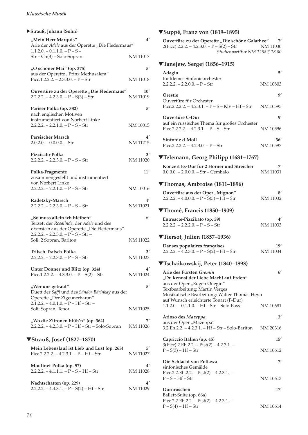### *Klassische Musik*

| Strauß, Johann (Sohn)                                                                                                    |                       |
|--------------------------------------------------------------------------------------------------------------------------|-----------------------|
| "Mein Herr Marquis"<br>Arie der Adele aus der Operette "Die Fledermaus"<br>$1.1.2.0. - 0.1.1.0. - P - S -$               | $4^{\prime}$          |
| Str - Ch(3) - Solo-Sopran                                                                                                | NM 11017              |
| "O schöner Mai" (op. 375)<br>aus der Operette "Prinz Methusalem"<br>Picc.1.2.2.2. $- 2.3.3.0. - P - Str$                 | 5′<br>NM 11018        |
| Ouvertüre zu der Operette "Die Fledermaus"<br>$2.2.2.2 - 4.2.3.0 - P - S(3) - Str$                                       | 10'<br>NM 11019       |
| Pariser Polka (op. 382)<br>nach englischen Motiven                                                                       | 5′                    |
| instrumentiert von Norbert Linke<br>$2.2.2.2. - 2.2.1.0. - P - S - Str$                                                  | NM 10015              |
| <b>Persischer Marsch</b><br>$2.0.2.0 - 0.0.0.0 - Str$                                                                    | 4′<br><b>NM 11215</b> |
| Pizzicato-Polka<br>$2.2.2.2. - 2.2.3.0. - P - S - Str$                                                                   | 3′<br>NM 11020        |
| Polka-Fragmente<br>zusammengestellt und instrumentiert                                                                   | 11'                   |
| von Norbert Linke<br>$2.2.2.2. - 2.2.1.0. - P - S - Str$                                                                 | NM 10016              |
| Radetzky-Marsch<br>$2.2.2.2. - 2.2.3.0. - P - S - Str$                                                                   | 4′<br>NM 11021        |
|                                                                                                                          |                       |
| "So muss allein ich bleiben"<br>Terzett der Rosalinde, der Adele und des<br>Eisenstein aus der Operette "Die Fledermaus" | $6^{\prime}$          |
| $2.2.2.2. - 2.2.3.0. - P - S - Str -$<br>Soli: 2 Sopran, Bariton                                                         | NM 11022              |
| Tritsch-Tratsch-Polka<br>$2.2.2.2. - 2.2.3.0. - P - S - Str$                                                             | 3'<br>NM 11023        |
| Unter Donner und Blitz (op. 324)<br>Picc.1.2.2.2. $- 4.3.3.0. - P - S(2) - Str$                                          | 4′<br>NM 11024        |
| "Wer uns getraut"<br>Duett der Saffi und des Sándor Bárinkay aus der<br>Operette "Der Zigeunerbaron"                     | 5′                    |
| $2.1.2.2. - 4.0.1.0. - P - Hf - Str -$<br>Soli: Sopran, Tenor                                                            | NM 11025              |
| "Wo die Zitronen blüh'n" (op. 364)<br>2.2.2.2. – 4.2.3.0. – P – Hf – Str – Solo-Sopran                                   | 7′<br>NM 11026        |
| <b>▼Strauß, Josef (1827-1870)</b>                                                                                        |                       |
| Mein Lebenslauf ist Lieb und Lust (op. 263)<br>Picc.2.2.2.2. $- 4.2.3.1. - P - Hf - Str$                                 | 5′<br>NM 11027        |
| Moulinet-Polka (op. 57)<br>$2.2.2.2. - 4.1.1.1. - P - S - Hf - Str$                                                      | 4′<br>NM 11028        |

## ▼**Suppé, Franz von (1819–1895)**

| Ouvertüre zu der Operette "Die schöne Galathee" | 7'       |
|-------------------------------------------------|----------|
| $2(Pice).2.2.2. - 4.2.3.0. - P-S(2) - Str$      | NM 11030 |
| Studienpartitur NM 1258 € 18,80                 |          |

| ▼Tanejew, Sergej (1856–1915)                                                              |          |
|-------------------------------------------------------------------------------------------|----------|
| Adagio<br>für kleines Sinfonieorchester                                                   | 5′       |
| $2.2.2.2 - 2.2.0.0 - P - Str$                                                             | NM 10803 |
| Orestie                                                                                   | g,       |
| Ouvertüre für Orchester<br>Picc.2.2.2.2. $-4.2.3.1. - P - S - K/v - Hf - Str$             | NM 10595 |
| Ouvertüre C-Dur                                                                           | g,       |
| auf ein russisches Thema für großes Orchester<br>$Picc.2.2.2.2. - 4.2.3.1. - P - S - Str$ | NM 10596 |
| Sinfonie d-Moll                                                                           | 36′      |
| $Picc.2.2.2.2. - 4.2.3.0. - P - Str$                                                      | NM 10597 |

## ▼**Telemann, Georg Philipp (1681–1767)**

| Konzert Es-Dur für 2 Hörner und Streicher | 7'       |
|-------------------------------------------|----------|
| $0.0.0.0 - 2.0.0.0 - Str - Cembalo$       | NM 11031 |

### ▼**Thomas, Ambroise (1811–1896)**

| Ouvertüre aus der Oper "Mignon"             | 8'       |
|---------------------------------------------|----------|
| $2.2.2.2. - 4.0.0.0. - P - S(3) - Hf - Str$ | NM 11032 |

## ▼**Thomé, Francis (1850–1909)**

| Entreacte-Pizzikato (op. 39)         |          |
|--------------------------------------|----------|
| $2.2.2.2. - 2.2.2.0. - P - S - S$ tr | NM 11033 |

## ▼**Tiersot, Julien (1857–1936)**

| Danses populaires françaises              | 19'      |
|-------------------------------------------|----------|
| $2.2.2.2 - 4.2.3.0 - P - S(2) - Hf - Str$ | NM 11034 |

## ▼**Tschaikowskij, Peter (1840–1893)**

| Arie des Fürsten Gremin<br>"Du kennst der Liebe Macht auf Erden"                       | 6 <sup>'</sup> |
|----------------------------------------------------------------------------------------|----------------|
| aus der Oper "Eugen Onegin"<br>Textbearbeitung: Martin Verges                          |                |
| Musikalische Bearbeitung: Walter Thomas Heyn<br>auf Wunsch erleichterte Tonart (F-Dur) |                |
| $1.1.2.0. - 0.1.1.0. - Hf - Str - Solo-Bass$                                           | NM 10681       |
| Arioso des Mazeppa                                                                     | 3'             |
| aus der Oper "Mazeppa"<br>3.2.Eh.2.2. – 4.2.3.1. – Hf – Str – Solo-Bariton             | NM 20316       |
| Capriccio Italien (op. 45)                                                             | 15'            |
| $3(Picc).2.Eh.2.2. - Pist(2) - 4.2.3.1. -$<br>$P - S(3) - Hf - Str$                    | NM 10612       |
| Die Schlacht von Poltawa<br>sinfonisches Gemälde                                       | 71             |
| Picc.2.2.Eh.2.2. – Pist(2) – 4.2.3.1. –<br>$P-S-Hf-Str$                                | NM 10613       |
| Dornröschen                                                                            | 17'            |
| Ballett-Suite (op. 66a)<br>Picc.2.2.Eh.2.2. – Pist(2) – 4.2.3.1. –                     |                |
| $P-S(4) - Hf-Str$                                                                      | NM 10614       |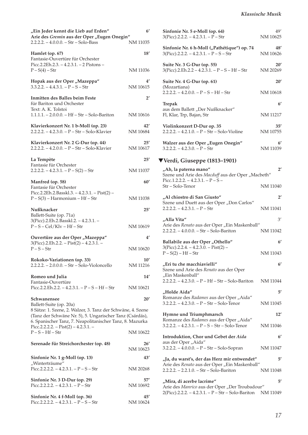| "Ein Jeder kennt die Lieb auf Erden"<br>Arie des Gremin aus der Oper "Eugen Onegin"                                                                                                 | $6^{\prime}$              |
|-------------------------------------------------------------------------------------------------------------------------------------------------------------------------------------|---------------------------|
| $2.2.2.2. - 4.0.0.0. - Str - Solo-Bass$                                                                                                                                             | NM 11035                  |
| Hamlet (op. 67)<br>Fantasie-Ouvertüre für Orchester<br>Picc.2.2Eh.2.3. $-4.2.3.1. - 2$ Pistons $-$                                                                                  | 18'                       |
| $P - S(4) - Str$                                                                                                                                                                    | NM 11036                  |
| Hopak aus der Oper "Mazeppa"<br>$3.3.2.2 - 4.4.3.1 - P - S - Str$                                                                                                                   | 4′<br>NM 10615            |
| Inmitten des Balles beim Feste<br>für Bariton und Orchester<br>Text: A. K. Tolstoi                                                                                                  | $2^{\prime}$              |
| $1.1.1.1 - 2.0.0.0 - Hf - Str - Solo-Bariton$                                                                                                                                       | NM 10616                  |
| Klavierkonzert Nr. 1 b-Moll (op. 23)<br>2.2.2.2. - 4.2.3.0. - P - Str - Solo-Klavier                                                                                                | 42'<br>NM 10684           |
| Klavierkonzert Nr. 2 G-Dur (op. 44)<br>$2.2.2.2 - 4.2.0.0 - P - Str - Solo-Klavier$                                                                                                 | 25'<br>NM 10617           |
| La Tempète                                                                                                                                                                          | 25'                       |
| Fantasie für Orchester<br>$2.2.2.2. - 4.2.3.1. - P - S(2) - Str$                                                                                                                    | NM 11037                  |
| Manfred (op. 58)                                                                                                                                                                    | 60'                       |
| Fantasie für Orchester<br>Picc.2.2Eh.2.Basskl.3. - $4.2.3.1.$ - Pist(2) -<br>$P-S(3)$ – Harmonium – Hf – Str                                                                        | NM 11038                  |
| Nußknacker                                                                                                                                                                          | 25'                       |
| Ballett-Suite (op. 71a)<br>3(Picc).2.Eh.2.Basskl.2. - 4.2.3.1. -<br>$P-S-$ Cel/Klv – Hf – Str                                                                                       | NM 10619                  |
| Ouvertüre aus der Oper "Mazeppa"                                                                                                                                                    | 4'                        |
| $3(Picc).2.Eh.2.2. - Pist(2) - 4.2.3.1. -$<br>$P-S-Str$                                                                                                                             | NM 10620                  |
| Rokoko-Variationen (op. 33)<br>2.2.2.2. - 2.0.0.0. - Str - Solo-Violoncello                                                                                                         | $10^{\prime}$<br>NM 11216 |
| Romeo und Julia                                                                                                                                                                     | 14'                       |
| Fantasie-Ouvertüre<br>Picc.2.2.Eh.2.2. - $4.2.3.1. - P - S - Hf - Str$                                                                                                              | NM 10621                  |
| Schwanensee<br>Ballett-Suite (op. 20a)                                                                                                                                              | 20'                       |
| 8 Sätze: 1. Szene, 2. Walzer, 3. Tanz der Schwäne, 4. Szene<br>(Tanz der Schwäne Nr. 5), 5. Ungarischer Tanz (Csárdás),<br>6. Spanischer Tanz, 7. Neapolitanischer Tanz, 8. Mazurka |                           |
| Picc.2.2.2.2. - Pist(2) - 4.2.3.1. -<br>$P-S-Hf-Str$                                                                                                                                | NM 10622                  |
| Serenade für Streichorchester (op. 48)                                                                                                                                              | 26'<br>NM 10623           |
| Sinfonie Nr. 1 g-Moll (op. 13)                                                                                                                                                      | 43'                       |
| "Winterträume"<br>Picc.2.2.2.2. $-4.2.3.1. - P - S - Str$                                                                                                                           | NM 20268                  |
| Sinfonie Nr. 3 D-Dur (op. 29)<br>Picc.2.2.2.2. $-4.2.3.1. - P - Str$                                                                                                                | 57′<br>NM 10692           |
| Sinfonie Nr. 4 f-Moll (op. 36)                                                                                                                                                      | 45′                       |

Picc.2.2.2.2. – 4.2.3.1. –  $P - S - Str$  NM 10624

| Sinfonie Nr. 5 e-Moll (op. 64)<br>3(Picc).2.2.2. – 4.2.3.1. – P – Str                                  | 49′<br>NM 10625 |
|--------------------------------------------------------------------------------------------------------|-----------------|
| Sinfonie Nr. 6 h-Moll ("Pathétique") op. 74<br>$3(Pice)$ .2.2.2. - 4.2.3.1. - P - S - Str              | 48′<br>NM 10626 |
| Suite Nr. 3 G-Dur (op. 55)<br>$3(Picc).2.Eh.2.2 - 4.2.3.1. - P - S - Hf - Str$                         | 20'<br>NM 20269 |
| Suite Nr. 4 G-Dur (op. 61)                                                                             | 20'             |
| (Mozartiana)<br>$2.2.2.2. - 4.2.0.0. - P - S - Hf - Str$                                               | NM 10618        |
| <b>Trepak</b>                                                                                          | $6^{\prime}$    |
| aus dem Ballett "Der Nußknacker"<br>Fl, Klar, Trp, Bajan, Str                                          | NM 11217        |
| Violinkonzert D-Dur op. 35<br>2.2.2.2. - 4.2.1.0. - P - Str - Solo-Violine                             | 35'<br>NM 10755 |
| Walzer aus der Oper "Eugen Onegin"<br>$3.2.2.2 - 4.2.3.0 - P - Str$                                    | 6'<br>NM 11039  |
| ▼Verdi, Giuseppe (1813–1901)                                                                           |                 |
| "Ah, la paterna mano"<br>Szene und Arie des Macduff aus der Oper "Macbeth"                             | $2^{\prime}$    |
| Picc.1.2.2.2. $-4.2.3.1. - P - S -$<br>Str - Solo-Tenor                                                | NM 11040        |
| "Al chiostro di San Giusto"                                                                            | $2^{\prime}$    |
| Szene und Duett aus der Oper "Don Carlos"<br>$2.2.2.2. - 4.2.3.1. - P - Str$                           | NM 11041        |
| "Alla Vita"                                                                                            | 3'              |
| Arie des Renato aus der Oper "Ein Maskenball"<br>$2.2.2.2. - 4.0.0.0. - Str - Solo-Bariton$            | NM 11042        |
| Ballabile aus der Oper "Othello"                                                                       | 6'              |
| $3(Picc).2.2.4. - 4.2.3.0. - Pist(2) -$<br>$P-S(2) - Hf - Str$                                         | NM 11043        |
| "Eri tu che macchiavielli"<br>Szene und Arie des Renato aus der Oper                                   | 6'              |
| "Ein Maskenball"<br>$2.2.2.2. - 4.2.3.0. - P - Hf - Str - Solo-Bariton$                                | NM 11044        |
|                                                                                                        |                 |
| "Holde Aida"<br>Romanze des Radames aus der Oper "Aida"                                                | 5′              |
| $3.2.2.2. - 4.2.3.0. - P - Str - Solo-Tenor$                                                           | <b>NM 11045</b> |
| Hymne und Triumphmarsch<br>Romanze des Radames aus der Oper "Aida"                                     | 12'             |
| $3.2.2.2. - 4.2.3.1. - P - S - Str - Solo-Tenor$                                                       | NM 11046        |
| Introduktion, Chor und Gebet der Aida                                                                  | $6^{\prime}$    |
| aus der Oper "Aida"<br>3.2.2.2. - 4.0.0.0. - P - Str - Solo-Sopran                                     | NM 11047        |
| "Ja, du warst's, der das Herz mir entwendet"                                                           | 5′              |
| Arie des Renato aus der Oper "Ein Maskenball"<br>$2.2.2.2. - 2.2.1.0. - Str - Solo-Bariton$            | NM 11048        |
| "Mira, di acerbe lacrime"                                                                              | 5′              |
| Arie des Manrico aus der Oper "Der Troubadour"<br>$2(Picc).2.2.2. - 4.2.3.1. - P - Str - Solo-Bariton$ | NM 11049        |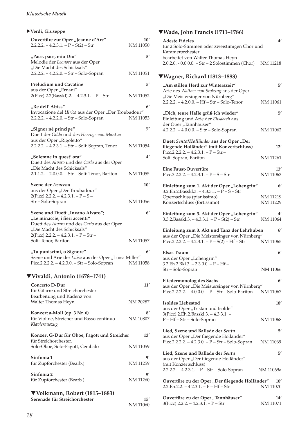### *Klassische Musik*

## X**Verdi, Giuseppe Ouvertüre zur Oper "Jeanne d'Arc" 10'**  $2.2.2.2. - 4.2.3.1. - P - S(2) - Str$ **"Pace, pace, mio Dio" 5'** Melodie der *Leonore* aus der Oper "Die Macht des Schicksals" 2.2.2.2. – 4.2.2.0. – Str – Solo-Sopran NM 11051 **Preludium und Cavatine 5'** aus der Oper "Ernani"  $2(Pice).2.2(Basskl).2. - 4.2.3.1. - P - Str$  NM 11052 **"Re dell' Abiss" 6'** Invocazione del *Ulrica* aus der Oper "Der Troubadour"<br>2.2.2.2. – 4.2.2.0. – Str – Solo-Sopran NM 11053  $2.2.2.2. - 4.2.2.0. - Str - Solo-Sopran$ **"Signor né principe" 7'**  Duett der *Gilda* und des *Herzogs von Mantua* aus der Oper "Rigoletto" 2.2.2.2. – 4.2.3.1. – Str – Soli: Sopran, Tenor NM 11054 **"Solemne in quest' ora" 4'** Duett des *Alvaro* und des *Carlo* aus der Oper "Die Macht des Schicksals" 2.1.1.2. – 2.0.0.0. – Str – Soli: Tenor, Bariton NM 11055 **Szene der** *Azucena* **10'** aus der Oper "Der Troubadour"  $2(Pice)$ .2.2.2. – 4.2.3.1. – P – S – Str – Solo-Sopran NM 11056 Szene und Duett "Invano Alvaro"; 6<sup>'</sup> "Le minaccie, i fieri accenti" Duett des *Alvaro* und des *Carlo* aus der Oper "Die Macht des Schicksals"  $2(Pice)$ .2.2.2. – 4.2.3.1. – P – Str – Soli: Tenor, Bariton NM 11057 **"Tu puniscimi, o Signore" 6'** Szene und Arie der Luisa aus der Oper "Luisa Miller" Picc.2.2.2.2. – 4.2.3.0. – Str – Solo-Sopran NM 11058 ▼**Vivaldi, Antonio (1678–1741) Concerto D-Dur 11'**  für Gitarre und Streichorchester Bearbeitung und Kadenz von Walter Thomas Heyn NM 20287 **Konzert a-Moll (op. 3 Nr. 6) 8'**  für Violine, Streicher und Basso continuo NM 10807 *Klavierauszug*  **Konzert G-Dur für Oboe, Fagott und Streicher 13'** für Streichorchester, Solo-Oboe, Solo-Fagott, Cembalo NM 11059 Sinfonia 1 9' für Zupforchester (Bearb.) NM 11259 **Sinfonia 2 9'** für Zupforchester (Bearb.) NM 11260 ▼**Volkmann, Robert (1815–1883)**

**Serenade für Streichorchester 15'** NM 11060

### ▼**Wade, John Francis (1711–1786)**

| <b>Adeste Fideles</b><br>für 2 Solo-Stimmen oder zweistimigen Chor und<br>Kammerorchester<br>bearbeitet von Walter Thomas Heyn<br>$2.0.2.0. - 0.0.0.0. - Str - 2$ Solostimmen (Chor) | 4′<br>NM 11218           |
|--------------------------------------------------------------------------------------------------------------------------------------------------------------------------------------|--------------------------|
| ▼Wagner, Richard (1813–1883)                                                                                                                                                         |                          |
| "Am stillen Herd zur Winterszeit"<br>Arie des Walther von Stolzing aus der Oper<br>"Die Meistersinger von Nürnberg"                                                                  | $5^{\prime}$             |
| 2.2.2.2. - 4.2.0.0. - Hf - Str - Solo-Tenor                                                                                                                                          | NM 11061                 |
| "Dich, teure Halle grüß ich wieder"<br>Einleitung und Arie der Elisabeth aus<br>der Oper "Tannhäuser"                                                                                | 5′                       |
| 4.2.2.2. - 4.0.0.0. - S tr - Solo-Sopran                                                                                                                                             | NM 11062                 |
| Duett SentalHolländer aus der Oper "Der<br>fliegende Holländer" (mit Konzertschluss)<br>Picc.2.2.2.2. $- 4.2.3.1. - P - Str.$                                                        | 12'                      |
| Soli: Sopran, Bariton                                                                                                                                                                | NM 11261                 |
| Eine Faust-Ouvertüre<br>Picc.3.2.2.2. $-4.2.3.1. - P - S - Str$                                                                                                                      | 13'<br>NM 11063          |
| Einleitung zum 1. Akt der Oper "Lohengrin"<br>3.2.Eh.2.Basskl.3. - 4.3.3.1. - P - S - Str                                                                                            | $6^{\prime}$             |
| Opernschluss (pianissimo)<br>Konzertschluss (fortissimo)                                                                                                                             | NM 11219<br>NM 11229     |
| Einleitung zum 3. Akt der Oper "Lohengrin"<br>$3.3.2.Basskl.3. - 4.3.3.1. - P - S(2) - Str$                                                                                          | 4′<br>NM 11064           |
| Einleitung zum 3. Akt und Tanz der Lehrbuben<br>aus der Oper "Die Meistersinger von Nürnberg"<br>Picc.2.2.2.2. $- 4.2.3.1. - P - S(2) - Hf - Str$                                    | $6^{\prime}$<br>NM 11065 |
| Elsas Traum<br>aus der Oper "Lohengrin"                                                                                                                                              | $6^{\prime}$             |
| 3.2.Eh.2.Bkl.3. – 2.3.0.0. – P – Hf –<br>Str - Solo-Sopran                                                                                                                           | NM 11066                 |
| <b>Fliedermonolog des Sachs</b>                                                                                                                                                      | $6^{\prime}$             |
| aus der Oper "Die Meistersinger von Nürnberg"<br>Picc.2.2.2.2. $- 4.0.0.0 - P - Str - Solo-Bariton$                                                                                  | NM 11067                 |
| <b>Isoldes Liebestod</b><br>aus der Oper "Tristan und Isolde"                                                                                                                        | 18'                      |
| 3(Picc).2.Eh.2.Basskl.3. - 4.3.3.1. -<br>P - Hf - Str - Solo-Sopran                                                                                                                  | NM 11068                 |
| Lied, Szene und Ballade der Senta<br>aus der Oper "Der fliegende Holländer"<br>Picc.2.2.2.2. - 4.2.3.0. - P - Str - Solo-Sopran                                                      | 5′<br>NM 11069           |
| Lied, Szene und Ballade der Senta<br>aus der Oper "Der fliegende Holländer"<br>(mit Konzertschluss)                                                                                  | 5′                       |
| 2.2.2.2. - 4.2.3.1. - P - Str - Solo-Sopran                                                                                                                                          | NM 11069a                |
| Ouvertüre zu der Oper "Der fliegende Holländer"<br>2.2.Eh.2.2. - 4.2.3.1. - P - Hf - Str                                                                                             | 10'<br>NM 11070          |
| Ouvertüre zu der Oper "Tannhäuser"                                                                                                                                                   | 14′                      |

3(Picc).2.2.2. – 4.2.3.1. – P – Str NM 11071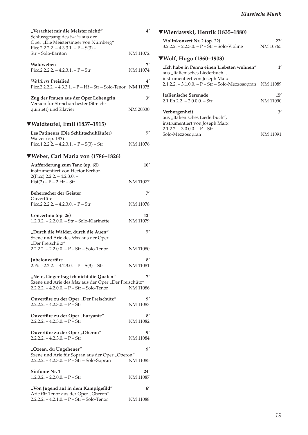| "Verachtet mir die Meister nicht!"<br>Schlussgesang des Sachs aus der<br>Oper "Die Meistersinger von Nürnberg" | 4'                    |
|----------------------------------------------------------------------------------------------------------------|-----------------------|
| Picc.2.2.2.2. - 4.3.3.1. - $P - S(3)$ -<br>Str-Solo-Bariton                                                    | NM 11072              |
| Waldweben<br>Picc.2.2.2.2. $-4.2.3.1. - P - Str$                                                               | 7'<br>NM 11074        |
| <b>Walthers Preislied</b><br>Picc.2.2.2.2. - 4.3.3.1. - P - Hf - Str - Solo-Tenor NM 11075                     | 4′                    |
| Zug der Frauen aus der Oper Lohengrin<br>Version für Streichorchester (Streich-<br>quintett) und Klavier       | 3'<br>NM 20330        |
| ▼Waldteufel, Emil (1837–1915)                                                                                  |                       |
| Les Patineurs (Die Schlittschuhläufer)                                                                         | 7′                    |
| Walzer (op. 183)<br>Picc.1.2.2.2. $- 4.2.3.1. - P - S(3) - Str$                                                | NM 11076              |
| ▼Weber, Carl Maria von (1786–1826)                                                                             |                       |
| Aufforderung zum Tanz (op. 65)<br>instrumentiert von Hector Berlioz                                            | 10'                   |
| $2(Picc).2.2.2. - 4.2.3.0. -$<br>$Pist(2) - P - 2 Hf - Str$                                                    | NM 11077              |
| Beherrscher der Geister                                                                                        | 7'                    |
| Ouvertüre<br>Picc.2.2.2.2. - 4.2.3.0. - $P - Str$                                                              | NM 11078              |
| Concertino (op. 26)<br>1.2.0.2. - 2.2.0.0. - Str - Solo-Klarinette                                             | 12'<br>NM 11079       |
| "Durch die Wälder, durch die Auen"<br>Szene und Arie des Max aus der Oper<br>"Der Freischütz"                  | 7′                    |
| $2.2.2.2. - 2.2.0.0. - P - Str - Solo-Tenor$                                                                   | NM 11080              |
| Jubelouvertüre<br>$2.P$ icc.2.2.2. - 4.2.3.0. - P - S(3) - Str                                                 | 8′<br><b>NM 11081</b> |
| "Nein, länger trag ich nicht die Qualen"                                                                       | 7'                    |
| Szene und Arie des Max aus der Oper "Der Freischütz"<br>$2.2.2.2. - 4.2.0.0. - P - Str - Solo-Tenor$           | NM 11086              |
| Ouvertüre zu der Oper "Der Freischütz"<br>$2.2.2.2. - 4.2.3.0. - P - Str$                                      | 9′<br>NM 11083        |
| Ouvertüre zu der Oper "Euryante"<br>$2.2.2.2. - 4.2.3.0. - P - Str$                                            | 8′<br>NM 11082        |
| Ouvertüre zu der Oper "Oberon"<br>$2.2.2.2. - 4.2.3.0. - P - Str$                                              | g,<br>NM 11084        |
| "Ozean, du Ungeheuer"                                                                                          | 9'                    |
| Szene und Arie für Sopran aus der Oper "Oberon"<br>2.2.2.2. - 4.2.3.0. - P - Str - Solo-Sopran                 | NM 11085              |
| Sinfonie Nr. 1<br>$1.2.0.2. - 2.2.0.0. - P - Str$                                                              | 24′<br>NM 11087       |
| "Von Jugend auf in dem Kampfgefild"                                                                            | 6 <sup>′</sup>        |
| Arie für Tenor aus der Oper "Oberon"<br>$2.2.2.2. - 4.2.1.0. - P - Str - Solo-Tenor$                           | NM 11088              |

## ▼**Wieniawski, Henrik (1835–1880)**

| Violinkonzert Nr. 2 (op. 22)                                                                                   | 22'      |
|----------------------------------------------------------------------------------------------------------------|----------|
| $3.2.2.2 - 2.2.3.0 - P - Str - Solo-Violine$                                                                   | NM 10765 |
| $\Psi$ Wolf, Hugo (1860–1903)                                                                                  |          |
| "Ich habe in Penna einen Liebsten wohnen"<br>aus "Italienisches Liederbuch",<br>instrumentiert von Joseph Marx | 1'       |
| 2.1.2.2. - 3.1.0.0. - P - Str - Solo-Mezzosopran                                                               | NM 11089 |
| Italienische Serenade                                                                                          | 15'      |
| $2.1.Eh.2.2. - 2.0.0.0. - Str$                                                                                 | NM 11090 |
| Verborgenheit                                                                                                  | 3'       |
| aus "Italienisches Liederbuch",                                                                                |          |
| instrumentiert von Joseph Marx                                                                                 |          |
| $2.1.2.2. - 3.0.0.0. - P - Str -$                                                                              |          |
| Solo-Mezzosopran                                                                                               | NM 11091 |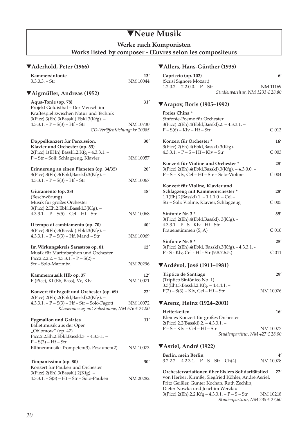## ▼**Neue Musik**

**Werke nach Komponisten** 

**Works listed by composer - Œuvres selon les compositeurs** 

### ▼**Aderhold, Peter (1966)**

| Kammersinfonie<br>$3.3.0.3. - Str$                                                                                                            | 13′<br>NM 10044 |
|-----------------------------------------------------------------------------------------------------------------------------------------------|-----------------|
| ▼Aigmüller, Andreas (1952)                                                                                                                    |                 |
| Aqua-Tonie (op. 78)<br>Projekt Goldisthal - Der Mensch im<br>Kräftespiel zwischen Natur und Technik<br>3(Picc).3(Eh).3(Basskl).Ebkl.3(Kfg). - | 31′             |
| $4.3.3.1. - P - S(3) - Hf - Str$<br>CD-Veröffentlichung: kr 10085                                                                             | NM 10730        |
| Doppelkonzert für Percussion,<br>Klavier und Orchester (op. 33)                                                                               | 30'             |
| 2(Picc).1(EHn).Basskl.2.Kfg - 4.3.3.1. -<br>P-Str-Soli: Schlagzeug, Klavier                                                                   | NM 10057        |
| Erinnerung an einen Planeten (op. 34/35)<br>3(Picc).3(Eh).3(Ebkl,Basskl).3(Kfg). -                                                            | 20′             |
| $4.3.3.1. - P - S(3) - Hf - Str$                                                                                                              | NM 10067        |
| Giuramento (op. 38)<br>(Beschwörung)<br>Musik für großes Orchester                                                                            | 18′             |
| 3(Picc).2.Eh.2.Ebkl.Basskl.3(Kfg). -<br>$4.3.3.1. - P - S(5) - Cel - Hf - Str$                                                                | NM 10068        |
| Il tempo di cambiamento (op. 70)                                                                                                              | 40′             |
| 3(Picc).3(Eh).3(Basskl).Ebkl.3(Kfg). -<br>$4.3.3.1. - P - S(3) - Hf$ , Mand $-Str$                                                            | NM 10069        |
| Im Wirkungskreis Sarastros op. 81<br>Musik für Marimbaphon und Orchester<br>Picc2.2.2.2. $- 4.3.3.1. - P - S(2) -$                            | 12'             |
| Str - Solo-Marimba                                                                                                                            | NM 20296        |
| Kammermusik IIIb op. 37<br>Fl(Picc), Kl (Eb, Bass), Vc, Klv                                                                                   | 12'<br>NM 10071 |
| Konzert für Fagott und Orchester (op. 69)<br>2(Picc).2(Eh).2(Ebkl,Basskl).2(Kfg). -                                                           | 22′             |
| $4.3.3.1. - P - S(3) - Hf - Str - Solo-Fagott$<br>Klavierauszug mit Solostimme, NM 676 $\in$ 24,00                                            | NM 10072        |
| <b>Pygmalion und Galatea</b><br>Ballettmusik aus der Oper<br>"Oblomow" (op. 47)<br>Picc.2.2.Eh.2.Ebkl.Basskl.3. - 4.3.3.1. -                  | $11^{\prime}$   |
| $P-S(3) - Hf - Str$<br>Bühnenmusik: Trompeten(3), Posaunen(2)                                                                                 | NM 10073        |
| Timpanissimo (op. 80)<br>Konzert für Pauken und Orchester                                                                                     | 30′             |
| 3(Picc).2(Eh).3(Basskl).2(Kfg). -<br>$4.3.3.1. - S(3) - Hf - Str - Solo-Pauken$                                                               | NM 20282        |

### ▼**Allers, Hans-Günther (1935)**

| Capriccio (op. 102)             |                                  |
|---------------------------------|----------------------------------|
| (Scusi Signore Mozart)          |                                  |
| $1.2.0.2. - 2.2.0.0. - P - Str$ | NM 11169                         |
|                                 | Studienpartitur, NM 1233 € 28,80 |

### ▼**Arapov, Boris (1905–1992)**

| v <i>Alupov, Doms (1703–1774)</i>                                                                                          |                  |
|----------------------------------------------------------------------------------------------------------------------------|------------------|
| Freies China*<br>Sinfonie-Poeme für Orchester<br>3(Picc).2(Eh).4(Ebkl,Basskl).2. – 4.3.3.1. –<br>$P-S(6) - Klv - Hf - Str$ | C <sub>013</sub> |
| Konzert für Orchester*                                                                                                     | 16'              |
| 3(Picc).2(Eh).4(Ebkl,Basskl).3(Kfg). -<br>$4.3.3.1. - P - S - Hf - Klv - Str$                                              | C <sub>003</sub> |
| Konzert für Violine und Orchester*                                                                                         | 28'              |
| 3(Picc).2(Eh).4(Ebkl,Basskl).3(Kfg). - 4.3.0.0. -<br>P-S-Klv, Cel-Hf-Str-Solo-Violine                                      | $C$ 004          |
| Konzert für Violine, Klavier und<br>Schlagzeug mit Kammerorchester*<br>1.1(Eh).2(Basskl).1. - 1.1.1.0. - Cel -             | 28'              |
| Str – Soli: Violine, Klavier, Schlagzeug                                                                                   | $C$ 005          |
| Sinfonie Nr. 3*<br>3(Picc).2(Eh).4(Ebkl,Basskl). 3(Kfg). -<br>4.3.3.1. - P - S - Klv - Hf - Str -                          | 35'              |
| Frauenstimmen (S, A)                                                                                                       | C <sub>010</sub> |
| Sinfonie Nr. 5*                                                                                                            | 25'              |
| 3(Picc).2(Eh).4(Ebkl, Basskl).3(Kfg). - 4.3.3.1. -<br>P - S - Klv, Cel - Hf - Str (9.8.7.6.5.)                             | C <sub>011</sub> |
| <b>▼Ardévol, José (1911–1981)</b>                                                                                          |                  |
| Triptico de Santiago<br>(Triptico Sinfónico No. 1)<br>$2\pi$ $\alpha$ $\beta$ $\beta$ $\gamma$ $\beta$                     | 29'              |

| mptico ac ountingo                      |          |
|-----------------------------------------|----------|
| (Triptico Sinfónico No. 1)              |          |
| $3.3$ (Eh).3.Basskl.2.Kfg. – 4.4.4.1. – |          |
| $P(2) - S(3) - Klv$ , Cel – Hf – Str    | NM 10076 |
|                                         |          |

### ▼**Arenz, Heinz (1924–2001)**

| Heiterkeiten                          | 16'                             |
|---------------------------------------|---------------------------------|
| Kleines Konzert für großes Orchester  |                                 |
| $2(Pice).2.2(Basskl).2. - 4.3.3.1. -$ |                                 |
| $P-S-Klv-Cell-Hf-Str$                 | NM 10077                        |
|                                       | Studienpartitur, NM 427 € 28,00 |

### ▼**Asriel, André (1922)**

| Berlin, mein Berlin                       |          |
|-------------------------------------------|----------|
| $3.2.2.2 - 4.2.3.1 - P - S - Str - Ch(4)$ | NM 10078 |

**Orchestervariationen über Eislers Solidaritätslied 22'**  von Herbert Kirmße, Siegfried Köhler, André Asriel, Fritz Geißler, Günter Kochan, Ruth Zechlin, Dieter Nowka und Joachim Werzlau 3(Picc).2(Eh).2.2.Kfg – 4.3.3.1. – P – S – Str NM 10218 *Studienpartitur, NM 235 € 27,60*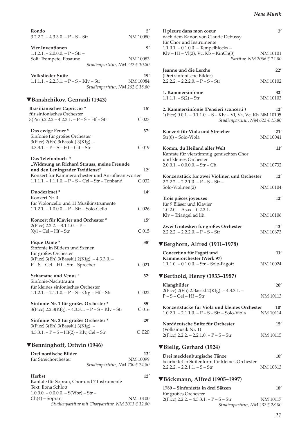| Rondo<br>$3.2.2.2. - 4.3.3.0. - P - S - Str$                                          | 5′<br>NM 10080          |
|---------------------------------------------------------------------------------------|-------------------------|
| Vier Inventionen                                                                      | 9′                      |
| $1.1.2.1. - 2.0.0.0. - P - Str -$                                                     | NM 10083                |
| Soli: Trompete, Posaune<br>Studienpartitur, NM 242 € 10,80                            |                         |
| Volkslieder-Suite                                                                     | 19′                     |
| $1.1.1.1. - 2.2.3.1. - P - S - Klv - Str$<br>Studienpartitur, NM 262 € 18,80          | NM 10084                |
| ▼Banshchikov, Gennadi (1943)                                                          |                         |
| Brasilianisches Capriccio*                                                            | 15'                     |
| für sinfonisches Orchester<br>$3(Picc).2.2.2 - 4.2.3.1. - P - S - Hf - Str$           | C <sub>023</sub>        |
| Das ewige Feuer*                                                                      | 37'                     |
| Sinfonie für großes Orchester                                                         |                         |
| 3(Picc).2(Eh).3(Basskl).3(Kfg). -<br>$4.3.3.1. - P - S - Hf - Git - Str$              | C <sub>019</sub>        |
| Das Telefonbuch *                                                                     |                         |
| "Widmung an Richard Strauss, meine Freunde                                            |                         |
| und den Leningrader Taxidienst"<br>Konzert für Kammerorchester und Anrufbeantworter   | 12'                     |
| $1.1.1.1. - 1.1.1.0. - P - S - Cel - Str - Tonband$                                   | C 032                   |
| Duodezimet*                                                                           | 14'                     |
| Konzert Nr. 4<br>für Violoncello und 11 Musikinstrumente                              |                         |
| $1.1.2.1. - 1.0.0.0. - P - Str - Solo-Cello$                                          | C <sub>026</sub>        |
| Konzert für Klavier und Orchester*                                                    | 15'                     |
| $2(Pice).2.2.2. - 3.1.1.0. - P -$                                                     |                         |
| $Xyl - Cel - Hf - Str$                                                                | C <sub>015</sub>        |
| Pique Dame*                                                                           | 38'                     |
| Sinfonie in Bildern und Szenen<br>für großes Orchester                                |                         |
| 3(Picc).3(Eh).3(Basskl).2(Kfg). - 4.3.3.0. -                                          |                         |
| $P-S-$ Cel – Hf – Str – Sprecher                                                      | C <sub>021</sub>        |
| Schamane und Venus*<br>Sinfonie-Nachttraum                                            | 32'                     |
| für kleines sinfonisches Orchester                                                    |                         |
| 1.1.2.1. – 2.1.1.0. – P – S – Org – Hf – Str                                          | C <sub>022</sub>        |
| Sinfonie Nr. 1 für großes Orchester*<br>$3(Picc).2.2.3(Kfg). -4.3.3.1. - P-S-Klv-Str$ | 35′<br>C <sub>016</sub> |
| Sinfonie Nr. 3 für großes Orchester*                                                  | 29'                     |
| 3(Picc).3(Eh).3(Basskl).3(Kfg). -<br>$4.3.3.1. - P - S - Hf(2) - Kly$ , Cel - Str     | $C_{020}$               |
| ▼Benninghoff, Ortwin (1946)                                                           |                         |
| Drei nordische Bilder                                                                 | 13′                     |
| für Streichorchester                                                                  | NM 10099                |
| Studienpartitur, NM 700 € 24,80                                                       |                         |
| <b>Herbst</b>                                                                         | 12'                     |
| Kantate für Sopran, Chor und 7 Instrumente<br>Text: Ilona Schlott                     |                         |

| техт: попа эспютт                                     |          |
|-------------------------------------------------------|----------|
| $1.0.0.0 - 0.0.0.0 - S(Vibr) - Str -$                 |          |
| $Ch(4)$ – Sopran                                      | NM 10100 |
| Studienpartitur mit Chorpartitur, NM 2013 $\in$ 12,80 |          |

| Il pleure dans mon coeur<br>nach dem Kanon von Claude Debussy<br>für Chor und Instrumente                                                      | 3'                        |
|------------------------------------------------------------------------------------------------------------------------------------------------|---------------------------|
| $1.1.0.1. - 0.1.0.0. - Tempel blocks -$<br>$Klv - Hf - Vl(2)$ , Vc, $Kb - KinCh(3)$<br>Partitur, NM 2066 $\in$ 12,80                           | NM 10101                  |
| Jeanne und die Lerche                                                                                                                          | 22'                       |
| (Drei sinfonische Bilder)<br>$2.2.2.2. - 2.2.2.0. - P - S - Str$                                                                               | NM 10102                  |
| 1. Kammersinfonie<br>$1.1.1.1 - S(2) - Str$                                                                                                    | 32'<br>NM 10103           |
| 2. Kammersinfonie (Pensieri sconcerti)<br>1(Picc).0.0.1. - 0.1.1.0. - S - Klv - Vl, Va, Vc, Kb NM 10105<br>Studienpartitur, NM 622 $\in$ 15,80 | 12'                       |
| Konzert für Viola und Streicher<br>$Str(6)$ – Solo-Viola                                                                                       | 21'<br>NM 10041           |
| Komm, du Heiland aller Welt<br>Kantate für vierstimmig gemischten Chor                                                                         | 11'                       |
| und kleines Orchester<br>$2.0.0.1 - 0.0.0.0 - Str - Ch$                                                                                        | NM 10732                  |
| Konzertstück für zwei Violinen und Orchester                                                                                                   | 12'                       |
| $2.2.2.2. - 2.2.1.0. - P - S - Str -$<br>Solo-Violinen(2)                                                                                      | NM 10104                  |
| Trois pièces joyeuses<br>für 9 Bläser und Klavier                                                                                              | 12'                       |
| $1.0.2.0. - Asax - 0.2.2.1. -$<br>Klv - Triangel ad lib.                                                                                       | NM 10106                  |
| Zwei Grotesken für großes Orchester<br>$2.2.2.2. - 2.2.2.0. - P - S - Str$                                                                     | 13'<br>NM 10673           |
| ▼Berghorn, Alfred (1911–1978)                                                                                                                  |                           |
| Concertino für Fagott und                                                                                                                      | 11'                       |
| Kammerorchester (Werk 97)<br>$1.1.1.0. - 0.1.0.0. - Str - Solo-Fagott$                                                                         | NM 10024                  |
| ▼Berthold, Henry (1933–1987)                                                                                                                   |                           |
| Klangbilder                                                                                                                                    | 20'                       |
| 2(Picc).2(Eh).2.Basskl.2(Kfg). - 4.3.3.1. -<br>$P-S-$ Cel – Hf – Str                                                                           | NM 10113                  |
| Konzertstücke für Viola und kleines Orchester<br>$1.0.2.1. - 2.1.1.0. - P - S - Str - Solo-Viola$                                              | $10^{\prime}$<br>NM 10114 |
| Norddeutsche Suite für Orchester                                                                                                               | 15'                       |
| (Volksmusik Nr. 1)<br>$2(Picc).2.2.2. - 2.2.1.0. - P - S - Str$                                                                                | NM 10115                  |
| ▼Bielig, Gerhard (1924)                                                                                                                        |                           |
| Drei mecklenburgische Tänze                                                                                                                    | $10^{\prime}$             |
| bearbeitet in Suitenform für kleines Orchester<br>$2.2.2.2. - 2.2.1.1. - S - Str$                                                              | NM 10813                  |
| VBöckmann, Alfred (1905-1997)                                                                                                                  |                           |
| 1789 – Sinfonietta in drei Sätzen<br>für großes Orchester                                                                                      | 18′                       |

2(Picc).2.2.2. – 4.3.3.1. – P – S – Str NM 10117 *Studienpartitur, NM 237 € 28,00*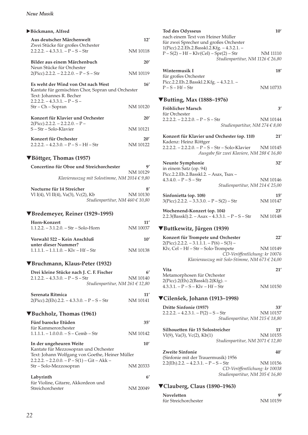### *Neue Musik*

### X**Böckmann, Alfred**

| r Duckmann, Anneu                                                                                                   |                 |
|---------------------------------------------------------------------------------------------------------------------|-----------------|
| Aus deutscher Märchenwelt                                                                                           | 12'             |
| Zwei Stücke für großes Orchester<br>$2.2.2.2. - 4.3.3.1. - P - S - Str$                                             | <b>NM 10118</b> |
| Bilder aus einem Märchenbuch                                                                                        | 20'             |
| Neun Stücke für Orchester<br>$2(Picc).2.2.2. - 2.2.2.0. - P - S - Str$                                              | NM 10119        |
| Es weht der Wind von Ost nach West<br>Kantate für gemischten Chor, Sopran und Orchester<br>Text: Johannes R. Becher | 16'             |
| $2.2.2.2. - 4.3.3.1. - P - S -$<br>Str - Ch - Sopran                                                                | NM 10120        |
| Konzert für Klavier und Orchester<br>$2(Picc).2.2.2. - 2.2.2.0. - P -$                                              | 20'             |
| S-Str-Solo-Klavier                                                                                                  | <b>NM 10121</b> |
| Konzert für Orchester<br>$2.2.2.2. - 4.2.3.0. - P - S - Hf - Str$                                                   | 20'<br>NM 10122 |
| $\blacktriangledown$ Böttger, Thomas (1957)                                                                         |                 |
| Concertino für Oboe und Streichorchester                                                                            | g,              |
| Klavierauszug mit Solostimme, NM 2014 € 9,80                                                                        | NM 10129        |
| Nocturne für 14 Streicher<br>Vl I(4), Vl II(4), Va(3), Vc(2), Kb<br>Studienpartitur, NM $460 \in 10,80$             | 8′<br>NM 10130  |
| ▼Bredemeyer, Reiner (1929–1995)                                                                                     |                 |
| <b>Horn-Konzert</b><br>$1.1.2.2. - 3.1.2.0. - Str - Solo-Horn$                                                      | 11'<br>NM 10037 |
| Vorwahl 522 - Kein Anschluß                                                                                         | 10'             |
| unter dieser Nummer?<br>$1.1.1.1 - 1.1.1.0 - K/v - Hf - Str$                                                        | NM 10138        |
| ▼Bruchmann, Klaus-Peter (1932)                                                                                      |                 |
| Drei kleine Stücke nach J. C. F. Fischer                                                                            | 6'              |
| $2.1.2.2. - 4.3.3.0. - P - S - Str$<br>Studienpartitur, NM 261 € 12,80                                              | NM 10140        |
| Serenata Ritmica<br>$2(Picc).2(Eh).2.2. - 4.3.3.0. - P - S - Str$                                                   | 11'<br>NM 10141 |
| ▼Buchholz, Thomas (1961)                                                                                            |                 |
| Fünf barocke Etüden<br>für Kammerorchester                                                                          | 35'             |
| $1.1.1.1 - 1.0.0.0 - S - Cemb - Str$                                                                                | NM 10142        |
| In der ungeheuren Weite                                                                                             | 10'             |

| Labyrinth                           |          |
|-------------------------------------|----------|
| für Violine, Gitarre, Akkordeon und |          |
| Streichorchester                    | NM 20049 |

Str – Solo-Mezzosopran NM 20333

### **Tod des Odysseus 10'** nach einem Text von Heiner Müller für zwei Sprecher und großes Orchester 1(Picc).2.2.Eh.2.Basskl.2.Kfg. – 4.3.2.1. –  $P - S(2) - Hf - Klv(Cel) - Spr(2) - Str$  NM 11110 *Studienpartitur, NM 1126 € 26,80*  **Wintermusik I** 18' für großes Orchester Picc.2.2.Eh.2.Basskl.2.Kfg. – 4.3.2.1. –  $P-S-Hf-Str$  NM 10733 ▼**Butting, Max (1888–1976) Fröhlicher Marsch 3'**  für Orchester  $2.2.2.2. - 2.2.2.0. - P - S - Str$  NM 10144 *Studienpartitur, NM 274 € 8,00* **Konzert für Klavier und Orchester (op. 110) 21'**  Kadenz: Heinz Röttger 2.2.2.2. – 2.2.2.0. – P – S – Str – Solo-Klavier NM 10145 *Ausgabe für zwei Klaviere, NM 288 € 16,80*  **Neunte Symphonie 32'**  in einem Satz (op. 94) Picc.2.2.Eh.2.Basskl.2. – Asax, Tsax –  $4.3.4.0. - P - S - Str$  NM 10146 *Studienpartitur, NM 214 € 25,00*  **Sinfonietta (op. 108) 15'**   $3(Pice).2.2.2. - 3.3.3.0. - P - S(2) - Str$  NM 10147 **Wochenend-Konzert (op. 104) 23'**  2.2.3(Basskl).2. – Asax – 4.3.3.1. – P – S – Str NM 10148 ▼**Buttkewitz, Jürgen (1939) Konzert für Trompete und Orchester 22'**   $2(Pice)$ .2.2.2. – 3.1.1.1. –  $P(6)$  – S(3) – Klv, Cel – Hf – Str – Solo-Trompete NM 10149 *CD-Veröffentlichung: kr 10076 Klavierauszug mit Solo-Stimme, NM 673 € 24,00*  **Vita 21'**  Metamorphosen für Orchester 2(Picc).2(Eh).2(Basskl).2(Kfg). –  $4.3.3.1. - P - S - K = -Hf - Str$  NM 10150 ▼**Cilenšek, Johann (1913–1998) Dritte Sinfonie (1957) 33'**   $2.2.2.2 - 4.2.3.1 - P(2) - S - Str$  NM 10157 *Studienpartitur, NM 215 € 18,80*

**Silhouetten für 15 Solostreicher 11'**   $Vl(9)$ , Va $(3)$ , Vc $(2)$ , Kb $(1)$ *Studienpartitur, NM 2071 € 12,80* 

**Zweite Sinfonie 40**' (Sinfonie mit der Trauermusik) 1956  $2.2$ (Eh).2.2. – 4.2.3.1. – P – S – Str NM 10156 *CD-Veröffentlichung: kr 10038 Studienpartitur, NM 205 € 16,80*

### ▼**Clauberg, Claus (1890–1963)**

| Noveletten           |          |
|----------------------|----------|
| für Streichorchester | NM 10159 |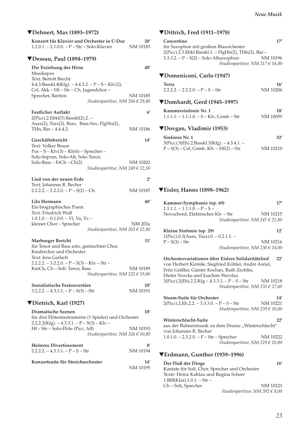### ▼**Dehnert, Max (1893–1972)**

| Konzert für Klavier und Orchester in C-Dur<br>$1.2.0.1. - 2.1.0.0. - P - Str - Solo-Klavier$                                                                                                                                                  | 20′<br>NM 10183          |
|-----------------------------------------------------------------------------------------------------------------------------------------------------------------------------------------------------------------------------------------------|--------------------------|
| ▼Dessau, Paul (1894–1979)                                                                                                                                                                                                                     |                          |
| Die Erziehung der Hirse<br>Musikepos<br>Text: Bertolt Brecht<br>4.4.3.Basskl.4(Kfg). $-4.4.3.2. - P - S - Klv(2)$ ,                                                                                                                           | 40′                      |
| Cel, Akk - Hf - Str - Ch, Jugendchor -<br>Sprecher, Bariton<br>Studienpartitur, NM 206 € 29,80                                                                                                                                                | NM 10185                 |
| <b>Festlicher Auftakt</b><br>2(Picc).2.Ebkl(3).Basskl(2).2. -<br>Asax(2), Tsax(2), Bsax, Bass-Sax, FlgHn(2),<br>THn, Bar – 4.4.4.2.                                                                                                           | $6^{\prime}$<br>NM 10186 |
| Geschäftsbericht<br>Text: Volker Braun<br>$Pos - S - Klv(3) - Kb(6) - Sprecher -$<br>Solo-Sopran, Solo-Alt, Solo-Tenor,<br>Solo-Bass - FrCh - Ch(2)<br>Studienpartitur, NM 249 $\in$ 12,50                                                    | 14′<br>NM 10202          |
| Lied von der neuen Erde<br>Text: Johannes R. Becher<br>$2.2.2.2. - 2.2.2.0. - P - S(2) - Ch$                                                                                                                                                  | $2^{\prime}$<br>NM 10187 |
| Lilo Hermann<br>Ein biographisches Poem<br>Text: Friedrich Wolf<br>$1.0.1.0. - 0.1.0.0. - VI$ , Va, Vc -<br>kleiner Chor – Sprecher<br>Studienpartitur, NM 203 € 12,80                                                                        | 40'<br>NM 203a           |
| <b>Marburger Bericht</b><br>für Tenor und Bass solo, gemischten Chor,<br>Kinderchor und Orchester<br>Text: Jens Gerlach<br>$2.2.2.2. - 3.2.2.0. - P - S(3) - Klv - Str -$<br>KinCh, Ch - Soli: Tenor, Bass<br>Studienpartitur, NM 232 € 19,80 | 11'<br>NM 10189          |
| Sozialistische Festouvertüre<br>$3.2.2.2 - 4.3.3.1 - P - S(3) - Str$                                                                                                                                                                          | 10'<br>NM 10191          |
| ▼Dietrich, Karl (1927)                                                                                                                                                                                                                        |                          |
| Dramatische Szenen<br>für drei Flöteninstrumente (1 Spieler) und Orchester<br>$2.2.2.2(Kfg) - 4.3.3.1 - P - S(3) - Klv$<br>Hf – Str – Solo-Flöte (Picc, Afl)<br>Studienpartitur, NM 326 $\in$ 10,80                                           | 18'<br>NM 10193          |
| <b>Heiteres Divertissement</b><br>$2.2.2.2 - 4.3.3.1 - P - S - Str$                                                                                                                                                                           | 8′<br>NM 10194           |
| Konzertsuite für Streichorchester                                                                                                                                                                                                             | 14′<br>NM 10195          |

### ▼**Dittrich, Fred (1911–1978)**

| Concertino                                           | 17'      |
|------------------------------------------------------|----------|
| für Saxophon mit großem Blasorchester                |          |
| 2(Picc).2.3.Ebkl.Basskl.1. - FlgHn(2), THn(2), Bar - |          |
| $3.3.3.2. - P - S(2) - Solo-Altsaxophon$             | NM 10196 |
| Studienpartitur, NM 217 € 14,80                      |          |

### ▼**Domeniconi, Carlo (1947)**

| Terra<br>$2.2.2.2 - 2.2.2.0 - P - S - Str$ | 16'<br>NM 10206 |
|--------------------------------------------|-----------------|
| ▼Domhardt, Gerd (1945-1997)                |                 |
| Kammersinfonie Nr. 1                       | 18'             |

## 1.1.1.1. – 1.1.1.0. – S – Klv, Cemb – Str NM 10059

### ▼**Dovgan, Vladimir (1953)**

| Sinfonie Nr. 1                               | 32'      |
|----------------------------------------------|----------|
| $3(Pice).3(Eh).2.Basskl.3(Kfg). -4.3.4.1. -$ |          |
| $P-S(3) - Cel$ , Cemb, Klv – Hf(2) – Str     | NM 10210 |

#### $F'1$  II (4000.40 $(2)$ ) **7** <del>▼</del> Eisler, Hanns (1898–1962)

| Kammer-Symphonie (op. 69)<br>$1.1.1.1 - 1.1.1.0 - P - S -$                                                                                                                                          | 17'      |  |
|-----------------------------------------------------------------------------------------------------------------------------------------------------------------------------------------------------|----------|--|
| Novachord, Elektrisches Klv – Str                                                                                                                                                                   | NM 10215 |  |
| Studienpartitur, NM 247 $\in$ 22,80                                                                                                                                                                 |          |  |
| Kleine Sinfonie (op. 29)                                                                                                                                                                            | 12'      |  |
| 1(Picc).0.3(Asax, Tsax).0. - 0.2.1.1. -<br>$P-S(3)$ – Str                                                                                                                                           | NM 10216 |  |
| Studienpartitur, NM 230 € 14,00                                                                                                                                                                     |          |  |
| Orchestervariationen über Eislers Solidaritätslied<br>22'<br>von Herbert Kirmße, Siegfried Köhler, André Asriel,<br>Fritz Geißler, Günter Kochan, Ruth Zechlin,<br>Dieter Nowka und Joachim Werzlau |          |  |
| 3(Picc).2(Eh).2.2.Kfg – 4.3.3.1. – P – S – Str                                                                                                                                                      | NM 10218 |  |
| Studienpartitur, NM 235 $\in$ 27,60                                                                                                                                                                 |          |  |
| Sturm-Suite für Orchester                                                                                                                                                                           | 14'      |  |
| $2(Picc).2.Eh.2.2. - 3.3.3.0. - P - S - Str$                                                                                                                                                        | NM 10221 |  |
| Studienpartitur, NM 239 € 10,80                                                                                                                                                                     |          |  |
| Winterschlacht-Suite<br>22'<br>aus der Bühnenmusik zu dem Drama "Winterschlacht"<br>von Johannes R. Becher                                                                                          |          |  |
| $1.0.1.0. - 2.3.2.0. - P - Str - Sprecher$                                                                                                                                                          | NM 10222 |  |
| Studienpartitur, NM 229 € 10,80                                                                                                                                                                     |          |  |
| ▼Erdmann, Gunther (1939–1996)                                                                                                                                                                       |          |  |
| Der Fluß der Dinge                                                                                                                                                                                  | 16'      |  |

**Der Fluß der Dinge 16'** Kantate für Soli, Chor, Sprecher und Orchester Texte: Heinz Kahlau und Regina Scheer 1.Blfl (Klar).1.0.1. – Str – Ch – Soli, Sprecher NM 10223 *Studienpartitur, NM 392 € 8,00*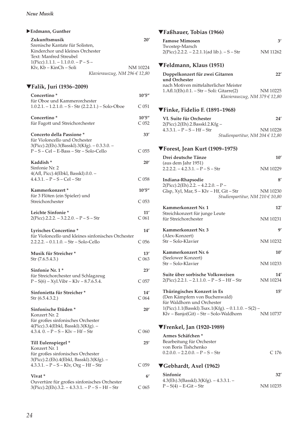| $\blacktriangleright$ Erdmann, Gunther                                                                                                                                            |                            |
|-----------------------------------------------------------------------------------------------------------------------------------------------------------------------------------|----------------------------|
| Zukunftsmusik<br>Szenische Kantate für Solisten,<br>Kinderchor und kleines Orchester<br>Text: Manfred Streubel<br>$1(Pice).1.1.1. - 1.1.0.0. - P - S -$<br>Klv, Kb - KinCh - Soli | 20′<br>NM 10224            |
| Klavierauszug, NM 296 $\in$ 12,80                                                                                                                                                 |                            |
| ▼Falik, Juri (1936–2009)                                                                                                                                                          |                            |
| Concertino*<br>für Oboe und Kammerorchester                                                                                                                                       | 10'5''                     |
| $1.0.2.1. - 1.2.1.0. - S - Str (2.2.2.1.) - Solo-Oboe$                                                                                                                            | C 051                      |
| Concertino*<br>für Fagott und Streichorchester                                                                                                                                    | 10'5''<br>C <sub>052</sub> |
| Concerto della Passione*<br>für Violoncello und Orchester                                                                                                                         | 33'                        |
| 3(Picc).2(Eh).3(Basskl).3(Kfg). - 0.3.3.0. -<br>P-S-Cel-E-Bass-Str-Solo-Cello                                                                                                     | C <sub>055</sub>           |
| Kaddish <sup>*</sup><br>Sinfonie Nr. 2                                                                                                                                            | 20'                        |
| 4(Afl, Picc).4(Ebkl, Basskl).0.0. -<br>$4.4.3.1. - P - S - Cel - Str$                                                                                                             | C 058                      |
| Kammerkonzert *                                                                                                                                                                   | 10'5''                     |
| für 3 Flöten (ein Spieler) und<br>Streichorchester                                                                                                                                | C <sub>053</sub>           |
| Leichte Sinfonie*<br>$2(Picc).2.2.2. - 3.2.2.0. - P - S - Str$                                                                                                                    | 11'<br>C <sub>061</sub>    |
| Lyrisches Concertino*<br>für Violoncello und kleines sinfonisches Orchester<br>$2.2.2.2 - 0.1.1.0 - Str - Solo-Cello$                                                             | 14′<br>C <sub>056</sub>    |
| Musik für Streicher*<br>Str (7.6.5.4.3.)                                                                                                                                          | 13'<br>C <sub>063</sub>    |
| Sinfonie Nr. 1*                                                                                                                                                                   | 23'                        |
| für Streichorchester und Schlagzeug<br>$P - S(6) - Xyl$ . Vibr – Klv – 8.7.6.5.4.                                                                                                 | C <sub>057</sub>           |
| Sinfonietta für Streicher *<br>Str (6.5.4.3.2.)                                                                                                                                   | 14'<br>C <sub>064</sub>    |
| Sinfonische Etüden*<br>Konzert Nr. 2                                                                                                                                              | 20 <sup>′</sup>            |
| für großes sinfonisches Orchester<br>4(Picc).3.4(Ebkl, Basskl).3(Kfg). -<br>$4.3.4.0. - P - S - Klv - Hf - Str$                                                                   | C <sub>060</sub>           |
| Till Eulenspiegel *                                                                                                                                                               | 25'                        |
| Konzert Nr. 1<br>für großes sinfonisches Orchester                                                                                                                                |                            |
| 3(Picc).2.(Eh).4(Ebkl, Basskl).3(Kfg). -<br>$4.3.3.1. - P - S - Klv$ , $Org - Hf - Str$                                                                                           | C <sub>059</sub>           |
|                                                                                                                                                                                   |                            |
| Vivat <sup>*</sup><br>Ouvertüre für großes sinfonisches Orchester                                                                                                                 | $6^{\prime}$               |
| $3(Picc).2(Eh).3.2. - 4.3.3.1. - P - S - Hf - Str$                                                                                                                                | C <sub>065</sub>           |

### ▼**Faßhauer, Tobias (1966)**

| <b>Famose Mimosen</b>                           | 31       |
|-------------------------------------------------|----------|
| Twostep-Marsch                                  |          |
| $2(Pice)$ .2.2.2. – 2.2.1.1(ad lib.). – S – Str | NM 11262 |
|                                                 |          |

### ▼**Feldmann, Klaus (1951)**

| Doppelkonzert für zwei Gitarren             | 22'      |
|---------------------------------------------|----------|
| und Orchester                               |          |
| nach Motiven mittelalterlicher Meister      |          |
| $1.Afl.1(Eh).0.1. - Str - Soli: Gitarre(2)$ | NM 10225 |
| Klavierauszug, NM 379 $\in$ 12,80           |          |

#### ▼**Finke, Fidelio F. (1891–1968)**

| VI. Suite für Orchester        | 24'                             |
|--------------------------------|---------------------------------|
| 2(Picc).2(Eh).2.Basskl.2.Kfg – |                                 |
| $4.3.3.1. - P - S - Hf - Str$  | NM 10228                        |
|                                | Studienpartitur, NM 204 € 12,80 |

# ▼**Forest, Jean Kurt (1909–1975)**

| Drei deutsche Tänze<br>(aus dem Jahr 1951)                                         | 10'             |
|------------------------------------------------------------------------------------|-----------------|
| $2.2.2.2. - 4.2.3.1. - P - S - Str$                                                | NM 10229        |
| Indiana-Rhapsodie<br>$2(Picc).2(Eh).2.2. - 4.2.2.0. - P -$                         | 8'              |
| Glsp, Xyl, Mar, S - Klv - Hf, Git - Str<br>Studienpartitur, NM 210 € 10,80         | NM 10230        |
| Kammerkonzert Nr. 1                                                                | 12'             |
| Streichkonzert für junge Leute<br>für Streichorchester                             | NM 10231        |
| Kammerkonzert Nr. 3<br>(Alex-Konzert)                                              | g'              |
| Str – Solo-Klavier                                                                 | NM 10232        |
| Kammerkonzert Nr. 6<br>(Seelower Konzert)                                          | 10'             |
| Str – Solo-Klavier                                                                 | NM 10233        |
| Suite über sorbische Volksweisen<br>$2(Picc).2.2.1. - 2.1.1.0. - P - S - Hf - Str$ | 14'<br>NM 10234 |
| Thüringisches Konzert in Es<br>(Den Kämpfern von Buchenwald)                       | 15'             |
| für Waldhorn und Orchester<br>1(Picc).1.1(Basskl).Tsax.1(Kfg). - 0.1.1.0. - S(2) - |                 |
| Klv - Banjo(Git) - Str - Solo-Waldhorn                                             | NM 10737        |
| ▼Frenkel, Jan (1920-1989)                                                          |                 |

#### **Armes Schäfchen \*** Bearbeitung für Orchester von Boris Tishchenko  $0.2.0.0. - 2.2.0.0. - P - S - Str$  C 176

### ▼**Gebhardt, Axel (1962)**

| Sinfonie                                   | 32'      |
|--------------------------------------------|----------|
| $4.3$ (Eh).3(Basskl).3(Kfg). $-4.3.3.1.$ – |          |
| $P-S(4) - E-Git-Str$                       | NM 10235 |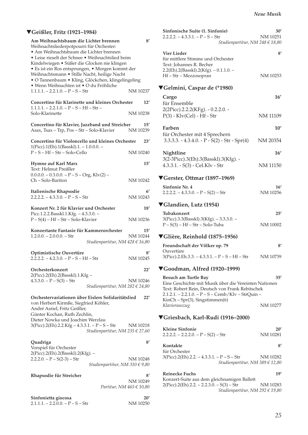### ▼**Geißler, Fritz (1921–1984)**

| Am Weihnachtsbaum die Lichter brennen<br>Weihnachtsliederpotpourri für Orchester:<br>· Am Weihnachtsbaum die Lichter brennen<br>• Leise rieselt der Schnee • Weihnachtslied beim<br>Kindelwiegen · Süßer die Glocken nie klingen<br>· Es ist ein Ros entsprungen, • Morgen kommt der<br>Weihnachtsmann · Stille Nacht, heilige Nacht<br>· O Tannenbaum · Kling, Glöckchen, klingelingeling |                 |
|--------------------------------------------------------------------------------------------------------------------------------------------------------------------------------------------------------------------------------------------------------------------------------------------------------------------------------------------------------------------------------------------|-----------------|
| • Wenn Weihnachten ist • O du Fröhliche<br>$1.1.1.1 - 2.2.1.0 - P - S - Str$                                                                                                                                                                                                                                                                                                               | NM 10237        |
| Concertino für Klarinette und kleines Orchester<br>$1.1.1.1. - 2.2.1.0. - P - S - Hf - Str -$                                                                                                                                                                                                                                                                                              | 12'             |
| Solo-Klarinette                                                                                                                                                                                                                                                                                                                                                                            | NM 10238        |
| Concertino für Klavier, Jazzband und Streicher<br>Asax, Tsax - Trp, Pos - Str - Solo-Klavier                                                                                                                                                                                                                                                                                               | 15'<br>NM 10239 |
| Concertino für Violoncello und kleines Orchester<br>$1(Pice).1(Eh).1(Basskl).1. - 1.0.0.0. -$                                                                                                                                                                                                                                                                                              | 23'             |
| $P-S-Hf-Str-Solo-Cello$                                                                                                                                                                                                                                                                                                                                                                    | NM 10240        |
| Hymne auf Karl Marx<br>Text: Helmut Preißler                                                                                                                                                                                                                                                                                                                                               | 15'             |
| $0.0.0.0 - 0.3.0.0 - P - S - Org$ , Klv(2) –<br>Ch-Solo-Bariton                                                                                                                                                                                                                                                                                                                            | NM 10242        |
| Italienische Rhapsodie<br>$2.2.2.2 - 4.3.3.0 - P - S - Str$                                                                                                                                                                                                                                                                                                                                | 6'<br>NM 10243  |
| Konzert Nr. 2 für Klavier und Orchester<br>Picc.1.2.2.Basskl.1.Kfg. - 4.3.3.0. -                                                                                                                                                                                                                                                                                                           | 18'             |
| $P-S(4) - Hf - Str - Solo-Klavier$                                                                                                                                                                                                                                                                                                                                                         | NM 10236        |
| Konzertante Fantasie für Kammerorchester<br>$1.2.0.0 - 2.0.0.0 - Str$<br>Studienpartitur, NM $428 \in 16,80$                                                                                                                                                                                                                                                                               | 15'<br>NM 10244 |
| Optimistische Ouvertüre<br>$2.2.2.2. - 4.2.3.0. - P - S - Hf - Str$                                                                                                                                                                                                                                                                                                                        | 8′<br>NM 10245  |
| Orchesterkonzert                                                                                                                                                                                                                                                                                                                                                                           | 22'             |
| 2(Picc).2(Eh).2(Basskl).1.Kfg –<br>$4.3.3.0. - P - S(3) - Str$<br>Studienpartitur, NM 282 € 24,80                                                                                                                                                                                                                                                                                          | NM 10246        |
| Orchestervariationen über Eislers Solidaritätslied<br>von Herbert Kirmße, Siegfried Köhler,<br>André Asriel, Fritz Geißler,<br>Günter Kochan, Ruth Zechlin,<br>Dieter Nowka und Joachim Werzlau                                                                                                                                                                                            | 22'             |
| 3(Picc).2(Eh).2.2.Kfg – 4.3.3.1. – P – S – Str<br>Studienpartitur, NM 235 € 27,60                                                                                                                                                                                                                                                                                                          | NM 10218        |
| Quadriga<br>Vorspiel für Orchester                                                                                                                                                                                                                                                                                                                                                         | 8'              |
| 2(Picc).2(Eh).2(Basskl).2(Kfg). –<br>$2.2.2.0. - P - S(2-3) - Str$<br>Studienpartitur, NM 310 $\in$ 9,80                                                                                                                                                                                                                                                                                   | NM 10248        |
| Rhapsodie für Streicher                                                                                                                                                                                                                                                                                                                                                                    | 8′              |
| Partitur, NM $465 \in 10,80$                                                                                                                                                                                                                                                                                                                                                               | NM 10249        |
| Sinfonietta giocosa                                                                                                                                                                                                                                                                                                                                                                        | 20'             |
| $2.1.1.1 - 2.2.0.0 - P - S - Str$                                                                                                                                                                                                                                                                                                                                                          | NM 10250        |

| Sinfonische Suite (1. Sinfonie)<br>2.2.2.2. – 4.3.3.1. – P – S – Str<br>Studienpartitur, NM 248 $\in$ 18,80                                                                            | 30′<br>NM 10251 |
|----------------------------------------------------------------------------------------------------------------------------------------------------------------------------------------|-----------------|
| Vier Lieder<br>für mittlere Stimme und Orchester<br>Text: Johannes R. Becher                                                                                                           | 8'              |
| $2.2$ (Eh).2(Basskl).2(Kfg). $-0.1.1.0.$ –<br>Hf-Str-Mezzosopran                                                                                                                       | NM 10253        |
| ▼Gelmini, Caspar de (*1980)                                                                                                                                                            |                 |
| Cargo<br>für Ensemble                                                                                                                                                                  | 16'             |
| 2(2Picc).2.2.2(KFg). - 0.2.2.0. -<br>$P(3)$ - Klv(Cel) - Hf - Str                                                                                                                      | NM 11109        |
| Farben                                                                                                                                                                                 | 10'             |
| für Orchester mit 4 Sprechern<br>$3.3.3.3. - 4.3.4.0. - P - S(2) - Str - Spr(4)$                                                                                                       | NM 20354        |
| Nightline                                                                                                                                                                              | 16'             |
| 3(2-3Picc).3(Eh).3(Basskl).3(Kfg). -<br>4.3.3.1. - S(3) - Cel.Klv - Str                                                                                                                | NM 11150        |
| $\blacktriangledown$ Gerster, Ottmar (1897–1969)                                                                                                                                       |                 |
| Sinfonie Nr. 4<br>$2.2.2.2 - 4.3.3.0 - P - S(2) - Str$                                                                                                                                 | 16'<br>NM 10256 |
| ▼Glandien, Lutz (1954)                                                                                                                                                                 |                 |
| Tubakonzert<br>3(Picc).3.3(Basskl).3(Kfg). - 3.3.3.0. -<br>$P-S(3) - Hf - Str - Solo-Tuba$                                                                                             | 25'<br>NM 10002 |
| ▼Glière, Reinhold (1875–1956)                                                                                                                                                          |                 |
| Freundschaft der Völker op. 79<br>Ouvertüre                                                                                                                                            | 8'              |
| 3(Picc).2.Eh.3.3. - 4.3.3.1. - P - S - Hf - Str                                                                                                                                        | NM 10739        |
| ▼Goodman, Alfred (1920–1999)                                                                                                                                                           |                 |
| Besuch am Turtle Bay<br>Eine Geschichte mit Musik über die Vereinten Nationen<br>Text: Robert Rein, Deutsch von Frank Rebitschek<br>2.1.2.1. - 2.2.1.0. - P - S - Cemb/Klv - StrQuin - | 35'             |
| $KinCh-Spr(3)$ , Singstimmen(6)<br>Klavierauszug                                                                                                                                       | NM 10277        |
| ▼Griesbach, Karl-Rudi (1916–2000)                                                                                                                                                      |                 |
| <b>Kleine Sinfonie</b><br>$2.2.2.2. - 2.2.2.0. - P - S(2) - Str$                                                                                                                       | 20'<br>NM 10281 |
| Kontakte                                                                                                                                                                               | $8^{\prime}$    |
| für Orchester<br>3(Picc).2(Eh).2.2. – 4.3.3.1. – P – S – Str<br>Studienpartitur, NM 389 € 12,80                                                                                        | NM 10282        |
| <b>Reinecke Fuchs</b>                                                                                                                                                                  | 19'             |
| Konzert-Suite aus dem gleichnamigen Ballett<br>$2(Picc).2(Eh).2.2. - 2.2.3.0. - S(3) - Str$<br>Studienpartitur, NM 292 $\in$ 19,80                                                     | NM 10283        |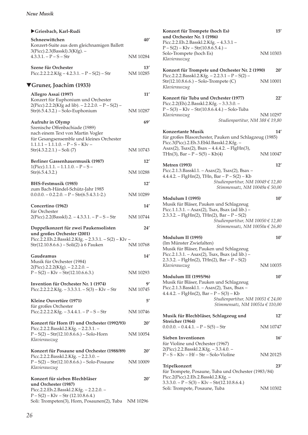### X**Griesbach, Karl-Rudi Schneewittchen** 40' Konzert-Suite aus dem gleichnamigen Ballett 3(Picc).2.3(Basskl).3(Kfg). –  $4.3.3.1. - P - S - Str$  NM 10284 **Szene für Orchester 13'**<br>Picc.2.2.2.2.Kfg – 4.2.3.1. – P – S(2) – Str NM 10285 Picc.2.2.2.2.Kfg – 4.2.3.1. –  $P - S(2) - Str$ ▼**Gruner, Joachim (1933) Allegro Assai (1997) 11'**  Konzert für Euphonium und Orchester  $2(Pice)$ .2.2.2(Kfg ad lib). – 2.2.2.0. – P – S(2) – Str(6.5.4.3.2.) – Solo-Euphonium NM 10287 Aufruhr in Olymp 69' Szenische Offenbachiade (1989) nach einem Text von Martin Vogler für Gesangsensemble und kleines Orchester  $1.1.1.1 - 1.1.1.0 - P - S - Klv -$ Str(4.3.2.2.1.) – Soli (7) NM 10743 **Berliner Gassenhauermusik (1987) 12'**   $1(Pice).1.1.1. - 1.1.1.0. - P - S -$ Str(6.5.4.3.2.) NM 10288 **BHS-Festmusik (1985) 12'**  zum Bach-Händel-Schütz-Jahr 1985  $0.0.0.0 - 0.2.2.0 - P - Str(6.5.4.3.1-2.)$  NM 10289 **Concertino (1962) 14'**  für Orchester 2(Picc).2.2(Basskl).2. – 4.3.3.1. – P – S – Str NM 10744 **Doppelkonzert für zwei Paukensolisten 24' und großes Orchester (2001)**  Picc.2.2.Eh.2.Basskl.2.Kfg. – 2.3.3.1. – S(2) – Klv – Str(12.10.8.6.6.) – Soli(2) à 6 Pauken NM 10768 **Gaudeamus 14'**  Musik für Orchester (1984) 2(Picc).2.2.2(Kfg). – 2.2.2.0. –  $P - S(2) - Klv - Str(12.10.6.6.3.)$  NM 10293 **Invention für Orchester Nr. 1 (1974) 9'**  Picc.2.2.2.2.Kfg. –  $3.3.3.1. - S(3) - Klv - Str$  NM 10745 **Kleine Ouvertüre (1971) 5'** für großes Orchester Picc.2.2.2.2.Kfg. –  $3.4.4.1. - P - S - Str$  NM 10746 **Konzert für Horn (F) und Orchester (1992/93) 20'**  Picc.2.2.2.Basskl.2.Kfg. – 2.2.3.1. –  $P - S(2) - Str(12.10.8.6.6.) - Solo-Horn$  NM 10054 *Klavierauszug*  **Konzert für Posaune und Orchester (1988/89) 20'**  Picc.2.2.2.Basskl.2.Kfg. – 2.2.3.0. – P – S(2) – Str(12.10.8.6.6.) – Solo-Posaune NM 10009 *Klavierauszug*  **Konzert für sieben Blechbläser 20' und Orchester (1987)**  Picc.2.2.Eh.2.Basskl.2.Kfg. – 2.2.2.0. –

 $P - S(2) - Klv - Str(12.10.8.6.4.)$ Soli: Trompeten(3), Horn, Posaunen(2), Tuba NM 10296

| Konzert für Trompete (hoch Es)<br>und Orchester Nr. 1 (1986)<br>Picc.2.2.Eh.2.Basskl.2.Kfg. - 4.3.3.1 -                                                       | 15'      |
|---------------------------------------------------------------------------------------------------------------------------------------------------------------|----------|
| $P-S(2) - Klv - Str(10.8.6.5.4.) -$<br>Solo-Trompete (hoch Es)<br>Klavierauszug                                                                               | NM 10303 |
| Konzert für Trompete und Orchester Nr. 2 (1990)<br>Picc.2.2.2.Basskl.2.Kfg. - 2.2.3.1 - $P - S(2)$ -                                                          | 20'      |
| Str(12.10.8.6.6.) – Solo-Trompete (C)<br>Klavierauszug                                                                                                        | NM 10001 |
| Konzert für Tuba und Orchester (1977)<br>Picc.2.2(Eh).2.Basskl.2.Kfg. - 3.3.3.0. -<br>$P-S(3) - Klv - Str(10.8.6.4.4.) - Solo-Tuba$                           | 22'      |
| Klavierauszug<br>Studienpartitur, NM 388 € 19,80                                                                                                              | NM 10297 |
| <b>Konzertante Musik</b><br>für großes Blasorchester, Pauken und Schlagzeug (1985)<br>Picc.3(Picc).2.Eh.3.Ebkl.Basskl.2.Kfg. -                                | 14'      |
| Asax(2), Tsax(2), Bsax - 4.4.4.2. - FlgHn(3),<br>THn(3), Bar – $P - S(5) - Kb(4)$                                                                             | NM 10047 |
| <b>Metren</b> (1993)<br>Picc.2.1.3.Basskl.1. - Asax(2), Tsax(2), Bsax -                                                                                       | 12'      |
| $4.4.4.2. -$ FlgHn(2), THn, Bar – P – S(2) – Kb<br>Studienpartitur, NM 10049 € 12,80<br>Stimmensatz, NM 10049a $\in$ 50,00                                    |          |
| Modulum I (1995)<br>Musik für Bläser, Pauken und Schlagzeug<br>Picc.1.1.3.1. - Asax(2), Tsax, Bsax (ad lib.) -<br>2.3.3.2. - FlgHn(2), THn(2), Bar - P - S(2) | 10'      |
| Studienpartitur, NM 10050 € 12,80<br>Stimmensatz, NM 10050a € 26,80                                                                                           |          |
| Modulum II (1995)<br>(Im Münster Zwiefalten)<br>Musik für Bläser, Pauken und Schlagzeug<br>Picc.2.1.3.1. - Asax(2), Tsax, Bsax (ad lib.) -                    | 10'      |
| 2.3.3.2. – FlgHn(2), THn(2), Bar – P – S(2)<br>Klavierauszug                                                                                                  | NM 10035 |
| <b>Modulum III (1995/96)</b><br>Musik für Bläser, Pauken und Schlagzeug<br>Picc.2.1.3.Basskl.1. - Asax(2), Tsax, Bsax -                                       | 10'      |
| $4.4.4.2. -$ FlgHn(2), Bar - P - S(3) - Kb<br>Studienpartitur, NM 10051 $\in$ 24,00<br>Stimmensatz, NM 10051a € 110,00                                        |          |
| Musik für Blechbläser, Schlagzeug und<br>Streicher (1964)                                                                                                     | 12'      |
| $0.0.0.0 - 0.4.4.1 - P - S(5) - Str$                                                                                                                          | NM 10747 |
| Sieben Inventionen<br>für Violine und Orchester (1967)<br>2(Picc).2.2.Basskl.2.Kfg. - 3.3.4.0. -                                                              | 16'      |
| P-S-Klv-Hf-Str-Solo-Violine                                                                                                                                   | NM 20125 |
| Tripelkonzert<br>für Trompete, Posaune, Tuba und Orchester (1983/84)<br>Picc.2(Picc).2.Eh.2.Basskl.2.Kfg. -                                                   | 23'      |
| $3.3.3.0. - P - S(3) - Klv - Str(12.10.8.6.4.)$<br>Soli: Trompete, Posaune, Tuba                                                                              | NM 10302 |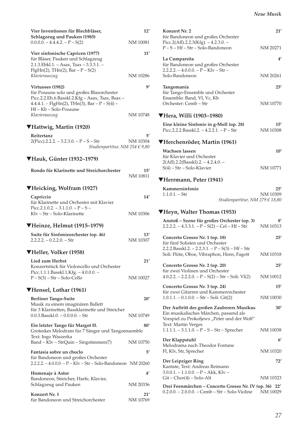| Neue Musik |  |
|------------|--|
|------------|--|

| Vier Inventionen für Blechbläser,<br>Schlagzeug und Pauken (1985)                                                                                                                         | 12'             |
|-------------------------------------------------------------------------------------------------------------------------------------------------------------------------------------------|-----------------|
| $0.0.0.0 - 4.4.4.2 - P - S(2)$                                                                                                                                                            | NM 10081        |
| Vier sinfonische Capricen (1977)<br>für Bläser, Pauken und Schlagzeug<br>2.1.3. Ebkl. 1. - Asax, Tsax - 3.3.3. 1. -<br>$FigHn(2)$ , THn(2), Bar – P – S(2)                                | 11'             |
| Klavierauszug                                                                                                                                                                             | NM 10286        |
| Virtuoses (1982)<br>für Posaune solo und großes Blasorchester<br>Picc.2.2.Eh.6.Basskl.2.Kfg - Asax, Tsax, Bsax -<br>$4.4.4.1. -$ FlgHn(2), THn(3), Bar - P - S(4) -<br>Hf-Kb-Solo-Posaune | g,              |
| Klavierauszug                                                                                                                                                                             | NM 10748        |
| ▼Hattwig, Martin (1920)                                                                                                                                                                   |                 |
| Reitertanz<br>$2(Pice).2.2.2. - 3.2.3.0. - P - S - Str$<br>Studienpartitur, NM 254 € 9,80                                                                                                 | 5′<br>NM 10304  |
| ▼Hauk, Günter (1932–1979)                                                                                                                                                                 |                 |
| Rondo für Klarinette und Streichorchester                                                                                                                                                 | 15'<br>NM 10811 |
| ▼Heicking, Wolfram (1927)                                                                                                                                                                 |                 |
| Capriccio<br>für Klarinette und Orchester mit Klavier<br>Picc.2.1.0.2. $-3.1.1.0 - P - S -$                                                                                               | 14'             |
| Kly - Str - Solo-Klarinette                                                                                                                                                               | NM 10306        |
| ▼Heinze, Helmut (1915–1979)                                                                                                                                                               |                 |
| Suite für Sinfonieorchester (op. 46)<br>$2.2.2.2. - 0.2.2.0. - Str$                                                                                                                       | 13'<br>NM 10307 |
| VHeller, Volker (1958)                                                                                                                                                                    |                 |
| Lied zum Herbst<br>Konzertstück für Violoncello und Orchester<br>Picc.1.1.1.Basskl.1.Kfg. - 4.0.0.0. -<br>$P-S(3) - Str-Solo-Cello$                                                       | 21′<br>NM 10027 |
|                                                                                                                                                                                           |                 |
| ▼Hensel, Lothar (1961)<br><b>Berliner Tango-Suite</b><br>Musik zu einem imaginären Ballett                                                                                                | 20'             |
| für 3 Klarinetten, Bassklarinette und Streicher<br>$0.0.3$ . Bassk $1.0. - 0.0.0.0. -$ Str                                                                                                | NM 10749        |
| Ein letzter Tango für Margot H.<br>Groteskes Melodram für 7 Sänger und Tangoensemble<br>Text: Ingo Waszerka                                                                               | 80'             |
| Band - Klv - StrQuin - Singstimmen(7)                                                                                                                                                     | NM 10750        |
| Fantasia sobre un choclo<br>für Bandoneon und großes Orchester<br>2.2.2.2. - 4.0.0.0. - P - Klv - Str - Solo-Bandoneon NM 20260                                                           | 5′              |
| Homenaje à Astor                                                                                                                                                                          | 4'              |
| Bandoneon, Streicher, Harfe, Klavier,<br>Schlagzeug und Pauken                                                                                                                            | NM 20336        |
| Konzert Nr. 1                                                                                                                                                                             | 21′             |
| für Bandoneon und Streichorchester                                                                                                                                                        | NM 10769        |

| Konzert Nr. 2<br>für Bandoneon und großes Orchester<br>Picc.2(Afl).2.2.3(Kfg). $-4.2.3.0.$ –                                                              | 21'             |
|-----------------------------------------------------------------------------------------------------------------------------------------------------------|-----------------|
| P-S-Hf-Str-Solo-Bandoneon                                                                                                                                 | NM 20271        |
| La Cumparsita<br>für Bandoneon und großes Orchester<br>$2.2.2.2. - 4.0.0.0. - P - Klv - Str -$                                                            | $4^{\prime}$    |
| Solo-Bandoneon                                                                                                                                            | NM 20261        |
| Tangomanía<br>für Tango-Ensemble und Orchester<br>Ensemble: Band, Vl, Vc, Kb<br>Orchester: Cemb - Str                                                     | 25'<br>NM 10770 |
|                                                                                                                                                           |                 |
| ▼Hera, Willi (1903–1980)<br>Eine kleine Sinfonie in g-Moll (op. 28)<br>Picc.2.2.2.Basskl.2. $-4.2.2.1. - P - Str$                                         | 15'<br>NM 10308 |
| ▼Herchenröder, Martin (1961)                                                                                                                              |                 |
| Wachsen lassen<br>für Klavier und Orchester<br>$2(Af1).2.2(Basskl).2. - 4.2.4.0. -$                                                                       | 10'             |
| S(4) - Str - Solo-Klavier                                                                                                                                 | NM 10771        |
| ▼Herrmann, Peter (1941)                                                                                                                                   |                 |
| Kammersinfonie<br>$1.1.0.1 - Str$<br>Studienpartitur, NM 279 € 18,80                                                                                      | 25'<br>NM 10309 |
| ▼Heyn, Walter Thomas (1953)                                                                                                                               |                 |
| Anstoß - Szene für großes Orchester (op. 3)<br>$2.2.2.2. - 4.3.3.1. - P - S(2) - Cel - Hf - Str$                                                          | 8′<br>NM 10313  |
| Concerto Grosso Nr. 1 (op. 18)<br>für fünf Solisten und Orchester<br>2.2.2.Basskl.2. - 2.2.3.1. - P - $S(3)$ - Hf - Str                                   | $25^{\prime}$   |
| Soli: Flöte, Oboe, Vibraphon, Horn, Fagott                                                                                                                | NM 10318        |
| Concerto Grosso Nr. 2 (op. 20)                                                                                                                            | 25'             |
| für zwei Violinen und Orchester<br>$4.0.2.2. - 2.2.2.0. - P - S(2) - Str - Soli$ : Vl(2)                                                                  | NM 10012        |
| Concerto Grosso Nr. 3 (op. 24)                                                                                                                            | 15'             |
| für zwei Gitarren und Kammerorchester<br>$1.0.1.1. - 0.1.0.0. - Str - Soli$ : Git(2)                                                                      | NM 10030        |
| Der Auftritt des großen Zauberers Musikus<br>Ein musikalisches Märchen, passend als<br>Vorspiel zu Prokofjews "Peter und der Wolf"<br>Text: Martin Verges | 30′             |
| $1.1.1.1. - 3.1.1.0. - P - S - Str - Sprecher$                                                                                                            | NM 10038        |
| Der Klappstuhl                                                                                                                                            | 6'              |
| Melodrama nach Theodor Fontane<br>Fl, Klv, Str, Sprecher                                                                                                  | NM 10320        |
| Der Leipziger Ring<br>Kantate, Text: Andreas Reimann<br>$3.0.0.1. - 1.1.0.0. - P - Akk, Klv -$                                                            | 72′             |
| $Git - Chor(4) - Solo-Alt$                                                                                                                                | NM 10323        |
| Drei Feenmärchen - Concerto Grosso Nr. IV (op. 36) 22'<br>$0.2.0.0 - 2.0.0.0 - Cemb - Str - Solo-Violine$                                                 | NM 10029        |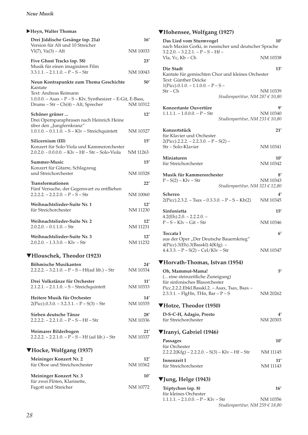| Heyn, Walter Thomas |                                                                                                 |                        |  |
|---------------------|-------------------------------------------------------------------------------------------------|------------------------|--|
|                     | Drei Jiddische Gesänge (op. 21a)<br>Version für Alt und 10 Streicher                            | 16'                    |  |
|                     | $VI(7)$ , $Va(3) - Alt$                                                                         | NM 10033               |  |
|                     | Five Ghost Tracks (op. 58)<br>Musik für einen imaginären Film                                   | 23'                    |  |
|                     | $3.3.1.1. - 2.1.1.0. - P - S - Str$                                                             | NM 10043               |  |
|                     | Neun Kontrapunkte zum Thema Geschichte<br>Kantate                                               | 50'                    |  |
|                     | Text: Andreas Reimann<br>1.0.0.0. - Asax - P - S - Klv, Synthesizer - E-Git, E-Bass,            |                        |  |
|                     | Drums - Str - Ch(4) - Alt, Sprecher                                                             | NM 10312               |  |
|                     | Schöner grüner<br>Drei Opernparaphrasen nach Heinrich Heine<br>über den "Jungfernkranz"         | 12'                    |  |
|                     | 1.0.1.0. - 0.1.1.0. - S - Klv - Streichquintett                                                 | NM 10327               |  |
|                     | Silicernium (III)                                                                               | 15'                    |  |
|                     | Konzert für Solo-Viola und Kammerorchester<br>$2.0.2.0 - 0.0.0.0 - K/v - Hf - Str - Solo-Viola$ | NM 11263               |  |
|                     | Summer-Music                                                                                    | 15'                    |  |
|                     | Konzert für Gitarre, Schlagzeug<br>und Streichorchester                                         | NM 10328               |  |
|                     | Transformationen                                                                                | 22′                    |  |
|                     | Fünf Versuche, der Gegenwart zu entfliehen<br>$2.2.2.2. - 2.2.2.0. - P - S - Str$               | NM 10060               |  |
|                     | Weihnachtslieder-Suite Nr. 1<br>für Streichorchester                                            | 12'<br><b>NM 11230</b> |  |
|                     | Weihnachtslieder-Suite Nr. 2<br>$2.0.2.0 - 0.1.1.0 - Str$                                       | 12'<br><b>NM 11231</b> |  |
|                     | Weihnachtslieder-Suite Nr. 3<br>$2.0.2.0 - 1.3.3.0 - Klv - Str$                                 | 12'<br><b>NM 11232</b> |  |
|                     |                                                                                                 |                        |  |

### ▼**Hlouschek, Theodor (1923)**

| <b>Böhmische Musikanten</b>                        | 24'      |  |  |
|----------------------------------------------------|----------|--|--|
| $2.2.2.2. - 3.2.1.0. - P - S - Hf(ad lib.) - Str$  | NM 10334 |  |  |
| Drei Volkstänze für Orchester                      | 11'      |  |  |
| $2.1.2.1. - 2.1.1.0. - S - Streichquintett$        | NM 10333 |  |  |
| Heitere Musik für Orchester                        | 14'      |  |  |
| $2(Pice)$ .0.3.0. $-3.2.3.1$ . $-P-S(3)$ $-$ Str   | NM 10335 |  |  |
| Sieben deutsche Tänze                              | 28'      |  |  |
| $2.2.2.2 - 2.2.1.0 - P - S - Hf - Str$             | NM 10336 |  |  |
| Weimarer Bilderbogen                               | 21'      |  |  |
| $2.2.2.2. - 2.2.1.0. - P - S - Hf$ (ad lib.) – Str | NM 10337 |  |  |
| ▼Hocke, Wolfgang (1937)                            |          |  |  |
| Meininger Konzert Nr. 2                            | 12'      |  |  |
| für Oboe und Streichorchester                      | NM 10362 |  |  |
| Meininger Konzert Nr. 3                            | 10′      |  |  |
| für zwei Flöten, Klarinette,                       |          |  |  |
|                                                    |          |  |  |

Fagott und Streicher NM 10772

# ▼**Hohensee, Wolfgang (1927)**

| Das Lied vom Sturmvogel<br>nach Maxim Gorki, in russischer und deutscher Sprache<br>$3.2.2.0. - 3.2.2.1. - P - S - Hf -$ | 10'             |
|--------------------------------------------------------------------------------------------------------------------------|-----------------|
| Vla, Vc, Kb - Ch                                                                                                         | NM 10338        |
| Die Stadt<br>Kantate für gemischten Chor und kleines Orchester<br>Text: Günther Deicke                                   | 13'             |
| $1(Pice).0.1.0. - 1.1.0.0. - P - S -$                                                                                    |                 |
| Str – Ch<br>Studienpartitur, NM 287 € 10,80                                                                              | NM 10339        |
| Konzertante Ouvertüre                                                                                                    | 9'              |
| $1.1.1.1 - 1.0.0.0 - P - Str$<br>Studienpartitur, NM 233 € 10,80                                                         | NM 10340        |
|                                                                                                                          |                 |
| Konzertstück<br>für Klavier und Orchester                                                                                | 21'             |
| $2(Picc).2.2.2. - 2.2.3.0. - P - S(2) -$                                                                                 |                 |
| Str - Solo-Klavier                                                                                                       | NM 10341        |
| Miniaturen<br>für Streichorchester                                                                                       | 10'<br>NM 10342 |
| Musik für Kammerorchester                                                                                                | 8′              |
| $P-S(2) - Klv - Str$                                                                                                     | NM 10343        |
| Studienpartitur, NM 323 € 12,80                                                                                          |                 |
| Scherzo<br>$2(Picc).2.3.2. - Tsax - 0.3.3.0. - P - S - Kb(2)$                                                            | 4′<br>NM 10345  |
| Sinfonietta                                                                                                              | 15'             |
| $4.2$ (Eh).2.0. - 2.2.2.0. -<br>$P-S-Klv-Git-Str$                                                                        | NM 10346        |
|                                                                                                                          |                 |
| Toccata I<br>aus der Oper "Der Deutsche Bauernkrieg"<br>4(Picc).3(Eh).3(Basskl).4(Kfg). -                                | $6^{\prime}$    |
| $4.4.3.3. - P - S(2) - Cel/Klv - Str$                                                                                    | NM 10347        |
| ▼Horvath-Thomas, Istvan (1954)                                                                                           |                 |
| Oh, Mammut-Mama!                                                                                                         | 5′              |
| ( eine steinzeitliche Zuneigung)                                                                                         |                 |
| für sinfonisches Blasorchester<br>Picc.2.2.2.Ebkl.Basskl.2. - Asax, Tsax, Bsax -                                         |                 |
| 2.3.3.1. - FlgHn, THn, Bar - P - S                                                                                       | NM 20262        |
| ▼Hotze, Theodor (1950)                                                                                                   |                 |
| D-S-C-H, Adagio, Presto                                                                                                  | 4′              |
| für Streichorchester                                                                                                     | NM 20303        |
| ▼Iranyi, Gabriel (1946)                                                                                                  |                 |
| Passages                                                                                                                 | 10'             |
| für Orchester<br>$2.2.2.2(Kfg) - 2.2.2.0. - S(3) - Klv - Hf - Str$                                                       | NM 11145        |
|                                                                                                                          |                 |
| Innenzeit I<br>für Streichorchester                                                                                      | 11'<br>NM 11143 |
| ▼Jung, Helge (1943)                                                                                                      |                 |
| Triptychon (op. 8)                                                                                                       | 16'             |
| für kleines Orchester                                                                                                    |                 |
| $1.1.1.1 - 2.1.0.0 - P - Klv - Str$                                                                                      | NM 10356        |

*Studienpartitur, NM 259 € 18,80*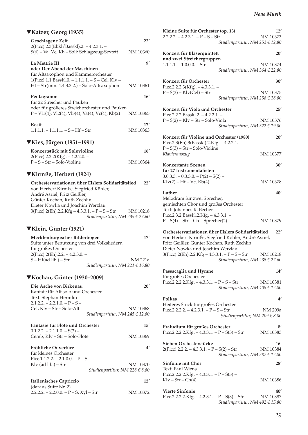| ▼Katzer, Georg (1935)                                                                             |              | Klein                     |
|---------------------------------------------------------------------------------------------------|--------------|---------------------------|
| Geschlagene Zeit<br>2(Picc).2.3(Ebkl/Basskl).2. – 4.2.3.1. –                                      | 22'          | 2.2.2.2                   |
| S(6) - Va, Vc, Kb - Soli: Schlagzeug-Sextett                                                      | NM 10360     | <b>Konz</b>               |
| La Mettrie III                                                                                    | 9'           | und z<br>1.1.1.1          |
| oder Der Abend der Maschinen<br>für Altsaxophon und Kammerorchester                               |              |                           |
| 1(Picc).1.1.Basskl.0. - 1.1.1.1. - S - Cel, Klv -<br>Hf – Str(min. 4.4.3.3.2.) – Solo-Altsaxophon | NM 10361     | <b>Konz</b><br>Picc.2     |
| Pentagramm                                                                                        | 16'          | $P-S(3)$                  |
| für 22 Streicher und Pauken<br>oder für größeres Streichorchester und Pauken                      |              | <b>Konz</b>               |
| $P - VI1(4)$ , Vl2(4), Vl3(4), Va(4), Vc(4), Kb(2)                                                | NM 10365     | Picc.2                    |
| Recit                                                                                             | 17'          | $P-S(2)$                  |
| $1.1.1.1. - 1.1.1.1. - S - Hf - Str$                                                              | NM 10363     | <b>Konz</b>               |
| ▼Kies, Jürgen (1951–1991)                                                                         |              | Picc.2                    |
| Konzertstück mit Solovioline                                                                      | 16'          | $P-S(3)$<br><i>Klavie</i> |
| $2(Picc).2.2.2(Kfg). -4.2.2.0. -$<br>$P-S - Str - Solo-Violine$                                   | NM 10364     |                           |
|                                                                                                   |              | <b>Konz</b><br>für 27     |
| ▼Kirmße, Herbert (1924)                                                                           |              | 3.0.3.3<br>Klv(2)         |
| Orchestervariationen über Eislers Solidaritätslied<br>von Herbert Kirmße, Siegfried Köhler,       | 22'          |                           |
| André Asriel, Fritz Geißler,                                                                      |              | Luthe<br>Meloc            |
| Günter Kochan, Ruth Zechlin,<br>Dieter Nowka und Joachim Werzlau                                  |              | gemis                     |
| $3(Picc).2(Eh).2.2.Kfg - 4.3.3.1. - P - S - Str$                                                  | NM 10218     | Text: J                   |
| Studienpartitur, NM 235 € 27,60                                                                   |              | Picc.2<br>$P-S($          |
| ▼Klein, Günter (1921)                                                                             |              | Orche                     |
| Mecklenburgischer Bilderbogen                                                                     | 17'          | von H                     |
| Suite unter Benutzung von drei Volksliedern                                                       |              | Fritz (                   |
| für großes Orchester                                                                              |              | Dieter<br>3(Picc          |
| 2(Picc).2(Eh).2.2. – 4.2.3.0. –<br>$S - Hf$ (ad lib.) – Str                                       | NM 221a      |                           |
| Studienpartitur, NM 221 € 16,80                                                                   |              |                           |
| ▼Kochan, Günter (1930–2009)                                                                       |              | Passa<br>für gr           |
| Die Asche von Birkenau                                                                            | 20'          | Picc.2                    |
| Kantate für Alt solo und Orchester                                                                |              |                           |
| Text: Stephan Hermlin                                                                             |              | Polka                     |
| $2.1.2.2. - 2.2.1.0. - P - S -$<br>Cel, Klv - Str - Solo-Alt                                      | NM 10368     | Heiter                    |
| Studienpartitur, NM 245 € 12,80                                                                   |              | Picc.2                    |
| Fantasie für Flöte und Orchester                                                                  | 15'          | Prälu                     |
| $0.1.2.2. - 2.1.1.0. - S(3) -$<br>Cemb, Klv – Str – Solo-Flöte                                    | NM 10369     | Picc.2                    |
|                                                                                                   |              | <b>Siebe</b>              |
| Fröhliche Ouvertüre<br>für kleines Orchester                                                      | $4^{\prime}$ | 2(Picc                    |
| Picc.1.1.2.2. $- 2.1.0.0 - P - S -$                                                               |              |                           |
| $Klv$ (ad lib.) – Str                                                                             | NM 10370     | <b>Sinfo</b><br>Text: I   |
| Studienpartitur, NM 228 € 8,80                                                                    |              | Picc.2                    |
| Italienisches Capriccio                                                                           | 12'          | $Klv -$                   |
| (daraus Suite Nr. 2)<br>$2.2.2.2. - 2.2.0.0. - P - S$ , Xyl - Str                                 | NM 10372     | Vierte                    |
|                                                                                                   |              |                           |

| Kleine Suite für Orchester (op. 13)<br>$2.2.2.2. - 4.2.3.1. - P - S - Str$                                                                                      | Studienpartitur, NM 253 $\in$ 12,80 | 12'<br>NM 10373          |  |
|-----------------------------------------------------------------------------------------------------------------------------------------------------------------|-------------------------------------|--------------------------|--|
| Konzert für Bläserquintett                                                                                                                                      |                                     | 20'                      |  |
| und zwei Streichergruppen<br>$1.1.1.1. - 1.0.0.0. - Str$                                                                                                        | Studienpartitur, NM 364 € 22,80     | NM 10374                 |  |
| Konzert für Orchester                                                                                                                                           |                                     | 30'                      |  |
| Picc.2.2.2.3(Kfg). $-4.3.3.1.$ -<br>$P-S(3) - Klv(Cel) - Str$                                                                                                   | Studienpartitur, NM 238 € 18,80     | NM 10375                 |  |
| Konzert für Viola und Orchester<br>Picc.2.2.2.Basskl.2. $-4.2.2.1.$                                                                                             |                                     | 25'                      |  |
| $P-S(2) - Klv - Str - Solo-Viola$                                                                                                                               | Studienpartitur, NM 322 $\in$ 19,80 | NM 10376                 |  |
| Konzert für Violine und Orchester (1980)<br>Picc.2.3(Eh).3(Basskl).2.Kfg. - 4.2.2.1. -                                                                          |                                     | 20'                      |  |
| $P-S(3) - Str - Solo-Violine$<br>Klavierauszug                                                                                                                  |                                     | NM 10377                 |  |
| Konzertante Szenen<br>für 27 Instrumentalisten<br>$3.0.3.3 - 0.3.3.0 - P(2) - S(2) -$                                                                           |                                     | 30'                      |  |
| $Klv(2) - Hf - Vc, Kb(4)$                                                                                                                                       |                                     | NM 10378                 |  |
| Luther<br>Melodram für zwei Sprecher,<br>gemischten Chor und großes Orchester                                                                                   |                                     | 40'                      |  |
| Text: Johannes R. Becher<br>Picc.2.3.2.Basskl.2.Kfg. - 4.3.3.1. -<br>$P-S(4)$ – Str – Ch – Sprecher(2)                                                          |                                     | NM 10379                 |  |
| Orchestervariationen über Eislers Solidaritätslied<br>22'<br>von Herbert Kirmße, Siegfried Köhler, André Asriel,<br>Fritz Geißler, Günter Kochan, Ruth Zechlin, |                                     |                          |  |
| Dieter Nowka und Joachim Werzlau<br>3(Picc).2(Eh).2.2.Kfg - 4.3.3.1. - P - S - Str                                                                              | Studienpartitur, NM 235 € 27,60     | NM 10218                 |  |
| Passacaglia und Hymne<br>für großes Orchester                                                                                                                   |                                     | 14'                      |  |
| Picc.2.2.2.2.Kfg. $-4.3.3.1. - P - S - Str$                                                                                                                     | Studienpartitur, NM 405 € 12,80     | NM 10381                 |  |
| Polkas<br>Heiteres Stück für großes Orchester                                                                                                                   |                                     | $4^{\prime}$             |  |
| Picc.2.2.2.2. $-4.2.3.1. - P - S - Str$                                                                                                                         | Studienpartitur, NM 209 $\in$ 8,00  | NM 209a                  |  |
| Präludium für großes Orchester<br>Picc.2.2.2.2.Kfg. $-4.3.3.1. - P - S(3) - Str$                                                                                |                                     | $8^{\prime}$<br>NM 10383 |  |
| Sieben Orchesterstücke<br>$2(Picc).2.2.2. - 4.3.3.1. - P - S(2) - Str$                                                                                          | Studienpartitur, NM 387 $\in$ 12,80 | 16'<br>NM 10384          |  |
| <b>Sinfonie mit Chor</b><br>Text: Paul Wiens                                                                                                                    |                                     | 28′                      |  |
| Picc.2.2.2.2.Kfg. $-4.3.3.1. - P - S(3) -$<br>$Klv - Str - Ch(4)$                                                                                               |                                     | NM 10386                 |  |
| <b>Vierte Sinfonie</b><br>Picc.2.2.2.2.Kfg. - $4.2.3.1. - P - S(3) - Str$                                                                                       | Studienpartitur, NM 492 € 15,80     | 40'<br>NM 10387          |  |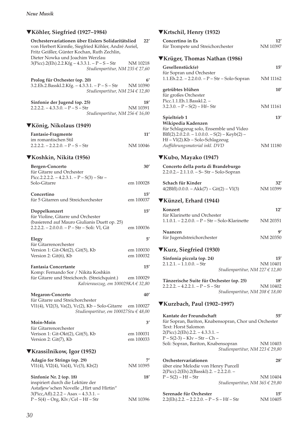#### *Neue Musik*

| ▼Köhler, Siegfried (1927–1984)                                                                                                                           |                        |
|----------------------------------------------------------------------------------------------------------------------------------------------------------|------------------------|
| Orchestervariationen über Eislers Solidaritätslied<br>von Herbert Kirmße, Siegfried Köhler, André Asriel,<br>Fritz Geißler, Günter Kochan, Ruth Zechlin, | 22'                    |
| Dieter Nowka und Joachim Werzlau<br>$3(Picc).2(Eh).2.2.Kfg - 4.3.3.1. - P - S - Str$<br>Studienpartitur, NM 235 $\in$ 27,60                              | NM 10218               |
| Prolog für Orchester (op. 20)<br>3.2.Eh.2.Basskl.2.Kfg. - 4.3.3.1. - P - S - Str<br>Studienpartitur, NM 234 € 12,80                                      | 6'<br>NM 10390         |
| Sinfonie der Jugend (op. 25)<br>$2.2.2.2 - 4.3.3.0 - P - S - Str$<br>Studienpartitur, NM 256 € 16,00                                                     | 18′<br>NM 10391        |
| ▼König, Nikolaus (1949)                                                                                                                                  |                        |
| Fantasie-Fragmente<br>im romantischen Stil                                                                                                               | 11'                    |
| $2.2.2.2 - 2.2.2.0 - P - S - Str$                                                                                                                        | NM 10046               |
| ▼Koshkin, Nikita (1956)                                                                                                                                  |                        |
| <b>Bergen-Concerto</b><br>für Gitarre und Orchester<br>Picc.2.2.2.2. - 4.2.3.1. - $P - S(3) - Str$ -                                                     | 30′                    |
| Solo-Gitarre                                                                                                                                             | em 100028              |
| Concertino<br>für 5 Gitarren und Streichorchester                                                                                                        | 15′<br>em 100037       |
| Doppelkonzert<br>für Violine, Gitarre und Orchester                                                                                                      | $15^{\prime}$          |
| (basierend auf Mauro Giulianis Duett op. 25)<br>2.2.2.2. - 2.0.0.0. - P - Str - Soli: Vl, Git                                                            | em 100036              |
| Elegy                                                                                                                                                    | 5'                     |
| für Gitarrenorchester<br>Version 1: Git-Okt(2), Git(5), Kb<br>Version 2: Git(6), Kb                                                                      | em 100030<br>em 100032 |
| <b>Fantasia Concertante</b>                                                                                                                              | $15^{\prime}$          |
| Komp: Fernando Sor / Nikita Koshkin<br>für Gitarre und Streichorch. (Streichquint.) em 100029<br>Kalvierauszug, em 100029KA € 32,80                      |                        |
| <b>Megaron-Concerto</b>                                                                                                                                  | 40'                    |
| für Gitarre und Streichorchester<br>Vl1(4), Vl2(3), Va(2), Vc(2), Kb – Solo-Gitarre em 100027<br>Studienpartitur, em 100027Stu € 48,00                   |                        |
| Moin-Moin                                                                                                                                                | $3^{\prime}$           |
| für Gitarrenorchester<br>Verison 1: Git-Okt(2), Git(5), Kb<br>Version 2: Git(7), Kb                                                                      | em 100031<br>em 100033 |
| ▼Krassilnikow, Igor (1952)                                                                                                                               |                        |
| Adagio for Strings (op. 29)<br>Vl1(4), Vl2(4), Va(4), Vc(3), Kb(2)                                                                                       | NM 10395               |
| Sinfonie Nr. 2 (op. 18)<br>inspiriert durch die Lektüre der<br>Astafjew'schen Novelle "Hirt und Hirtin"                                                  | 18′                    |
| $3(Pice, Aff).2.2.2 - Asax - 4.3.3.1. -$                                                                                                                 |                        |
| $P-S(4)$ – Org, Klv/Cel – Hf – Str                                                                                                                       | NM 10396               |

# ▼**Krtschil, Henry (1932)**

| Concertino in Es<br>für Trompete und Streichorchester                                                                                                                          | 12'<br>NM 10397 |  |
|--------------------------------------------------------------------------------------------------------------------------------------------------------------------------------|-----------------|--|
| ▼Krüger, Thomas Nathan (1986)                                                                                                                                                  |                 |  |
| Gesellenstück(e)<br>für Sopran und Orchester<br>1.1.Eh.2.2. - 2.2.0.0. - P - Str - Solo-Sopran                                                                                 | 15'<br>NM 11162 |  |
| getrübtes blühen<br>für großes Orchester<br>Picc.1.1.Eh.1.Basskl.2. -                                                                                                          | 10'             |  |
| $3.2.3.0. - P - S(2) - Hf - Str$                                                                                                                                               | <b>NM 11161</b> |  |
| Spieltrieb 1<br>Wikipedia Kadenzen                                                                                                                                             | 13'             |  |
| für Schlagzeug solo, Ensemble und Video<br>$BIf(2).2.0.2.0. - 1.0.0.0. - S(2) - Keyb(2) -$<br>Hf-Vl(2).Kb-Solo-Schlagzeug<br>Aufführungsmaterial inkl. DVD                     | NM 11180        |  |
| ▼Kubo, Mayako (1947)                                                                                                                                                           |                 |  |
| Concerto della porta di Brandeburgo<br>2.2.0.2. - 2.1.1.0. - S-Str - Solo-Sopran                                                                                               |                 |  |
| Schach für Kinder<br>$4(2BIfI).0.0.0. - Akk(7) - Git(2) - VI(3)$                                                                                                               | 32'<br>NM 10399 |  |
| ▼Künzel, Erhard (1944)                                                                                                                                                         |                 |  |
| Konzert<br>für Klarinette und Orchester<br>$1.1.0.1. - 2.2.0.0. - P - Str - Solo-Klarinette$                                                                                   | 12'<br>NM 20351 |  |
| Nuancen<br>für Jugendstreichorchester                                                                                                                                          | g,<br>NM 20350  |  |
| ▼Kurz, Siegfried (1930)                                                                                                                                                        |                 |  |
| Sinfonia piccola (op. 24)<br>$2.1.2.1 - 1.1.0.0 - Str$<br>Studienpartitur, NM 227 € 12,80                                                                                      | 15'<br>NM 10401 |  |
| Tänzerische Suite für Orchester (op. 25)<br>$2.2.2.2. - 4.2.2.1. - P - S - Str$<br>Studienpartitur, NM 208 $\in$ 18,00                                                         | 18'<br>NM 10402 |  |
| ▼Kurzbach, Paul (1902–1997)                                                                                                                                                    |                 |  |
| Kantate der Freundschaft<br>für Sopran, Bariton, Knabensopran, Chor und Orchester<br>Text: Horst Salomon<br>2(Picc).2(Eh).2.2. - 4.3.3.1. -<br>$P - S(2-3) - Klv - Str - Ch -$ | 55′             |  |
| Soli: Sopran, Bariton, Knabensopran<br>Studienpartitur, NM 223 € 29,80                                                                                                         | NM 10403        |  |
| Orchestervariationen                                                                                                                                                           | 28′             |  |

| <u>URTESTEI VALIATIUITEIT</u>           | $\sim$                              |
|-----------------------------------------|-------------------------------------|
| über eine Melodie von Henry Purcell     |                                     |
| 2(Picc).2(Eh).2(Basskl).2. – 2.2.2.0. – |                                     |
| $P-S(2) - Hf - Str$                     | NM 10404                            |
|                                         | Studienpartitur, NM 365 $\in$ 29,80 |

| Serenade für Orchester                        | 15'      |
|-----------------------------------------------|----------|
| $2.2(Eh)$ .2.2. – 2.2.2.0. – P – S – Hf – Str | NM 10405 |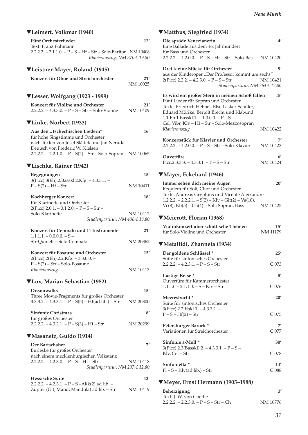### ▼**Leimert, Volkmar (1940)**  Fünf Orchesterlieder 12' Text: Franz Fühmann 2.2.2.2. – 2.1.1.0. – P – S – Hf – Str – Solo-Bariton NM 10408 *Klavierauszug, NM 370 € 19,80*  ▼**Leistner-Mayer, Roland (1945) Konzert für Oboe und Streichorchester 21'**  NM 10025 ▼**Lesser, Wolfgang (1923 - 1999) Konzert für Violine und Orchester 21'**   $2.2.2.2. - 4.3.3.0. - P - S - Str - Solo-Violine$ ▼**Linke, Norbert (1933)**  Aus den "Tschechischen Liedern" 16' für hohe Singstimme und Orchester nach Texten von Josef Sládek und Jan Neruda Deutsch von Frederic W. Nielsen  $2.2.2.2 - 2.2.1.0 - P - S(2) - Str - Solo-Sopran$  NM 10065 ▼**Lischka, Rainer (1942) Begegnungen 15'**  3(Picc).3(Eh).2.Basskl.2.Kfg. – 4.3.3.1. –  $P-S(2) - Hf-Str$  NM 10411 Kochberger Konzert 18' für Klarinette und Orchester  $2(Pice).2.0.1. - 0.1.2.0. - P - S - Str -$ Solo-Klarinette NM 10412 *Studienpartitur, NM 406 € 18,80*  **Konzert für Cembalo und 11 Instrumente 21'**   $1.1.1.1. - 0.0.0.0. - S -$ Str-Quinett – Solo-Cembalo NM 20362 **Konzert für Posaune und Orchester 15'**  2(Picc).2(Eh).2.2.Kfg. – 3.3.0.0. – P – S(2) – Str – Solo-Posaune *Klavierauszug* NM 10413 ▼**Lux, Marian Sebastian (1982) Dreamwalks 15'** Three Movie-Fragments für großes Orchester  $3.3.3.2. - 4.3.3.1. - P - S(5) - Hf(ad lib.) - Str$  NM 20300 **Sinfonic Christmas 8'** für großes Orchester  $2.2.\overline{2.2}$ . – 4.3.2.1. – P – S(3) – Hf – Str NM 20299 ▼**Masanetz, Guido (1914) Der Bartschaber 7'**  Burleske für großes Orchester nach einem mecklenburgischen Volkstanz  $2.2.2.2 - 4.2.3.0 - P - S - Hf - Str$  NM 10418 *Studienpartitur, NM 207 € 12,80*  **Hessische Suite 13'**   $2.2.2.2. - 4.2.3.1. - P - S - Akk(2)$  ad lib. -Zupfer (Git, Mand, Mandola) ad lib. – Str<br>
NM 10419 **Die spröde Venezianerin 4'**

### ▼**Matthus, Siegfried (1934)**

| Eine Ballade aus dem 16. Jahrhundert<br>für Bass und Orchester                                                                                                                                                                                                                    | 4                      |
|-----------------------------------------------------------------------------------------------------------------------------------------------------------------------------------------------------------------------------------------------------------------------------------|------------------------|
| $2.2.2.2 - 4.2.0.0 - P - S - Hf - Str - Solo-Bass$ NM 10420                                                                                                                                                                                                                       |                        |
| Drei kleine Stücke für Orchester<br>aus der Kinderoper "Der Professor kommt um sechs"<br>$2(Picc).2.2.2. - 4.2.3.0. - P - S - Str$<br>Studienpartitur, NM 264 € 12,80                                                                                                             | 9'<br>NM 10421         |
| Es wird ein großer Stern in meinen Schoß fallen<br>Fünf Lieder für Sopran und Orchester<br>Texte: Friedrich Hebbel, Else Lasker-Schüler,<br>Eduard Mörike, Bertolt Brecht und Klabund<br>1.1.Eh.1.Basskl.1. - $1.0.0.0 - P - S -$<br>Cel, Vibr, Klv - Hf - Str - Solo-Mezzosopran | 15'                    |
| Klavierauszug                                                                                                                                                                                                                                                                     | NM 10422               |
| Konzertstück für Klavier und Orchester<br>$2.2.2.2. - 4.2.0.0. - P - S - Str - Solo-Klavier$                                                                                                                                                                                      | NM 10423               |
| Ouvertüre<br>Picc.2.3.3.3. $- 4.3.3.1. - P - S - Str$                                                                                                                                                                                                                             | 6'<br>NM 10424         |
| ▼Mayer, Eckehard (1946)                                                                                                                                                                                                                                                           |                        |
| Immer sehen dich meine Augen<br>Requiem für Soli, Chor und Orchester<br>Texte: Andreas Gryphius und Vicente Aleixandre                                                                                                                                                            | 20'                    |
| $1.2.2.2. - 2.2.2.1. - S(2) - Kiv - Git(2) - Va(10),$<br>$Vc(8)$ , $Kb(5) - Ch(4) - Soli$ : Sopran, Bass                                                                                                                                                                          | NM 10425               |
| ▼Meierott, Florian (1968)                                                                                                                                                                                                                                                         |                        |
| Violinkonzert über schottische Themen<br>für Solo-Violine und Orchester                                                                                                                                                                                                           | 15'<br><b>NM 11179</b> |
| ▼Metallidi, Zhanneta (1934)                                                                                                                                                                                                                                                       |                        |
| Der goldene Schlüssel *                                                                                                                                                                                                                                                           | 25'                    |
|                                                                                                                                                                                                                                                                                   |                        |
| Suite für sinfonisches Orchester<br>$2.2.2.2. - 4.2.3.1. - P - S - Str$                                                                                                                                                                                                           | $C_{073}$              |
| Lustige Reise*                                                                                                                                                                                                                                                                    | $8^{\prime}$           |
| Ouvertüre für Kammerorchester<br>$1.1.1.0 - 2.1.1.0 - S - K/v - Str$                                                                                                                                                                                                              | C <sub>076</sub>       |
| Meeresbucht *<br>Suite für sinfonisches Orchester                                                                                                                                                                                                                                 | 20'                    |
| $3(Picc).2.2.Ebkl.1. - 4.3.3.1. -$<br>$P - S - Hf(2) - Str$                                                                                                                                                                                                                       | C <sub>075</sub>       |
| Petersburger Barock*<br>Variationen für Streichorchester                                                                                                                                                                                                                          | C 077                  |
| Sinfonie a-Moll *                                                                                                                                                                                                                                                                 | 30′                    |
| $3(Picc).2.3(Basskl).2. - 4.3.3.1. - P-S-$<br>Klv, Cel – Str                                                                                                                                                                                                                      | C <sub>078</sub>       |
| Sinfonietta *<br>$Fl - S - Klv(ad lib.) - Str$                                                                                                                                                                                                                                    | 14′<br>$C$ 088         |

### ▼**Meyer, Ernst Hermann (1905–1988)**

| <b>Beherzigung</b>                     |          |
|----------------------------------------|----------|
| Text: J. W. von Goethe                 |          |
| $2.2.2.2 - 2.2.3.0 - P - S - Str - Ch$ | NM 10776 |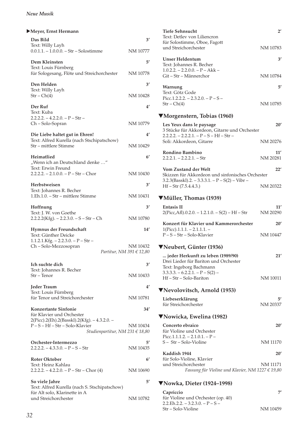| Meyer, Ernst Hermann                                                                                       |                |
|------------------------------------------------------------------------------------------------------------|----------------|
| Das Bild<br>Text: Willy Layh                                                                               | 3'             |
| $0.0.1.1. - 1.0.0.0. - Str - Solostimme$                                                                   | NM 10777       |
| Dem Kleinsten<br>Text: Louis Fürnberg                                                                      | 5′             |
| für Sologesang, Flöte und Streichorchester                                                                 | NM 10778       |
| Den Helden                                                                                                 | $3^{\prime}$   |
| Text: Willy Layh<br>$Str - Ch(4)$                                                                          | NM 10428       |
| Der Ruf<br>Text: Kuba                                                                                      | $4^{\prime}$   |
| $2.2.2.2. - 4.2.2.0. - P - Str -$<br>Ch - Solo-Sopran                                                      | NM 10779       |
| Die Liebe haltet gut in Ehren!                                                                             | 4'             |
| Text: Alfred Kurella (nach Stschipatschow)<br>Str – mittlere Stimme                                        | NM 10429       |
| Heimatlied<br>"Wenn ich an Deutschland denke"                                                              | 6'             |
| Text: Erwin Freund<br>$2.2.2.2. - 2.1.0.0. - P - Str - Chor$                                               | NM 10430       |
| Herbstweisen<br>Text: Johannes R. Becher                                                                   | $3^{\prime}$   |
| 1.Eh.1.0. - Str - mittlere Stimme                                                                          | NM 10431       |
| Hoffnung                                                                                                   | 3'             |
| Text: J. W. von Goethe<br>$2.2.2.2(Kfg) - 2.2.3.0 - S - Str - Ch$                                          | NM 10780       |
| Hymnus der Freundschaft<br>Text: Günther Deicke                                                            | 14'            |
| $1.1.2.1.Kfg. - 2.2.3.0. - P - Str -$<br>Ch - Solo-Mezzosopran<br>Partitur, NM 391 € 12,80                 | NM 10432       |
| Ich suchte dich                                                                                            | 3'             |
| Text: Johannes R. Becher<br>Str – Tenor                                                                    | NM 10433       |
| Jeder Traum                                                                                                | 4′             |
| Text: Louis Fürnberg<br>für Tenor und Streichorchester                                                     | NM 10781       |
| Konzertante Sinfonie<br>für Klavier und Orchester                                                          | 34′            |
| 2(Picc).2(Eh).2(Basskl).2(Kfg). - 4.3.2.0. -<br>P-S-Hf-Str-Solo-Klavier<br>Studienpartitur, NM 231 € 18,80 | NM 10434       |
| Orchester-Intermezzo<br>$2.2.2.2. - 4.3.3.0. - P - S - Str$                                                | 5′<br>NM 10435 |
| Roter Oktober                                                                                              | 6'             |
| Text: Heinz Kahlau<br>$2.2.2.2. - 4.2.2.0. - P - Str - Chor(4)$                                            | NM 10690       |
| So viele Jahre<br>Text: Alfred Kurella (nach S. Stschipatschow)                                            | 5′             |
| für Alt solo, Klarinette in A<br>und Streichorchester                                                      | NM 10782       |
|                                                                                                            |                |

| <b>Tiefe Sehnsucht</b><br>Text: Detlev von Liliencron                                                 | $2^{\prime}$    |
|-------------------------------------------------------------------------------------------------------|-----------------|
| für Solostimme, Oboe, Fagott<br>und Streichorchester                                                  | NM 10783        |
| Unser Heldentum                                                                                       | 3'              |
| Text: Johannes R. Becher                                                                              |                 |
| $1.0.2.2. - 2.2.0.0. - P - Akk -$<br>Git-Str-Männerchor                                               | NM 10784        |
| Warnung<br>Text: Götz Gode                                                                            | 5'              |
| Picc.1.2.2.2. $- 2.3.2.0. - P - S -$<br>$Str - Ch(4)$                                                 | NM 10785        |
| VMorgenstern, Tobias (1960)                                                                           |                 |
| Les Yeux dans le paysage                                                                              | 20'             |
| 3 Stücke für Akkordeon, Gitarre und Orchester<br>$2.2.2.2. - 2.2.2.1. - P - S - Hf - Str -$           |                 |
| Soli: Akkordeon, Gitarre                                                                              | NM 20276        |
| Rondino Bambino<br>$2.2.2.1 - 2.2.2.1 - Str$                                                          | 11'<br>NM 20281 |
| <b>Vom Zustand der Welt</b>                                                                           | 22'             |
| Skizzen für Akkordeon und sinfonisches Orchester                                                      |                 |
| $3.2.3(Basskl).2. -3.3.3.1. - P-S(2) - Vibr -$<br>$Hf - Str (7.5.4.4.3.)$                             | NM 20322        |
| ▼Müller, Thomas (1939)                                                                                |                 |
| <b>Entasis II</b><br>$2(Picc, Aff)$ .0.2.0. - 1.2.1.0. - S(2) - Hf - Str                              | 11'<br>NM 20290 |
| Konzert für Klavier und Kammerorchester                                                               | 20'             |
| $1(Pice).1.1.1. - 2.1.1.1. -$<br>$P-S - Str - Solo-Klavier$                                           | NM 10447        |
| VNeubert, Günter (1936)                                                                               |                 |
| jeder Herkunft zu leben (1989/90)<br>Drei Lieder für Bariton und Orchester<br>Text: Ingeborg Bachmann | 21'             |
| $3.3.3.3. - 6.2.2.1. - P - S(2) -$<br>$Hf - Str - Solo-Bariton$                                       | NM 10011        |
| ▼Nevolovitsch, Arnold (1953)                                                                          |                 |
|                                                                                                       |                 |
| Liebeserklärung<br>für Streichorchester                                                               | 51<br>NM 20337  |
| ▼Nowicka, Ewelina (1982)                                                                              |                 |
| Concerto ebraico<br>für Violine und Orchester<br>Picc.1.1.1.2. $- 2.1.0.1 - P -$                      | 20'             |
| S - Str - Solo-Violine                                                                                | NM 11170        |
| Kaddish 1944                                                                                          | 20'             |
| für Solo-Violine, Klavier<br>und Streichorchester<br>Fassung für Violine und Klavier, NM 1227 € 19,80 | NM 11171        |
| $\blacksquare$ Noula Distor (1024 1008)                                                               |                 |

### ▼**Nowka, Dieter (1924–1998)**

| Capriccio                          | 7'       |
|------------------------------------|----------|
| für Violine und Orchester (op. 40) |          |
| $2.2.Eh.2.2. - 3.2.3.0. - P - S -$ |          |
| Str – Solo-Violine                 | NM 10459 |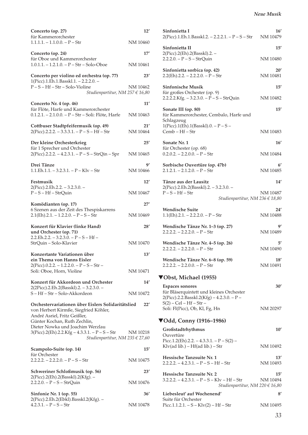| Concerto (op. 27)<br>für Kammerorchester                                                                                                                  | 12'             |
|-----------------------------------------------------------------------------------------------------------------------------------------------------------|-----------------|
| $1.1.1.1. - 1.1.0.0. - P - Str$                                                                                                                           | NM 10460        |
| Concerto (op. 24)<br>für Oboe und Kammerorchester                                                                                                         | 17'             |
| $1.0.1.1. - 1.2.1.0. - P - Str - Solo-Oboe$                                                                                                               | NM 10461        |
| Concerto per violino ed orchestra (op. 77)<br>1(Picc).1.Eh.1.Basskl.1. - 2.2.2.0. -                                                                       | 23'             |
| $P-S-Hf-Str-Solo-Violine$<br>Studienpartitur, NM 257 € 16,80                                                                                              | NM 10462        |
| Concerto Nr. 4 (op. 46)                                                                                                                                   | 11′             |
| für Flöte, Harfe und Kammerorchester<br>0.1.2.1. - 2.1.0.0. - P - Str - Soli: Flöte, Harfe                                                                | NM 10463        |
| Cottbuser Stadtpfeifermusik (op. 49)<br>$2(Picc).2.2.2. - 3.3.3.1. - P - S - Hf - Str$                                                                    | 21'<br>NM 10464 |
| Der kleine Orchesterkrieg<br>für 1 Sprecher und Orchester                                                                                                 | 25'             |
| 2(Picc).2.2.2. - 4.2.3.1. - P - S - StrQin - Spr                                                                                                          | NM 10465        |
| Drei Tänze<br>$1.1.Eh.1.1. - 3.2.3.1. - P - Klv - Str$                                                                                                    | g,<br>NM 10466  |
| Festmusik                                                                                                                                                 | 12'             |
| 2(Picc).2.Eh.2.2. - 3.2.3.0. -<br>$P-S-Hf-StrQuin$                                                                                                        | NM 10467        |
| Komödianten (op. 17)                                                                                                                                      | 27'             |
| 6 Szenen aus der Zeit des Thespiskarrens<br>$2.1(Eh)$ .2.1. - 1.2.2.0. - P - S - Str                                                                      | NM 10469        |
| Konzert für Klavier (linke Hand)<br>und Orchester (op. 71)                                                                                                | 28'             |
| $2.2.Eh.2.2. - 3.2.3.0. - P - S - Hf -$<br>StrQuin - Solo-Klavier                                                                                         | NM 10470        |
| Konzertante Variationen über<br>ein Thema von Hanns Eisler                                                                                                | 13'             |
| $2(Pice)$ .0.2.2. - 1.2.2.0. - P - S - Str -<br>Soli: Oboe, Horn, Violine                                                                                 | NM 10471        |
| Konzert für Akkordeon und Orchester                                                                                                                       | 14'             |
| 2(2Picc).2.Eh.2(Basskl).2. - 3.2.3.0. -<br>S-Hf-Str-Solo-Akkordeon                                                                                        | NM 10472        |
| Orchestervariationen über Eislers Solidaritätslied                                                                                                        | 22'             |
| von Herbert Kirmße, Siegfried Köhler,<br>André Asriel, Fritz Geißler,                                                                                     |                 |
| Günter Kochan, Ruth Zechlin,<br>Dieter Nowka und Joachim Werzlau<br>3(Picc).2(Eh).2.2.Kfg - 4.3.3.1. - P - S - Str<br>Studienpartitur, NM 235 $\in$ 27,60 | NM 10218        |
| Scampolo-Suite (op. 14)                                                                                                                                   | 15'             |
| für Orchester<br>$2.2.2.2. - 2.2.2.0. - P - S - Str$                                                                                                      | NM 10475        |
| Schweriner Schloßmusik (op. 56)                                                                                                                           | 23'             |
| 2(Picc).2(Eh).2(Basskl).2(Kfg). –<br>$2.2.2.0. - P - S - StrQuin$                                                                                         | NM 10476        |
| Sinfonie Nr. 1 (op. 55)                                                                                                                                   | 36'             |
| 2(Picc).2.Eh.2(Ebkl).Basskl.2(Kfg). -<br>$4.2.3.1. - P - S - Str$                                                                                         | NM 10478        |

| Sinfonietta I<br>2(Picc).1.Eh.1.Basskl.2. – 2.2.2.1. – P – S – Str                                               | 16'<br>NM 10479 |
|------------------------------------------------------------------------------------------------------------------|-----------------|
| Sinfonietta II<br>2(Picc).2(Eh).2(Basskl).2. -<br>$2.2.2.0. - P - S - StrQuin$                                   | 15'<br>NM 10480 |
| Sinfonietta sorbica (op. 42)<br>$2.2(Eh)$ .2.2. – 2.2.2.0. – P – Str                                             | 20'<br>NM 10481 |
| <b>Sinfonische Musik</b>                                                                                         | 15'             |
| für großes Orchester (op. 9)<br>2.2.2.2.Kfg. $-3.2.3.0. - P - S - StrQuin$                                       | NM 10482        |
| Sonate III (op. 80)<br>für Kammerorchester, Cembalo, Harfe und                                                   | 15'             |
| Schlagzeug<br>$1(Picc).1(Eh).1(Basskl).0. - P - S -$<br>Cemb - Hf - Str                                          | NM 10483        |
| Sonate Nr. 1                                                                                                     | 16'             |
| für Orchester (op. 68)<br>$0.2.0.2. - 2.2.0.0. - P - Str$                                                        | NM 10484        |
| Sorbische Ouvertüre (op. 47b)<br>$2.1.2.1. - 2.1.2.0. - P - Str$                                                 | 6'<br>NM 10485  |
| Tänze aus der Lausitz                                                                                            | 14′             |
| 2(Picc).2.Eh.2(Basskl).2. - 3.2.3.0. -<br>$P-S-Hf-Str$<br>Studienpartitur, NM 236 € 18,80                        | NM 10487        |
| <b>Wendische Suite</b>                                                                                           | 24′             |
| $1.1(Eh)$ .2.1. - 2.2.2.0. - P - Str                                                                             | NM 10488        |
| Wendische Tänze Nr. 1-3 (op. 27)<br>$2.2.2.2 - 2.2.2.0 - P - Str$                                                | 9'<br>NM 10489  |
| Wendische Tänze Nr. 4-5 (op. 26)<br>$2.2.2.2. - 2.2.2.0. - P - Str$                                              | 5′<br>NM 10490  |
| Wendische Tänze Nr. 6-8 (op. 59)<br>$2.2.2.2. - 2.2.0.0. - P - Str$                                              | 18′<br>NM 10491 |
| ▼Obst, Michael (1955)                                                                                            |                 |
| <b>Espaces sonores</b><br>für Bläserquintett und kleines Orchester<br>2(Picc).2.2.Basskl.2(Kfg) – 4.2.3.0. – P – | 30'             |
| $S(2) - Cel - Hf - Str -$<br>Soli: Fl(Picc), Ob, Kl, Fg, Hn                                                      | NM 20297        |
| <b>▼Odd, Conny (1916–1986)</b>                                                                                   |                 |
| Großstadtrhythmus                                                                                                | 10'             |
| Ouvertüre<br>Picc.1.2(Eh).2.2. - 4.3.3.1. - $P - S(2)$ -<br>Klv(ad lib.) - Hf(ad lib.) - Str                     | NM 10492        |
| Hessische Tanzsuite Nr. 1<br>$2.2.2.2. - 4.2.3.1. - P - S - Hf - Str$                                            | 13'<br>NM 10493 |
| Hessische Tanzsuite Nr. 2<br>$3.2.2.2. - 4.2.3.1. - P - S - K/v - Hf - Str$<br>Studienpartitur, NM 220 € 16,80   | 15'<br>NM 10494 |
| Liebesleut' auf Wochenend'                                                                                       | $8^{\prime}$    |
| Suite für Orchester<br>Picc.1.1.2.1. $-S - Klv(2) - Hf - Str$                                                    | NM 10495        |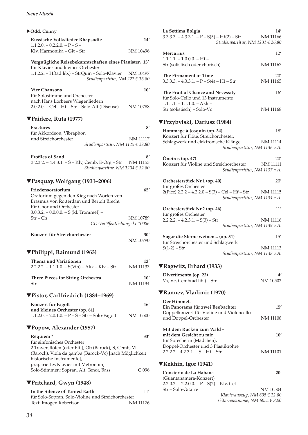#### *Neue Musik*

| ▶Odd, Conny                                                                                                                                                                      |                           |
|----------------------------------------------------------------------------------------------------------------------------------------------------------------------------------|---------------------------|
| Russische Volkslieder-Rhapsodie<br>$1.1.2.0. - 0.2.2.0. - P - S -$                                                                                                               | 14′                       |
| Klv, Harmonika – Git – Str                                                                                                                                                       | NM 10496                  |
| Vergnügliche Reisebekanntschaften eines Pianisten 13'<br>für Klavier und kleines Orchester                                                                                       |                           |
| 1.1.2.2. – Hf(ad lib.) – StrQuin – Solo-Klavier NM 10497<br>Studienpartitur, NM 222 € 16,80                                                                                      |                           |
| <b>Vier Chansons</b><br>für Solostimme und Orchester                                                                                                                             | 10'                       |
| nach Hans Lorbeers Wiegenliedern<br>2.0.2.0. - Cel - Hf - Str - Solo-Alt (Diseuse)                                                                                               | NM 10788                  |
| ▼Paidere, Ruta (1977)                                                                                                                                                            |                           |
| <b>Fractures</b><br>für Akkordeon, Vibraphon                                                                                                                                     | 8'                        |
| und Streichorchester<br>Studienpartitur, NM 1125 € 32,80                                                                                                                         | NM 11117                  |
| <b>Profiles of Sand</b><br>3.2.3.2. - 4.4.3.1. - S - Klv, Cemb, E-Org - Str NM 11153<br>Studienpartitur, NM 1204 € 32,80                                                         | 8′                        |
| ▼Pasquay, Wolfgang (1931–2006)                                                                                                                                                   |                           |
| Friedensoratorium<br>Oratorium gegen den Kieg nach Worten von<br>Erasmus von Rotterdam und Bertolt Brecht<br>für Chor und Orchester<br>$3.0.3.2. - 0.0.0.0. - S$ (kl. Trommel) – | 65'                       |
| Str – Ch                                                                                                                                                                         | NM 10789                  |
| CD-Veröffentlichung: kr 10086<br>Konzert für Streichorchester                                                                                                                    | 30'                       |
|                                                                                                                                                                                  | NM 10790                  |
| ▼Philippi, Raimund (1963)                                                                                                                                                        |                           |
| Thema und Variationen<br>$2.2.2.2. - 1.1.1.0. - S(Vib) - Akk - Klv - Str$                                                                                                        | 13'<br><b>NM 11133</b>    |
| <b>Three Pieces for String Orchestra</b><br>Str                                                                                                                                  | $10^{\prime}$<br>NM 11134 |
| ▼Pistor, Carlfriedrich (1884–1969)                                                                                                                                               |                           |
| Konzert für Fagott<br>und kleines Orchester (op. 61)                                                                                                                             | 16'                       |
| $1.1.2.0. - 2.0.1.0. - P - S - Str - Solo-Fagott$                                                                                                                                | NM 10500                  |
| ▼Popow, Alexander (1957)                                                                                                                                                         |                           |
| Requiem <sup>*</sup><br>für sinfonisches Orchester                                                                                                                               | 33'                       |
| 2 Traversflöten (oder Blfl), Ob (Barock), S, Cemb, Vl<br>(Barock), Viola da gamba (Barock-Vc) [nach Möglichkeit<br>historische Instrumente],                                     |                           |
| präpariertes Klavier mit Metronom,<br>Solo-Stimmen: Sopran, Alt, Tenor, Bass                                                                                                     | C <sub>096</sub>          |
| ▼Pritchard, Gwyn (1948)                                                                                                                                                          |                           |
| In the Silence of Turned Earth                                                                                                                                                   | 11'                       |
| für Solo-Sopran, Solo-Violine und Streichorchester<br>Text: Imogen Robertson                                                                                                     | NM 11176                  |

| La Settima Bolgia<br>$3.3.3.3. - 4.3.3.1. - P - S(5) - Hf(2) - Str$     | 14′<br><b>NM 11166</b>                                  |
|-------------------------------------------------------------------------|---------------------------------------------------------|
|                                                                         | Studienpartitur, NM 1231 € 26,80                        |
| <b>Mercurius</b><br>$1.1.1.1. - 1.0.0.0. - Hf -$                        | 12'                                                     |
| Str (solistisch oder chorisch)                                          | <b>NM 11167</b>                                         |
| The Firmament of Time<br>$3.3.3.3. - 4.3.3.1. - P - S(4) - Hf - Str$    | 20′<br><b>NM 11165</b>                                  |
| The Fruit of Chance and Necessity<br>für Solo-Cello und 13 Instrumente  | 16'                                                     |
| $1.1.1.1 - 1.1.1.0 - Akk -$<br>Str (solistisch) - Solo-Vc               | NM 11168                                                |
| ▼Przybylski, Dariusz (1984)                                             |                                                         |
| Hommage à Josquin (op. 34)<br>Konzert für Flöte, Streichorchester,      | 18'                                                     |
| Schlagwerk und elektronische Klänge                                     | <b>NM 11114</b><br>Studienpartitur, NM 1136 a.A.        |
| Óneiros (op. 47)<br>Konzert für Violine und Streichorchester            | 20'<br><b>NM 11111</b><br>Studienpartitur, NM 1137 a.A. |
| Orchesterstück Nr.1 (op. 40)<br>für großes Orchester                    | 20'                                                     |
| $2(Picc).2.2.2 - 4.2.2.0 - S(3) - Cel - Hf - Str$                       | NM 11115<br>Studienpartitur, NM 1134 a.A.               |
| Orchesterstück Nr.2 (op. 46)<br>für großes Orchester                    | 11'                                                     |
| $2.2.2.2. - 4.2.3.1. - S(3) - Str$                                      | NM 11116<br>Studienpartitur, NM 1139 a.A.               |
| Sogar die Sterne weinen (op. 31)<br>für Streichorchester und Schlagwerk | 15'                                                     |
| $S(1-2) - Str$                                                          | NM 11113<br>Studienpartitur, NM 1138 a.A.               |

# ▼**Ragwitz, Erhard (1933)**

| Divertimento (op. 23)                     | 4′       |
|-------------------------------------------|----------|
| Va, Vc, Cemb(ad lib.) – Str               | NM 10502 |
| <b>VRanney, Vladimir (1970)</b>           |          |
| Der Himmel.                               |          |
| Ein Panorama für zwei Beobachter          | 15'      |
| Doppelkonzert für Violine und Violoncello |          |
| und Doppel-Orchester                      | NM 11108 |
| Mit dem Rücken zum Wald -                 |          |
| mit dem Gesicht zu mir                    | 10'      |
| für Sprecherin (Mädchen),                 |          |
| Doppel-Orchester und 3 Plastikrohre       |          |
| $2.2.2.2 - 4.2.3.1. - S - Hf - Str$       | NM 11101 |
|                                           |          |
| <b>▼Rekhin, Igor (1941)</b>               |          |

| Concierto de La Habana                      | 20'                                |
|---------------------------------------------|------------------------------------|
| (Guantanamera-Konzert)                      |                                    |
| 2.2.0.2. – 2.2.0.0. – P – S(2) – Klv, Cel – |                                    |
| Str – Solo-Gitarre                          | NM 10504                           |
|                                             | Klavierauszug, NM 605 $\in$ 12,80  |
|                                             | Gitarrenstimme, NM 605a $\in$ 8,00 |

Text: Imogen Robertson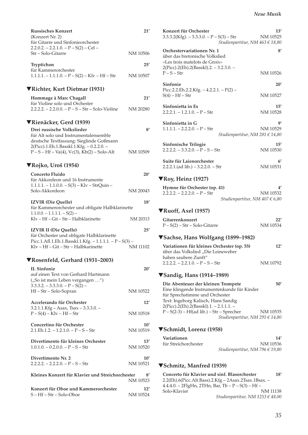| <b>Russisches Konzert</b><br>(Konzert Nr. 2)                                                      | 21'             |
|---------------------------------------------------------------------------------------------------|-----------------|
| für Gitarre und Sinfonieorchester                                                                 |                 |
| $2.2.0.2. - 2.2.1.0. - P - S(2) - Cel -$<br>Str – Solo-Gitarre                                    | NM 10506        |
| Tryptichon                                                                                        | 25′             |
| für Kammerorchester<br>$1.1.1.1. - 1.1.1.0. - P - S(2) - Klv - Hf - Str$                          | NM 10507        |
|                                                                                                   |                 |
| ▼Richter, Kurt Dietmar (1931)                                                                     |                 |
| Hommage à Marc Chagall                                                                            | 21′             |
| für Violine solo und Orchester<br>$2.2.2.2. - 2.2.0.0. - P - S - Str - Solo-Violine$              | NM 20280        |
|                                                                                                   |                 |
| ▼Rienäcker, Gerd (1939)                                                                           |                 |
| Drei russische Volkslieder                                                                        | 8'              |
| für Alt solo und Instrumentalensemble<br>deutsche Textfassung: Sieglinde Goßmann                  |                 |
| 2(Picc).1.Eh.1.Basskl.1.Kfg. - 0.2.2.0. -                                                         |                 |
| $P-S-Hf-Va(4)$ , Vc(3), Kb(2) – Solo-Alt                                                          | NM 10509        |
| ▼Rojko, Uroš (1954)                                                                               |                 |
| <b>Concerto Fluido</b>                                                                            | 20'             |
| für Akkordeon und 16 Instrumente                                                                  |                 |
| $1.1.1.1 - 1.1.0.0 - S(3) - Klv - StrQuin -$<br>Solo-Akkordeon                                    | NM 20043        |
|                                                                                                   |                 |
| <b>IZVIR (Die Quelle)</b><br>für Kammerorchester und obligate Halbklarinette                      | 18'             |
| $1.1.0.0 - 1.1.1.1 - S(2) -$                                                                      |                 |
| Kly - Hf - Git - Str - Halbklarinette                                                             | NM 20313        |
| <b>IZVIR II (Die Quelle)</b>                                                                      | 25'             |
| für Orchester und obligate Halbklarinette                                                         |                 |
| Picc.1.Afl.1.Eh.1.Basskl.1.Kfg. - 1.1.1.1. - $P - S(3)$ -<br>Klv - Hf - Git - Str - Halbkarinette | <b>NM 11102</b> |
|                                                                                                   |                 |
| ▼Rosenfeld, Gerhard (1931–2003)                                                                   |                 |
| <b>II.</b> Sinfonie<br>auf einen Text von Gerhard Hartmann                                        | 20'             |
| ("So ist mein Leben vergangen ")                                                                  |                 |
| $3.3.3.2. - 3.3.3.0. - P - S(2) -$                                                                |                 |
| Hf-Str-Solo-Sopran                                                                                | NM 10522        |
| Accelerando für Orchester                                                                         | 12'             |
| 3.2.1.1.Kfg - Asax, Tsax - 3.3.3.0. -                                                             |                 |
| $P-S(4) - Klv - Hf - Str$                                                                         | NM 10518        |
| Concertino für Orchester                                                                          | 10'             |
| $2.1.Eh.1.2. - 1.2.1.0. - P - S - Str$                                                            | NM 10519        |
| Divertimento für kleines Orchester                                                                | 13'             |
| $1.0.1.0 - 0.2.0.0 - P - S - Str$                                                                 | NM 10520        |
| Divertimento Nr. 2                                                                                | 10'             |
| $2.2.2.2 - 2.2.2.0 - P - S - Str$                                                                 | NM 10521        |
| Kleines Konzert für Klavier und Streichorchester                                                  |                 |
|                                                                                                   | 8′<br>NM 10523  |
| Konzert für Oboe und Kammerorchester                                                              | 12'             |
| $S - Hf - Str - Solo-Oboe$                                                                        | NM 10524        |

| Konzert für Orchester<br>$3.3.3.2$ (Kfg). $-3.3.3.0$ . $-P-S(3)$ – Str<br>Studienpartitur, NM 463 € 18,80                                                  | 13'<br>NM 10525 |
|------------------------------------------------------------------------------------------------------------------------------------------------------------|-----------------|
| Orchestervariationen Nr. 1<br>über das bretonische Volkslied<br>«Les trois matelots de Groix»                                                              | 8'              |
| 2(Picc).2(Eh).2(Basskl).2. - 3.2.3.0. -<br>$P-S-Str$                                                                                                       | NM 10526        |
| Sinfonie                                                                                                                                                   | 20'             |
| Picc.2.2.Eh.2.2.Kfg. - $4.2.2.1. - P(2)$ -<br>$S(4) - Hf - Str$                                                                                            | NM 10527        |
| Sinfonietta in Es<br>$2.2.2.1 - 1.2.1.0 - P - Str$                                                                                                         | 15'<br>NM 10528 |
| Sinfonietta in G<br>$1.1.1.1. - 2.2.2.0. - P - Str$<br>Studienpartitur, NM 281 $\in$ 14,80                                                                 | g,<br>NM 10529  |
| Sinfonische Trilogie<br>$2.2.2.2. - 3.3.2.0. - P - S - Str$                                                                                                | 15'<br>NM 10530 |
| Suite für Laienorchester<br>$2.2.2.1$ .(ad lib.) - 3.2.2.0. - Str                                                                                          | 6'<br>NM 10531  |
| $\nabla \text{Roy}, \text{Heinz (1927)}$                                                                                                                   |                 |
| Hymne für Orchester (op. 41)<br>$2.2.2.2. - 2.2.2.0. - P - Str$<br>Studienpartitur, NM 407 € 6,80                                                          | 4′<br>NM 10532  |
| ▼Ruoff, Axel (1957)                                                                                                                                        |                 |
| Gitarrenkonzert                                                                                                                                            | 22'             |
| $P-S(2) - Str - Solo-Gitarre$                                                                                                                              | NM 10534        |
|                                                                                                                                                            |                 |
| <b>▼Sachse, Hans Wolfgang (1899–1982)</b>                                                                                                                  |                 |
| Variationen für kleines Orchester (op. 55)<br>über das Volkslied "Die Leineweber                                                                           | 12'             |
| haben saubere Zunft"<br>$2.2.2.2. - 2.2.1.0. - P - S - Str$                                                                                                | NM 10792        |
| ▼Sandig, Hans (1914–1989)                                                                                                                                  |                 |
| Die Abenteuer der kleinen Trompete<br>Eine klingende Instrumentenkunde für Kinder<br>für Sprechstimme und Orchester<br>Text: Ingeborg Kalisch, Hans Sandig | 50'             |
| 2(Picc).2(Eh).2(Basskl).1. - 2.1.1.1. -<br>$P - S(2-3) - Hf(ad lib.) - Str - Sprecher$<br>Studienpartitur, NM 291 € 14,80                                  | NM 10535        |
| ▼Schmidt, Lorenz (1958)                                                                                                                                    |                 |
| Variationen<br>für Streichorchester<br>Studienpartitur, NM 796 € 19,80                                                                                     | 14′<br>NM 10536 |
| ▼Schmitz, Manfred (1939)                                                                                                                                   |                 |
| Concerto für Klavier und sinf. Blasorchester                                                                                                               | 18'             |
| 2.2(Eh).6(Picc.Alt.Bass).2.Kfg - 2Asax.2Tsax.1Bsax. -<br>4.4.4.0. - 2FlgHn, 2THn, Bar, Tb - P - S(3) - Hf -                                                |                 |

*Studienpartitur, NM 1253 € 48,00*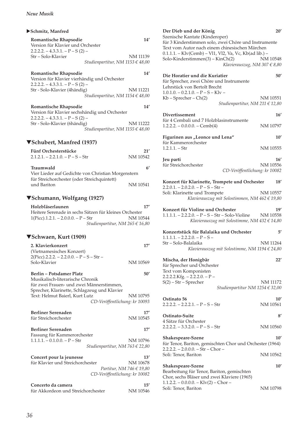#### X**Schmitz, Manfred**

| <b>Romantische Rhapsodie</b>      | 14'                              |
|-----------------------------------|----------------------------------|
| Version für Klavier und Orchester |                                  |
| 2.2.2.2. – 4.3.3.1. – P – S (2) – |                                  |
| Str – Solo-Klavier                | NM 11139                         |
|                                   | Studienpartitur, NM 1153 € 48,00 |

### **Romantische Rhapsodie 14'**

| Version für Klavier vierhändig und Orchester |                                      |          |
|----------------------------------------------|--------------------------------------|----------|
| $2.2.2.2. - 4.3.3.1. - P - S(2) -$           |                                      |          |
| Str - Solo-Klavier (4 händig)                |                                      | NM 11221 |
|                                              | Studienpartitur, NM 1154 $\in$ 48,00 |          |

| Romantische Rhapsodie                         | 14'      |
|-----------------------------------------------|----------|
| Version für Klavier sechshändig und Orchester |          |
| $2.2.2.2. - 4.3.3.1. - P - S(2) -$            |          |
| Str - Solo-Klavier (6 händig)                 | NM 11222 |
| Studienpartitur, NM 1155 € 48,00              |          |

### ▼**Schubert, Manfred (1937)**

| Fünf Orchesterstücke                               | 21'      |
|----------------------------------------------------|----------|
| $2.1.2.1 - 2.2.1.0 - P - S - Str$                  | NM 10542 |
|                                                    |          |
| Traumwald                                          | 6'       |
| Vier Lieder auf Gedichte von Christian Morgenstern |          |
| für Streichorchester (oder Streichquintett)        |          |
| und Bariton                                        | NM 10541 |

# ▼**Schumann, Wolfgang (1927)**

| Holzbläserlaunen                                       |  | 17'                             |
|--------------------------------------------------------|--|---------------------------------|
| Heitere Serenade in sechs Sätzen für kleines Orchester |  |                                 |
| $1(Pice).1.2.1. - 2.0.0.0. - P - Str$                  |  | NM 10544                        |
|                                                        |  | Studienpartitur, NM 265 € 16,80 |

#### ▼**Schwaen, Kurt (1909)**

| 2. Klavierkonzert<br>(Vietnamesisches Konzert)<br>$2(Picc).2.2.2. - 2.2.0.0. - P - S - Str -$                                                                   | 17'      |
|-----------------------------------------------------------------------------------------------------------------------------------------------------------------|----------|
| Solo-Klavier                                                                                                                                                    | NM 10569 |
| <b>Berlin - Potsdamer Platz</b><br>Musikalisch-literarische Chronik<br>für zwei Frauen- und zwei Männerstimmen,<br>Sprecher, Klarinette, Schlagzeug und Klavier | 50'      |
| Text: Helmut Baierl, Kurt Lutz                                                                                                                                  | NM 10795 |
| CD-Veröffentlichung: kr 10093                                                                                                                                   |          |
| <b>Berliner Serenaden</b>                                                                                                                                       | 17'      |
| für Streichorchester                                                                                                                                            | NM 10545 |
| <b>Berliner Serenaden</b>                                                                                                                                       | 17'      |
| Fassung für Kammerorchester                                                                                                                                     |          |
| $1.1.1.1 - 0.1.0.0 - P - Str$                                                                                                                                   | NM 10796 |
| Studienpartitur, NM 763 € 22,80                                                                                                                                 |          |
| Concert pour la jeunesse                                                                                                                                        | 13'      |
| für Klavier und Streichorchester                                                                                                                                | NM 10678 |
| Partitur, NM 746 € 19,80                                                                                                                                        |          |
| CD-Veröffentlichung: kr 10082                                                                                                                                   |          |

| Concerto da camera                 | 15'      |
|------------------------------------|----------|
| für Akkordeon und Streichorchester | NM 10546 |

| Der Dieb und der König<br>Szenische Kantate (Kinderoper)                                                                                                                                             | 20'           |
|------------------------------------------------------------------------------------------------------------------------------------------------------------------------------------------------------|---------------|
| für 3 Kinderstimmen solo, zwei Chöre und Instrumente<br>Text vom Autor nach einem chinesischen Märchen<br>0.1.1.1. - Klv(Cemb) - Vl1, Vl2, Va, Vc, Kb(ad lib.) -<br>Solo-Kinderstimmen(3) - KinCh(2) | NM 10548      |
| Klavierauszug, NM 307 € 8,80                                                                                                                                                                         |               |
| Die Horatier und die Kuriatier<br>für Sprecher, zwei Chöre und Instrumente<br>Lehrstück von Bertolt Brecht<br>$1.0.1.0 - 0.2.1.0 - P - S - K/v$                                                      | 50′           |
| $Kb$ – Sprecher – $Ch(2)$<br>Studienpartitur, NM 211 $\in$ 12,80                                                                                                                                     | NM 10551      |
| Divertissement                                                                                                                                                                                       | 16'           |
| für 4 Cembali und 7 Holzblasinstrumente<br>$1.2.2.2. - 0.0.0.0. - Cemb(4)$                                                                                                                           | NM 10797      |
| Figurinen aus "Leonce und Lena"<br>für Kammerorchester                                                                                                                                               | $10^{\prime}$ |
| $1.2.1.1 - Str$                                                                                                                                                                                      | NM 10555      |
| Jeu parti                                                                                                                                                                                            | 16'           |
| für Streichorchester                                                                                                                                                                                 | NM 10556      |
| CD-Veröffentlichung: kr 10082                                                                                                                                                                        |               |
| Konzert für Klarinette, Trompete und Orchester<br>$2.2.0.1. - 2.0.2.0. - P - S - Str -$                                                                                                              | 18'           |
| Soli: Klarinette und Trompete<br>Klavierauszug mit Solostimmen, NM 462 € 19,80                                                                                                                       | NM 10557      |
|                                                                                                                                                                                                      |               |
| Konzert für Violine und Orchester                                                                                                                                                                    | 19'           |
| $1.1.1.1. - 2.2.2.0. - P - S - Str - Solo-Violine$<br>Klavierauszug mit Solostimme, NM 432 € 14,80                                                                                                   | NM 10558      |
| Konzertstück für Balalaika und Orchester                                                                                                                                                             | 5′            |
| $1.1.1.1. - 2.2.2.0. - P - S -$<br>Str - Solo-Balalaika                                                                                                                                              | NM 11264      |
| Klavierauszug mit Solostimme, NM 1194 € 24,80                                                                                                                                                        |               |
| Mischa, der Honigbär                                                                                                                                                                                 | 22′           |
| für Sprecher und Orchester<br>Text vom Komponisten                                                                                                                                                   |               |
| $2.2.2.2.Kfg. - 2.2.2.0. - P$ -                                                                                                                                                                      |               |
| $S(2) - Str - Sprecher$<br>Studienpartitur NM 1254 $\in$ 32,00                                                                                                                                       | NM 11172      |
| Ostinato 56                                                                                                                                                                                          | 10'           |
| $2.2.2.2. - 2.2.2.1. - P - S - Str$                                                                                                                                                                  | NM 10561      |
| Ostinato-Suite<br>4 Sätze für Orchester                                                                                                                                                              | $8^{\prime}$  |
| $2.2.2.2. - 3.3.2.0. - P - S - Str$                                                                                                                                                                  | NM 10560      |
| <b>Shakespeare-Szene</b><br>für Tenor, Bariton, gemischten Chor und Orchester (1964)                                                                                                                 | $10^{\prime}$ |
| $2.2.2.2. - 2.0.0.0. - Str - Chor -$                                                                                                                                                                 |               |
| Soli: Tenor, Bariton                                                                                                                                                                                 | NM 10562      |
| <b>Shakespeare-Szene</b><br>Bearbeitung für Tenor, Bariton, gemischten<br>Chor, sechs Bläser und zwei Klaviere (1965)                                                                                | 10'           |
| $1.1.2.2. - 0.0.0.0. -$ Klv(2) - Chor -                                                                                                                                                              |               |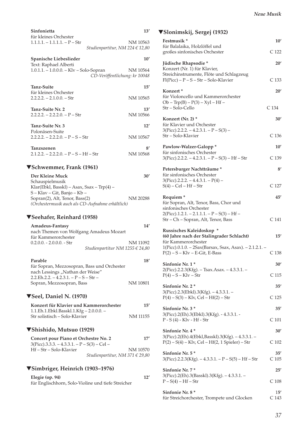| Sinfonietta                                                                                               | 13'      |  |
|-----------------------------------------------------------------------------------------------------------|----------|--|
| für kleines Orchester<br>$1.1.1.1. - 1.1.1.1. - P - Str$                                                  |          |  |
| Studienpartitur, NM 224 € 12,80                                                                           | NM 10563 |  |
|                                                                                                           |          |  |
| Spanische Liebeslieder                                                                                    | 10'      |  |
| Text: Raphael Alberti<br>1.0.1.1. - 1.0.0.0. - Klv - Solo-Sopran                                          | NM 10564 |  |
| CD-Veröffentlichung: kr 10048                                                                             |          |  |
|                                                                                                           |          |  |
| Tanz-Suite                                                                                                | 15'      |  |
| für kleines Orchester<br>$2.2.2.2 - 2.1.0.0 - Str$                                                        | NM 10565 |  |
|                                                                                                           |          |  |
| Tanz-Suite Nr. 2                                                                                          | 13'      |  |
| $2.2.2.2. - 2.2.2.0. - P - Str$                                                                           | NM 10566 |  |
| Tanz-Suite Nr. 3                                                                                          | 12'      |  |
| Polonäsen-Suite                                                                                           |          |  |
| $2.2.2.2. - 2.2.2.0. - P - S - Str$                                                                       | NM 10567 |  |
| Tanzszenen                                                                                                | 8′       |  |
| $2.1.2.2 - 2.2.2.0 - P - S - Hf - Str$                                                                    | NM 10568 |  |
|                                                                                                           |          |  |
| ▼Schwemmer, Frank (1961)                                                                                  |          |  |
| Der Kleine Muck                                                                                           | 30'      |  |
| Schauspielmusik                                                                                           |          |  |
| Klar(Ebkl, Basskl) - Asax, Ssax - Trp(4) -                                                                |          |  |
| S-Klav-Git, Banjo-Kb-<br>Sopran(2), Alt, Tenor, Bass(2)                                                   | NM 20288 |  |
| (Orchestermusik auch als CD-Aufnahme erhältlich)                                                          |          |  |
|                                                                                                           |          |  |
| ▼Seehafer, Reinhard (1958)                                                                                |          |  |
|                                                                                                           |          |  |
| Amadeus-Fantasy                                                                                           | 14'      |  |
| nach Themen von Wolfgang Amadeus Mozart                                                                   |          |  |
| für Kammerorchester                                                                                       |          |  |
| $0.2.0.0. - 2.0.0.0. - Str$                                                                               | NM 11092 |  |
| Studienpartitur NM 1255 € 24,80                                                                           |          |  |
| Parable                                                                                                   | 18'      |  |
| für Sopran, Mezzosopran, Bass und Orchester                                                               |          |  |
| nach Lessings "Nathan der Weise"                                                                          |          |  |
| $2.2.Eh.2.2. - 4.2.3.1. - P - S - Str -$<br>Sopran, Mezzosopran, Bass                                     | NM 10801 |  |
|                                                                                                           |          |  |
| ▼Seel, Daniel N. (1970)                                                                                   |          |  |
| Konzert für Klavier und Kammerorchester                                                                   | 15'      |  |
| 1.1.Eh.1.Ebkl.Basskl.1.Kfg – 2.0.0.0. –                                                                   |          |  |
| Str solistisch - Solo-Klavier                                                                             | NM 11155 |  |
|                                                                                                           |          |  |
| ▼Shishido, Mutsuo (1929)                                                                                  |          |  |
| Concert pour Piano et Orchestre No. 2                                                                     | 17'      |  |
| 3(Picc).3.3.3. – 4.3.3.1. – P – S(3) – Cel –                                                              |          |  |
| Hf-Str-Solo-Klavier<br>Studienpartitur, NM 371 € 29,80                                                    | NM 10570 |  |
|                                                                                                           |          |  |
|                                                                                                           |          |  |
|                                                                                                           | 12'      |  |
| ▼Simbriger, Heinrich (1903–1976)<br>Elegie (op. 94)<br>für Englischhorn, Solo-Violine und tiefe Streicher |          |  |

| ▼Slonimskij, Sergej (1932)                                                                                                                                                                   |                         |
|----------------------------------------------------------------------------------------------------------------------------------------------------------------------------------------------|-------------------------|
| Festmusik <sup>*</sup><br>für Balalaika, Holzlöffel und                                                                                                                                      | 10'                     |
| großes sinfonisches Orchester                                                                                                                                                                | C 122                   |
| Jüdische Rhapsodie*<br>Konzert (Nr. 1) für Klavier,<br>Streichinstrumente, Flöte und Schlagzeug                                                                                              | 20'                     |
| $Fl(Picc) - P - S - Str - Solo-Klavier$                                                                                                                                                      | C 133                   |
| Konzert <sup>*</sup><br>für Violoncello und Kammerorchester<br>$Ob - Trp(B) - P(3) - Xyl - Hf -$                                                                                             | 20'                     |
| Str – Solo-Cello                                                                                                                                                                             | C 134                   |
| Konzert (Nr. 2) *<br>für Klavier und Orchester<br>$3(Pice)$ .2.2.2. - 4.2.3.1. - P - S(3) -                                                                                                  | 30'                     |
| Str - Solo-Klavier                                                                                                                                                                           | C <sub>136</sub>        |
| Pawlow-Walzer-Galopp*<br>für sinfonisches Orchester                                                                                                                                          | 10'                     |
| $3(Picc).2.2.2. - 4.2.3.1. - P - S(3) - Hf - Str$                                                                                                                                            | C 139                   |
| Petersburger Nachtträume*<br>für sinfonisches Orchester<br>$3(Picc).2.2.2. - 4.4.3.1. - P(4) -$                                                                                              | 8'                      |
| $S(4) - Cel - Hf - Str$                                                                                                                                                                      | C 127                   |
| Requiem <sup>*</sup><br>für Sopran, Alt, Tenor, Bass, Chor und<br>sinfonisches Orchester                                                                                                     | 45'                     |
| $2(Picc).1.2.1. - 2.1.1.1. - P - S(3) - Hf -$<br>Str - Ch - Sopran, Alt, Tenor, Bass                                                                                                         | C 141                   |
| Russisches Kaleidoskop *<br>(60 Jahre nach der Stalingrader Schlacht)<br>für Kammerorchester<br>1(Picc).0.1.0. - 2Sax(Barsax, Ssax, Asax). - 2.1.2.1. -<br>$P(2) - S - Klv - E-Git$ , E-Bass | 15'<br>C 138            |
| Sinfonie Nr. 1*                                                                                                                                                                              | 30'                     |
| 2(Picc).2.2.3(Kfg). - Tsax.Asax. - 4.3.3.1. -<br>$P(4) - S - Klv - Str$                                                                                                                      | C 115                   |
| Sinfonie Nr. 2*                                                                                                                                                                              | 35'                     |
| 3(Picc).2.3(Ebkl).3(Kfg). - 4.3.3.1. -<br>$P(4) - S(3) - Klv$ , Cel – Hf(2) – Str                                                                                                            | C <sub>125</sub>        |
| Sinfonie Nr. 3*                                                                                                                                                                              | 35'                     |
| 3(Picc).2(Eh).3(Ebkl).3(Kfg). - 4.3.3.1. -<br>$P - S(4) - Klv - Hf - Str$                                                                                                                    | C <sub>101</sub>        |
| Sinfonie Nr. 4*<br>3(Picc).2(Eh).4(Ebkl,Basskl).3(Kfg). - 4.3.3.1. -                                                                                                                         | 30'                     |
| $P(2) - S(4) - Klv$ , Cel – Hf(2, 1 Spieler) – Str                                                                                                                                           | C <sub>102</sub>        |
| Sinfonie Nr. 5*<br>$3(Picc).2.2.3(Kfg). -4.3.3.1. - P-S(5) - Hf-Str$                                                                                                                         | 35'<br>C <sub>105</sub> |
| Sinfonie Nr. 7*                                                                                                                                                                              | 25'                     |
| 3(Picc).2(Eh).3(Basskl).3(Kfg). - 4.3.3.1. -<br>$P-S(4) - Hf-Str$                                                                                                                            | C <sub>108</sub>        |
| Sinfonie Nr. 8*<br>für Streichorchester, Trompete und Glocken                                                                                                                                | 15'<br>C 143            |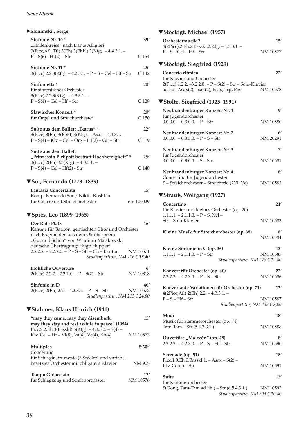| $\blacktriangleright$ Slonimskij, Sergej                                                                                                                                                                                                                                              |                         |
|---------------------------------------------------------------------------------------------------------------------------------------------------------------------------------------------------------------------------------------------------------------------------------------|-------------------------|
| Sinfonie Nr. 10*<br>"Höllenkreise" nach Dante Alligieri<br>3(Picc, Afl, Tfl).3(Eh).3(Ebkl).3(Kfg). - 4.4.3.1. -                                                                                                                                                                       | 351                     |
| $P-S(6) - Hf(2) - Str$                                                                                                                                                                                                                                                                | C 154                   |
| Sinfonie Nr. 11 *<br>3(Picc).2.2.3(Kfg). - 4.2.3.1. - P - S - Cel - Hf - Str                                                                                                                                                                                                          | 25'<br>C <sub>142</sub> |
| Sinfonietta *<br>für sinfonisches Orchester<br>3(Picc).2.2.3(Kfg). - 4.3.3.1. -                                                                                                                                                                                                       | 20'                     |
| $P-S(4) - Cel - Hf - Str$                                                                                                                                                                                                                                                             | C 129                   |
| <b>Slawisches Konzert*</b><br>für Orgel und Streichorchester                                                                                                                                                                                                                          | 20'<br>C 150            |
| Suite aus dem Ballett "Ikarus" *<br>3(Picc).3(Eh).3(Ebkl).3(Kfg). - Asax - 4.4.3.1. -                                                                                                                                                                                                 | 22'                     |
| $P-S(4) - Klv - Cel - Org - Hf(2) - Git - Str$                                                                                                                                                                                                                                        | C 119                   |
| Suite aus dem Ballett<br>"Prinzessin Pirlipatt bestraft Hochherzigkeit"*<br>$3(Picc).2(Eh).3.3(Kfg). -4.3.3.1. -$                                                                                                                                                                     | 251                     |
| $P-S(4) - Cel - Hf(2) - Str$                                                                                                                                                                                                                                                          | C 140                   |
| ▼Sor, Fernando (1778-1839)                                                                                                                                                                                                                                                            |                         |
| <b>Fantasia Concertante</b>                                                                                                                                                                                                                                                           | $15^{\prime}$           |
| Komp: Fernando Sor / Nikita Koshkin<br>für Gitarre und Streichorchester                                                                                                                                                                                                               | em 100029               |
| <b>▼Spies, Leo (1899–1965)</b>                                                                                                                                                                                                                                                        |                         |
| Der Rote Platz<br>Kantate für Bariton, gemischten Chor und Orchester<br>nach Fragmenten aus dem Oktoberpoem<br>"Gut und Schön" von Wladimir Majakowski<br>deutsche Übertragung: Hugo Huppert<br>$2.2.2.2. - 2.2.2.0. - P - S - Str - Ch - Bariton$<br>Studienpartitur, NM 216 € 18,40 | 16'<br>NM 10571         |
| Fröhliche Ouvertüre<br>$2(Picc).2.2.2. -2.2.1.0. - P-S(2) - Str$                                                                                                                                                                                                                      | 6'<br>NM 10818          |
| Sinfonie in D<br>$2(Picc).2(Eh).2.2. - 4.2.3.1. - P - S - Str$<br>Studienpartitur, NM 213 $\in$ 24,80                                                                                                                                                                                 | 40'<br>NM 10572         |
| ▼Stahmer, Klaus Hinrich (1941)                                                                                                                                                                                                                                                        |                         |
| "may they come, may they disembark,<br>may they stay and rest awhile in peace" (1994)<br>Picc.2.2.Eh.3(Basskl).3(Kfg). $-4.3.3.0. - S(4)$ –                                                                                                                                           | 15'                     |
| Klv, Cel – Hf – Vl $(8)$ , Va $(4)$ , Vc $(4)$ , Kb $(4)$                                                                                                                                                                                                                             | NM 10573                |
| Multiples<br>Concertino                                                                                                                                                                                                                                                               | 8'30''                  |
| für Schlaginstrumente (3 Spieler) und variabel<br>besetztes Orchester mit obligatem Klavier                                                                                                                                                                                           | NM 905                  |
| Tempo Ghiacciato<br>für Schlagzeug und Streichorchester                                                                                                                                                                                                                               | 12'<br>NM 10576         |

# ▼**Stöckigt, Michael (1957)**

| Orchestermusik 2                                                                                                                                       | 15'             |
|--------------------------------------------------------------------------------------------------------------------------------------------------------|-----------------|
| 4(2Picc).2.Eh.2.Basskl.2.Kfg. - 4.3.3.1. -<br>$P-S-$ Cel – Hf – Str                                                                                    | NM 10577        |
| ▼Stöckigt, Siegfried (1929)                                                                                                                            |                 |
| Concerto ritmico<br>für Klavier und Orchester<br>2(Picc).1.2.2. -3.2.2.0. - P - S(2) - Str - Solo-Klavier<br>ad lib.: Asax(2), Tsax(2), Bsax, Trp, Pos | 22'<br>NM 10578 |
| <b>▼Stolte, Siegfried (1925–1991)</b>                                                                                                                  |                 |
| Neubrandenburger Konzert Nr. 1                                                                                                                         | g,              |
| für Jugendorchester<br>$0.0.0.0 - 0.3.0.0 - P - Str$                                                                                                   | NM 10580        |
| Neubrandenburger Konzert Nr. 2<br>$0.0.0.0 - 0.3.3.0 - P - S - Str$                                                                                    | 6'<br>NM 20291  |
| Neubrandenburger Konzert Nr. 3                                                                                                                         | 7'              |
| für Jugendorchester<br>$0.0.0.0 - 0.3.0.0 - S - Str$                                                                                                   | NM 10581        |
| Neubrandenburger Konzert Nr. 4                                                                                                                         | $8^{\prime}$    |
| Concertino für Jugendorchester<br>S-Streichorchester - Streichtrio (2Vl, Vc)                                                                           | NM 10582        |
| ▼Strauß, Wolfgang (1927)                                                                                                                               |                 |
| Concertino<br>für Klavier und kleines Orchester (op. 20)                                                                                               | 21'             |
| $1.1.1.1. - 2.1.1.0. - P - S$ , Xyl -<br>Str - Solo-Klavier                                                                                            | NM 10583        |
| Kleine Musik für Streichorchester (op. 38)                                                                                                             | 8′<br>NM 10584  |
| Kleine Sinfonie in C (op. 36)<br>$1.1.1.1. - 2.1.1.0. - P - Str$<br>Studienpartitur, NM 278 € 12,80                                                    | 13'<br>NM 10585 |
| Konzert für Orchester (op. 40)<br>$2.2.2.2. - 4.2.3.0. - P - S - Str$                                                                                  | 22'<br>NM 10586 |
| Konzertante Variationen für Orchester (op. 71)<br>$4(2Picc, Aff).2(Eh).2.2. - 4.3.3.1. -$                                                              | 17'             |
| $P-S-Hf-Str$<br>Studienpartitur, NM 433 € 8,00                                                                                                         | NM 10587        |
| Modi                                                                                                                                                   | 18′             |
| Musik für Kammerorchester (op. 74)<br>Tam-Tam – Str (5.4.3.3.1.)                                                                                       | NM 10588        |
| Ouvertüre "Malecón" (op. 48)<br>$2.2.2.2. - 4.2.3.0. - P - S - Hf - Str$                                                                               | 8′<br>NM 10590  |
| Serenade (op. 51)                                                                                                                                      | 18′             |
| Picc.1.0.Eh.0.Basskl.1. - Asax $- S(2)$ -<br>Klv, Cemb - Str                                                                                           | NM 10591        |
| Suite                                                                                                                                                  | 13'             |
| für Kammerorchester<br>S(Gong, Tam-Tam ad lib.) - Str (6.5.4.3.1.)                                                                                     | NM 10592        |

*Studienpartitur, NM 394 € 10,80*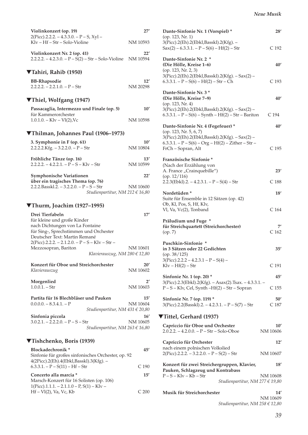| Violinkonzert (op. 19)                                                                | 27'             |
|---------------------------------------------------------------------------------------|-----------------|
| $2(Picc).2.2.2. - 4.3.3.0. - P - S$ , Xyl -<br>Klv – Hf – Str – Solo-Violine          | NM 10593        |
| Violinkonzert Nr. 2 (op. 41)<br>$2.2.2.2. - 4.2.3.0. - P - S(2) - Str - Solo-Violine$ | 22'<br>NM 10594 |
| ▼Tahiri, Rahib (1950)                                                                 |                 |
| <b>BB-Rhapsodie</b>                                                                   | 12'             |
| $2.2.2.2. - 2.2.1.0. - P - Str$                                                       | NM 20298        |
| ▼Thiel, Wolfgang (1947)                                                               |                 |
| Passacaglia, Intermezzo und Finale (op. 5)                                            | 10'             |
| für Kammerorchester                                                                   |                 |
| $1.0.1.0 - Klv - Vl(2)$ , Vc                                                          | NM 10598        |
| ▼Thilman, Johannes Paul (1906–1973)                                                   |                 |
| 3. Symphonie in F (op. 61)                                                            | 10'             |
| $2.2.2.2$ Kfg. $-3.2.2.0$ . $-P - Str$                                                | NM 10804        |
| Fröhliche Tänze (op. 16)                                                              | 13'             |
| $2.2.2.2. - 4.2.2.1. - P - S - Klv - Str$                                             | NM 10599        |
| Symphonische Variationen<br>über ein tragisches Thema (op. 76)                        | 22'             |
| $2.2.2$ .Basskl.2. - 3.2.2.0. - P - S - Str                                           | NM 10600        |
| Studienpartitur, NM 212 $\in$ 16,80                                                   |                 |
|                                                                                       |                 |
| ▼Thurm, Joachim (1927–1995)                                                           |                 |
| Drei Tierfabeln                                                                       | 17'             |
| für kleine und große Kinder                                                           |                 |
| nach Dichtungen von La Fontaine                                                       |                 |
| für Sing-, Sprechstimmen und Orchester                                                |                 |
| Deutscher Text: Martin Remané                                                         |                 |
| $2(Picc).2.2.2. – 2.1.2.0. – P – S – Klv – Str –$                                     | NM 10601        |
| Mezzosopran, Bariton<br>Klavierauszug, NM 280 € 12,80                                 |                 |
| Konzert für Oboe und Streichorchester                                                 | 20'             |
| Klavierauszug                                                                         | NM 10602        |
|                                                                                       |                 |
| Morgenlied<br>$1.0.0.1 - Str$                                                         | $2^{\prime}$    |
|                                                                                       | NM 10603        |
| Partita für 16 Blechbläser und Pauken                                                 | 15'             |
| $0.0.0.0 - 8.3.4.1 - P$                                                               | NM 10604        |
| Studienpartitur, NM 431 € 20,80                                                       |                 |
| Sinfonia piccola                                                                      | 16'             |
| $3.0.2.1. - 2.2.2.0. - P - S - Str$<br>Studienpartitur, NM 263 € 16,80                | NM 10605        |
| ▼Tishchenko, Boris (1939)                                                             |                 |
| Blockadechronik <sup>*</sup>                                                          | 45′             |
| Sinfonie für großes sinfonisches Orchester, op. 92                                    |                 |
| 4(2Picc).2(Eh).4(Ebkl,Basskl).3(Kfg). -                                               |                 |
| $6.3.3.1. - P - S(11) - Hf - Str$                                                     | C 190           |
| Concerto alla marcia *<br>Marsch-Konzert für 16 Solisten (op. 106)                    | 15'             |

1(Picc).1.1.1. – 2.1.1.0 – P, S(1) – Klv –

 $Hf - VI(2)$ , Va, Vc, Kb C 200

| Dante-Sinfonie Nr. 1 (Vorspiel) *<br>(op. 123, Nr. 1)                                                                                                   | 28'                    |
|---------------------------------------------------------------------------------------------------------------------------------------------------------|------------------------|
| 3(Picc).2(Eh).2(Ebkl,Basskl).2(Kfg). -<br>$Sax(2) - 6.3.3.1. - P - S(6) - Hf(2) - Str$                                                                  | C 192                  |
| Dante-Sinfonie Nr. 2 *<br>(Die Hölle, Kreise 1-6)<br>(op. 123, Nr. 2, 3)                                                                                | 40'                    |
| 3(Picc).2(Eh).2(Ebkl,Basskl).2(Kfg). – Sax(2) –<br>$6.3.3.1. - P - S(6) - Hf(2) - Str - Ch$                                                             | C 193                  |
| Dante-Sinfonie Nr. 3*<br>(Die Hölle, Kreise 7-9)<br>(op. 123, Nr. 4)                                                                                    | 40'                    |
| 3(Picc).2(Eh).2(Ebkl,Basskl).2(Kfg). - Sax(2) -<br>$6.3.3.1. - P - S(6) - Synth - Hf(2) - Str - Bariton$                                                | C 194                  |
| Dante-Sinfonie Nr. 4 (Fegefeuer) *                                                                                                                      | 40'                    |
| (op. 123, Nr. 5, 6, 7)<br>3(Picc).2(Eh).2(Ebkl,Basskl).2(Kfg). – Sax(2) –<br>$6.3.3.1. - P - S(6) - Org - Hf(2) - Zither - Str -$<br>FrCh - Sopran, Alt | C 195                  |
| Französische Sinfonie*                                                                                                                                  |                        |
| (Nach der Erzählung von                                                                                                                                 |                        |
| A. France "Crainquebille")<br>(op. 12/116)                                                                                                              | 23'                    |
| $2.2.3$ (Ebkl).2. -4.2.3.1. - P - S(4) - Str                                                                                                            | C 188                  |
| Nordetüden *                                                                                                                                            | 18'                    |
| Suite für Ensemble in 12 Sätzen (op. 42)<br>Ob, Kl, Pos, S, Hf, Klv,                                                                                    |                        |
| Vl, Va, Vc(2), Tonband                                                                                                                                  | C 164                  |
| Präludium und Fuge *                                                                                                                                    |                        |
| für Streichquartett (Streichorchester)<br>(op. 7)                                                                                                       | 7'<br>C <sub>162</sub> |
|                                                                                                                                                         |                        |
| Puschkin-Sinfonie *<br>in 3 Sätzen oder 22 Gedichten                                                                                                    | 35′                    |
| (op. 38/125)<br>$3(Pice)$ .2.2.2 – 4.2.3.1 – P – S(4) –                                                                                                 |                        |
| $Klv - Hf(2) - Str$                                                                                                                                     | C 191                  |
| Sinfonie Nr. 1 (op. 20) *                                                                                                                               | 45'                    |
| 3(Picc).2.3(Ebkl).2(Kfg). - Asax(2).Tsax. - 4.3.3.1. -<br>P-S-Klv, Cel, Synth-Hf(2) - Str - Sopran                                                      | C <sub>155</sub>       |
| Sinfonie Nr. 7 (op. 119) *<br>$3(Picc).2.2(Basskl).2. - 4.2.3.1. - P-S(7) - Str$                                                                        | 50'<br>C 187           |
|                                                                                                                                                         |                        |
| ▼Tittel, Gerhard (1937)                                                                                                                                 |                        |
| Capriccio für Oboe und Orchester<br>$2.0.2.2. - 4.2.0.0. - P - Str - Solo-Oboe$                                                                         | 10'<br>NM 10606        |
| Capriccio für Orchester                                                                                                                                 | 12'                    |
| nach einem polnischen Volkslied<br>$2(Picc).2.2.2. – 3.2.2.0. – P – S(2) – Str$                                                                         | NM 10607               |
| Konzert für zwei Streichergruppen, Klavier,                                                                                                             | 18'                    |
| Pauken, Schlagzeug und Kontrabass<br>$P-S-Klv-Kb-Str$                                                                                                   | NM 10608               |
| Studienpartitur, NM 277 $\in$ 19,80                                                                                                                     |                        |
| Musik für Streichorchester                                                                                                                              | 14′                    |

NM 10609

*Studienpartitur, NM 258 € 12,80*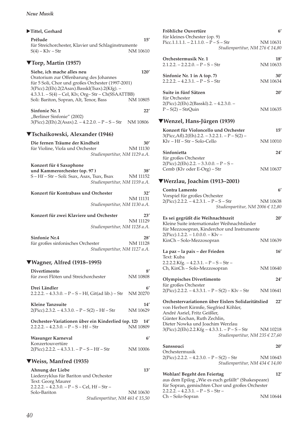### X**Tittel, Gerhard**

| Prélude                                             | 15'      |
|-----------------------------------------------------|----------|
| für Streichorchester, Klavier und Schlaginstrumente |          |
| $S(4) - Klv - Str$                                  | NM 10610 |
|                                                     |          |
| 18 (* (40. P.)                                      |          |

# ▼**Torp, Martin (1957)**

| Siehe, ich mache alles neu<br>Oratorium zur Offenbarung des Johannes                               | 120'                  |
|----------------------------------------------------------------------------------------------------|-----------------------|
| für 5 Soli, Chor und großes Orchester (1997-2001)<br>3(Picc).2(Eh).2(2Asax).Basskl(Tsax).2(Kfg). - |                       |
| 4.3.3.1. - S(4) - Cel, Klv, Org-Str - Ch(SSAATTBB)<br>Soli: Bariton, Sopran, Alt, Tenor, Bass      | NM 10805              |
| Sinfonie Nr. 1<br>"Berliner Sinfonie" (2002)                                                       | 22′                   |
| $3(Picc).2(Eh).2(Asax).2. - 4.2.2.0. - P-S-Str$                                                    | NM 10806              |
| ▼Tschaikowski, Alexander (1946)                                                                    |                       |
| Die fernen Träume der Kindheit                                                                     | 30'                   |
| für Violine, Viola und Orchester                                                                   | NM 11130              |
| Studienpartitur, NM 1129 a.A.                                                                      |                       |
| Konzert für 4 Saxophone                                                                            |                       |
| und Kammerorchester (op. 97)<br>S - Hf - Str - Soli: Ssax, Asax, Tsax, Bsax                        | 38'<br>NM 11152       |
| Studienpartitur, NM 1159 a.A.                                                                      |                       |
| Konzert für Kontrabass und Orchester                                                               | 32'                   |
| Studienpartitur, NM 1130 a.A.                                                                      | NM 11131              |
| Konzert für zwei Klaviere und Orchester                                                            | 23'                   |
|                                                                                                    | NM 11129              |
| Studienpartitur, NM 1128 a.A.                                                                      |                       |
| <b>Sinfonie Nr.4</b>                                                                               | 28′                   |
| für großes sinfonisches Orchester<br>Studienpartitur, NM 1127 a.A.                                 | NM 11128              |
| ▼Wagner, Alfred (1918–1995)                                                                        |                       |
| Divertimento<br>für zwei Flöten und Streichorchester                                               | 8′<br><b>NM 10808</b> |
| Drei Ländler                                                                                       | 6'                    |
| $2.2.2.2 - 4.3.3.0 - P - S - Hf$ , Git(ad lib.) – Str                                              | NM 20270              |
| <b>Kleine Tanzsuite</b>                                                                            | 14′                   |
| $2(Picc).2.3.2. - 4.3.3.0. - P - S(2) - Hf - Str$                                                  | NM 10629              |
| Orchester-Variationen über ein Kinderlied (op. 12)<br>$2.2.2.2. - 4.2.3.0. - P - S - Hf - Str$     | 14′<br>NM 10809       |
| Wasunger Karneval                                                                                  | 6'                    |
| Konzertouvertüre<br>$2(Picc).2.2.2. - 4.3.3.1. - P - S - Hf - Str$                                 | NM 10006              |
| ▼Weiss, Manfred (1935)                                                                             |                       |
| Ahnung der Liebe                                                                                   | 13′                   |
| Liederzyklus für Bariton und Orchester<br>Text: Georg Maurer                                       |                       |

| Liederzyklus für Bariton und Orchester        |
|-----------------------------------------------|
|                                               |
| 2.2.2.2. – 4.2.3.0. – P – S – Cel, Hf – Str – |
| NM 10630                                      |
| Studienpartitur, NM 461 € 15,50               |
|                                               |

| Fröhliche Ouvertüre                      | 6'       |
|------------------------------------------|----------|
| für kleines Orchester (op. 9)            |          |
| Picc.1.1.1.1. $- 2.1.1.0. - P - S - Str$ | NM 10631 |
| Studienpartitur, NM 276 € 14,80          |          |
|                                          |          |

| 18'      |
|----------|
| NM 10633 |
| 30'      |
| NM 10634 |
| 20'      |
|          |
|          |
| NM 10635 |
|          |

### ▼**Wenzel, Hans-Jürgen (1939)**

| Konzert für Violoncello und Orchester           | 15'      |
|-------------------------------------------------|----------|
| $3(Pice, Aff).2(Eh).2.2. - 3.2.2.1. - P-S(2) -$ |          |
| $K v - Hf - Str - Solo-Cello$                   | NM 10010 |
|                                                 |          |
| Sinfonietta                                     | 24'      |
| für großes Orchester                            |          |
| $2(Pice).2(Eh).2.2. - 3.3.0.0. - P - S -$       |          |
| Cemb (Klv oder E-Org) – Str                     | NM 10637 |

# ▼**Werzlau, Joachim (1913–2001)**

| Contra Lamento                             | 6'       |
|--------------------------------------------|----------|
| Vorspiel für großes Orchester              |          |
| $2(Pice)$ .2.2.2. – 4.2.3.1. – P – S – Str | NM 10638 |
| Studienpartitur, NM 2006 € 12,80           |          |

| Es sei gegrüßt die Weihnachtszeit<br>Kleine Suite internationaler Weihnachtslieder<br>für Mezzosopran, Kinderchor und Instrumente                                                               | 20'      |
|-------------------------------------------------------------------------------------------------------------------------------------------------------------------------------------------------|----------|
| $2(Picc).1.2.2. - 1.0.0.0. - Klv -$<br>KinCh – Solo-Mezzosopran                                                                                                                                 | NM 10639 |
| La paz – la paix – der Frieden<br>Text: Kuba                                                                                                                                                    | 16'      |
| $2.2.2.2$ Kfg. $-4.2.3.1. - P - S - Str -$                                                                                                                                                      |          |
| Ch, KinCh - Solo-Mezzosopran                                                                                                                                                                    | NM 10640 |
| <b>Olympisches Divertimento</b>                                                                                                                                                                 | 24'      |
| für großes Orchester                                                                                                                                                                            |          |
| $2(Picc).2.2.2. - 4.3.3.1. - P - S(2) - Klv - Str$                                                                                                                                              | NM 10641 |
| Orchestervariationen über Eislers Solidaritätslied<br>von Herbert Kirmße, Siegfried Köhler,<br>André Asriel, Fritz Geißler,<br>Günter Kochan, Ruth Zechlin,<br>Dieter Nowka und Joachim Werzlau | 22'      |
| 3(Picc).2(Eh).2.2.Kfg – 4.3.3.1. – P – S – Str<br>Studienpartitur, NM 235 € 27,60                                                                                                               | NM 10218 |
| Sanssouci<br>Orchestermusik                                                                                                                                                                     | 20'      |
| $2(Picc).2.2.2. - 4.2.3.0. - P - S(2) - Str$<br>Studienpartitur, NM $434 \in 14,00$                                                                                                             | NM 10643 |
| Wohlan! Begeht den Feiertag<br>aus dem Epilog "Wie es euch gefällt" (Shakespeare)<br>für Sopran, gemischten Chor und großes Orchester                                                           | 12'      |

für Sopran, gemischten Chor und großes Orchester  $2.2.2.2. - 4.2.3.1. - P - S - Str -$ Ch – Solo-Sopran NM 10644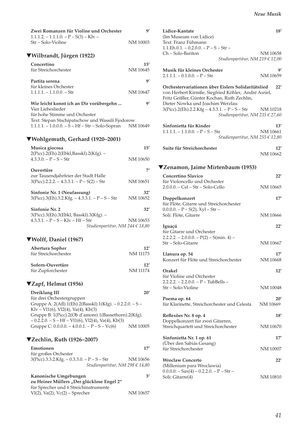| Zwei Romanzen für Violine und Orchester<br>$1.1.1.2. - 1.1.1.0. - P - S(3) - K/v$                                                              | g,                     |
|------------------------------------------------------------------------------------------------------------------------------------------------|------------------------|
| Str - Solo-Violine                                                                                                                             | NM 10003               |
| ▼Wilbrandt, Jürgen (1922)                                                                                                                      |                        |
| Concertino<br>für Streichorchester                                                                                                             | 15'<br>NM 10645        |
| Partita serena                                                                                                                                 | 9′                     |
| für kleines Orchester<br>$1.1.1.1. - 1.1.0.0. - Str$                                                                                           | NM 10647               |
| Wie leicht konnt ich an Dir vorübergehn<br>Vier Liebeslieder                                                                                   | 9′                     |
| für hohe Stimme und Orchester<br>Text: Stepan Stschipatschow und Wassili Fjodorow<br>1.1.1.1. - 1.0.0.0. - S - Hf - Str - Solo-Sopran NM 10649 |                        |
| ▼Wohlgemuth, Gerhard (1920–2001)                                                                                                               |                        |
| Musica giocosa                                                                                                                                 | 15'                    |
| 2(Picc).2(Eh).2(Ebkl,Basskl).2(Kfg). -<br>$4.3.3.0. - P - S - Str$                                                                             | NM 10650               |
| Ouvertüre                                                                                                                                      | 7′                     |
| zur Tausendjahrfeier der Stadt Halle<br>$3(Picc).2.2.2. - 4.3.3.1. - P - S(2) - Str$                                                           | NM 10651               |
|                                                                                                                                                |                        |
| Sinfonie Nr. 1 (Neufassung)<br>$3(Picc).3(Eh).3.2.Kfg. -4.3.3.1. - P-S-Str$                                                                    | 32'<br>NM 10652        |
| <b>Sinfonie Nr. 2</b><br>3(Picc).3(Eh).3(Ebkl, Basskl).3(Kfg). -                                                                               | 32'                    |
| $4.3.3.1. - P - S - Klv - Hf - Str$<br>Studienpartitur, NM 244 € 18,80                                                                         | NM 10653               |
| ▼Wolff, Daniel (1967)                                                                                                                          |                        |
| Abertura Sopher<br>für Streichorchester                                                                                                        | 12'<br>NM 11173        |
| Sofern-Ouvertüre<br>für Zupforchester                                                                                                          | 12'<br><b>NM 11174</b> |
| <b>▼Zapf, Helmut (1956)</b>                                                                                                                    |                        |
| Dreiklang III                                                                                                                                  | 20′                    |
| für drei Orchestergruppen<br>Gruppe A: 2(Afl).1(Eh).2(Basskl).1(Kfg). - 0.2.2.0. - S -<br>$Klv - V11(6)$ , Vl2(4), Va(4), Kb(3)                |                        |
| Gruppe B: 1(Picc).2(Ob d'amore).1(Bassethorn).2(Kfg).<br>$-0.2.2.0. - S - Hf - V11(6)$ , Vl2(4), Va(4), Kb(3)                                  |                        |
| Gruppe C: 0.0.0.0. - 4.0.0.1. - P - S - Vc(6)                                                                                                  | NM 10005               |
| ▼Zechlin, Ruth (1926–2007)                                                                                                                     |                        |
| Emotionen<br>für großes Orchester                                                                                                              | $17^\prime$            |
| 3(Picc).3.3.2.Kfg. - 0.3.3.0. - P - S - Str<br>Studienpartitur, NM 298 € 14,80                                                                 | NM 10656               |
| Kanonische Umgebungen<br>zu Heiner Müllers "Der glücklose Engel 2"                                                                             | 3'                     |
| für Sprecher und 6 Streichinstrumente<br>$V1(2)$ , Va $(2)$ , Vc $(2)$ – Sprecher                                                              | NM 10657               |

| Lidice-Kantate<br>(Im Museum von Lidice)<br>Text: Franz Fühmann                                                                                                                                     | 18'             |
|-----------------------------------------------------------------------------------------------------------------------------------------------------------------------------------------------------|-----------------|
| $1.1.Eh.0.1. - 0.2.0.0. - P - S - Str -$<br>Ch – Solo-Bariton<br>Studienpartitur, NM 219 € 12,00                                                                                                    | NM 10658        |
| Musik für kleines Orchester<br>$2.1.1.1 - 0.1.0.0 - P - Str$                                                                                                                                        | g,<br>NM 10659  |
| Orchestervariationen über Eislers Solidaritätslied<br>22'<br>von Herbert Kirmße, Siegfried Köhler, André Asriel,<br>Fritz Geißler, Günter Kochan, Ruth Zechlin,<br>Dieter Nowka und Joachim Werzlau |                 |
| 3(Picc).2(Eh).2.2.Kfg – 4.3.3.1. – P – S – Str NM 10218<br>Studienpartitur, NM 235 € 27,60                                                                                                          |                 |
| Sinfonietta für Kinder<br>$1.1.1.1 - 1.1.0.0 - P - S - Str$<br>Studienpartitur, NM 255 € 12,80                                                                                                      | 13'<br>NM 10661 |
| Suite für Streichorchester                                                                                                                                                                          | 12'<br>NM 10662 |
| ▼Zenamon, Jaime Mirtenbaum (1953)                                                                                                                                                                   |                 |
| <b>Concertino Slavico</b>                                                                                                                                                                           | 22'             |
| für Violoncello und Orchester                                                                                                                                                                       |                 |
| $2.0.0.0 - Cel - Str - Solo-Cello$                                                                                                                                                                  | NM 10665        |
| Doppelkonzert<br>für Flöte, Gitarre und Streichorchester<br>$0.0.0.0 - P - S(2)$ , Xyl – Str –                                                                                                      | 17'             |
| Soli: Flöte, Gitarre                                                                                                                                                                                | NM 10666        |
| Iguaçú<br>für Gitarre und Orchester                                                                                                                                                                 | 22'             |

| $2.2.2.2. - 2.0.0.0. - P(2) - S(min. 4) -$ |          |
|--------------------------------------------|----------|
| Str – Solo-Gitarre                         | NM 10667 |
| Llanura op. 54                             | 17'      |

| Konzert für Flöte und Streichorchester                       | NM 10668 |
|--------------------------------------------------------------|----------|
| Orakel<br>für Violine und Orchester                          | 12'      |
| $2.2.2.2. - 2.2.0.0. - P - TubBells -$<br>Str – Solo-Violine | NM 10048 |

| Poema op. 64                                 | 20'      |
|----------------------------------------------|----------|
| für Klarinette, Streichorchester und Celesta | NM 10669 |
| Reflexões Nr. 8 op. 4                        | 18'      |
| Doppelkonzert für zwei Gitarren,             |          |
| Streichquartett und Streichorchester         | NM 10670 |
| $\sim$ $\sim$ $\sim$ $\sim$ $\sim$ $\sim$    |          |

| Sinfonietta Nr. 1 op. 61                         | 17'      |
|--------------------------------------------------|----------|
| (Über den Sabiás Gesang)<br>für Streichorchester | NM 10007 |
| <b>Wroclaw Concerto</b>                          | 22'      |
| (Millenium para Wroclawia)                       |          |
| $0.0.0.0 -$ Sax $(4)$ – 0.2.2.0. – P – Str –     |          |
| Soli: Gitarre(4)                                 | NM 10810 |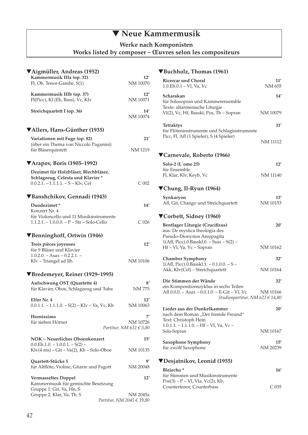# ▼ **Neue Kammermusik**

**Werke nach Komponisten** 

**Works listed by composer – Œuvres selon les compositeurs** 

| ▼Aigmüller, Andreas (1952)                                             |                                      |
|------------------------------------------------------------------------|--------------------------------------|
| Kammermusik IIIa (op. 32)                                              | 12'                                  |
| Fl, Ob, Tenor-Gambe, S(1)                                              | NM 10070                             |
|                                                                        |                                      |
| Kammermusik IIIb (op. 37)                                              | 12'                                  |
| Fl(Picc), Kl (Eb, Bass), Vc, Klv                                       | NM 10071                             |
|                                                                        |                                      |
| Streichquartett I (op. 36)                                             | 14'                                  |
|                                                                        | NM 10074                             |
|                                                                        |                                      |
| ▼Allers, Hans-Günther (1935)                                           |                                      |
|                                                                        | 21'                                  |
| Variationen mit Fuge (op. 82)<br>(über ein Thema von Niccolo Paganini) |                                      |
| für Bläserquintett                                                     | NM 1219                              |
|                                                                        |                                      |
|                                                                        |                                      |
| $\blacktriangledown$ Arapov, Boris (1905–1992)                         |                                      |
| Dezimet für Holzbläser, Blechbläser,                                   |                                      |
| Schlagzeug, Celesta und Klavier*                                       |                                      |
| $0.0.2.1. - 1.1.1.1. - S - K$ lv, Cel                                  | C <sub>002</sub>                     |
|                                                                        |                                      |
| ▼Banshchikov, Gennadi (1943)                                           |                                      |
|                                                                        |                                      |
| Duodezimet*                                                            | 14'                                  |
| Konzert Nr. 4                                                          |                                      |
| für Violoncello und 11 Musikinstrumente                                |                                      |
| $1.1.2.1. - 1.0.0.0. - P - Str - Solo-Cello$                           | C <sub>026</sub>                     |
|                                                                        |                                      |
| ▼Benninghoff, Ortwin (1946)                                            |                                      |
| Trois pièces joyeuses                                                  | 12'                                  |
| für 9 Bläser und Klavier                                               |                                      |
| $1.0.2.0. - Asax - 0.2.2.1. -$                                         |                                      |
| Klv - Triangel ad lib.                                                 | NM 10106                             |
|                                                                        |                                      |
| ▼Bredemeyer, Reiner (1929–1995)                                        |                                      |
|                                                                        |                                      |
| Aufschwung OST (Quartette 4)                                           | 8′                                   |
| für Klavier, Oboe, Schlagzeug und Tuba                                 | <b>NM 775</b>                        |
|                                                                        |                                      |
| Elfer Nr. 4                                                            | 12'                                  |
| $0.0.1.1. - 1.1.1.0. - S(2) - K/v - Va$ , Vc, Kb                       | NM 10063                             |
|                                                                        |                                      |
| Hornissimo                                                             | 7′                                   |
| für sieben Hörner                                                      | NM 10726                             |
|                                                                        | Partitur, NM $632 \text{ } \in 5,80$ |
| NOK - Neuerliches Oboenkonzert                                         | 15'                                  |
| $0.0.Eh.1.0. - 1.0.0.1. - S(2) -$                                      |                                      |
| $Klv(4 ms) - Git - Va(2)$ , $Kb - Solo-Oboe$                           | NM 10135                             |
|                                                                        |                                      |
| Quartett-Stücke 5                                                      | 9′                                   |
| für Altflöte, Violine, Gitarre und Fagott                              | NM 20048                             |
|                                                                        |                                      |
| <b>Vermasseltes Doppel</b>                                             | 12'                                  |
| Kammermusik für gemischte Besetzung                                    |                                      |
| Gruppe 1: Git, Va, Hn, S                                               |                                      |
| Gruppe 2: Klar, Va, Tb, S                                              | NM 2045a                             |
|                                                                        | Partitur, NM 2045 € 19,80            |

### ▼**Buchholz, Thomas (1961)**

| <b>Ricercar und Choral</b><br>1.0.Eh.0.1 - Vl, Va, Vc                                                                                       | 11′<br>NM 655   |
|---------------------------------------------------------------------------------------------------------------------------------------------|-----------------|
| Scharakan<br>für Solosopran und Kammerensemble<br>Texte: altarmenische Liturgie                                                             | 14'             |
| Vl(2), Vc, Hf, Basskl, Pos, Tb - Sopran                                                                                                     | NM 10079        |
| <b>Tetraktys</b><br>für Flöteninstrumente und Schlaginstrumente                                                                             | 11'             |
| Picc, Fl, Afl (1 Spieler), S (4 Spieler)                                                                                                    | NM 11112        |
| ▼Carnevale, Roberto (1966)                                                                                                                  |                 |
| Solo-2 (L'ome 25)                                                                                                                           | 12'             |
| für Ensemble<br>Fl, Klar, Klv, Keyb, Vc                                                                                                     | NM 11140        |
| ▼Chung, Il-Ryun (1964)                                                                                                                      |                 |
| Synkaryon<br>Afl, Git, Chango und Streichquartett                                                                                           | 13'<br>NM 10153 |
| ▼Corbett, Sidney (1960)                                                                                                                     |                 |
| Bentlager Liturgie (Crucifixus)<br>aus: De mystica theologia des<br>Pseudo-Dionysios Areopagita<br>1(Afl, Picc).0.Basskl.0. - Ssax - S(2) - | 20'             |
| Hf - Vl, Va, Vc - Sopran                                                                                                                    | NM 10162        |
| <b>Chamber Symphony</b><br>$1(AfI, Picc).0.Basskl.1. - 0.1.0.0. - S -$                                                                      | 32'             |
| Akk, Klv(Cel) - Streichquartett                                                                                                             | NM 10164        |
| Die Stimmen der Wände<br>ein Kompositionszyklus in sechs Teilen                                                                             | 32'             |
| Afl.0.0.0. - Asax - 0.0.1.0. - E-Git - Vl, Vc<br>Studienpartitur, NM 623 € 14,80                                                            | NM 10166        |
| Lieder aus der Dunkelkammer<br>nach dem Roman "Der fremde Freund"<br>Text: Christoph Hein                                                   | 20'             |
| $1.0.1.1. - 1.1.1.0. - Hf - VI$ , Va, Vc-<br>Solo-Sopran                                                                                    | NM 10167        |
| Saxophone Symphony<br>für zwölf Saxophone                                                                                                   | 15'<br>NM 20239 |
| ▼Desjatnikov, Leonid (1955)                                                                                                                 |                 |
| Bleiecho <sup>*</sup><br>für Stimmen und Musikinstrumente                                                                                   | 16'             |
| $Pos(3) - P - VI$ , Vla, Vc(2), Kb,<br>Countertenor, Counterbass                                                                            | $C$ 035         |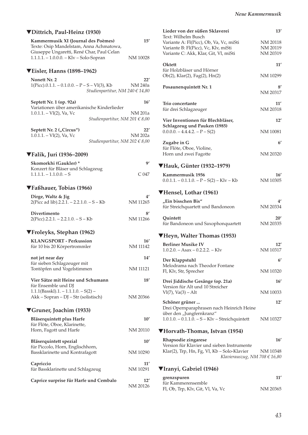| ▼Dittrich, Paul-Heinz (1930)                                                                                                |                 |
|-----------------------------------------------------------------------------------------------------------------------------|-----------------|
| Kammermusik XI (Journal des Poèmes)<br>Texte: Osip Mandelstam, Anna Achmatowa,<br>Giuseppe Ungaretti, René Char, Paul Celan | 15'             |
| 1.1.1.1. - 1.0.0.0. - Klv - Solo-Sopran                                                                                     | NM 10028        |
| VEisler, Hanns (1898-1962)                                                                                                  |                 |
| <b>Nonett Nr. 2</b><br>$1(Picc).0.1.1. - 0.1.0.0. - P - S - VI(3)$ , Kb<br>Studienpartitur, NM 240 € 14,80                  | 22'<br>NM 240a  |
| Septett Nr. 1 (op. 92a)<br>Variationen über amerikanische Kinderlieder                                                      | 16'             |
| $1.0.1.1. - VI(2)$ , Va, Vc<br>Studienpartitur, NM 201 € 8,00                                                               | NM 201a         |
| Septett Nr. 2 ("Circus")<br>$1.0.1.1. - VI(2)$ , Va, Vc<br><i>Studienpartitur, NM 202 € 8,00</i>                            | 22'<br>NM 202a  |
| ▼Falik, Juri (1936–2009)                                                                                                    |                 |
| Skomorkhi (Gaukler)*                                                                                                        | 91              |
| Konzert für Bläser und Schlagzeug<br>$1.1.1.1 - 1.1.0.0 - S$                                                                | C 047           |
| ▼Faßhauer, Tobias (1966)                                                                                                    |                 |
| Dirge, Waltz & Jig<br>2(Picc ad lib).2.2.1. – 2.2.1.0. – S – Kb                                                             | 4'<br>NM 11265  |
| Divertimento<br>$2(Picc).2.2.1. - 2.2.1.0. - S - Kb$                                                                        | 8'<br>NM 11266  |
| ▼Froleyks, Stephan (1962)                                                                                                   |                 |
| <b>KLANGSPORT - Perkussion</b><br>für 10 bis 20 Körpertrommler                                                              | 16'<br>NM 11142 |
| not jet near day                                                                                                            | 14'             |
| für sieben Schlagzeuger mit<br>Tontöpfen und Vogelstimmen                                                                   | <b>NM 11121</b> |
| Vier Sätze mit Heine und Schumann<br>für Ensemble und DJ                                                                    | 18'             |
| $1.1.1(Basskl).1. - 1.1.1.0. - S(2) -$<br>Akk - Sopran - DJ - Str (solistisch)                                              | NM 20366        |
| ▼Gruner, Joachim (1933)                                                                                                     |                 |
| Bläserquintett plus Harfe<br>für Flöte, Oboe, Klarinette,<br>Horn, Fagott und Harfe                                         | 10'<br>NM 20110 |
| Bläserquintett spezial                                                                                                      | 10'             |
| für Piccolo, Horn, Englischhorn,<br>Bassklarinette und Kontrafagott                                                         | NM 10290        |
| Capriccio<br>für Bassklarinette und Schlagzeug                                                                              | 11'<br>NM 10291 |
| Caprice surprise für Harfe und Cembalo                                                                                      | 12'<br>NM 20126 |

| Lieder von der süßen Sklaverei                                       | 13'            |
|----------------------------------------------------------------------|----------------|
| Text: Wilhelm Busch<br>Variante A: Fl(Picc), Ob, Va, Vc, miSti       | NM 20118       |
| Variante B: Fl(Picc), Vc, Klv, miSti                                 | NM 20119       |
| Variante C: Akk, Klar, Git, Vl, miSti                                | NM 20319       |
| Oktett<br>für Holzbläser und Hörner                                  | 11′            |
| Ob(2), Klar(2), Fag(2), Hn(2)                                        | NM 10299       |
|                                                                      |                |
| Posaunenquintett Nr. 1                                               | 8′<br>NM 20317 |
| Trio concertante                                                     | 11'            |
| für drei Schlagzeuger                                                | NM 20318       |
| Vier Inventionen für Blechbläser,                                    | 12'            |
| Schlagzeug und Pauken (1985)                                         |                |
| $0.0.0.0 - 4.4.4.2 - P - S(2)$                                       | NM 10081       |
| Zugabe in G                                                          | $6^{\prime}$   |
| für Flöte, Oboe, Violine,                                            |                |
| Horn und zwei Fagotte                                                | NM 20320       |
| ▼Hauk, Günter (1932–1979)                                            |                |
| Kammermusik 1956                                                     | 16'            |
| $0.0.1.1. - 0.1.1.0. - P - S(2) - K/v - Kb$                          | NM 10305       |
| ▼Hensel, Lothar (1961)                                               |                |
| "Ein bisschen Bis"                                                   | 4'             |
| für Streichquartett und Bandoneon                                    | NM 20334       |
| Quintett                                                             | 20'            |
| für Bandoneon und Saxophonquartett                                   | NM 20335       |
| ▼Heyn, Walter Thomas (1953)                                          |                |
| <b>Berliner Musike IV</b>                                            | 12'            |
| $1.0.2.0 - Asax - 0.2.2.2 - Kly$                                     | NM 10317       |
| Der Klappstuhl                                                       | $6^{\prime}$   |
| Melodrama nach Theodor Fontane<br>Fl, Klv, Str, Sprecher             | NM 10320       |
|                                                                      |                |
| Drei Jiddische Gesänge (op. 21a)<br>Version für Alt und 10 Streicher | 16′            |
| $VI(7)$ , $Va(3) - Alt$                                              | NM 10033       |
|                                                                      |                |
| Schöner grüner<br>Drei Opernparaphrasen nach Heinrich Heine          | 12'            |
| über den "Jungfernkranz"                                             |                |
| $1.0.1.0. - 0.1.1.\overline{0}$ . $-S - Klv - Streichquintett$       | NM 10327       |
| ▼Horvath-Thomas, Istvan (1954)                                       |                |
| Rhapsodie zingarese                                                  | 16′            |
| Version für Klavier und sieben Instrumente                           |                |
| Klar(2), Trp, Hn, Fg, Vl, Kb - Solo-Klavier                          | NM 10348       |
| Klavierauszug, NM 708 € 16,80                                        |                |

# ▼**Iranyi, Gabriel (1946)**

| grenzspuren                       | 11'      |
|-----------------------------------|----------|
| für Kammerensemble                |          |
| Fl, Ob, Trp, Klv, Git, Vl, Va, Vc | NM 20365 |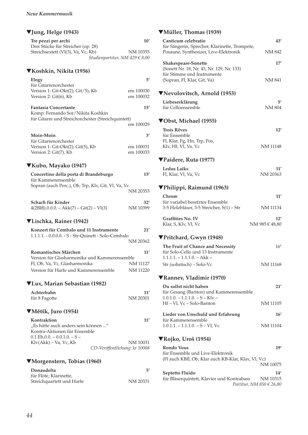# ▼**Jung, Helge (1943)**

| Tre pezzi per archi                | 10'                                |
|------------------------------------|------------------------------------|
| Drei Stücke für Streicher (op. 28) |                                    |
| Streichsextett (Vl(3), Va, Vc, Kb) | NM 10355                           |
|                                    | Studienpartitur, NM 429 $\in$ 8,00 |

### ▼**Koshkin, Nikita (1956)**

| Elegy<br>für Gitarrenorchester                                                                          | 5′                     |
|---------------------------------------------------------------------------------------------------------|------------------------|
| Version 1: Git-Okt(2), Git/5), Kb<br>Version 2: Git(6), Kb                                              | em 100030<br>em 100032 |
| <b>Fantasia Concertante</b><br>Komp: Fernando Sor/Nikita Koshkin                                        | 15'                    |
| für Gitarre und Streichorchester (Streichquintett)                                                      |                        |
|                                                                                                         | em 100029              |
| Moin-Moin                                                                                               | 3′                     |
| für Gitarrenorchester<br>Verison 1: Git-Okt(2), Git(5), Kb<br>Version 2: Git(7), Kb                     | em 100031<br>em 100033 |
| ▼Kubo, Mayako (1947)                                                                                    |                        |
| Concertino della porta di Brandeburgo                                                                   | 15'                    |
| für Kammerensemble<br>Sopran (auch Perc.), Ob, Trp, Klv, Git, Vl, Va, Vc                                |                        |
|                                                                                                         | NM 20353               |
| Schach für Kinder<br>$4(2BIfI).0.0.0. - Akk(7) - Git(2) - VI(3)$                                        | 32'<br>NM 10399        |
| ▼Lischka, Rainer (1942)                                                                                 |                        |
| Konzert für Cembalo und 11 Instrumente<br>1.1.1.1. - 0.0.0.0. - S - Str-Quinett - Solo-Cembalo          | 21'                    |
|                                                                                                         | NM 20362               |
| Romantisches Märchen<br>Version für Glasharmonika und Kammerensemble                                    | 11'                    |
| Fl, Ob, Va, Vc, Glasharmonika                                                                           | NM 11127               |
| Version für Harfe und Kammerensemble                                                                    | NM 11220               |
| ▼Lux, Marian Sebastian (1982)                                                                           |                        |
| Achterbahn                                                                                              | 11'                    |
| für 8 Fagotte                                                                                           | NM 20301               |
| ▼Mětšk, Juro (1954)                                                                                     |                        |
| Kontraktion                                                                                             | 11'                    |
| "Es hätte auch anders sein können "<br>Kontra-Aktionen für Ensemble<br>$0.1$ Eb $0.0 - 0.01$ $0. - S -$ |                        |

### ▼**Morgenstern, Tobias (1960)**

 $Klv(Akk) - Va$ , Vc,  $Kb$ 

| Donaudelta                | 5′       |
|---------------------------|----------|
| für Flöte, Klarinette,    |          |
| Streichquartett und Harfe | NM 20331 |

Klv(Akk) – Va, Vc, Kb NM 10031

*CD-Veröffentlichung: kr 10008* 

### ▼**Müller, Thomas (1939)**

| für Sängerin, Sprecher, Klarinette, Trompete,                                                              | NM 842                |
|------------------------------------------------------------------------------------------------------------|-----------------------|
| Posaune, Synthesizer, Live-Elektronik                                                                      |                       |
| <b>Shakespeare-Sonette</b><br>(Sonett Nr. 18, Nr. 43, Nr. 129, Nr. 133)<br>für Stimme und Instrumente      | 17'                   |
| (Sopran, Fl, Klar, Git, Va)                                                                                | NM 841                |
| ▼Nevolovitsch, Arnold (1953)                                                                               |                       |
| Liebeserklärung<br>für Celloensemble                                                                       | 51<br>NM 804          |
| ▼Obst, Michael (1955)                                                                                      |                       |
| <b>Trois Rêves</b><br>für Ensemble                                                                         | 12'                   |
| Fl, Klar, Fg, Hn, Trp, Pos,<br>Klv, Hf, Vl, Va, Vc                                                         | <b>NM 11148</b>       |
| <b>▼Paidere, Ruta (1977)</b>                                                                               |                       |
| <b>Ledus Laiks</b><br>Fl, Klar, Vl, Va, Vc                                                                 | 11′<br>NM 20363       |
| ▼Philippi, Raimund (1963)                                                                                  |                       |
| Chrom                                                                                                      | 11'                   |
| für variabel besetztes Ensemble<br>3-5 Holzbläser, 3-5 Streicher, S(1) - Str                               | NM 11134              |
| <b>Graffities No. IV</b><br>Klar, S, Klv, Vl, Vc                                                           | 12'<br>NM 985 € 48,80 |
| ▼Pritchard, Gwyn (1948)                                                                                    |                       |
| The Fruit of Chance and Necessity<br>für Solo-Cello und 13 Instrumente<br>1.1.1.1. – 1.1.1.0. – Akk –      | 16'                   |
| Str (solistisch) - Solo-Vc                                                                                 | <b>NM 11168</b>       |
| ▼Rannev, Vladimir (1970)                                                                                   |                       |
| Du sollst nicht haben                                                                                      | 21'                   |
| für Gesang (Bariton) und Kammerensemble<br>$1.0.1.0. - 1.1.1.0. - S - Klv -$<br>Hf - Vl, Vc - Solo-Bariton | NM 11105              |
| Lieder von Unschuld und Erfahrung                                                                          | $16^{\prime}$         |
| für Kammerensemble<br>$1.0.1.1. - 1.1.1.0. - S - VI$ , Vc                                                  | NM 11104              |
| $\nabla$ Rojko, Uroš (1954)                                                                                |                       |
| <b>Rondo Vous</b><br>für Ensemble und Live-Elektronik                                                      | 19'                   |
| (Fl auch KBfl, Ob, Klar auch KB-Klar, Klav, Vl, Vc)                                                        | NM 10075              |
| Septetto Fluido<br>für Bläserquintett, Klavier und Kontrabass<br>Partitur, NM $850 \text{ } \in 26,80$     | 14'<br>NM 10315       |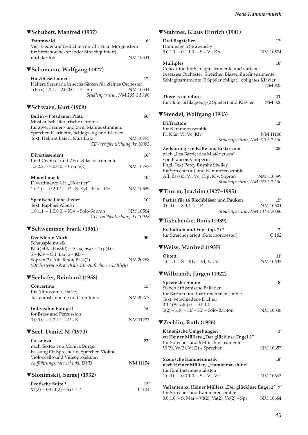### ▼**Schubert, Manfred (1937)**

| Traumwald                                              | 6'                              |
|--------------------------------------------------------|---------------------------------|
| Vier Lieder auf Gedichte von Christian Morgenstern     |                                 |
| für Streichorchester (oder Streichquintett)            |                                 |
| und Bariton                                            | NM 10541                        |
|                                                        |                                 |
| ▼Schumann, Wolfgang (1927)                             |                                 |
| Holzbläserlaunen                                       | 17'                             |
| Heitere Serenade in sechs Sätzen für kleines Orchester |                                 |
| $1(Picc).1.2.1. - 2.0.0.0. - P - Str$                  | NM 10544                        |
|                                                        | Studienpartitur, NM 265 € 16,80 |
| ▼Schwaen, Kurt (1909)                                  |                                 |
| Rerlin - Potedamer Platz                               | ק∩י                             |

| Derlin – Fotsuallier Fiatz                   | эυ       |
|----------------------------------------------|----------|
| Musikalisch-literarische Chronik             |          |
| für zwei Frauen- und zwei Männerstimmen,     |          |
| Sprecher, Klarinette, Schlagzeug und Klavier |          |
| Text: Helmut Baierl, Kurt Lutz               | NM 10795 |
| CD-Veröffentlichung: kr 10093                |          |
| <b>Divertissement</b>                        | 16'      |
| für 4 Cembali und 7 Holzblasinstrumente      |          |
| $1.2.2.2. - 0.0.0.0. - Cemb(4)$              | NM 10797 |
| Modellmusik                                  |          |

| 11100000111100111                            | .        |
|----------------------------------------------|----------|
| Divertimento à la "Horatier"                 |          |
| $1.0.1.0 - 0.2.1.1 - P - S$ , Xyl – Klv – Kb | NM 10559 |
|                                              |          |

| Spanische Liebeslieder                  | 10'                           |
|-----------------------------------------|-------------------------------|
| Text: Raphael Alberti                   |                               |
| $1.0.1.1 - 1.0.0.0 - K/v - Solo-Sopran$ | NM 10564                      |
|                                         | CD-Veröffentlichung: kr 10048 |

### ▼**Schwemmer, Frank (1961)**

| Der Kleine Muck                                  | 30'      |
|--------------------------------------------------|----------|
| Schauspielmusik                                  |          |
| Klar(Ebkl, Basskl) – Asax, Ssax – Trp(4) –       |          |
| S – Klv – Git, Banjo – Kb –                      |          |
| Sopran(2), Alt, Tenor, Bass(2)                   | NM 20288 |
| (Orchestermusik auch als CD-Aufnahme erhältlich) |          |

#### ▼**Seehafer, Reinhard (1958)**

| Concertino                                              | 15'      |
|---------------------------------------------------------|----------|
| für Altposaune, Harfe,<br>Tasteninstrumente und Tomtoms | NM 20277 |
| Indivisible Europe I                                    | 15'      |
| for Brass and Percussion<br>$0.0.0.0 - 3.3.3.1 - P - S$ | NM 11233 |
| <b>▼Seel, Daniel N. (1970)</b>                          |          |
| Casanova                                                | 23'      |
| nach Texten von Monica Burger                           |          |
| Fassung für Sprecherin, Sprecher, Violine,              |          |
| Violoncello und Videoprojektion                         |          |

### ▼**Slonimskij, Sergej (1932)**

| <b>Exotische Suite *</b>     | 15'   |
|------------------------------|-------|
| $V1(2) - E-Git(2) - Sax - P$ | C.124 |

*Aufführungsmaterial inkl. DVD* NM 11154

### ▼**Stahmer, Klaus Hinrich (1941)**

| Drei Bagatellen                                          | 12'              |
|----------------------------------------------------------|------------------|
| Hommage à Strawinsky                                     |                  |
| $0.0.1.1. - 0.1.1.0. - S - VI$ , Kb                      | NM 10574         |
| Mulitples                                                | 10'              |
| Concertino für Schlaginstrumente und variabel            |                  |
| besetztes Orchester: Streicher, Bläser, Zupfinstrumente, |                  |
| Schlaginstrumente (3 Spieler obligat), obligates Klavier |                  |
|                                                          | NM 905           |
|                                                          |                  |
| There is no return                                       | 11'              |
| für Flöte, Schlagzeug (2 Spieler) und Klavier            | <b>NM 826</b>    |
|                                                          |                  |
| ▼Stendel, Wolfgang (1943)                                |                  |
|                                                          |                  |
| <b>Diffraction</b>                                       | 13'              |
| für Kammerensemble                                       |                  |
| Fl, Klar, Vl, Vc, Klv                                    | NM 11100         |
| Studienpartitur, NM 913 € 19,80                          |                  |
| Zeitsprung - in Kälte und Erstarrung                     | 25'              |
| nach "Les Barricades Mistérieuses"                       |                  |
| von Francois Couperin                                    |                  |
| Engl. Text Percy Buyshe Shelley                          |                  |
| für Sprecher(in) und Kammerensemble                      |                  |
| Afl, Basskl, Vl, Vc, Org, Klv, Sopran                    | NM 110899        |
| Studienpartitur, NM 923 € 19,80                          |                  |
|                                                          |                  |
| ▼Thurm, Joachim (1927–1995)                              |                  |
| Partita für 16 Blechbläser und Pauken                    | 15'              |
| $0.0.0.0 - 8.3.4.1 - P$                                  | NM 10604         |
| Studienpartitur, NM 431 € 20,80                          |                  |
| ▼Tishchenko, Boris (1939)                                |                  |
|                                                          |                  |
| Präludium und Fuge (op. 7) *                             | 71               |
| für Streichquartett (Streichorchester)                   | C <sub>162</sub> |
| ▼Weiss, Manfred (1935)                                   |                  |
|                                                          |                  |
| <b>Oktett</b>                                            | 11'              |
| 1.0.1.1. - S - Klv - Vl, Va, Vc                          | NM 10632         |
|                                                          |                  |
| ▼Wilbrandt, Jürgen (1922)                                |                  |
| <b>Speere der Sonne</b>                                  | 18′              |
| Sieben afrikanische Balladen                             |                  |
| für Bariton und Instrumentalensemble                     |                  |
| Text: verschiedene Dichter                               |                  |
| $0.1.1$ (Basskl). $0. -0.0.1.0. -$                       |                  |
| $S(2) - Klv - Hf - Kb - Solo-Bariton$                    | NM 10648         |
|                                                          |                  |
| <b>▼Zechlin, Ruth (1926)</b>                             |                  |
| Kanonische Umgebungen                                    | 3'               |
| zu Heiner Müllers "Der glücklose Engel 2"                |                  |
| für Sprecher und 6 Streichinstrumente                    |                  |
| $V1(2)$ , Va $(2)$ , Vc $(2)$ – Sprecher                 | NM 10657         |
|                                                          |                  |
| Szenische Kammermusik                                    | 18′              |
| nach Heiner Müllers "Hamletmaschine"                     |                  |
| für fünf Instrumentalisten                               |                  |
| $1.0.0.0 - 0.0.1.0 - S - VI$ , Vc                        | NM 10663         |
|                                                          |                  |
| Varianten zu Heiner Müllers "Der glücklose Engel 2" 9'   |                  |
| für Sprecher und Kammerensemble                          |                  |
| $0.0.1.0. - S$ , Mar $-$ Vl(2), Va(2), Vc(2) $-$ Spr     | NM 10664         |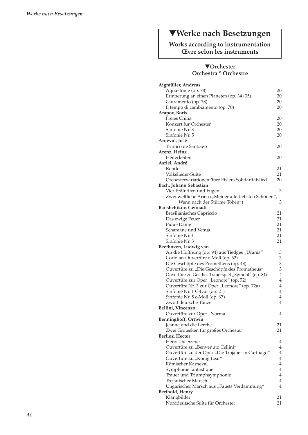# ▼**Werke nach Besetzungen**

### **Works according to instrumentation Œvre selon les instruments**

#### ▼**Orchester Orchestra \* Orchestre**

| Aigmüller, Andreas                                    |                |
|-------------------------------------------------------|----------------|
| Aqua-Tonie (op. 78)                                   | 20             |
| Erinnerung an einen Planeten (op. 34/35)              | 20             |
| Giuramento (op. 38)                                   | 20             |
| Il tempo di cambiamento (op. 70)                      | 20             |
| <b>Arapov, Boris</b>                                  |                |
| Freies China                                          | 20             |
| Konzert für Orchester                                 | 20             |
| Sinfonie Nr. 3                                        | 20             |
| Sinfonie Nr. 5                                        | 20             |
| Ardévol, José                                         |                |
| Triptico de Santiago                                  | 20             |
| Arenz, Heinz                                          |                |
| Heiterkeiten                                          | 20             |
| Asriel, André                                         |                |
| Rondo                                                 |                |
|                                                       | 21             |
| Volkslieder-Suite                                     | 21             |
| Orchestervariationen über Eislers Solidaritätslied    | 20             |
| Bach, Johann Sebastian                                |                |
| Vier Präludien und Fugen                              | 3              |
| Zwei weltliche Arien ("Meiner allerliebsten Schönen", |                |
| "Wenn nach der Stürme Toben")                         | 3              |
| Banshchikov, Gennadi                                  |                |
| Brasilianisches Capriccio                             | 21             |
| Das ewige Feuer                                       | 21             |
| Pique Dame                                            | 21             |
| Schamane und Venus                                    | 21             |
| Sinfonie Nr. 1                                        | 21             |
| Sinfonie Nr. 3                                        | 21             |
| Beethoven, Ludwig van                                 |                |
| An die Hoffnung (op. 94) aus Tiedges "Urania"         | 3              |
| Coriolan-Ouvertüre c-Moll (op. 62)                    | 3              |
| Die Geschöpfe des Prometheus (op. 43)                 | 3              |
| Ouvertüre zu "Die Geschöpfe des Prometheus"           | 3              |
| Ouvertüre zu Goethes Trauerspiel "Egmont" (op. 84)    | $\overline{4}$ |
| Ouvertüre zur Oper "Leonore" (op. 72)                 | $\overline{4}$ |
| Ouvertüre Nr. 3 zur Oper "Leonore" (op. 72a)          | $\overline{4}$ |
| Sinfonie Nr. 1 C-Dur (op. 21)                         | $\overline{4}$ |
| Sinfonie Nr. 5 c-Moll (op. 67)                        | $\overline{4}$ |
| Zwölf deutsche Tänze                                  | $\overline{4}$ |
| Bellini, Vincenzo                                     |                |
| Ouvertüre zur Oper "Norma"                            | 4              |
| <b>Benninghoff, Ortwin</b>                            |                |
| Jeanne und die Lerche                                 | 21             |
| Zwei Grotesken für großes Orchester                   | 21             |
| Berlioz, Hector                                       |                |
| Heroische Szene                                       | 4              |
| Ouvertüre zu "Benvenuto Cellini"                      | $\overline{4}$ |
| Ouvertüre zu der Oper "Die Trojaner in Carthago"      | $\overline{4}$ |
| Ouvertüre zu "König Lear"                             | $\overline{4}$ |
| Römischer Karneval                                    | $\overline{4}$ |
| Symphonie fantastique                                 | $\overline{4}$ |
| Trauer und Triumphsymphonie                           | $\overline{4}$ |
| Trojanischer Marsch                                   | $\overline{4}$ |
| Ungarischer Marsch aus "Fausts Verdammung"            | 4              |
| Berthold, Henry                                       |                |
| Klangbilder                                           | 21             |
| Norddeutsche Suite für Orchester                      | 21             |
|                                                       |                |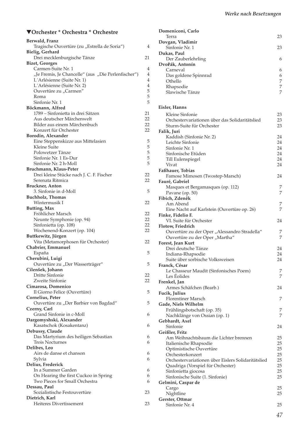| ▼Orchester * Orchestra * Orchestre |  |
|------------------------------------|--|
|------------------------------------|--|

| Berwald, Franz                                                                    |                     |
|-----------------------------------------------------------------------------------|---------------------|
| Tragische Ouvertüre (zu "Estrella de Soria")                                      | 4                   |
| Bielig, Gerhard                                                                   |                     |
| Drei mecklenburgische Tänze                                                       | 21                  |
| <b>Bizet, Georges</b>                                                             |                     |
| Carmen-Suite Nr. 1                                                                | 4<br>$\overline{4}$ |
| "Je Fremis, Je Chancelle" (aus "Die Perlenfischer")<br>L'Arlésienne (Suite Nr. 1) | $\overline{4}$      |
| L'Arlésienne (Suite Nr. 2)                                                        | $\overline{4}$      |
| Ouvertüre zu "Carmen"                                                             | 5                   |
| Roma                                                                              | 5                   |
| Sinfonie Nr. 1                                                                    | 5                   |
| Böckmann, Alfred                                                                  |                     |
| 1789 – Sinfonietta in drei Sätzen                                                 | 21                  |
| Aus deutscher Märchenwelt                                                         | 22                  |
| Bilder aus einem Märchenbuch                                                      | 22                  |
| Konzert für Orchester                                                             | 22                  |
| Borodin, Alexander                                                                |                     |
| Eine Steppenskizze aus Mittelasien                                                | 5                   |
| Kleine Suite                                                                      | 5                   |
| Polowetzer Tänze                                                                  | 5                   |
| Sinfonie Nr. 1 Es-Dur                                                             | 5                   |
| Sinfonie Nr. 2 h-Moll                                                             | 5                   |
| Bruchmann, Klaus-Peter                                                            |                     |
| Drei kleine Stücke nach J. C. F. Fischer<br>Serenata Ritmica                      | 22                  |
| <b>Bruckner</b> , Anton                                                           | 22                  |
| 3. Sinfonie in d-Moll                                                             | 5                   |
| <b>Buchholz</b> , Thomas                                                          |                     |
| Wintermusik I                                                                     | 22                  |
| Butting, Max                                                                      |                     |
| Fröhlicher Marsch                                                                 | 22                  |
| Neunte Symphonie (op. 94)                                                         | 22                  |
| Sinfonietta (op. 108)                                                             | 22                  |
| Wochenend-Konzert (op. 104)                                                       | 22                  |
| Buttkewitz, Jürgen                                                                |                     |
| Vita (Metamorphosen für Orchester)                                                | 22                  |
| Chabrier, Emmanuel                                                                |                     |
| España                                                                            | 5                   |
| Cherubini, Luigi                                                                  |                     |
| Ouvertüre zu "Der Wasserträger"                                                   | 5                   |
| Cilenšek, Johann                                                                  |                     |
| Dritte Sinfonie<br>Zweite Sinfonie                                                | 22                  |
|                                                                                   | 22                  |
| Cimarosa, Domenico<br>Il Giorno Felice (Ouvertüre)                                | 5                   |
| Cornelius, Peter                                                                  |                     |
| Ouvertüre zu "Der Barbier von Bagdad"                                             | 5                   |
| Czerny, Carl                                                                      |                     |
| Grand Sinfonie in c-Moll                                                          | 6                   |
| Dargomyshski, Alexander                                                           |                     |
| Kasatschok (Kosakentanz)                                                          | 6                   |
| Debussy, Claude                                                                   |                     |
| Das Martyrium des heiligen Sebastian                                              | 6                   |
| Trois Nocturnes                                                                   | 6                   |
| Delibes, Leo                                                                      |                     |
| Airs de danse et chanson                                                          | 6                   |
| Sylvia                                                                            | 6                   |
| Delius, Frederick                                                                 |                     |
| In a Summer Garden                                                                | 6                   |
| On Hearing the first Cuckoo in Spring                                             | 6                   |
| Two Pieces for Small Orchestra                                                    | 6                   |
| Dessau, Paul<br>Sozialistische Festouvertüre                                      | 23                  |
| Dietrich, Karl                                                                    |                     |
| Heiteres Divertissement                                                           | 23                  |
|                                                                                   |                     |

| Domeniconi, Carlo<br>Terra                                        | 23       |
|-------------------------------------------------------------------|----------|
| Dovgan, Vladimir                                                  |          |
| Sinfonie Nr. 1<br>Dukas, Paul                                     | 23       |
| Der Zauberlehrling                                                | 6        |
| Dvořák, Antonín<br>Carneval                                       | 6        |
| Das goldene Spinnrad                                              | 6        |
| Othello<br>Rhapsodie                                              | 7<br>7   |
| Slawische Tänze                                                   | 7        |
|                                                                   |          |
| Eisler, Hanns                                                     |          |
| Kleine Sinfonie<br>Orchestervariationen über das Solidaritätslied | 23<br>23 |
| Sturm-Suite für Orchester                                         | 23       |
| Falik, Juri                                                       | 24       |
| Kaddish (Sinfonie Nr. 2)<br>Leichte Sinfonie                      | 24       |
| Sinfonie Nr. 1                                                    | 24       |
| Sinfonische Etüden                                                | 24<br>24 |
| Till Eulenspiegel<br>Vivat                                        | 24       |
| Faßhauer, Tobias                                                  |          |
| Famose Mimosen (Twostep-Marsch)<br>Fauré, Gabriel                 | 24       |
| Masques et Bergamasques (op. 112)                                 | 7        |
| Pavane (op. 50)                                                   | 7        |
| Fibich, Zdeněk<br>Am Abend                                        | 7        |
| Eine Nacht auf Karlstein (Ouvertüre op. 26)                       | 7        |
| Finke, Fidelio F.                                                 |          |
| VI. Suite für Orchester<br>Flotow, Friedrich                      | 24       |
| Ouvertüre zu der Oper "Alessandro Stradella"                      | 7        |
| Ouvertüre zu der Oper "Martha"                                    | 7        |
| Forest, Jean Kurt<br>Drei deutsche Tänze                          | 24       |
| Indiana-Rhapsodie                                                 | 24       |
| Suite über sorbische Volksweisen                                  | 24       |
| Franck, César<br>Le Chasseur Maudit (Sinfonisches Poem)           | 7        |
| Les Éolides                                                       | 7        |
| Frenkel, Jan<br>Armes Schäfchen (Bearb.)                          | 24       |
| Fucik, Julius                                                     |          |
| <b>Florentiner Marsch</b>                                         | 7        |
| Gade, Niels Wilhelm<br>Frühlingsbotschaft (op. 35)                | 7        |
| Nachklänge von Ossian (op. 1)                                     | 7        |
| Gebhardt, Axel                                                    |          |
| Sinfonie<br>Geißler, Fritz                                        | 24       |
| Am Weihnachtsbaum die Lichter brennen                             | 25       |
| Italienische Rhapsodie                                            | 25<br>25 |
| Optimistische Ouvertüre<br>Orchesterkonzert                       | 25       |
| Orchestervariationen über Eislers Solidaritätslied                | 25       |
| Quadriga (Vorspiel für Orchester)                                 | 25<br>25 |
| Sinfonietta giocosa<br>Sinfonische Suite (1. Sinfonie)            | 25       |
| Gelmini, Caspar de                                                |          |
| Cargo<br>Nightline                                                | 25<br>25 |
| Gerster, Ottmar                                                   |          |
| Sinfonie Nr. 4                                                    | 25       |

*47*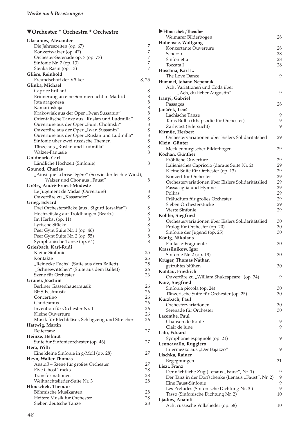| Glasunow, Alexander                                    |          |
|--------------------------------------------------------|----------|
| Die Jahreszeiten (op. 67)                              | 7        |
| Konzertwalzer (op. 47)                                 | 7        |
| Orchester-Serenade op. 7 (op. 77)                      | 7        |
| Sinfonie Nr. 7 (op. 13)                                | 7        |
| Stenka Rasin (op. 13)                                  | 7        |
| Glière, Reinhold                                       |          |
| Freundschaft der Völker                                | 8, 25    |
| Glinka, Michael                                        |          |
| Caprice brillant                                       | 8<br>8   |
| Erinnerung an eine Sommernacht in Madrid               | 8        |
| Jota aragonesa<br>Kamarinskaja                         | 8        |
| Krakowiak aus der Oper "Iwan Sussanin"                 | 8        |
| Orientalische Tänze aus "Ruslan und Ludmilla"          | 8        |
| Ouvertüre aus der Oper "Fürst Cholmski"                | 8        |
| Ouvertüre aus der Oper "Iwan Sussanin"                 | 8        |
| Ouvertüre aus der Oper "Ruslan und Ludmilla"           | 8        |
| Sinfonie über zwei russische Themen                    | 8        |
| Tänze aus "Ruslan und Ludmilla"                        | 8        |
| Walzer-Fantasie                                        | 8        |
| Goldmark, Carl                                         |          |
| Ländliche Hochzeit (Sinfonie)                          | 8        |
| <b>Gounod, Charles</b>                                 |          |
| "Ainsi que la brise légère" (So wie der leichte Wind), |          |
| Walzer und Chor aus "Faust"                            | 8        |
| Grétry, André-Ernest-Modeste                           |          |
| Le Jugement de Midas (Ouvertüre)                       | 8        |
| Ouvertüre zu "Kassander"                               | 8        |
| Grieg, Edvard                                          |          |
| Drei Orchesterstücke (aus "Sigurd Jorsalfar")          | 8        |
| Hochzeitstag auf Troldhaugen (Bearb.)                  | 8        |
| Im Herbst (op. 11)                                     | 8        |
| Lyrische Stücke                                        | 8        |
| Peer Gynt Suite Nr. 1 (op. 46)                         | 8        |
| Peer Gynt Suite Nr. 2 (op. 55)                         | 8        |
| Symphonische Tänze (op. 64)                            | 8        |
| Griesbach, Karl-Rudi                                   |          |
| Kleine Sinfonie                                        | 25       |
| Kontakte                                               | 25       |
| "Reinecke Fuchs" (Suite aus dem Ballett)               | 25       |
| "Schneewittchen" (Suite aus dem Ballett)               | 26       |
| Szene für Orchester                                    | 26       |
| Gruner, Joachim                                        |          |
| Berliner Gassenhauermusik                              | 26       |
| <b>BHS-Festmusik</b>                                   | 26       |
| Concertino                                             | 26       |
| Gaudeamus                                              | 26       |
| Invention für Orchester Nr. 1                          | 26       |
| Kleine Ouvertüre                                       | 26       |
| Musik für Blechbläser, Schlagzeug und Streicher        | 26       |
| Hattwig, Martin                                        |          |
| Reitertanz                                             | 27       |
| Heinze, Helmut                                         |          |
| Suite für Sinfonieorchester (op. 46)                   | 27       |
| Hera, Willi                                            |          |
| Eine kleine Sinfonie in g-Moll (op. 28)                | 27       |
| Heyn, Walter Thomas                                    |          |
| Anstoß - Szene für großes Orchester                    | 27       |
| <b>Five Ghost Tracks</b>                               | 28       |
| Transformationen                                       | 28       |
| Weihnachtslieder-Suite Nr. 3                           | 28       |
| Hlouschek, Theodor                                     |          |
| Böhmische Musikanten<br>Heitere Musik für Orchester    | 28<br>28 |
| Sieben deutsche Tänze                                  | 28       |
|                                                        |          |

| Hlouschek, Theodor                                                                                |        |
|---------------------------------------------------------------------------------------------------|--------|
| Weimarer Bilderbogen                                                                              | 28     |
| Hohensee, Wolfgang                                                                                |        |
| Konzertante Ouvertüre                                                                             | 28     |
| Scherzo                                                                                           | 28     |
| Sinfonietta                                                                                       | 28     |
| Toccata I                                                                                         | 28     |
| Hoschna, Karl L.                                                                                  |        |
| The Love Dance                                                                                    | 9      |
| Hummel, Johann Nepomuk                                                                            |        |
| Acht Variationen und Coda über                                                                    |        |
| "Ach, du lieber Augustin"                                                                         | 9      |
| Iranyi, Gabriel                                                                                   |        |
| Passages                                                                                          | 28     |
| Janáček, Leoš<br>Lachische Tänze                                                                  |        |
|                                                                                                   | 9<br>9 |
| Taras Bulba (Rhapsodie für Orchester)<br>Žárlivost (Eifersucht)                                   | 9      |
| Kirmße, Herbert                                                                                   |        |
| Orchestervariationen über Eislers Solidaritätslied                                                | 29     |
| Klein, Günter                                                                                     |        |
| Mecklenburgischer Bilderbogen                                                                     | 29     |
| Kochan, Günther                                                                                   |        |
| Fröhliche Ouvertüre                                                                               | 29     |
| Italienisches Capriccio (daraus Suite Nr. 2)                                                      | 29     |
| Kleine Suite für Orchester (op. 13)                                                               | 29     |
| Konzert für Orchester                                                                             | 29     |
| Orchestervariationen über Eislers Solidaritätslied                                                | 29     |
| Passacaglia und Hymne                                                                             | 29     |
| Polkas                                                                                            | 29     |
| Präludium für großes Orchester                                                                    | 29     |
| Sieben Orchesterstücke                                                                            | 29     |
| Vierte Sinfonie                                                                                   | 29     |
| Köhler, Siegfried                                                                                 |        |
| Orchestervariationen über Eislers Solidaritätslied                                                | 30     |
| Prolog für Orchester (op. 20)                                                                     | 30     |
| Sinfonie der Jugend (op. 25)                                                                      | 30     |
| König, Nikolaus                                                                                   |        |
| Fantasie-Fragmente                                                                                | 30     |
| Krassilnikow, Igor                                                                                |        |
| Sinfonie Nr. 2 (op. 18)                                                                           | 30     |
| Krüger, Thomas Nathan                                                                             |        |
| getrübtes blühen                                                                                  | 30     |
| Kuhlau, Friedrich                                                                                 |        |
| Ouvertüre zu "William Shakespeare" (op. 74)                                                       | 9      |
| Kurz, Siegfried                                                                                   |        |
| Sinfonia piccola (op. 24)                                                                         | 30     |
| Tänzerische Suite für Orchester (op. 25)                                                          | 30     |
| Kurzbach, Paul                                                                                    |        |
| Orchestervariationen                                                                              | 30     |
| Serenade für Orchester                                                                            | 30     |
| Lacombe, Paul                                                                                     |        |
| Chanson de Route                                                                                  | 9      |
| Clair de lune                                                                                     | 9      |
| Lalo, Eduard                                                                                      |        |
| Symphonie espagnole (op. 21)                                                                      | 9      |
| Leoncavallo, Ruggiero                                                                             |        |
| Intermezzo aus "Der Bajazzo"                                                                      | 9      |
| Lischka, Rainer                                                                                   |        |
| Begegnungen                                                                                       | 31     |
| Liszt, Franz                                                                                      |        |
| Der nächtliche Zug (Lenaus "Faust", Nr. 1)<br>Der Tanz in der Dorfschenke (Lenaus "Faust", Nr. 2) | 9<br>9 |
| Eine Faust-Sinfonie                                                                               | 9      |
| Les Préludes (Sinfonische Dichtung Nr. 3)                                                         | 9      |
| Tasso (Sinfonische Dichtung Nr. 2)                                                                | 10     |
| Ljadow, Anatoli                                                                                   |        |
| Acht russische Volkslieder (op. 58)                                                               | 10     |
|                                                                                                   |        |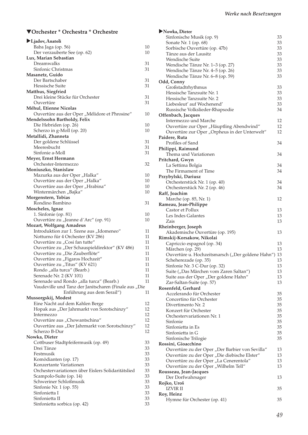| Ljadov, Anatoli                                       |    |
|-------------------------------------------------------|----|
| Baba Jaga (op. 56)                                    | 10 |
| Der verzauberte See (op. 62)                          | 10 |
| Lux, Marian Sebastian                                 |    |
| Dreamwalks                                            | 31 |
| Sinfonic Christmas                                    | 31 |
| Masanetz, Guido                                       |    |
| Der Bartschaber                                       | 31 |
| Hessische Suite                                       | 31 |
| Matthus, Siegfried                                    |    |
| Drei kleine Stücke für Orchester                      | 31 |
| Ouvertüre                                             | 31 |
| Méhul, Etienne Nicolas                                |    |
| Ouvertüre aus der Oper "Mélidore et Phrosine"         | 10 |
| Mendelssohn Bartholdy, Felix                          |    |
| Die Hebriden (op. 26)                                 | 10 |
| Scherzo in g-Moll (op. 20)                            | 10 |
| Metallidi, Zhanneta                                   |    |
| Der goldene Schlüssel                                 | 31 |
| Meeresbucht                                           | 31 |
| Sinfonie a-Moll                                       | 31 |
| Meyer, Ernst Hermann                                  |    |
| Orchester-Intermezzo                                  | 32 |
|                                                       |    |
| Moniuszko, Stanislaw                                  |    |
| Mazurka aus der Oper "Halka"                          | 10 |
| Ouvertüre aus der Oper "Halka"                        | 10 |
| Ouvertüre aus der Oper "Hrabina"                      | 10 |
| Wintermärchen "Bajka"                                 | 10 |
| Morgenstern, Tobias                                   |    |
| Rondino Bambino                                       | 31 |
| Moscheles, Ignaz                                      |    |
| 1. Sinfonie (op. 81)                                  | 10 |
| Ouvertüre zu "Jeanne d'Arc" (op. 91)                  | 10 |
| Mozart, Wolfgang Amadeus                              |    |
| Introduktion zur 1. Szene aus "Idomeneo"              | 11 |
| Notturno für 4 Orchester (KV 286)                     | 11 |
| Ouvertüre zu "Cosi fan tutte"                         | 11 |
| Ouvertüre zu "Der Schauspieldirektor" (KV 486)        | 11 |
| Ouvertüre zu "Die Zauberflöte"                        | 11 |
| Ouvertüre zu "Figaros Hochzeit"                       | 11 |
| Ouvertüre zu "Titus" (KV 621)                         | 11 |
| Rondo "alla turca" (Bearb.)                           | 11 |
| Serenade Nr. 2 (KV 101)                               | 11 |
| Serenade und Rondo "alla turca" (Bearb.)              | 11 |
| Vaudeville und Tanz der Janitscharen (Finale aus "Die |    |
| Enführung aus dem Serail")                            | 11 |
| Mussorgskij, Modest                                   |    |
| Eine Nacht auf dem Kahlen Berge                       | 12 |
| Hopak aus "Der Jahrmarkt von Sorotschinzy"            | 12 |
| Intermezzo                                            | 12 |
| Ouvertüre aus "Chowantschina"                         | 12 |
| Ouvertüre aus "Der Jahrmarkt von Sorotschinzy"        | 12 |
| Scherzo B-Dur                                         | 12 |
| Nowka, Dieter                                         |    |
| Cottbuser Stadtpfeifermusik (op. 49)                  | 33 |
| Drei Tänze                                            | 33 |
| Festmusik                                             | 33 |
| Komödianten (op. 17)                                  | 33 |
| Konzertante Variationen                               | 33 |
| Orchestervariationen über Eislers Solidaritätslied    | 33 |
|                                                       | 33 |
| Scampolo-Suite (op. 14)                               |    |
| Schweriner Schloßmusik                                | 33 |
| Sinfonie Nr. 1 (op. 55)                               | 33 |
| Sinfonietta I                                         | 33 |
| Sinfonietta II                                        | 33 |
| Sinfonietta sorbica (op. 42)                          | 33 |

| Nowka, Dieter                                                                             |          |
|-------------------------------------------------------------------------------------------|----------|
| Sinfonische Musik (op. 9)                                                                 | 33       |
| Sonate Nr. 1 (op. 68)                                                                     | 33       |
| Sorbische Ouvertüre (op. 47b)                                                             | 33       |
| Tänze aus der Lausitz                                                                     | 33       |
| Wendische Suite                                                                           | 33       |
| Wendische Tänze Nr. 1-3 (op. 27)                                                          | 33<br>33 |
| Wendische Tänze Nr. 4-5 (op. 26)<br>Wendische Tänze Nr. 6–8 (op. 59)                      | 33       |
| Odd, Conny                                                                                |          |
| Großstadtrhythmus                                                                         | 33       |
| Hessische Tanzsuite Nr. 1                                                                 | 33       |
| Hessische Tanzsuite Nr. 2                                                                 | 33       |
| Liebesleut' auf Wochenend'                                                                | 33       |
| Russische Volkslieder-Rhapsodie                                                           | 34       |
| Offenbach, Jacques                                                                        |          |
| Intermezzo und Marche                                                                     | 12       |
| Ouvertüre zur Oper "Häuptling Abendwind"<br>Ouvertüre zur Oper "Orpheus in der Unterwelt" | 12<br>12 |
| Paidere, Ruta                                                                             |          |
| Profiles of Sand                                                                          | 34       |
| Philippi, Raimund                                                                         |          |
| Thema und Variationen                                                                     | 34       |
| Pritchard, Gwyn                                                                           |          |
| La Settima Bolgia                                                                         | 34       |
| The Firmament of Time                                                                     | 34       |
| Przybylski, Dariusz                                                                       |          |
| Orchesterstück Nr. 1 (op. 40)                                                             | 34       |
| Orchesterstück Nr. 2 (op. 46)                                                             | 34       |
| Raff, Joachim                                                                             | 12       |
| Marche (op. 85, Nr. 1)<br>Rameau, Jean-Philippe                                           |          |
| Castor et Pollux                                                                          | 13       |
| Les Indes Galantes                                                                        | 13       |
| Zais                                                                                      | 13       |
| Rheinberger, Joseph                                                                       |          |
| Akademische Ouvertüre (op. 195)                                                           | 13       |
| Rimskij-Korsakow, Nikolai                                                                 |          |
| Capriccio espagnol (op. 34)                                                               | 13<br>13 |
| Märchen (op. 29)<br>Ouvertüre u. Hochzeitsmarsch ("Der goldene Hahn") 13                  |          |
| Scheherezade (op. 35)                                                                     | 13       |
| Sinfonie Nr. 3 C-Dur (op. 32)                                                             | 13       |
| Suite ("Das Märchen vom Zaren Saltan")                                                    | 13       |
| Suite aus der Oper "Der goldene Hahn"                                                     | 13       |
| Zar-Saltan-Suite (op. 57)                                                                 | 13       |
| Rosenfeld, Gerhard                                                                        |          |
| Accelerando für Orchester                                                                 | 35       |
| Concertino für Orchester                                                                  | 35       |
| Divertimento Nr. 2<br>Konzert für Orchester                                               | 35<br>35 |
| Orchestervariationen Nr. 1                                                                | 35       |
| Sinfonie                                                                                  | 35       |
| Sinfonietta in Es                                                                         | 35       |
| Sinfonietta in G                                                                          | 35       |
| Sinfonische Trilogie                                                                      | 35       |
| Rossini, Gioacchino                                                                       |          |
| Ouvertüre zu der Oper "Der Barbier von Sevilla"                                           | 13       |
| Ouvertüre zu der Oper "Die diebische Elster"                                              | 13       |
| Ouvertüre zu der Oper "La Cenerentola"                                                    | 13       |
| Ouvertüre zu der Oper "Wilhelm Tell"                                                      | 13       |
| Rousseau, Jean-Jacques<br>Der Dorfwahrsager                                               | 13       |
| Rojko, Uroš                                                                               |          |
| <b>IZVIR II</b>                                                                           | 35       |
| Roy, Heinz                                                                                |          |
| Hymne für Orchester (op. 41)                                                              | 35       |
|                                                                                           |          |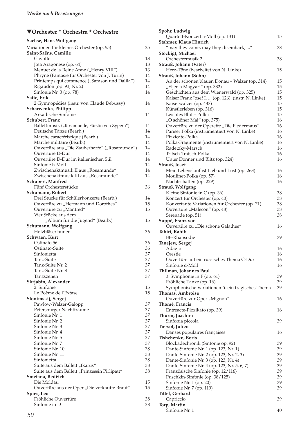| Sachse, Hans Wolfgang                                                                  |          |
|----------------------------------------------------------------------------------------|----------|
| Variationen für kleines Orchester (op. 55)                                             | 35       |
| Saint-Saëns, Camille                                                                   |          |
| Gavotte                                                                                | 13       |
| Jota Aragonese (op. 64)                                                                | 13       |
| Menuet de la Reine Anne ("Henry VIII")<br>Phryné (Fantasie für Orchester von J. Turin) | 13<br>14 |
| Printemps qui commence ("Samson und Dalila")                                           | 14       |
| Rigaudon (op. 93, Nr. 2)                                                               | 14       |
| Sinfonie Nr. 3 (op. 78)                                                                | 14       |
| Satie, Erik                                                                            |          |
| 2 Gymnopédies (instr. von Claude Debussy)                                              | 14       |
| Scharwenka, Philipp                                                                    |          |
| Arkadische Sinfonie<br>Schubert, Franz                                                 | 14       |
| Ballettmusik ("Rosamunde, Fürstin von Zypern")                                         | 14       |
| Deutsche Tänze (Bearb.)                                                                | 14       |
| Marche caractéristique (Bearb.)                                                        | 14       |
| Marche militaire (Bearb.)                                                              | 14       |
| Ouvertüre aus "Die Zauberharfe" ("Rosamunde")                                          | 14       |
| Ouvertüre D-Dur                                                                        | 14       |
| Ouvertüre D-Dur im italienischen Stil                                                  | 14       |
| Sinfonie h-Moll                                                                        | 14       |
| Zwischenaktmusik II aus "Rosamunde"                                                    | 14       |
| Zwischenaktmusik III aus "Rosamunde"                                                   | 14       |
| Schubert. Manfred                                                                      |          |
| Fünf Orchesterstücke                                                                   | 36       |
| Schumann, Robert<br>Drei Stücke für Schülerkonzerte (Bearb.)                           | 14       |
| Ouvertüre zu "Hermann und Dorothea"                                                    | 15       |
| Ouvertüre zu "Manfred"                                                                 | 15       |
| Vier Stücke aus dem                                                                    |          |
|                                                                                        |          |
|                                                                                        | 15       |
| "Album für die Jugend" (Bearb.)<br>Schumann, Wolfgang                                  |          |
| Holzbläserlaunen                                                                       | 36       |
| Schwaen, Kurt                                                                          |          |
| Ostinato 56                                                                            | 36       |
| Ostinato-Suite                                                                         | 36       |
| Sinfonietta                                                                            | 37       |
| Tanz-Suite                                                                             | 37       |
| Tanz-Suite Nr. 2                                                                       | 37       |
| Tanz-Suite Nr. 3                                                                       | 37       |
| Tanzszenen                                                                             | 37       |
| Skrjabin, Alexander<br>2. Sinfonie                                                     | 15       |
| Le Poème de l'Extase                                                                   | 15       |
| Slonimskij, Sergej                                                                     |          |
| Pawlow-Walzer-Galopp                                                                   | 37       |
| Petersburger Nachtträume                                                               | 37       |
| Sinfonie Nr. 1                                                                         | 37       |
| Sinfonie Nr. 2                                                                         | 37       |
| Sinfonie Nr. 3                                                                         | 37       |
| Sinfonie Nr. 4                                                                         | 37       |
| Sinfonie Nr. 5                                                                         | 37       |
| Sinfonie Nr. 7                                                                         | 37       |
| Sinfonie Nr. 10<br>Sinfonie Nr. 11                                                     | 38       |
| Sinfonietta                                                                            | 38<br>38 |
| Suite aus dem Ballett "Ikarus"                                                         | 38       |
| Suite aus dem Ballett "Prinzessin Pirlipatt"                                           | 38       |
| Smetana, Bedřich                                                                       |          |
| Die Moldau                                                                             | 15       |
| Ouvertüre aus der Oper "Die verkaufte Braut"                                           | 15       |
| Spies, Leo                                                                             |          |
| Fröhliche Ouvertüre<br>Sinfonie in D                                                   | 38<br>38 |

| Spohr, Ludwig                                                                                   |          |
|-------------------------------------------------------------------------------------------------|----------|
| Quartett-Konzert a-Moll (op. 131)<br>Stahmer, Klaus Hinrich                                     | 15       |
| "may they come, may they disembark, "                                                           | 38       |
| Stöckigt, Michael                                                                               |          |
| Orchestermusik 2                                                                                | 38       |
| Strauß, Johann (Vater)<br>Herz-Töne (bearbeitet von N. Linke)                                   | 15       |
| Strauß, Johann (Sohn)                                                                           |          |
| An der schönen blauen Donau - Walzer (op. 314)                                                  | 15       |
| "Eljen a Magyari" (op. 332)                                                                     | 15       |
| Geschichten aus dem Wienerwald (op. 325)<br>Kaiser Franz Josef I.  (op. 126), (instr. N. Linke) | 15<br>15 |
| Kaiserwalzer (op. 437)                                                                          | 15       |
| Künstlerleben (op. 316)                                                                         | 15       |
| Leichtes Blut - Polka                                                                           | 15       |
| "O schöner Mai" (op. 375)                                                                       | 16       |
| Ouvertüre zu der Operette "Die Fledermaus"<br>Pariser Polka (instrumentiert von N. Linke)       | 16<br>16 |
| Pizzicato-Polka                                                                                 | 16       |
| Polka-Fragmente (instrumentiert von N. Linke)                                                   | 16       |
| Radetzky-Marsch                                                                                 | 16       |
| Tritsch-Tratsch-Polka                                                                           | 16       |
| Unter Donner und Blitz (op. 324)                                                                | 16       |
| Strauß, Josef<br>Mein Lebenslauf ist Lieb und Lust (op. 263)                                    | 16       |
| Moulinet-Polka (op. 57)                                                                         | 16       |
| Nachtschatten (op. 229)                                                                         | 16       |
| Strauß, Wolfgang                                                                                |          |
| Kleine Sinfonie in C (op. 36)                                                                   | 38       |
| Konzert für Orchester (op. 40)<br>Konzertante Variationen für Orchester (op. 71)                | 38<br>38 |
| Ouvertüre "Malecón" (op. 48)                                                                    | 38       |
| Serenade (op. 51)                                                                               | 38       |
| Suppé, Franz von                                                                                |          |
| Ouvertüre zu "Die schöne Galathee"                                                              | 16       |
| Tahiri, Rahib<br><b>BB-Rhapsodie</b>                                                            | 39       |
| Tanejew, Sergej                                                                                 |          |
| Adagio                                                                                          | 16       |
| Orestie                                                                                         | 16       |
| Ouvertüre auf ein russisches Thema C-Dur                                                        | 16       |
| Sinfonie d-Moll                                                                                 | 16       |
| Thilman, Johannes Paul<br>3. Symphonie in F (op. 61)                                            | 39       |
| Fröhliche Tänze (op. 16)                                                                        | 39       |
| Symphonische Variationen ü. ein tragisches Thema                                                | 39       |
| <b>Thomas, Ambroise</b>                                                                         |          |
| Ouvertüre zur Oper "Mignon"                                                                     | 16       |
| Thomé, Francis<br>Entreacte-Pizzikato (op. 39)                                                  | 16       |
| Thurm, Joachim                                                                                  |          |
| Sinfonia piccola                                                                                | 39       |
| Tiersot, Julien                                                                                 |          |
| Danses populaires françaises                                                                    | 16       |
| Tishchenko, Boris<br>Blockadechronik (Sinfonie op. 92)                                          | 39       |
| Dante-Sinfonie Nr. 1 (op. 123, Nr. 1)                                                           | 39       |
| Dante-Sinfonie Nr. 2 (op. 123, Nr. 2, 3)                                                        | 39       |
| Dante-Sinfonie Nr. 3 (op. 123, Nr. 4)                                                           | 39       |
| Dante-Sinfonie Nr. 4 (op. 123, Nr. 5, 6, 7)                                                     | 39       |
| Französische Sinfonie (op. 12/116)                                                              | 39       |
| Puschkin-Sinfonie (op. 38/125)<br>Sinfonie Nr. 1 (op. 20)                                       | 39<br>39 |
| Sinfonie Nr. 7 (op. 119)                                                                        | 39       |
| Tittel, Gerhard                                                                                 |          |
| Capriccio                                                                                       | 39       |
| Torp, Martin<br>Sinfonie Nr. 1                                                                  | 40       |
|                                                                                                 |          |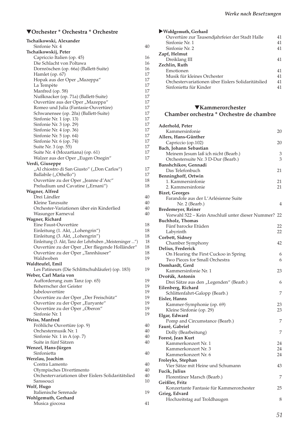| Tschaikowski, Alexander                                  |          |
|----------------------------------------------------------|----------|
| Sinfonie Nr. 4                                           | 40       |
| Tschaikowskij, Peter                                     |          |
| Capriccio Italien (op. 45)                               | 16       |
| Die Schlacht von Poltawa                                 | 16       |
| Dornröschen (op. 66a) (Ballett-Suite)                    | 16       |
| Hamlet (op. 67)                                          | 17       |
| Hopak aus der Oper "Mazeppa"                             | 17       |
| La Tempète                                               | 17<br>17 |
| Manfred (op. 58)<br>Nußknacker (op. 71a) (Ballett-Suite) | 17       |
| Ouvertüre aus der Oper "Mazeppa"                         | 17       |
| Romeo und Julia (Fantasie-Ouvertüre)                     | 17       |
| Schwanensee (op. 20a) (Ballett-Suite)                    | 17       |
| Sinfonie Nr. 1 (op. 13)                                  | 17       |
| Sinfonie Nr. 3 (op. 29)                                  | 17       |
| Sinfonie Nr. 4 (op. 36)                                  | 17       |
| Sinfonie Nr. 5 (op. 64)                                  | 17       |
| Sinfonie Nr. 6 (op. 74)                                  | 17       |
| Suite Nr. 3 (op. 55)                                     | 17       |
| Suite Nr. 4 (Mozartiana) (op. 61)                        | 17       |
| Walzer aus der Oper "Eugen Onegin"                       | 17       |
| Verdi, Giuseppe                                          |          |
| "Al chiostro di San Giusto" ("Don Carlos")               | 17       |
| Ballabile ("Othello")                                    | 17       |
| Ouvertüre zu der Oper "Jeanne d'Arc"                     | 18       |
| Preludium und Cavatine ("Ernani")                        | 18       |
| Wagner, Alfred                                           |          |
| Drei Ländler                                             | 40       |
| Kleine Tanzsuite                                         | 40       |
| Orchester-Variationen über ein Kinderlied                | 40       |
| Wasunger Karneval                                        | 40       |
| Wagner, Richard<br>Eine Faust-Ouvertüre                  | 18       |
| Einleitung (1. Akt, "Lohengrin")                         | 18       |
| Einleitung (3. Akt, "Lohengrin")                         | 18       |
| Einleitung (3. Akt, Tanz der Lehrbuben "Meistersinger ") | 18       |
| Ouvertüre zu der Oper "Der fliegende Holländer"          | 18       |
| Ouvertüre zu der Oper "Tannhäuser"                       | 18       |
| Waldweben                                                | 19       |
| Waldteufel, Emil                                         |          |
| Les Patineurs (Die Schlittschuhläufer) (op. 183)         | 19       |
| Weber, Carl Maria von                                    |          |
| Aufforderung zum Tanz (op. 65)                           | 19       |
| Beherrscher der Geister                                  | 19       |
| <i>Iubelouvertüre</i>                                    | 19       |
| Ouvertüre zu der Oper "Der Freischütz"                   | 19       |
| Ouvertüre zu der Oper "Euryante"                         | 19       |
| Ouvertüre zu der Oper "Oberon"                           | 19       |
| Sinfonie Nr. 1                                           | 19       |
| Weiss, Manfred                                           |          |
| Fröhliche Ouvertüre (op. 9)                              | 40       |
| Orchestermusik Nr. 1                                     | 40       |
| Sinfonie Nr. 1 in A (op. 7)                              | 40<br>40 |
| Suite in fünf Sätzen<br>Wenzel, Hans-Jürgen              |          |
| Sinfonietta                                              | 40       |
| Werzlau, Joachim                                         |          |
| Contra Lamento                                           | 40       |
| Olympisches Divertimento                                 | 40       |
| Orchestervariationen über Eislers Solidaritätslied       | 40       |
| Sanssouci                                                | 10       |
| Wolf, Hugo                                               |          |
| Italienische Serenade                                    | 19       |
| Wohlgemuth, Gerhard                                      |          |
| Musica giocosa                                           | 41       |

| ▶ Wohlgemuth, Gerhard                              |    |
|----------------------------------------------------|----|
| Ouvertüre zur Tausendjahrfeier der Stadt Halle     | 41 |
| Sinfonie Nr. 1                                     | 41 |
| Sinfonie Nr. 2                                     | 41 |
| Zapf, Helmut                                       |    |
| Dreiklang III                                      | 41 |
| Zechlin, Ruth                                      |    |
| Emotionen                                          | 41 |
| Musik für kleines Orchester                        | 41 |
| Orchestervariationen über Eislers Solidaritätslied | 41 |
| Sinfonietta für Kinder                             | 41 |

### ▼**Kammerorchester Chamber orchestra \* Orchestre de chambre**

| Aderhold, Peter                                     |    |
|-----------------------------------------------------|----|
| Kammersinfonie                                      | 20 |
| Allers, Hans-Günther                                |    |
| Capriccio (op.102)                                  | 20 |
| Bach, Johann Sebastian                              |    |
| Meinem Jesum laß ich nicht (Bearb.)                 | 3  |
| Orchestersuite Nr. 3 D-Dur (Bearb.)                 | 3  |
| Banshchikov, Gennadi                                |    |
| Das Telefonbuch                                     | 21 |
| Benninghoff, Ortwin                                 |    |
| 1. Kammersinfonie                                   | 21 |
| 2. Kammersinfonie                                   | 21 |
| <b>Bizet, Georges</b>                               |    |
| Farandole aus der L'Arlésienne Suite                |    |
| Nr. 2 (Bearb.)                                      | 4  |
| <b>Bredemeyer, Reiner</b>                           |    |
| Vorwahl 522 – Kein Anschluß unter dieser Nummer? 22 |    |
|                                                     |    |
| <b>Buchholz, Thomas</b>                             |    |
| Fünf barocke Etüden                                 | 22 |
| Labyrinth                                           | 22 |
| Corbett, Sidney                                     |    |
| Chamber Symphony                                    | 42 |
| Delius, Frederick                                   |    |
| On Hearing the First Cuckoo in Spring               | 6  |
| Two Pieces for Small Orchestra                      | 6  |
| Domhardt, Gerd                                      |    |
| Kammersinfonie Nr. 1                                | 23 |
| Dvořák, Antonín                                     |    |
| Drei Sätze aus den "Legenden" (Bearb.)              | 6  |
| Eilenberg, Richard                                  |    |
| Schlittenfahrt-Galopp (Bearb.)                      | 7  |
| Eisler, Hanns                                       |    |
| Kammer-Symphonie (op. 69)                           | 23 |
| Kleine Sinfonie (op. 29)                            | 23 |
| Elgar, Edward                                       |    |
| Pomp and Circumstance (Bearb.)                      | 7  |
| Fauré, Gabriel                                      |    |
| Dolly (Bearbeitung)                                 | 7  |
| Forest, Jean Kurt                                   |    |
| Kammerkonzert Nr. 1                                 | 24 |
| Kammerkonzert Nr. 3                                 | 24 |
| Kammerkonzert Nr. 6                                 | 24 |
| Froleyks, Stephan                                   |    |
| Vier Sätze mit Heine und Schumann                   | 43 |
| Fucik, Julius                                       |    |
| Florentiner Marsch (Bearb.)                         | 7  |
|                                                     |    |
| Geißler, Fritz                                      |    |
| Konzertante Fantasie für Kammerorchester            | 25 |
| Grieg, Edvard                                       |    |
| Hochzeitstag auf Troldhaugen                        | 8  |
|                                                     |    |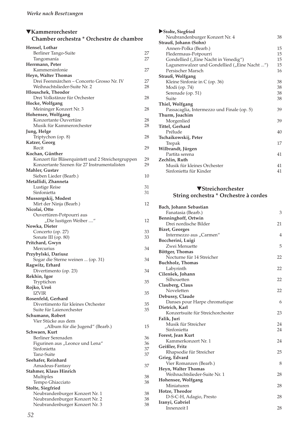# ▼**Kammerorchester**

# **Chamber orchestra \* Orchestre de chambre**

| Hensel, Lothar                                    |    |
|---------------------------------------------------|----|
| Berliner Tango-Suite                              | 27 |
| Tangomanía                                        | 27 |
| Herrmann, Peter                                   |    |
| Kammersinfonie                                    | 27 |
| Heyn, Walter Thomas                               |    |
| Drei Feenmärchen - Concerto Grosso Nr. IV         | 27 |
| Weihnachtslieder-Suite Nr. 2                      | 28 |
| Hlouschek, Theodor                                |    |
| Drei Volkstänze für Orchester                     | 28 |
| Hocke, Wolfgang                                   |    |
| Meininger Konzert Nr. 3                           | 28 |
| Hohensee, Wolfgang                                |    |
| Konzertante Ouvertüre                             | 28 |
| Musik für Kammerorchester                         | 28 |
| Jung, Helge                                       |    |
| Triptychon (op. 8)                                | 28 |
| Katzer, Georg                                     |    |
| Recit                                             | 29 |
| Kochan, Günther                                   |    |
| Konzert für Bläserquintett und 2 Streichergruppen | 29 |
| Konzertante Szenen für 27 Instrumentalisten       | 29 |
| Mahler, Gustav                                    |    |
| Sieben Lieder (Bearb.)                            | 10 |
| Metallidi, Zhanneta                               |    |
| Lustige Reise                                     | 31 |
| Sinfonietta                                       | 31 |
| Mussorgskij, Modest                               |    |
| Mirt der Ninja (Bearb.)                           | 12 |
| Nicolai, Otto                                     |    |
| Ouvertüren-Potpourri aus                          |    |
| "Die lustigen Weiber "                            | 12 |
| Nowka, Dieter                                     |    |
| Concerto (op. 27)                                 | 33 |
| Sonate III (op. 80)                               | 33 |
| Pritchard, Gwyn                                   |    |
| Mercurius                                         | 34 |
| Przybylski, Dariusz                               |    |
| Sogar die Sterne weinen  (op. 31)                 | 34 |
| Ragwitz, Erhard                                   |    |
| Divertimento (op. 23)                             | 34 |
| Rekhin, Igor                                      |    |
| Tryptichon                                        | 35 |
| Rojko, Uroš                                       |    |
| <b>IZVIR</b>                                      | 35 |
| Rosenfeld, Gerhard                                |    |
| Divertimento für kleines Orchester                | 35 |
| Suite für Laienorchester                          | 35 |
| Schumann, Robert                                  |    |
| Vier Stücke aus dem                               |    |
| "Album für die Jugend" (Bearb.)                   | 15 |
| Schwaen, Kurt                                     |    |
| Berliner Serenaden                                | 36 |
| Figurinen aus "Leonce und Lena"                   | 36 |
| Sinfonietta                                       | 37 |
| Tanz-Suite                                        | 37 |
| Seehafer, Reinhard                                |    |
| Amadeus-Fantasy                                   | 37 |
| Stahmer, Klaus Hinrich                            |    |
| Multiples                                         | 38 |
| Tempo Ghiacciato                                  | 38 |
| Stolte, Siegfried                                 |    |
| Neubrandenburger Konzert Nr. 1                    | 38 |
| Neubrandenburger Konzert Nr. 2                    | 38 |
| Neubrandenburger Konzert Nr. 3                    | 38 |

| Stolte, Siegfried                            |    |
|----------------------------------------------|----|
| Neubrandenburger Konzert Nr. 4               | 38 |
| Strauß, Johann (Sohn)                        |    |
| Annen-Polka (Bearb.)                         | 15 |
| Fledermaus-Potpourri                         | 15 |
| Gondellied ("Eine Nacht in Venedig")         | 15 |
| Lagunenwalzer und Gondellied ("Eine Nacht ") | 15 |
| Persischer Marsch                            | 16 |
| Strauß, Wolfgang                             |    |
| Kleine Sinfonie in C (op. 36)                | 38 |
| Modi (op. 74)                                | 38 |
| Serenade (op. 51)                            | 38 |
| Suite                                        | 38 |
| Thiel, Wolfgang                              |    |
| Passacaglia, Intermezzo und Finale (op. 5)   | 39 |
| Thurm, Joachim                               |    |
| Morgenlied                                   | 39 |
| Tittel, Gerhard                              |    |
| Prélude                                      | 40 |
| Tschaikowskij, Peter                         |    |
| Trepak                                       | 17 |
| Wilbrandt, Jürgen                            |    |
| Partita serena                               | 41 |
| Zechlin, Ruth                                |    |
| Musik für kleines Orchester                  | 41 |
| Sinfonietta für Kinder                       | 41 |

# ▼**Streichorchester String orchestra \* Orchestre à cordes**

| Bach, Johann Sebastian            |                |
|-----------------------------------|----------------|
| Fanatasia (Bearb.)                | 3              |
| Benninghoff, Ortwin               |                |
| Drei nordische Bilder             | 21             |
| <b>Bizet, Georges</b>             |                |
| Intermezzo aus "Carmen"           | $\overline{4}$ |
| Boccherini, Luigi                 |                |
| Zwei Menuette                     | 5              |
| Böttger, Thomas                   |                |
| Nocturne für 14 Streicher         | 22             |
| <b>Buchholz, Thomas</b>           |                |
| Labyrinth                         | 22             |
| Cilenšek, Johann                  |                |
| Silhouetten                       | 22             |
| Clauberg, Claus                   |                |
| Noveletten                        | 22             |
| Debussy, Claude                   |                |
| Danses pour Harpe chromatique     | 6              |
| Dietrich, Karl                    |                |
| Konzertsuite für Streichorchester | 23             |
| Falik, Juri                       |                |
| Musik für Streicher               | 24             |
| Sinfonietta                       | 24             |
| Forest, Jean Kurt                 |                |
| Kammerkonzert Nr. 1               | 24             |
| Geißler, Fritz                    |                |
| Rhapsodie für Streicher           | 25             |
| Grieg, Edvard                     |                |
| Vier Romanzen (Bearb.)            | 8              |
| Heyn, Walter Thomas               |                |
| Weihnachtslieder-Suite Nr. 1      | 28             |
| Hohensee, Wolfgang                |                |
| Miniaturen                        | 28             |
| Hotze, Theodor                    |                |
| D-S-C-H, Adagio, Presto           | 28             |
| Iranyi, Gabriel                   |                |
| Innenzeit I                       | 28             |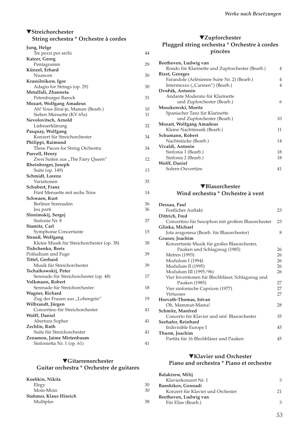### ▼**Streichorchester String orchestra \* Orchestre à cordes**

| Jung, Helge                                         |    |
|-----------------------------------------------------|----|
| Tre pezzi per archi                                 | 44 |
| Katzer, Georg                                       |    |
| Pentagramm                                          | 29 |
| Künzel, Erhard                                      |    |
| Nuancen                                             | 30 |
| Krassilnikow, Igor                                  |    |
| Adagio for Strings (op. 29)                         | 30 |
| Metallidi, Zhanneta                                 |    |
| Petersburger Barock                                 | 31 |
| <b>Mozart, Wolfgang Amadeus</b>                     |    |
| Ah! Vous dirai-je, Maman (Bearb.)                   | 10 |
| Sieben Menuette (KV 65a)                            | 11 |
| Nevolovitsch, Arnold                                |    |
| Liebeserklärung                                     | 32 |
| Pasquay, Wolfgang<br>Konzert für Streichorchester   |    |
|                                                     | 34 |
| Philippi, Raimund                                   | 34 |
| Three Pieces for String Orchestra<br>Purcell, Henry |    |
| Zwei Suiten aus "The Fairy Queen"                   | 12 |
| Rheinberger, Joseph                                 |    |
| Suite (op. 149)                                     | 13 |
| Schmidt, Lorenz                                     |    |
| Variationen                                         | 35 |
| Schubert, Franz                                     |    |
| Fünf Menuette mit sechs Trios                       | 14 |
| Schwaen, Kurt                                       |    |
| Berliner Serenaden                                  | 36 |
| Jeu parti                                           | 36 |
| Slonimskij, Sergej                                  |    |
| Sinfonie Nr. 8                                      | 37 |
| Stamitz, Carl                                       |    |
| Symphonie Concertante                               | 15 |
| Strauß, Wolfgang                                    |    |
| Kleine Musik für Streichorchester (op. 38)          | 38 |
| Tishchenko, Boris                                   |    |
| Präludium und Fuge                                  | 39 |
| Tittel, Gerhard                                     |    |
| Musik für Streichorchester<br>Tschaikowskij, Peter  | 39 |
| Serenade für Streichorchester (op. 48)              | 17 |
| Volkmann, Robert                                    |    |
| Serenade für Streichorchester                       | 18 |
| Wagner, Richard                                     |    |
| Zug der Frauen aus "Lohengrin"                      | 19 |
| Wilbrandt, Jürgen                                   |    |
| Concertino für Streichorchester                     | 41 |
| <b>Wolff, Daniel</b>                                |    |
| Abertura Sopher                                     | 41 |
| Zechlin, Ruth                                       |    |
| Suite für Streichorchester                          | 41 |
| Zenamon, Jaime Mirtenbaum                           |    |
| Sinfonietta Nr. 1 (op. 61)                          | 41 |

### ▼**Gitarrenorchester Guitar orchestra \* Orchestre de guitares**

| Koshkin, Nikita        |    |
|------------------------|----|
| Elegy                  | 30 |
| Moin-Moin              | 30 |
| Stahmer, Klaus Hinrich |    |
| Multiples              | 38 |

### ▼**Zupforchester Plugged string orchestra \* Orchestre à cordes pincées**

| Beethoven, Ludwig van                           |    |
|-------------------------------------------------|----|
| Rondo für Klarinette und Zupforchester (Bearb.) | 4  |
| <b>Bizet, Georges</b>                           |    |
| Farandole (Arlésienne Suite Nr. 2) (Bearb.)     | 4  |
| Intermezzo ("Carmen") (Bearb.)                  | 4  |
| Dvořák, Antonín                                 |    |
| Andante Moderato für Klarinette                 |    |
| und Zupforchester (Bearb.)                      | 6  |
| Moszkowski, Moritz                              |    |
| Spanischer Tanz für Klarinette                  |    |
| und Zupforchester (Bearb.)                      | 10 |
| <b>Mozart, Wolfgang Amadeus</b>                 |    |
| Kleine Nachtmusik (Bearb.)                      | 11 |
| Schumann, Robert                                |    |
| Nachtstücke (Bearb.)                            | 14 |
| Vivaldi, Antonio                                |    |
| Sinfonia 1 (Bearb.)                             | 18 |
| Sinfonia 2 (Bearb.)                             | 18 |
| <b>Wolff, Daniel</b>                            |    |
| Sofern-Ouvertüre                                | 41 |
|                                                 |    |

#### ▼**Blasorchester Wind orchestra \* Orchestre à vent**

| Dessau, Paul                                     |    |
|--------------------------------------------------|----|
| Festlicher Auftakt                               | 23 |
| Dittrich, Fred                                   |    |
| Concertino für Saxophon mit großem Blasorchester | 23 |
| Glinka, Michael                                  |    |
| Jota aragonesa (Bearb. für Blasorchester)        | 8  |
| Gruner, Joachim                                  |    |
| Konzertante Musik für großes Blasorchester,      |    |
| Pauken und Schlagzeug (1985)                     | 26 |
| Metren (1993)                                    | 26 |
| Modulum I (1994)                                 | 26 |
| Modulum II (1995)                                | 26 |
| Modulum III (1995/96)                            | 26 |
| Vier Inventionen für Blechbläser, Schlagzeug und |    |
| Pauken (1985)                                    | 27 |
| Vier sinfonische Capricen (1977)                 | 27 |
| Virtuoses                                        | 27 |
| Horvath-Thomas, Istvan                           |    |
| Oh, Mammut-Mama!                                 | 28 |
| Schmitz, Manfred                                 |    |
| Concerto für Klavier und sinf. Blasorchester     | 35 |
| Seehafer, Reinhard                               |    |
| Indivisible Europe I                             | 45 |
| Thurm, Joachim                                   |    |
| Partita für 16 Blechbläser und Pauken            | 45 |
|                                                  |    |

### ▼**Klavier und Orchester Piano and orchestra \* Piano et orchestre**

| <b>Balakirew, Milij</b>           |    |
|-----------------------------------|----|
| Klavierkonzert Nr. 1              | З  |
| Banshikov, Gennadi                |    |
| Konzert für Klavier und Orchester | 21 |
| Beethoven, Ludwig van             |    |
| Für Elise (Bearb.)                | З  |
|                                   |    |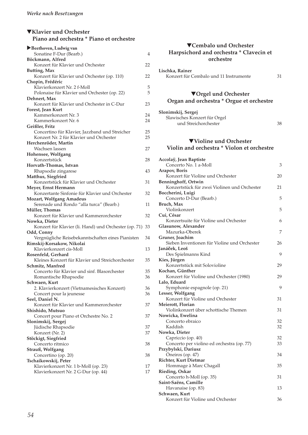| $\nabla$ Klavier und Orchester           |  |
|------------------------------------------|--|
| Piano and orchestra * Piano et orchestre |  |

| Beethoven, Ludwig van                                                  |    |
|------------------------------------------------------------------------|----|
| Sonatine F-Dur (Bearb.)                                                | 4  |
| Böckmann, Alfred                                                       |    |
| Konzert für Klavier und Orchester                                      | 22 |
| <b>Butting, Max</b>                                                    |    |
| Konzert für Klavier und Orchester (op. 110)                            | 22 |
| Chopin, Frédéric                                                       |    |
| Klavierkonzert Nr. 2 f-Moll                                            | 5  |
| Polonaise für Klavier und Orchester (op. 22)                           | 5  |
| Dehnert, Max                                                           |    |
| Konzert für Klavier und Orchester in C-Dur                             | 23 |
| Forest, Jean Kurt                                                      |    |
| Kammerkonzert Nr. 3                                                    | 24 |
| Kammerkonzert Nr. 6                                                    | 24 |
| Geißler, Fritz<br>Concertino für Klavier, Jazzband und Streicher       | 25 |
| Konzert Nr. 2 für Klavier und Orchester                                | 25 |
| Herchenröder, Martin                                                   |    |
| Wachsen lassen                                                         | 27 |
| Hohensee, Wolfgang                                                     |    |
| Konzertstück                                                           | 28 |
| Horvath-Thomas, Istvan                                                 |    |
| Rhapsodie zingarese                                                    | 43 |
| Matthus, Siegfried                                                     |    |
| Konzertstück für Klavier und Orchester                                 | 31 |
| Meyer, Ernst Hermann                                                   |    |
| Konzertante Sinfonie für Klavier und Orchester                         | 32 |
| <b>Mozart, Wolfgang Amadeus</b>                                        |    |
| Serenade und Rondo "alla turca" (Bearb.)                               | 11 |
| Müller, Thomas                                                         |    |
| Konzert für Klavier und Kammerorchester                                | 32 |
| Nowka, Dieter                                                          |    |
| Konzert für Klavier (li. Hand) und Orchester (op. 71)                  | 33 |
| Odd, Conny                                                             |    |
| Vergnügliche Reisebekanntschaften eines Pianisten                      | 34 |
| Rimskij-Korsakow, Nikolai                                              |    |
| Klavierkonzert cis-Moll                                                | 13 |
| Rosenfeld, Gerhard<br>Kleines Konzert für Klavier und Streichorchester | 35 |
| Schmitz, Manfred                                                       |    |
| Concerto für Klavier und sinf. Blasorchester                           | 35 |
| Romantische Rhapsodie                                                  | 36 |
| Schwaen, Kurt                                                          |    |
| 2. Klavierkonzert (Vietnamesisches Konzert)                            | 36 |
| Concert pour la jeunesse                                               | 36 |
| Seel, Daniel N.                                                        |    |
| Konzert für Klavier und Kammerorchester                                | 37 |
| Shishido, Mutsuo                                                       |    |
| Concert pour Piano et Orchestre No. 2                                  | 37 |
| Slonimskij, Sergej                                                     |    |
| Jüdische Rhapsodie                                                     | 37 |
| Konzert (Nr. 2)                                                        | 37 |
| Stöckigt, Siegfried                                                    |    |
| Concerto ritmico                                                       | 38 |
| Strauß, Wolfgang                                                       |    |
| Concertino (op. 20)                                                    | 38 |
| Tschaikowskij, Peter                                                   |    |
| Klavierkonzert Nr. 1 b-Moll (op. 23)                                   | 17 |
| Klavierkonzert Nr. 2 G-Dur (op. 44)                                    | 17 |

### ▼**Cembalo und Orchester Harpsichord and orchestra \* Clavecin et orchestre**

**Lischka, Rainer** Konzert für Cembalo und 11 Instrumente 31

#### ▼**Orgel und Orchester Organ and orchestra \* Orgue et orchestre**

| Slonimskij, Sergej           |    |
|------------------------------|----|
| Slawisches Konzert für Orgel |    |
| und Streichorchester         | 38 |

### ▼**Violine und Orchester Violin and orchestra \* Violon et orchestre**

| Accolaÿ, Jean Baptiste                       |    |
|----------------------------------------------|----|
| Concerto No. 1 a-Moll                        | 3  |
| Arapov, Boris                                |    |
| Konzert für Violine und Orchester            | 20 |
| Benninghoff, Ortwin                          |    |
| Konzertstück für zwei Violinen und Orchester | 21 |
| Boccherini, Luigi                            |    |
| Concerto D-Dur (Bearb.)                      | 5  |
| Bruch, Max                                   |    |
| Violinkonzert                                | 5  |
| Cui, César                                   |    |
| Konzertsuite für Violine und Orchester       | 6  |
| Glasunow, Alexander                          |    |
| Mazurka-Oberek                               | 7  |
| Gruner, Joachim                              |    |
| Sieben Inventionen für Violine und Orchester | 26 |
| Janáček, Leoš                                |    |
| Des Spielmanns Kind                          | 9  |
| Kies, Jürgen                                 |    |
| Konzertstück mit Solovioline                 | 29 |
| Kochan, Günther                              |    |
| Konzert für Violine und Orchester (1980)     | 29 |
| Lalo, Eduard                                 |    |
| Symphonie espagnole (op. 21)                 | 9  |
| Lesser, Wolfgang                             |    |
| Konzert für Violine und Orchester            | 31 |
| Meierott, Florian                            |    |
| Violinkonzert über schottische Themen        | 31 |
| Nowicka, Ewelina                             |    |
| Concerto ebraico                             | 32 |
| Kaddish                                      | 32 |
| Nowka, Dieter                                |    |
| Capriccio (op. 40)                           | 32 |
| Concerto per violino ed orchestra (op. 77)   | 33 |
| Przybylski, Dariusz                          |    |
| Oneiros (op. 47)                             | 34 |
| Richter, Kurt Dietmar                        |    |
| Hommage à Marc Chagall                       | 35 |
| Rieding, Oskar                               |    |
| Concerto h-Moll (op. 35)                     | 31 |
| Saint-Saëns, Camille                         |    |
| Havanaise (op. 83)                           | 13 |
| Schwaen, Kurt                                |    |
| Konzert für Violine und Orchester            | 36 |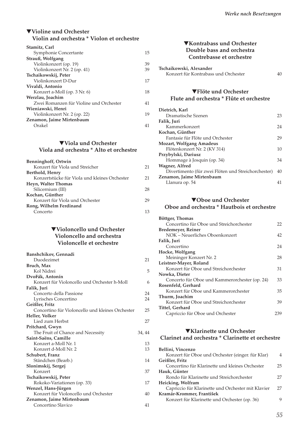### ▼**Violine und Orchester Violin and orchestra \* Violon et orchestre**

| Stamitz, Carl                           |    |
|-----------------------------------------|----|
| Symphonie Concertante                   | 15 |
| Strauß, Wolfgang                        |    |
| Violinkonzert (op. 19)                  | 39 |
| Violinkonzert Nr. 2 (op. 41)            | 39 |
| Tschaikowskij, Peter                    |    |
| Violinkonzert D-Dur                     | 17 |
| Vivaldi, Antonio                        |    |
| Konzert a-Moll (op. 3 Nr. 6)            | 18 |
| Werzlau, Joachim                        |    |
| Zwei Romanzen für Violine und Orchester | 41 |
| Wieniawski, Henri                       |    |
| Violinkonzert Nr. 2 (op. 22)            | 19 |
| Zenamon, Jaime Mirtenbaum               |    |
| Orakel                                  | 41 |

### ▼**Viola und Orchester Viola and orchestra \* Alto et orchestre**

| Benninghoff, Ortwin                           |    |
|-----------------------------------------------|----|
| Konzert für Viola und Streicher               | 21 |
| Berthold, Henry                               |    |
| Konzertstücke für Viola und kleines Orchester | 21 |
| Heyn, Walter Thomas                           |    |
| Silicernium (III)                             | 28 |
| Kochan, Günther                               |    |
| Konzert für Viola und Orchester               | 29 |
| Rong, Wilhelm Ferdinand                       |    |
| Concerto                                      | 13 |
|                                               |    |

#### ▼**Violoncello und Orchester Violoncello and orchestra Violoncelle et orchestre**

| Banshchikov, Gennadi                             |        |
|--------------------------------------------------|--------|
| Duodezimet                                       | 21     |
| Bruch, Max                                       |        |
| Kol Nidrei                                       | 5      |
| Dvořák, Antonín                                  |        |
| Konzert für Violoncello und Orchester h-Moll     | 6      |
| Falik, Juri                                      |        |
| Concerto della Passione                          | 24     |
| Lyrisches Concertino                             | 24     |
| Geißler, Fritz                                   |        |
| Concertino für Violoncello und kleines Orchester | 25     |
| Heller, Volker                                   |        |
| Lied zum Herbst                                  | 27     |
| Pritchard, Gwyn                                  |        |
| The Fruit of Chance and Necessity                | 34, 44 |
| Saint-Saëns, Camille                             |        |
| Konzert a-Moll Nr. 1                             | 13     |
| Konzert d-Moll Nr. 2                             | 13     |
| Schubert, Franz                                  |        |
| Ständchen (Bearb.)                               | 14     |
| Slonimskij, Sergej                               |        |
| Konzert                                          | 37     |
| Tschaikowskij, Peter                             |        |
| Rokoko-Variationen (op. 33)                      | 17     |
| Wenzel, Hans-Jürgen                              |        |
| Konzert für Violoncello und Orchester            | 40     |
| Zenamon, Jaime Mirtenbaum                        |        |
| Concertino Slavico                               | 41     |

#### ▼**Kontrabass und Orchester Double bass and orchestra Contrebasse et orchestre**

| Tschaikowski, Alexander              |    |
|--------------------------------------|----|
| Konzert für Kontrabass und Orchester | 40 |

#### ▼**Flöte und Orchester Flute and orchestra \* Flûte et orchestre**

| Dietrich, Karl                                      |    |
|-----------------------------------------------------|----|
| Dramatische Szenen                                  | 23 |
| Falik, Juri                                         |    |
| Kammerkonzert                                       | 24 |
| Kochan, Günther                                     |    |
| Fantasie für Flöte und Orchester                    | 29 |
| Mozart, Wolfgang Amadeus                            |    |
| Flötenkonzert Nr. 2 (KV 314)                        | 10 |
| Przybylski, Dariusz                                 |    |
| Hommage à Josquin (op. 34)                          | 34 |
| Wagner, Alfred                                      |    |
| Divertimento (für zwei Flöten und Streichorchester) | 40 |
| Zenamon, Jaime Mirtenbaum                           |    |
| Llanura op. 54                                      | 41 |
|                                                     |    |

### ▼**Oboe und Orchester Oboe and orchestra \* Hautbois et orchestre**

| Böttger, Thomas                                |     |
|------------------------------------------------|-----|
| Concertino für Oboe und Streichorchester       | 22  |
| <b>Bredemeyer, Reiner</b>                      |     |
| NOK - Neuerliches Oboenkonzert                 | 42  |
| Falik, Juri                                    |     |
| Concertino                                     | 24  |
| Hocke, Wolfgang                                |     |
| Meininger Konzert Nr. 2                        | 28  |
| Leistner-Mayer, Roland                         |     |
| Konzert für Oboe und Streichorchester          | 31  |
| Nowka, Dieter                                  |     |
| Concerto für Oboe und Kammerorchester (op. 24) | 33  |
| Rosenfeld, Gerhard                             |     |
| Konzert für Oboe und Kammerorchester           | 35  |
| Thurm, Joachim                                 |     |
| Konzert für Oboe und Streichorchester          | 39  |
| Tittel, Gerhard                                |     |
| Capriccio für Oboe und Orchester               | 239 |

### ▼**Klarinette und Orchester Clarinet and orchestra \* Clarinette et orchestre**

| Bellini, Vincenzo                                  |    |
|----------------------------------------------------|----|
|                                                    |    |
| Konzert für Oboe und Orchester (einger. für Klar)  | 4  |
| Geißler, Fritz                                     |    |
| Concertino für Klarinette und kleines Orchester    | 25 |
| Hauk, Günter                                       |    |
| Rondo für Klarinette und Streichorchester          | 27 |
| Heicking, Wolfram                                  |    |
| Capriccio für Klarinette und Orchester mit Klavier | 27 |
| Kramár-Krommer, František                          |    |
| Konzert für Klarinette und Orchester (op. 36)      |    |
|                                                    |    |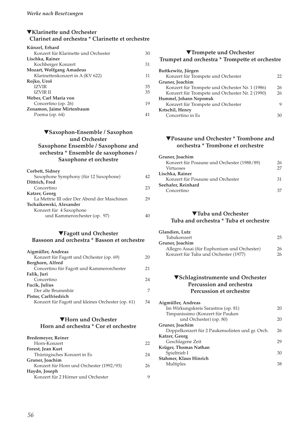### ▼**Klarinette und Orchester Clarinet and orchestra \* Clarinette et orchestre**

| 30 |
|----|
|    |
| 31 |
|    |
| 11 |
|    |
| 35 |
| 35 |
|    |
| 19 |
|    |
|    |
|    |

### ▼**Saxophon-Ensemble / Saxophon und Orchester Saxophone Ensemble / Saxophone and orchestra \* Ensemble de saxophones / Saxophone et orchestre**

| Corbett, Sidney                             |    |
|---------------------------------------------|----|
| Saxophone Symphony (für 12 Saxophone)       | 42 |
| Dittrich, Fred                              |    |
| Concertino                                  | 23 |
| Katzer, Georg                               |    |
| La Mettrie III oder Der Abend der Maschinen | 29 |
| Tschaikowski, Alexander                     |    |
| Konzert für 4 Saxophone                     |    |
| und Kammerorchester (op. 97)                |    |
|                                             |    |

#### ▼**Fagott und Orchester**

#### **Bassoon and orchestra \* Basson et orchestre**

| Aigmüller, Andreas                                |    |
|---------------------------------------------------|----|
| Konzert für Fagott und Orchester (op. 69)         | 20 |
| Berghorn, Alfred                                  |    |
| Concertino für Fagott und Kammerorchester         | 21 |
| Falik, Juri                                       |    |
| Concertino                                        | 24 |
| Fucik, Julius                                     |    |
| Der alte Brummbär                                 | 7  |
| Pistor, Carlfriedrich                             |    |
| Konzert für Fagott und kleines Orchester (op. 61) | 34 |

#### ▼**Horn und Orchester Horn and orchestra \* Cor et orchestre**

| Bredemeyer, Reiner                       |    |
|------------------------------------------|----|
| Horn-Konzert                             | 22 |
| Forest, Jean Kurt                        |    |
| Thüringisches Konzert in Es              | 24 |
| Gruner, Joachim                          |    |
| Konzert für Horn und Orchester (1992/93) | 26 |
| Haydn, Joseph                            |    |
| Konzert für 2 Hörner und Orchester       |    |

#### ▼**Trompete und Orchester Trumpet and orchestra \* Trompette et orchestre**

| Buttkewitz, Jürgen                              |     |
|-------------------------------------------------|-----|
| Konzert für Trompete und Orchester              | 22. |
| Gruner, Joachim                                 |     |
| Konzert für Trompete und Orchester Nr. 1 (1986) | 26  |
| Konzert für Trompete und Orchester Nr. 2 (1990) | 26  |
| Hummel, Johann Nepomuk                          |     |
| Konzert für Trompete und Orchester              | Q   |
| Krtschil, Henry                                 |     |
| Concertino in Es                                |     |

### ▼**Posaune und Orchester \* Trombone and orchestra \* Trombone et orchestre**

| Gruner, Joachim                             |    |
|---------------------------------------------|----|
| Konzert für Posaune und Orchester (1988/89) | 26 |
| Virtuoses                                   | 27 |
| Lischka, Rainer                             |    |
| Konzert für Posaune und Orchester           | 31 |
| Seehafer, Reinhard                          |    |
| Concertino                                  | 37 |
|                                             |    |

### ▼**Tuba und Orchester Tuba and orchestra \* Tuba et orchestre**

| Glandien, Lutz                              |    |
|---------------------------------------------|----|
| Tubakonzert                                 | 25 |
| Gruner, Joachim                             |    |
| Allegro Assai (für Euphonium und Orchester) | 26 |
| Konzert für Tuba und Orchester (1977)       | 26 |

#### ▼**Schlaginstrumente und Orchester Percussion and orchestra Percussion et orchestre**

| Aigmüller, Andreas                               |    |
|--------------------------------------------------|----|
| Im Wirkungskreis Sarastros (op. 81)              | 20 |
| Timpanissimo (Konzert für Pauken                 |    |
| und Orchester) (op. 80)                          | 20 |
| Gruner, Joachim                                  |    |
| Doppelkonzert für 2 Paukensolisten und gr. Orch. | 26 |
| Katzer, Georg                                    |    |
| Geschlagene Zeit                                 | 29 |
| Krüger, Thomas Nathan                            |    |
| Spieltrieb I                                     | 30 |
| Stahmer, Klaus Hinrich                           |    |
| Multiples                                        | 38 |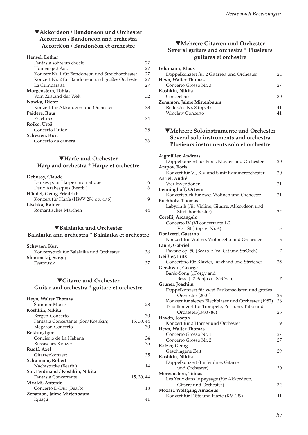### ▼**Akkordeon / Bandoneon und Orchester Accordion / Bandoneon and orchestra Accordéon / Bandonéon et orchestre**

#### **Hensel, Lothar**

| Fantasia sobre un choclo                         | 27 |
|--------------------------------------------------|----|
| Homenaje à Astor                                 | 27 |
| Konzert Nr. 1 für Bandoneon und Streichorchester | 27 |
| Konzert Nr. 2 für Bandoneon und großes Orchester | 27 |
| La Cumparsita                                    | 27 |
| Morgenstern, Tobias                              |    |
| Vom Zustand der Welt                             | 32 |
| Nowka, Dieter                                    |    |
| Konzert für Akkordeon und Orchester              | 33 |
| Paidere, Ruta                                    |    |
| Fractures                                        | 34 |
| Rojko, Uroš                                      |    |
| Concerto Fluido                                  | 35 |
| Schwaen, Kurt                                    |    |
| Concerto da camera                               | 36 |
|                                                  |    |

### ▼**Harfe und Orchester Harp and orchestra \* Harpe et orchestre**

| Debussy, Claude                     |   |
|-------------------------------------|---|
| Danses pour Harpe chromatique       | 6 |
| Deux Arabesques (Bearb.)            | 6 |
| Händel, Georg Friedrich             |   |
| Konzert für Harfe (HWV 294 op. 4/6) | 9 |
| Lischka, Rainer                     |   |
| Romantisches Märchen                |   |
|                                     |   |

#### ▼**Balalaika und Orchester Balalaika and orchestra \* Balalaika et orchestre**

| Schwaen, Kurt                            |    |
|------------------------------------------|----|
| Konzertstück für Balalaika und Orchester | 36 |
| Slonimskij, Sergej                       |    |
| Festmusik                                | 37 |
|                                          |    |

### ▼**Gitarre und Orchester Guitar and orchestra \* guitare et orchestre**

| Heyn, Walter Thomas                |            |
|------------------------------------|------------|
| Summer-Music                       | 28         |
| Koshkin, Nikita                    |            |
| Bergen-Concerto                    | 30         |
| Fantasia Concertante (Sor/Koshkin) | 15, 30, 44 |
| Megaron-Concerto                   | 30         |
| Rekhin, Igor                       |            |
| Concierto de La Habana             | 34         |
| Russisches Konzert                 | 35         |
| Ruoff, Axel                        |            |
| Gitarrenkonzert                    | 35         |
| Schumann, Robert                   |            |
| Nachtstücke (Bearb.)               | 14         |
| Sor, Ferdinand / Koshkin, Nikita   |            |
| Fantasia Concertante               | 15, 30, 44 |
| Vivaldi, Antonio                   |            |
| Concerto D-Dur (Bearb)             | 18         |
| Zenamon, Jaime Mirtenbaum          |            |
| Iguacú                             | 41         |

### ▼**Mehrere Gitarren und Orchester Several guitars and orchestra \* Plusieurs guitares et orchestre**

| Feldmann, Klaus                            |    |
|--------------------------------------------|----|
| Doppelkonzert für 2 Gitarren und Orchester | 24 |
| Heyn, Walter Thomas                        |    |
| Concerto Grosso Nr. 3                      | 27 |
| Koshkin, Nikita                            |    |
| Concertino                                 | 30 |
| Zenamon, Jaime Mirtenbaum                  |    |
| Reflexões Nr. 8 (op. 4)                    | 41 |
| <b>Wroclaw Concerto</b>                    | 41 |
|                                            |    |

### ▼**Mehrere Soloinstrumente und Orchester Several solo instruments and orchestra Plusieurs instruments solo et orchestre**

| Aigmüller, Andreas                                  |    |
|-----------------------------------------------------|----|
| Doppelkonzert für Perc., Klavier und Orchester      | 20 |
| <b>Arapov, Boris</b>                                |    |
| Konzert für Vl, Klv und S mit Kammerorchester       | 20 |
| Asriel, André                                       |    |
| Vier Inventionen                                    | 21 |
| Benninghoff, Ortwin                                 |    |
| Konzertstück für zwei Violinen und Orchester        | 21 |
| <b>Buchholz</b> , Thomas                            |    |
| Labyrinth (für Violine, Gitarre, Akkordeon und      |    |
| Streichorchester)                                   | 22 |
| Corelli, Arcangelo                                  |    |
| Concerto IV (Vl concertante 1-2,                    |    |
| $Vc - Str$ ) (op. 6, Nr. 6)                         | 5  |
| Donizetti, Gaetano                                  |    |
| Konzert für Violine, Violoncello und Orchester      | 6  |
| Fauré, Gabriel                                      |    |
| Pavane op. 50 (Bearb. f. Va, Git und StrOrch)       | 7  |
| Geißler, Fritz                                      |    |
| Concertino für Klavier, Jazzband und Streicher      | 25 |
| Gershwin, George                                    |    |
| Banjo-Song ("Porgy and                              |    |
| Bess") (2 Banjos u. StrOrch)                        | 7  |
| Gruner, Joachim                                     |    |
| Doppelkonzert für zwei Paukensolisten und großes    |    |
| Orchester (2001)                                    | 26 |
| Konzert für sieben Blechbläser und Orchester (1987) | 26 |
| Tripelkonzert für Trompete, Posaune, Tuba und       |    |
| Orchester(1983/84)                                  | 26 |
| Haydn, Joseph                                       |    |
| Konzert für 2 Hörner und Orchester                  | 9  |
| Heyn, Walter Thomas<br>Concerto Grosso Nr. 1        | 27 |
| Concerto Grosso Nr. 2                               | 27 |
|                                                     |    |
| Katzer, Georg                                       | 29 |
| Geschlagene Zeit<br>Koshkin, Nikita                 |    |
| Doppelkonzert (für Violine, Gitarre                 |    |
| und Orchester)                                      | 30 |
| Morgenstern, Tobias                                 |    |
| Les Yeux dans le paysage (für Akkordeon,            |    |
| Gitarre und Orchester)                              | 32 |
| <b>Mozart, Wolfgang Amadeus</b>                     |    |
| Konzert für Flöte und Harfe (KV 299)                | 11 |
|                                                     |    |
|                                                     |    |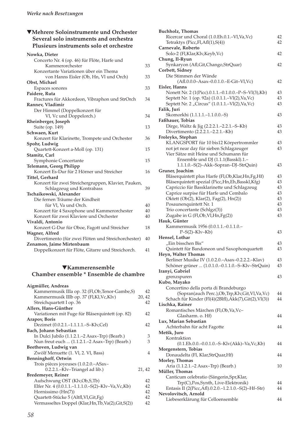### ▼**Mehrere Soloinstrumente und Orchester Several solo instruments and orchestra Plusieurs instruments solo et orchestre**

| Nowka, Dieter                                       |    |
|-----------------------------------------------------|----|
| Concerto Nr. 4 (op. 46) für Flöte, Harfe und        |    |
| Kammerorchester                                     | 33 |
| Konzertante Variationen über ein Thema              |    |
| von Hanns Eisler (Ob, Hn, Vl und Orch)              | 33 |
| Obst, Michael                                       |    |
| Espaces sonores                                     | 33 |
| Paidere, Ruta                                       |    |
| Fractures für Akkordeon, Vibraphon und StrOrch      | 34 |
| Rannev, Vladimir                                    |    |
| Der Himmel (Doppelkonzert für                       |    |
| Vl, Vc und Doppelorch.)                             | 34 |
| Rheinberger, Joseph                                 |    |
| Suite (op. 149)                                     | 13 |
| Schwaen, Kurt                                       |    |
| Konzert für Klarinette, Trompete und Orchester      | 36 |
| Spohr, Ludwig                                       |    |
| Quartett-Konzert a-Moll (op. 131)                   | 15 |
| Stamitz, Carl                                       |    |
| Symphonie Concertante                               | 15 |
| Telemann, Georg Philipp                             |    |
| Konzert Es-Dur für 2 Hörner und Streicher           | 16 |
| Tittel, Gerhard                                     |    |
| Konzert für zwei Streichergruppen, Klavier, Pauken, |    |
| Schlagzeug und Kontrabass                           | 39 |
| Tschaikowski, Alexander                             |    |
| Die fernen Träume der Kindheit                      |    |
| für Vl, Va und Orch.                                | 40 |
| Konzert für 4 Saxophone und Kammerorchester         | 40 |
| Konzert für zwei Klaviere und Orchester             | 40 |
| Vivaldi, Antonio                                    |    |
| Konzert G-Dur für Oboe, Fagott und Streicher        | 18 |
| Wagner, Alfred                                      |    |
| Divertimento (für zwei Flöten und Streichorchester) | 40 |
| Zenamon, Jaime Mirtenbaum                           |    |
| Doppelkonzert für Flöte, Gitarre und Streichorch.   | 41 |

#### ▼**Kammerensemble Chamber ensemble \* Ensemble de chambre**

| Aigmüller, Andreas                                   |        |
|------------------------------------------------------|--------|
| Kammermusik IIIa op. 32 (Fl,Ob,Tenor-Gambe,S)        | 42     |
| Kammermusik IIIb op. 37 (Fl,Kl,Vc,Klv)               | 20, 42 |
| Streichquartett I op. 36                             | 42     |
| Allers, Hans-Günther                                 |        |
| Variationen mit Fuge für Bläserquintett (op. 82)     | 42     |
| Arapov, Boris                                        |        |
| Dezimet (0.0.2.1.-1.1.1.1.-S-Klv,Cel)                | 42     |
| Bach, Johann Sebastian                               |        |
| In Dulci Jubilo (1.1.2.1.–2 Asax–Trp) (Bearb.)       | 3      |
| Nun freut euch  (1.1.2.1.–2 Asax–Trp) (Bearb.)       | 3      |
| Beethoven, Ludwig van                                |        |
| Zwölf Menuette (1. Vl, 2. Vl, Bass)                  | 4      |
| <b>Benninghoff, Ortwin</b>                           |        |
| Trois pièces joyeuses (1.0.2.0.–ASax–                |        |
| 0.2.2.1.–Klv–Triangel ad lib.)                       | 21, 42 |
| Bredemeyer, Reiner                                   |        |
| Aufschwung OST (Klv,Ob,S,Tb)                         | 42     |
| Elfer Nr. 4 (0.0.1.1.–1.1.1.0.–S(2)–Klv–Va, Vc, Kb)  | 42     |
| Hornissimo $(Hn(7))$                                 | 42     |
| Quartett-Stücke 5 (Altfl, Vl, Git, Fg)               | 42     |
| Vermasseltes Doppel (Klar, Hn, Tb, Va(2), Git, S(2)) | 42     |
|                                                      |        |

| <b>Buchholz</b> , Thomas                                                                              |    |
|-------------------------------------------------------------------------------------------------------|----|
| Ricercar und Choral (1.0.Eh.0.1.-Vl,Va,Vc)                                                            | 42 |
| Tetraktys (Picc, Fl, Afl(1), S(4))                                                                    | 42 |
| Carnevale, Roberto                                                                                    |    |
| Solo-2 (Fl,Klar,Klv,Keyb,Vc)                                                                          | 42 |
| Chung, Il-Ryun                                                                                        |    |
| Synkaryon (Afl, Git, Chango, StrQuar)                                                                 | 42 |
| Corbett, Sidney                                                                                       |    |
| Die Stimmen der Wände                                                                                 |    |
| (Afl.0.0.0-Asax-0.0.1.0.-E-Git-Vl,Vc)                                                                 | 42 |
| Eisler, Hanns                                                                                         |    |
| Nonett Nr. 2 (1(Picc).0.1.1.-0.1.0.0.-P-S-Vl(3),Kb)                                                   | 43 |
| Septett Nr. 1 (op. 92a) (1.0.1.1.–Vl(2), Va, Vc)                                                      | 43 |
| Septett Nr. 2 "Circus" (1.0.1.1.–Vl(2), Va, Vc)                                                       | 43 |
| Falik, Juri                                                                                           |    |
| Skomorkhi (1.1.1.1.-1.1.0.0.-S)                                                                       | 43 |
| Faßhauer, Tobias                                                                                      |    |
| Dirge, Waltz & Jig (2.2.2.1.-2.2.1.-S-Kb)                                                             | 43 |
| Divertimento (2.2.2.1.-2.2.1.-Kb)                                                                     | 43 |
| Froleyks, Stephan                                                                                     |    |
| KLANGSPORT für 10 bis12 Körpertrommler                                                                | 43 |
| not jet near day für sieben Schlagzeuger                                                              | 43 |
| Vier Sätze mit Heine und Schumann für                                                                 |    |
| Ensemble und DJ (1.1.1(Basskl).1.-                                                                    |    |
| 1.1.1.0.-S(2)-Akk-Sopran-DJ-StrQuin)                                                                  | 43 |
| Gruner, Joachim                                                                                       |    |
| Bläserquintett plus Harfe (Fl,Ob,Klar,Hn,Fg,Hf)                                                       | 43 |
| Bläserquintett spezial (Picc,Hn,Eh,Basskl,Kfg)                                                        | 43 |
| Capriccio für Bassklarinette und Schlagzeug                                                           | 43 |
| Caprice surpise für Harfe und Cembalo                                                                 | 43 |
| Oktett (Ob(2), Klar(2), Fag(2), Hn(2))                                                                | 43 |
| Posaunenquintett Nr. 1                                                                                | 43 |
| Trio concertante (Schlgz(3))                                                                          | 43 |
| Zugabe in G (Fl,Ob,Vl,Hn,Fg(2))                                                                       | 43 |
| Hauk, Günter                                                                                          |    |
| Kammermusik 1956 (0.0.1.1.-0.1.1.0.-                                                                  |    |
| $P-S(2)-Klv-Kb)$                                                                                      | 43 |
| Hensel, Lothar                                                                                        |    |
| "Ein bisschen Bis"                                                                                    | 43 |
| Quintett für Bandoneon und Saxophonquartett                                                           |    |
|                                                                                                       | 43 |
|                                                                                                       |    |
| Heyn, Walter Thomas                                                                                   | 43 |
| Berliner Musike IV (1.0.2.0.–Asax–0.2.2.2.–Klav)<br>Schöner grüner  (1.0.1.0.-0.1.1.0.-S-Klv-StrQuin) | 43 |
| Iranyi, Gabriel                                                                                       |    |
| grenzspuren                                                                                           | 43 |
| Kubo, Mayako                                                                                          |    |
| Concertino della porta di Brandeburgo                                                                 |    |
| (Sopran(auch Perc.), Ob, Trp, Klv, Git, Vl, Va, Vc)                                                   | 44 |
| Schach für Kinder (Fl(4)(2Blfl), Akk(7), Git(2), Vl(3))                                               | 44 |
| Lischka, Rainer                                                                                       |    |
| Romantisches Märchen (Fl,Ob,Va,Vc-                                                                    |    |
| Glasharm. o. Hf)                                                                                      | 44 |
| Lux, Marian Sebastian                                                                                 |    |
| Achterbahn für acht Fagotte                                                                           | 44 |
| Metšk, Juro                                                                                           |    |
| Kontraktion                                                                                           |    |
| $(0.1.Eh.0.0.-0.0.1.0.-S-Klv(Akk)-Va,Vc,Kb)$                                                          | 44 |
| Morgenstern, Tobias                                                                                   |    |
| Donaudelta (Fl, Klar, StrQuar, Hf)                                                                    | 44 |
| Morley, Thomas                                                                                        |    |
| Aria (1.1.2.1.-2 Asax-Trp) (Bearb.)                                                                   | 10 |
| Müller, Thomas                                                                                        |    |
| Canticum celebratio (Sängerin, Spr, Klar,                                                             |    |
| Trp(C), Pos, Synth, Live-Elektronik)                                                                  | 44 |
| Entasis II (2(Picc,Afl).0.2.0.-1.2.1.0.-S(2)-Hf-Str)                                                  | 44 |
| Nevolovitsch, Arnold<br>Liebeserklärung für Celloensemble                                             | 44 |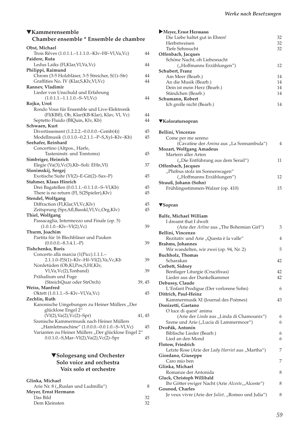#### *Werke nach Besetzungen*

#### ▼**Kammerensemble Chamber ensemble \* Ensemble de chambre**

| Obst, Michael                                       |        |    |
|-----------------------------------------------------|--------|----|
| Trois Rêves (1.0.1.1.-1.1.1.0.-Klv-Hf-Vl,Va,Vc)     |        | 44 |
| Paidere, Ruta                                       |        |    |
| Ledus Laiks (Fl, Klar, Vl, Va, Vc)                  |        | 44 |
| Philippi, Raimund                                   |        |    |
| Chrom (3-5 Holzbläser, 3-5 Streicher, S(1)-Str)     |        | 44 |
| Graffities No. IV (Klar, S, Klv, Vl, Vc)            |        | 44 |
| Rannev, Vladimir                                    |        |    |
| Lieder von Unschuld und Erfahrung                   |        |    |
| $(1.0.1.1.-1.1.1.0.-S-Vl,Vc)$                       |        | 44 |
| Rojko, Uroš                                         |        |    |
| Rondo Vous für Ensemble und Live-Elektronik         |        |    |
| (Fl(KBfl), Ob, Klar(KB-Klar), Klav, Vl, Vc)         |        | 44 |
| Septetto Fluido (BlQuin, Klv, Kb)                   |        | 44 |
| Schwaen, Kurt                                       |        |    |
| Divertissement (1.2.2.2.-0.0.0.0.-Cemb(4))          |        | 45 |
| Modellmusik (1.0.1.0.-0.2.1.1.-P-S,Xyl-Klv-Kb)      |        | 45 |
| Seehafer, Reinhard                                  |        |    |
| Concertino (Altpos., Harfe,                         |        |    |
| Tasteninstr. und Tomtoms)                           |        | 45 |
| Simbriger, Heinrich                                 |        |    |
| Elegie (Va(3), Vc(3), Kb-Soli: EHn, Vl)             |        | 37 |
| Slonimskij, Sergej                                  |        |    |
| Exotische Suite (Vl(2)-E-Git(2)-Sax-P)              |        | 45 |
| Stahmer, Klaus Hinrich                              |        |    |
| Drei Bagatellen (0.0.1.1.-0.1.1.0.-S-Vl,Kb)         |        | 45 |
| There is no return (Fl, S(2Spieler), Klv)           |        | 45 |
| Stendel, Wolfgang                                   |        |    |
| Diffraction (Fl,Klar,Vl,Vc,Klv)                     |        | 45 |
| Zeitsprung (Spr,Afl,Basskl,Vl,Vc,Org,Klv)           |        | 45 |
| Thiel, Wolfgang                                     |        |    |
| Passacaglia, Intermezzo und Finale (op. 5)          |        |    |
| $(1.0.1.0.-Klv-VI(2),Vc)$                           |        | 39 |
| Thurm, Joachim                                      |        |    |
| Partita für 16 Blechbläser und Pauken               |        |    |
| $(0.0.0.0 - 8.3.4.1 - P)$                           |        | 39 |
| Tishchenko, Boris                                   |        |    |
| Concerto alla marcia (1(Picc).1.1.1.-               |        |    |
| 2.1.1.0-P,S(1)-Klv-Hf-Vl(2),Va,Vc,Kb                |        | 39 |
| Nordetüden (Ob,Kl,Pos,S,Hf,Klv,                     |        |    |
| Vl, Va, Vc(2), Tonband)                             |        | 39 |
| Präludium und Fuge                                  |        |    |
| (StreichQuar oder StrOrch)                          | 39, 45 |    |
| Weiss, Manfred                                      |        |    |
| Oktett (1.0.1.1.–S–Klv–Vl,Va,Vc)                    |        | 45 |
| Zechlin, Ruth                                       |        |    |
| Kanonische Umgebungen zu Heiner Müllers "Der        |        |    |
| glücklose Engel 2"                                  |        |    |
| $(V1(2), Va(2), Vc(2) - Spr)$                       | 41, 45 |    |
| Szenische Kammermusik nach Heiner Müllers           |        |    |
| "Hamletmaschine" (1.0.0.0.-0.0.1.0.-S-Vl,Vc)        |        | 45 |
| Varianten zu Heiner Müllers "Der glücklose Engel 2" |        |    |
| $0.0.1.0$ -S,Mar-Vl(2),Va(2),Vc(2)-Spr              |        | 45 |

### ▼**Sologesang und Orchester Solo voice and orchestra Voix solo et orchestre**

#### **Glinka, Michael** Arie Nr. 8 ("Ruslan und Ludmilla") 8 **Meyer, Ernst Hermann** Das Bild 32 Dem Kleinsten

| Meyer, Ernst Hermann           |    |
|--------------------------------|----|
| Die Liebe haltet gut in Ehren! | 32 |
| Herbstweisen                   | 32 |
| Tiefe Sehnsucht                | 32 |
| Offenbach, Jacques             |    |
| Schöne Nacht, oh Liebesnacht   |    |
| ("Hoffmanns Erzählungen")      | 12 |
| Schubert, Franz                |    |
| Am Meer (Bearb.)               | 14 |
| An die Musik (Bearb.)          | 14 |
| Dein ist mein Herz (Bearb.)    | 14 |
| Ständchen (Bearb.)             | 14 |
| Schumann, Robert               |    |
| Ich grolle nicht (Bearb.)      | 14 |

#### ▼**Koloratursopran**

| Bellini, Vincenzo                        |     |
|------------------------------------------|-----|
| Come per me sereno                       |     |
| (Cavatine der Amina aus "La Sonnambula") | 4   |
| <b>Mozart, Wolfgang Amadeus</b>          |     |
| Martern aller Arten                      |     |
| ("Die Entführung aus dem Serail")        | 11  |
| Offenbach, Jacques                       |     |
| "Phöbus stolz im Sonnenwagen"            |     |
| ("Hoffmanns Erzählungen")                | 12. |
| Strauß, Johann (Sohn)                    |     |
| Frühlingsstimmen-Walzer (op. 410)        | 15  |

#### ▼**Sopran**

| Balfe, Michael William                             |                |
|----------------------------------------------------|----------------|
| I dreamt that I dwelt                              |                |
| (Arie der Arline aus "The Bohemian Girl")          | 3              |
| Bellini, Vincenzo                                  |                |
| Rezitativ und Arie "Questa è la valle"             | $\overline{4}$ |
| Brahms, Johannes                                   |                |
| Wir wandelten, wir zwei (op. 94, Nr. 2)            | 5              |
| <b>Buchholz, Thomas</b>                            |                |
| Scharakan                                          | 42             |
| Corbett, Sidney                                    |                |
| Bentlager Liturgie (Crucifixus)                    | 42             |
| Lieder aus der Dunkelkammer                        | 42             |
| Debussy, Claude                                    |                |
| L'Enfant Prodigue (Der verlorene Sohn)             | 6              |
| Dittrich, Paul-Heinz                               |                |
| Kammermusik XI (Journal des Poèmes)                | 43             |
| Donizetti, Gaetano                                 |                |
| O luce di quest' anima                             |                |
| (Arie der Linda aus "Linda di Chamounix")          | 6              |
| Szene und Arie ("Lucia di Lammermoor")             | 6              |
| Dvořák, Antonín                                    |                |
| Biblische Lieder (Bearb.)                          | 6              |
| Lied an den Mond                                   | 6              |
| Flotow, Friedrich                                  |                |
| Letzte Rose (Arie der Lady Harriet aus "Martha")   | 7              |
| Giordano, Giuseppe                                 |                |
| Caro mio ben                                       | 7              |
| Glinka, Michael                                    |                |
| Romanze der Antonida                               | 8              |
| Gluck, Christoph Willibald                         |                |
| Ihr Götter ewiger Nacht (Arie Alceste,,,Alceste")  | 8              |
| Gounod, Charles                                    |                |
| Je veux vivre (Arie der Juliet, "Romeo und Julia") | 8              |
|                                                    |                |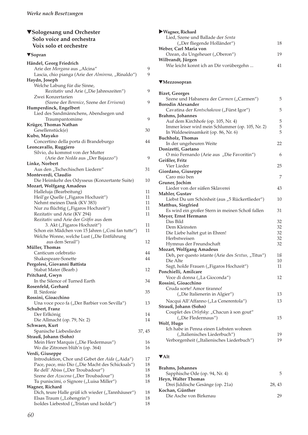## ▼**Sologesang und Orchester Solo voice and orchestra Voix solo et orchestre**

# ▼**Sopran**

| Händel, Georg Friedrich                                                                            |          |
|----------------------------------------------------------------------------------------------------|----------|
| Arie der Morgana aus "Alcina"                                                                      | 9        |
| Lascia, chio pianga (Arie der Almirena, "Rinaldo")                                                 | 9        |
| Haydn, Joseph                                                                                      |          |
| Welche Labung für die Sinne,                                                                       |          |
| Rezitativ und Arie ("Die Jahreszeiten")                                                            | 9        |
| Zwei Konzertarien                                                                                  |          |
| (Szene der Berenice, Szene der Errisena)                                                           | 9        |
| Humperdinck, Engelbert                                                                             |          |
| Lied des Sandmännchens, Abendsegen und                                                             |          |
| Traumpantomime                                                                                     | 9        |
| Krüger, Thomas Nathan                                                                              |          |
| Gesellenstück(e)                                                                                   | 30       |
| Kubo, Mayako                                                                                       |          |
| Concertino della porta di Brandeburgo                                                              | 44       |
| Leoncavallo, Ruggiero                                                                              |          |
| Silvio, du kommst von der Mutter                                                                   |          |
| (Arie der Nedda aus "Der Bajazzo")                                                                 | 9        |
| Linke, Norbert                                                                                     |          |
| Aus den "Tschechischen Liedern"                                                                    | 31       |
| Monteverdi, Claudio                                                                                |          |
| Die Heimkehr des Odysseus (Konzertante Suite)                                                      | 10       |
| Mozart, Wolfgang Amadeus                                                                           |          |
| Halleluja (Bearbeitung)                                                                            | 11       |
| Heil'ge Quelle ("Figaros Hochzeit")                                                                | 11       |
| Nehmt meinen Dank (KV 383)                                                                         | 11       |
| Nur zu flüchtig ("Figaros Hochzeit")                                                               | 11       |
| Rezitativ und Arie (KV 294)                                                                        | 11       |
| Rezitativ und Arie der Gräfin aus dem                                                              |          |
| 3. Akt ("Figaros Hochzeit")                                                                        | 11       |
| Schon ein Mädchen von 15 Jahren ("Cosi fan tutte")                                                 | 11       |
| Welche Wonne, welche Lust ("Die Entführung                                                         |          |
| aus dem Serail")                                                                                   | 12       |
| Müller, Thomas                                                                                     |          |
| Canticum celebratio                                                                                | 44       |
| Shakespeare-Sonette                                                                                | 44       |
| Pergolesi, Giovanni Battista                                                                       |          |
| Stabat Mater (Bearb.)                                                                              | 12       |
| Pritchard, Gwyn                                                                                    |          |
| In the Silence of Turned Earth                                                                     | 34       |
| Rosenfeld, Gerhard                                                                                 |          |
| II. Sinfonie                                                                                       | 35       |
| Rossini, Gioacchino                                                                                |          |
| Una voce poco fa ("Der Barbier von Sevilla")                                                       | 13       |
| Schubert, Franz                                                                                    |          |
| Der Erlkönig                                                                                       | 14       |
| Die Allmacht (op. 79, Nr. 2)                                                                       | 14       |
| Schwaen, Kurt                                                                                      |          |
| Spanische Liebeslieder                                                                             | 37, 45   |
| Strauß, Johann (Sohn)                                                                              |          |
| Mein Herr Marquis ("Die Fledermaus")<br>Wo die Zitronen blüh'n (op. 364)                           | 16<br>16 |
|                                                                                                    |          |
| Verdi, Giuseppe                                                                                    |          |
| Introduktion, Chor und Gebet der Aida ("Aida")<br>Pace, pace, mio Dio ("Die Macht des Schicksals") | 17       |
| Re dell' Abiss ("Der Troubadour")                                                                  | 18<br>18 |
| Szene der Azucena ("Der Troubadour")                                                               | 18       |
| Tu puniscimi, o Signore ("Luisa Miller")                                                           | 18       |
| Wagner, Richard                                                                                    |          |
| Dich, teure Halle grüß ich wieder ("Tannhäuser")                                                   | 18       |
| Elsas Traum ("Lohengrin")                                                                          | 18       |
| Isoldes Liebestod ("Tristan und Isolde")                                                           | 18       |
|                                                                                                    |          |

| 18 |
|----|
|    |
| 19 |
|    |
|    |
|    |

### ▼**Mezzosopran**

| <b>Bizet, Georges</b>                              |          |
|----------------------------------------------------|----------|
| Szene und Habanera der Carmen ("Carmen")           | 5        |
| <b>Borodin Alexander</b>                           |          |
| Cavatina der Kontschakowa ("Fürst Igor")           | 5        |
| Brahms, Johannes                                   |          |
| Auf dem Kirchhofe (op. 105, Nr. 4)                 | 5        |
| Immer leiser wird mein Schlummer (op. 105, Nr. 2)  | 5        |
| In Waldeseinsamkeit (op. 86, Nr. 6)                | 5        |
| <b>Buchholz</b> , Thomas                           |          |
| In der ungeheuren Weite                            | 22       |
| Donizetti, Gaetano                                 |          |
| O mio Fernando (Arie aus "Die Favoritin")          | 6        |
| Geißler, Fritz                                     |          |
| Vier Lieder                                        | 25       |
| Giordano, Giuseppe                                 |          |
| Caro mio ben                                       | 7        |
| Gruner, Jochim                                     |          |
| Lieder von der süßen Sklaverei                     | 43       |
| Mahler, Gustav                                     |          |
| Liebst Du um Schönheit (aus "5 Rückertlieder")     | 10       |
| Matthus, Siegfried                                 |          |
| Es wird ein großer Stern in meinen Schoß fallen    | 31       |
| Meyer, Ernst Hermann<br>Das Bild                   |          |
| Dem Kleinsten                                      | 32<br>32 |
| Die Liebe haltet gut in Ehren!                     | 32       |
| Herbstweisen                                       | 32       |
| Hymnus der Freundschaft                            | 32       |
| <b>Mozart, Wolfgang Amadeus</b>                    |          |
| Deh, per questo istante (Arie des Sextus, "Titus") | 16       |
| Die Alte                                           | 10       |
| Sagt, holde Frauen ("Figaros Hochzeit")            | 11       |
| Ponchielli, Amilcare                               |          |
| Voce di donna ("La Gioconda")                      | 12       |
| Rossini, Gioacchino                                |          |
| Cruda sorte! Amor tiranno!                         |          |
| ("Die Italienerin in Algier")                      | 13       |
| Nacqui All'Affanno ("La Cenerentola")              | 13       |
| Strauß, Johann (Sohn)                              |          |
| Couplet des Orlofsky: "Chacun à son gout"          |          |
| ("Die Fledermaus")                                 | 15       |
| Wolf, Hugo                                         |          |
| Ich habe in Penna einen Liebsten wohnen            |          |
| ("Italienisches Liederbuch")                       | 19       |
| Verborgenheit ("Italienisches Liederbuch")         | 19       |
|                                                    |          |

### ▼**Alt**

| 5     |
|-------|
|       |
| 28.43 |
|       |
| 29    |
|       |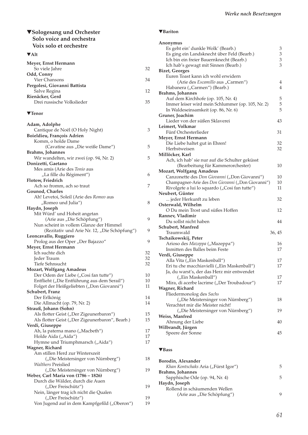## ▼**Sologesang und Orchester Solo voice and orchestra Voix solo et orchestre**

## ▼**Alt**

| Meyer, Ernst Hermann         |    |
|------------------------------|----|
| So viele Jahre               | 32 |
| Odd, Conny                   |    |
| Vier Chansons                | 34 |
| Pergolesi, Giovanni Battista |    |
| Salve Regina                 | 12 |
| Rienäcker, Gerd              |    |
| Drei russische Volkslieder   | 35 |
|                              |    |

### ▼**Tenor**

| Adam, Adolphe                                                                            |          |
|------------------------------------------------------------------------------------------|----------|
| Cantique de Noël (O Holy Night)                                                          | 3        |
| Boieldieu, François Adrien                                                               |          |
| Komm, o holde Dame                                                                       |          |
| (Cavatine aus "Die weiße Dame")                                                          | 5        |
| Brahms, Johannes                                                                         |          |
| Wir wandelten, wir zwei (op. 94, Nr. 2)                                                  | 5        |
| Donizetti, Gaetano                                                                       |          |
| Mes amis (Arie des Tonio aus                                                             |          |
| "La fille du Régiment")                                                                  | 6        |
| Flotow, Friedrich                                                                        |          |
| Ach so fromm, ach so traut                                                               | 7        |
| Gounod, Charles                                                                          |          |
| Ah! Levetoi, Soleil (Arie des Romeo aus                                                  |          |
| "Romeo und Julia")                                                                       | 8        |
| Haydn, Joseph                                                                            |          |
| Mit Würd' und Hoheit angetan                                                             |          |
| (Arie aus "Die Schöpfung")                                                               | 9        |
| Nun scheint in vollem Glanze der Himmel                                                  |          |
| (Rezitativ und Arie Nr. 12, "Die Schöpfung")                                             | 9        |
| Leoncavallo, Ruggiero                                                                    |          |
|                                                                                          | 9        |
| Prolog aus der Oper "Der Bajazzo"<br>Meyer, Ernst Hermann                                |          |
| Ich suchte dich                                                                          | 32       |
|                                                                                          | 32       |
| Jeder Traum<br>Tiefe Sehnsucht                                                           | 32       |
|                                                                                          |          |
| <b>Mozart, Wolfgang Amadeus</b><br>Der Odem der Liebe ("Cosi fan tutte")                 | 10       |
|                                                                                          |          |
| Entflieht ("Die Entführung aus dem Serail")<br>Folget der Heißgeliebten ("Don Giovanni") | 10<br>11 |
|                                                                                          |          |
| Schubert, Franz                                                                          | 14       |
| Der Erlkönig                                                                             |          |
| Die Allmacht (op. 79, Nr. 2)                                                             | 14       |
| Strauß, Johann (Sohn)                                                                    | 15       |
| Als flotter Geist ("Der Zigeunerbaron")                                                  | 15       |
| Als flotter Geist ("Der Zigeunerbaron", Bearb.)                                          |          |
| Verdi, Giuseppe                                                                          | 17       |
| Ah, la paterna mano ("Macbeth")                                                          | 17       |
| Holde Aida ("Aida")<br>Hymne und Triumphmarsch ("Aida")                                  | 17       |
| Wagner, Richard                                                                          |          |
| Am stillen Herd zur Winterszeit                                                          |          |
| ("Die Meistersinger von Nürnberg")                                                       | 18       |
| <b>Walthers Preislied</b>                                                                |          |
| ("Die Meistersinger von Nürnberg")                                                       | 19       |
| Weber, Carl Maria von (1786 - 1826)                                                      |          |
| Durch die Wälder, durch die Auen                                                         |          |
| ("Der Freischütz")                                                                       | 19       |
|                                                                                          |          |
| Nein, länger trag ich nicht die Qualen                                                   | 19       |
| ("Der Freischütz")<br>Von Jugend auf in dem Kampfgefild ("Oberon")                       | 19       |
|                                                                                          |          |

### ▼**Bariton**

| Anonymus                                          |        |
|---------------------------------------------------|--------|
| Es geht ein' dunkle Wolk' (Bearb.)                | 3      |
| Es ging ein Landsknecht über Feld (Bearb.)        | 3      |
| Ich bin ein freier Bauernknecht (Bearb.)          | 3      |
| Ich hab's gewagt mit Sinnen (Bearb.)              | 3      |
| <b>Bizet, Georges</b>                             |        |
| Euren Toast kann ich wohl erwidern                |        |
| (Arie des Escamillo aus "Carmen")                 | 4      |
| Habanera ("Carmen") (Bearb.)                      | 4      |
| <b>Brahms, Johannes</b>                           |        |
| Auf dem Kirchhofe (op. 105, Nr. 4)                | 5      |
| Immer leiser wird mein Schlummer (op. 105, Nr. 2) | 5      |
| In Waldeseinsamkeit (op. 86, Nr. 6)               | 5      |
| Gruner, Joachim                                   |        |
| Lieder von der süßen Sklaverei                    | 43     |
| Leimert, Volkmar                                  |        |
| Fünf Orchesterlieder                              | 31     |
| Meyer, Ernst Hermann                              |        |
| Die Liebe haltet gut in Ehren!                    | 32     |
| Herbstweisen                                      | 32     |
| Millöcker, Karl                                   |        |
| Ach, ich hab' sie nur auf die Schulter geküsst    |        |
| (Bearbeitung für Kammerorchester)                 | 10     |
| <b>Mozart, Wolfgang Amadeus</b>                   |        |
| Canzonette des Don Giovanni ("Don Giovanni")      | 10     |
| Champagner-Arie des Don Giovanni ("Don Giovanni") | 10     |
| Rivolgete a lui lo squardo ("Cosi fan tutte")     | 11     |
| Neubert, Günter                                   |        |
| jeder Herkunft zu leben                           | 32     |
| Osterwald, Wilhelm                                |        |
| O Du mein Trost und süßes Hoffen                  | 12     |
| Rannev, Vladimir                                  |        |
| Du sollst nicht haben                             | 44     |
| Schubert, Manfred                                 |        |
| Traumwald                                         | 36, 45 |
| Tschaikowskij, Peter                              |        |
| Arioso des Mazeppa ("Mazeppa")                    | 16     |
| Inmitten des Balles beim Feste                    | 17     |
| Verdi, Giuseppe                                   |        |
| Alla Vita ("Ein Maskenball")                      | 17     |
| Eri tu che macchiavielli ("Ein Maskenball")       | 17     |
| Ja, du warst's, der das Herz mir entwendet        |        |
| ("Ein Maskenball")                                | 17     |
| Mira, di acerbe lacrime ("Der Troubadour")        | 17     |
| Wagner, Richard                                   |        |
| Fliedermonolog des Sachs                          |        |
| ("Die Meistersinger von Nürnberg")                | 18     |
| Verachtet mir die Meister nicht!                  |        |
| ("Die Meistersinger von Nürnberg")                | 19     |
| Weiss, Manfred                                    |        |
| Ahnung der Liebe                                  | 40     |
| Wilbrandt, Jürgen                                 |        |
| Speere der Sonne                                  | 45     |
|                                                   |        |

## ▼**Bass**

| 5 |
|---|
|   |
| 5 |
|   |
|   |
| q |
|   |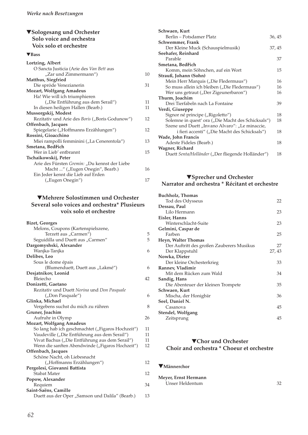## ▼**Sologesang und Orchester Solo voice and orchestra Voix solo et orchestre**

## ▼**Bass**

| Lortzing, Albert                               |    |
|------------------------------------------------|----|
| O Sancta Justicia (Arie des Van Bett aus       |    |
| "Zar und Zimmermann")                          | 10 |
| Matthus, Siegfried                             |    |
| Die spröde Venezianerin                        | 31 |
| <b>Mozart, Wolfgang Amadeus</b>                |    |
| Ha! Wie will ich triumphieren                  |    |
| ("Die Entführung aus dem Serail")              | 11 |
| In diesen heiligen Hallen (Bearb.)             | 11 |
| Mussorgskij, Modest                            |    |
| Rezitativ und Arie des Boris ("Boris Godunow") | 12 |
| Offenbach, Jacques                             |    |
| Spiegelarie ("Hoffmanns Erzählungen")          | 12 |
| Rossini, Gioacchino                            |    |
| Miei rampolli femminini ("La Cenerentola")     | 13 |
| Smetana, Bedřich                               |    |
| Wer in Lieb' entbrannt                         | 15 |
| Tschaikowskij, Peter                           |    |
| Arie des Fürsten Gremin: "Du kennst der Liebe  |    |
| Macht " ("Eugen Onegin", Bearb.)               | 16 |
| Ein Jeder kennt die Lieb auf Erden             |    |
| ("Eugen Onegin")                               | 17 |

## ▼**Mehrere Solostimmen und Orchester Several solo voices and orchestra\* Plusieurs voix solo et orchestre**

| <b>Bizet, Georges</b>                             |    |
|---------------------------------------------------|----|
| Melons, Coupons (Kartenspielszene,                |    |
| Terzett aus "Carmen")                             | 5  |
| "Seguidilla und Duett aus "Carmen                 | 5  |
| Dargomyshski, Alexander                           |    |
| Wanjka-Tanjka                                     | 6  |
| Delibes, Leo                                      |    |
| Sous le dome épais                                |    |
| (Blumenduett, Duett aus "Lakmé")                  | 6  |
| Desjatnikov, Leonid                               |    |
| Bleiecho                                          | 42 |
| Donizetti, Gaetano                                |    |
| Rezitativ und Duett Norina und Don Pasquale       |    |
| ("Don Pasquale")                                  | 6  |
| Glinka, Michael                                   |    |
| Vergebens suchst du mich zu rühren                | 8  |
| Gruner, Joachim                                   |    |
| Aufruhr in Olymp                                  | 26 |
| <b>Mozart, Wolfgang Amadeus</b>                   |    |
| So lang hab ich geschmachtet ("Figaros Hochzeit") | 11 |
| Vaudeville ("Die Entführung aus dem Serail")      | 11 |
| Vivat Bachus ("Die Entführung aus dem Serail")    | 11 |
| Wenn die sanften Abendwinde ("Figaros Hochzeit")  | 12 |
| Offenbach, Jacques                                |    |
| Schöne Nacht, oh Liebesnacht                      |    |
| ("Hoffmanns Erzählungen")                         | 12 |
| Pergolesi, Giovanni Battista                      |    |
| <b>Stabat Mater</b>                               | 12 |
| Popow, Alexander                                  |    |
| Requiem                                           | 34 |
| Saint-Saëns, Camille                              |    |
| Duett aus der Oper "Samson und Dalila" (Bearb.)   | 13 |

| Schwaen, Kurt                                      |        |
|----------------------------------------------------|--------|
| Berlin – Potsdamer Platz                           | 36, 45 |
| Schwemmer, Frank                                   |        |
| Der Kleine Muck (Schauspielmusik)                  | 37, 45 |
| Seehafer, Reinhard                                 |        |
| Parable                                            | 37     |
| Smetana, Bedřich                                   |        |
| Komm, mein Söhnchen, auf ein Wort                  | 15     |
| Strauß, Johann (Sohn)                              |        |
| Mein Herr Marquis ("Die Fledermaus")               | 16     |
| So muss allein ich bleiben ("Die Fledermaus")      | 16     |
| Wer uns getraut ("Der Zigeunerbaron")              | 16     |
| Thurm, Joachim                                     |        |
| Drei Tierfabeln nach La Fontaine                   | 39     |
| Verdi, Giuseppe                                    |        |
| Signor né principe ("Rigoletto")                   | 18     |
| Solemne in quest' ora ("Die Macht des Schicksals") | 18     |
| Szene und Duett "Invano Alvaro": "Le minaccie,     |        |
| i fieri accenti" ("Die Macht des Schicksals")      | 18     |
| Wade, John Francis                                 |        |
| Adeste Fideles (Bearb.)                            | 18     |
| Wagner, Richard                                    |        |
| Duett Senta/Holländer ("Der fliegende Holländer")  | 18     |

# ▼**Sprecher und Orchester Narrator and orchestra \* Récitant et orchestre**

| <b>Buchholz, Thomas</b>                   |        |
|-------------------------------------------|--------|
| Tod des Odysseus                          | 22     |
| Dessau, Paul                              |        |
| Lilo Hermann                              | 23     |
| Eisler, Hanns                             |        |
| Winterschlacht-Suite                      | 23     |
| Gelmini, Caspar de                        |        |
| Farben                                    | 25     |
| Heyn, Walter Thomas                       |        |
| Der Auftritt des großen Zauberers Musikus | 27     |
| Der Klappstuhl                            | 27, 43 |
| Nowka, Dieter                             |        |
| Der kleine Orchesterkrieg                 | 33     |
| Rannev, Vladimir                          |        |
| Mit dem Rücken zum Wald                   | 34     |
| Sandig, Hans                              |        |
| Die Abenteuer der kleinen Trompete        | 35     |
| Schwaen, Kurt                             |        |
| Mischa, der Honigbär                      | 36     |
| Seel, Daniel N.                           |        |
| Casanova                                  | 45     |
| Stendel, Wolfgang                         |        |
| Zeitsprung                                | 45     |
|                                           |        |

# ▼**Chor und Orchester Choir and orchestra \* Choeur et orchestre**

## ▼**Männerchor**

**Meyer, Ernst Hermann**  Unser Heldentum 32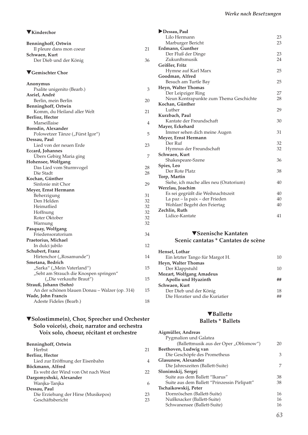| VKinderchor                                    |    |
|------------------------------------------------|----|
| <b>Benninghoff, Ortwin</b>                     |    |
| Il pleure dans mon coeur                       | 21 |
| Schwaen, Kurt                                  |    |
| Der Dieb und der König                         | 36 |
| ▼ Gemischter Chor                              |    |
| Anonymus                                       |    |
| Psalite unigenito (Bearb.)                     | 3  |
| Asriel, André                                  |    |
| Berlin, mein Berlin                            | 20 |
| <b>Benninghoff, Ortwin</b>                     |    |
| Komm, du Heiland aller Welt                    | 21 |
| <b>Berlioz</b> , Hector<br>Marseillaise        | 4  |
| Borodin, Alexander                             |    |
| Polowetzer Tänze ("Fürst Igor")                | 5  |
| Dessau, Paul                                   |    |
| Lied von der neuen Erde                        | 23 |
| Eccard, Johannes                               |    |
| Übers Gebirg Maria ging                        | 7  |
| Hohensee, Wolfgang                             |    |
| Das Lied vom Sturmvogel                        | 28 |
| Die Stadt                                      | 28 |
| Kochan, Günther                                |    |
| Sinfonie mit Chor                              | 29 |
| Meyer, Ernst Hermann                           |    |
| Beherzigung                                    | 31 |
| Den Helden                                     | 32 |
| Heimatlied                                     | 32 |
| Hoffnung                                       | 32 |
| Roter Oktober                                  | 32 |
| Warnung                                        | 32 |
| Pasquay, Wolfgang                              |    |
| Friedensoratorium                              | 34 |
| Praetorius, Michael                            |    |
| In dulci jubilo                                | 12 |
| Schubert, Franz<br>Hirtenchor ("Rosamunde")    | 14 |
| Smetana, Bedrich                               |    |
| "Sarka" ("Mein Vaterland")                     | 15 |
| "Seht am Strauch die Knospen springen"         |    |
| ("Die verkaufte Braut")                        | 15 |
| Strauß, Johann (Sohn)                          |    |
| An der schönen blauen Donau - Walzer (op. 314) | 15 |
| <b>Wade, John Francis</b>                      |    |
| Adeste Fideles (Bearb.)                        | 18 |
|                                                |    |

## ▼**Solostimme(n), Chor, Sprecher und Orchester Solo voice(s), choir, narrator and orchestra Voix solo, choeur, récitant et orchestre**

| Herbst<br>21<br>Berlioz, Hector           |
|-------------------------------------------|
|                                           |
|                                           |
| Lied zur Eröffnung der Eisenbahn<br>4     |
| Böckmann, Alfred                          |
| Es weht der Wind von Ost nach West<br>22  |
| Dargomyshski, Alexander                   |
| Wanjka-Tanjka<br>6                        |
| Dessau, Paul                              |
| Die Erziehung der Hirse (Musikepos)<br>23 |
| Geschäftsbericht<br>23                    |

| Dessau, Paul                           |    |
|----------------------------------------|----|
| Lilo Hermann                           | 23 |
| Marburger Bericht                      | 23 |
| Erdmann, Gunther                       |    |
| Der Fluß der Dinge                     | 23 |
| Zukunftsmusik                          | 24 |
| Geißler, Fritz                         |    |
| Hymne auf Karl Marx                    | 25 |
| Goodman, Alfred                        |    |
| Besuch am Turtle Bay                   | 25 |
| Heyn, Walter Thomas                    |    |
| Der Leipziger Ring                     | 27 |
| Neun Kontrapunkte zum Thema Geschichte | 28 |
| Kochan, Günther                        |    |
| Luther                                 | 29 |
| Kurzbach, Paul                         |    |
| Kantate der Freundschaft               | 30 |
| Mayer, Eckehard                        |    |
| Immer sehen dich meine Augen           | 31 |
| Meyer, Ernst Hermann                   |    |
| Der Ruf                                | 32 |
| Hymnus der Freundschaft                | 32 |
| Schwaen, Kurt                          |    |
| Shakespeare-Szene                      | 36 |
| Spies, Leo                             |    |
| Der Rote Platz                         | 38 |
| Torp, Martin                           |    |
| Siehe, ich mache alles neu (Oratorium) | 40 |
| Werzlau, Joachim                       |    |
| Es sei gegrüßt die Weihnachtszeit      | 40 |
| La paz – la paix – der Frieden         | 40 |
| Wohlan! Begeht den Feiertag            | 40 |
| Zechlin, Ruth                          |    |
| Lidice-Kantate                         | 41 |

### ▼**Szenische Kantaten Scenic cantatas \* Cantates de scène**

| Hensel, Lothar                  |    |
|---------------------------------|----|
| Ein letzter Tango für Margot H. | 10 |
| Heyn, Walter Thomas             |    |
| Der Klappstuhl                  | 10 |
| <b>Mozart, Wolfgang Amadeus</b> |    |
| Apollo und Hyazinth             |    |
| Schwaen, Kurt                   |    |
| Der Dieb und der König          | 18 |
| Die Horatier und die Kuriatier  | ## |
|                                 |    |

## ▼**Ballette Ballets \* Ballets**

| Aigmüller, Andreas                           |    |
|----------------------------------------------|----|
| Pygmalion und Galatea                        |    |
| (Ballettmusik aus der Oper "Oblomow")        | 20 |
| Beethoven, Ludwig van                        |    |
| Die Geschöpfe des Prometheus                 | 3  |
| Glasunow, Alexander                          |    |
| Die Jahreszeiten (Ballett-Suite)             | 7  |
| Slonimskij, Sergej                           |    |
| Suite aus dem Ballett "Ikarus"               | 38 |
| Suite aus dem Ballett "Prinzessin Pirlipatt" | 38 |
| Tschaikowskij, Peter                         |    |
| Dornröschen (Ballett-Suite)                  | 16 |
| Nußknacker (Ballett-Suite)                   | 16 |
| Schwanensee (Ballett-Suite)                  | 16 |
|                                              |    |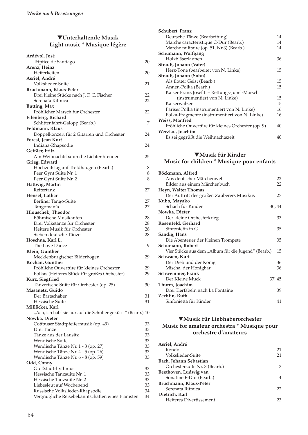# ▼**Unterhaltende Musik Light music \* Musique légère**

| Ardévol, José                                                |    |
|--------------------------------------------------------------|----|
| Triptico de Santiago                                         | 20 |
| Arenz, Heinz                                                 |    |
| Heiterkeiten                                                 | 20 |
| Asriel, André                                                |    |
| Volkslieder-Suite                                            | 21 |
| Bruchmann, Klaus-Peter                                       |    |
| Drei kleine Stücke nach J. F. C. Fischer                     | 22 |
| Serenata Ritmica                                             | 22 |
| Butting, Max                                                 |    |
| Fröhlicher Marsch für Orchester                              | 22 |
| Eilenberg, Richard                                           |    |
| Schlittenfahrt-Galopp (Bearb.)                               | 7  |
| Feldmann, Klaus                                              |    |
| Doppelkonzert für 2 Gitarren und Orchester                   | 24 |
| Forest, Jean Kurt                                            |    |
| Indiana-Rhapsodie                                            | 24 |
| Geißler, Fritz                                               |    |
| Am Weihnachtsbaum die Lichter brennen                        | 25 |
| Grieg, Edward                                                |    |
| Hochzeitstag auf Troldhaugen (Bearb.)                        | 8  |
| Peer Gynt Suite Nr. 1                                        | 8  |
| Peer Gynt Suite Nr. 2                                        | 8  |
| Hattwig, Martin                                              |    |
| Reitertanz                                                   | 27 |
| Hensel, Lothar                                               |    |
| Berliner Tango-Suite                                         | 27 |
| Tangomanía                                                   | 27 |
| Hlouschek, Theodor                                           |    |
| Böhmische Musikanten                                         | 28 |
| Drei Volkstänze für Orchester                                | 28 |
| Heitere Musik für Orchester                                  | 28 |
| Sieben deutsche Tänze                                        | 28 |
| Hoschna, Karl L.                                             |    |
| The Love Dance                                               | 9  |
| Klein, Günther                                               |    |
| Mecklenburgischer Bilderbogen                                | 29 |
| Kochan, Günther                                              |    |
| Fröhliche Ouvertüre für kleines Orchester                    | 29 |
| Polkas (Heiteres Stück für großes Orchester)                 | 29 |
| Kurz, Siegfried                                              |    |
| Tänzerische Suite für Orchester (op. 25)                     | 30 |
| Masanetz, Guido                                              |    |
| Der Bartschaber                                              | 31 |
| Hessische Suite                                              | 31 |
| Millöcker, Karl                                              |    |
| "Ach, ich hab' sie nur auf die Schulter geküsst" (Bearb.) 10 |    |
| Nowka, Dieter                                                |    |
| Cottbuser Stadtpfeifermusik (op. 49)                         | 33 |
| Drei Tänze                                                   | 33 |
| Tänze aus der Lausitz                                        | 33 |
| <b>Wendische Suite</b>                                       | 33 |
| Wendische Tänze Nr. 1 - 3 (op. 27)                           | 33 |
| Wendische Tänze Nr. 4 - 5 (op. 26)                           | 33 |
| Wendische Tänze Nr. 6 - 8 (op. 59)                           | 33 |
| Odd, Conny                                                   |    |
| Großstadtrhythmus                                            | 33 |
| Hessische Tanzsuite Nr. 1                                    | 33 |
| Hessische Tanzsuite Nr. 2                                    | 33 |
| Liebesleut auf Wochenend                                     | 33 |
| Russische Volkslieder-Rhapsodie                              | 34 |
| Vergnügliche Reisebekanntschaften eines Pianisten            | 34 |

| Schubert, Franz                                   |    |
|---------------------------------------------------|----|
| Deutsche Tänze (Bearbeitung)                      | 14 |
| Marche caractéristique C-Dur (Bearb.)             | 14 |
| Marche militaire (op. 51, Nr.3) (Bearb.)          | 14 |
| Schumann, Wolfgang                                |    |
| Holzbläserlaunen                                  | 36 |
| Strauß, Johann (Vater)                            |    |
| Herz-Töne (bearbeitet von N. Linke)               | 15 |
| Strauß, Johann (Sohn)                             |    |
| Als flotter Geist (Bearb.)                        | 15 |
| Annen-Polka (Bearb.)                              | 15 |
| Kaiser Franz Josef I. – Rettungs-Jubel-Marsch     |    |
| (instrumentiert von N. Linke)                     | 15 |
| Kaiserwalzer                                      | 15 |
| Pariser Polka (instrumentiert von N. Linke)       | 16 |
| Polka-Fragmente (instrumentiert von N. Linke)     | 16 |
| <b>Weiss, Manfred</b>                             |    |
| Fröhliche Ouvertüre für kleines Orchester (op. 9) | 40 |
| Werzlau, Joachim                                  |    |
| Es sei gegrüßt die Weihnachtszeit                 | 40 |

## ▼**Musik für Kinder Music for children \* Musique pour enfants**

| Böckmann, Alfred                                    |        |
|-----------------------------------------------------|--------|
| Aus deutscher Märchenwelt                           | 22     |
| Bilder aus einem Märchenbuch                        | 22     |
| Heyn, Walter Thomas                                 |        |
| Der Auftritt des großen Zauberers Musikus           | 27     |
| Kubo, Mayako                                        |        |
| Schach für Kinder                                   | 30, 44 |
| Nowka, Dieter                                       |        |
| Der kleine Orchesterkrieg                           | 33     |
| Rosenfeld, Gerhard                                  |        |
| Sinfonietta in G                                    | 35     |
| Sandig, Hans                                        |        |
| Die Abenteuer der kleinen Trompete                  | 35     |
| Schumann, Robert                                    |        |
| Vier Stücke aus dem "Album für die Jugend" (Bearb.) | 15     |
| Schwaen, Kurt                                       |        |
| Der Dieb und der König                              | 36     |
| Mischa, der Honigbär                                | 36     |
| Schwemmer, Frank                                    |        |
| Der Kleine Muck                                     | 37, 45 |
| Thurm, Joachim                                      |        |
| Drei Tierfabeln nach La Fontaine                    | 39     |
| Zechlin, Ruth                                       |        |
| Sinfonietta für Kinder                              | 41     |

## ▼**Musik für Liebhaberorchester Music for amateur orchestra \* Musique pour orchestre d'amateurs**

| Asriel, André                 |    |
|-------------------------------|----|
| Rondo                         | 21 |
| Volkslieder-Suite             | 21 |
| Bach, Johann Sebastian        |    |
| Orchestersuite Nr. 3 (Bearb.) | 3  |
| Beethoven, Ludwig van         |    |
| Sonatine F-Dur (Bearb.)       | 4  |
| Bruchmann, Klaus-Peter        |    |
| Serenata Ritmica              | 22 |
| Dietrich, Karl                |    |
| Heiteres Divertissement       | 23 |
|                               |    |